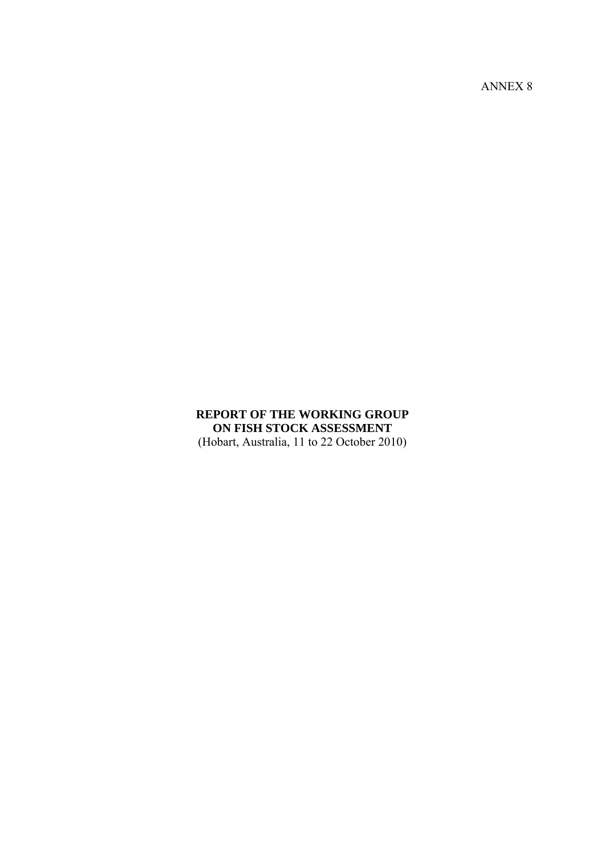ANNEX 8

# **REPORT OF THE WORKING GROUP ON FISH STOCK ASSESSMENT**

(Hobart, Australia, 11 to 22 October 2010)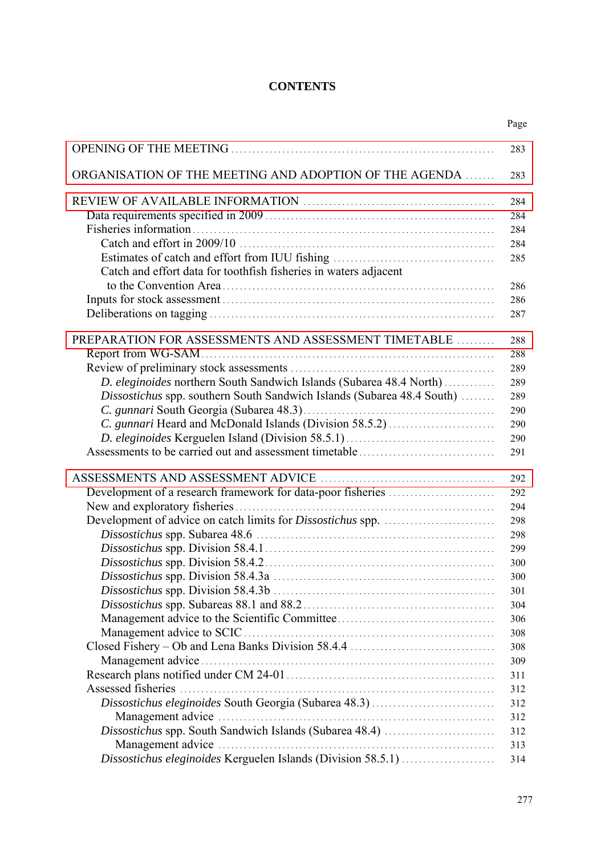# **CONTENTS**

|                                                                        | Page |
|------------------------------------------------------------------------|------|
|                                                                        | 283  |
| ORGANISATION OF THE MEETING AND ADOPTION OF THE AGENDA                 | 283  |
|                                                                        | 284  |
|                                                                        | 284  |
|                                                                        | 284  |
|                                                                        | 284  |
|                                                                        | 285  |
| Catch and effort data for toothfish fisheries in waters adjacent       |      |
|                                                                        | 286  |
|                                                                        | 286  |
|                                                                        | 287  |
| PREPARATION FOR ASSESSMENTS AND ASSESSMENT TIMETABLE                   | 288  |
|                                                                        | 288  |
|                                                                        | 289  |
| D. eleginoides northern South Sandwich Islands (Subarea 48.4 North)    | 289  |
| Dissostichus spp. southern South Sandwich Islands (Subarea 48.4 South) | 289  |
|                                                                        | 290  |
| C. gunnari Heard and McDonald Islands (Division 58.5.2)                | 290  |
|                                                                        | 290  |
|                                                                        | 291  |
|                                                                        | 292  |
|                                                                        | 292  |
|                                                                        | 294  |
|                                                                        | 298  |
|                                                                        | 298  |
|                                                                        | 299  |
|                                                                        | 300  |
|                                                                        | 300  |
|                                                                        | 301  |
|                                                                        | 304  |
|                                                                        | 306  |
|                                                                        | 308  |
|                                                                        | 308  |
|                                                                        | 309  |
|                                                                        | 311  |
|                                                                        | 312  |
|                                                                        | 312  |
|                                                                        | 312  |
| Dissostichus spp. South Sandwich Islands (Subarea 48.4)                | 312  |
|                                                                        | 313  |
| Dissostichus eleginoides Kerguelen Islands (Division 58.5.1)           | 314  |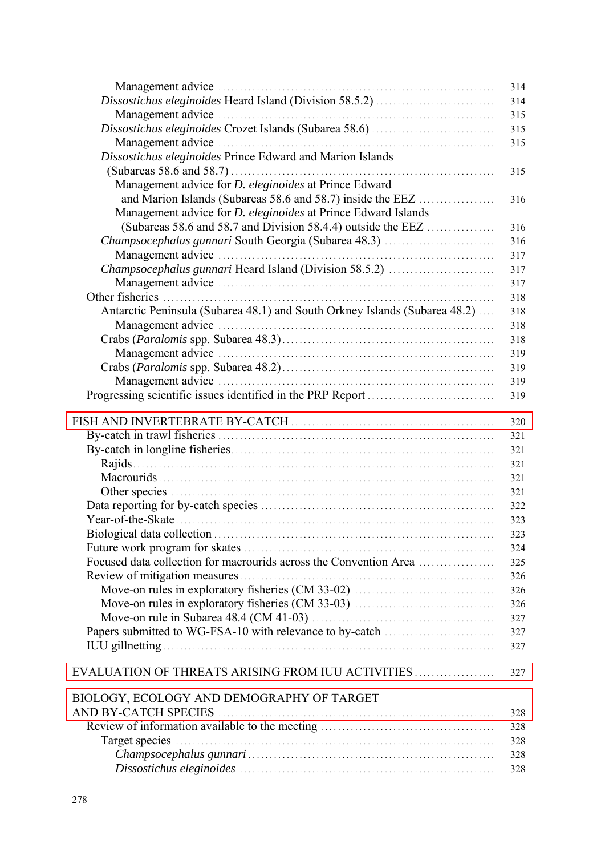|                                                                            | 314 |
|----------------------------------------------------------------------------|-----|
|                                                                            | 314 |
|                                                                            | 315 |
|                                                                            | 315 |
|                                                                            | 315 |
| Dissostichus eleginoides Prince Edward and Marion Islands                  |     |
|                                                                            | 315 |
| Management advice for D. eleginoides at Prince Edward                      |     |
| and Marion Islands (Subareas 58.6 and 58.7) inside the EEZ                 | 316 |
| Management advice for <i>D. eleginoides</i> at Prince Edward Islands       |     |
| (Subareas 58.6 and 58.7 and Division 58.4.4) outside the EEZ $\ldots$      | 316 |
| Champsocephalus gunnari South Georgia (Subarea 48.3)                       | 316 |
|                                                                            | 317 |
| Champsocephalus gunnari Heard Island (Division 58.5.2)                     | 317 |
|                                                                            | 317 |
|                                                                            | 318 |
| Antarctic Peninsula (Subarea 48.1) and South Orkney Islands (Subarea 48.2) | 318 |
|                                                                            | 318 |
|                                                                            | 318 |
|                                                                            | 319 |
|                                                                            |     |
|                                                                            | 319 |
|                                                                            | 319 |
|                                                                            | 319 |
|                                                                            | 320 |
|                                                                            | 321 |
|                                                                            | 321 |
|                                                                            | 321 |
|                                                                            |     |
|                                                                            | 321 |
|                                                                            | 321 |
|                                                                            | 322 |
|                                                                            | 323 |
|                                                                            | 323 |
|                                                                            | 324 |
| Focused data collection for macrourids across the Convention Area          | 325 |
|                                                                            | 326 |
|                                                                            | 326 |
|                                                                            | 326 |
|                                                                            | 327 |
| Papers submitted to WG-FSA-10 with relevance to by-catch                   | 327 |
|                                                                            | 327 |
| EVALUATION OF THREATS ARISING FROM IUU ACTIVITIES                          | 327 |
|                                                                            |     |
| BIOLOGY, ECOLOGY AND DEMOGRAPHY OF TARGET                                  |     |
|                                                                            | 328 |
|                                                                            | 328 |
|                                                                            | 328 |
|                                                                            | 328 |
|                                                                            | 328 |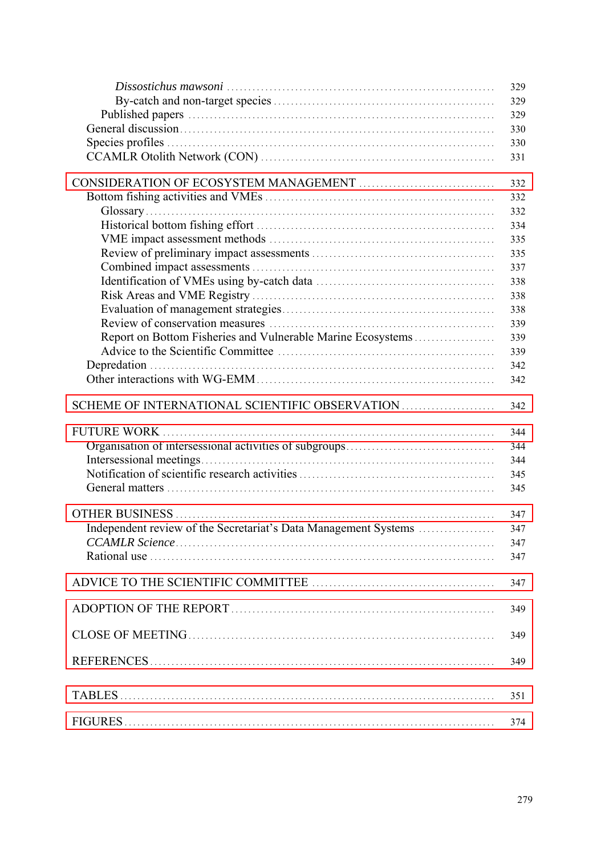|                                                                 | 329 |
|-----------------------------------------------------------------|-----|
|                                                                 | 329 |
|                                                                 | 329 |
|                                                                 | 330 |
|                                                                 | 330 |
|                                                                 | 331 |
|                                                                 |     |
|                                                                 | 332 |
|                                                                 | 332 |
|                                                                 | 332 |
|                                                                 | 334 |
|                                                                 | 335 |
|                                                                 | 335 |
|                                                                 | 337 |
|                                                                 | 338 |
|                                                                 | 338 |
|                                                                 | 338 |
|                                                                 | 339 |
| Report on Bottom Fisheries and Vulnerable Marine Ecosystems     | 339 |
|                                                                 | 339 |
|                                                                 | 342 |
|                                                                 | 342 |
| SCHEME OF INTERNATIONAL SCIENTIFIC OBSERVATION                  | 342 |
|                                                                 | 344 |
|                                                                 | 344 |
|                                                                 | 344 |
|                                                                 | 345 |
|                                                                 | 345 |
|                                                                 |     |
|                                                                 | 347 |
| Independent review of the Secretariat's Data Management Systems | 347 |
|                                                                 | 347 |
|                                                                 | 347 |
|                                                                 | 347 |
|                                                                 |     |
|                                                                 | 349 |
|                                                                 | 349 |
|                                                                 | 349 |
|                                                                 | 351 |
|                                                                 |     |
|                                                                 | 374 |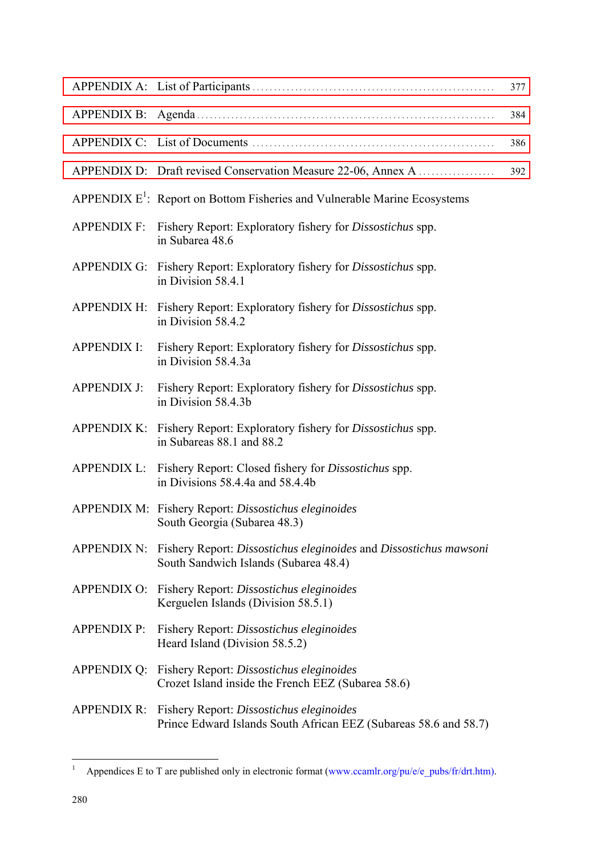|                    |                                                                                                                          | 377 |
|--------------------|--------------------------------------------------------------------------------------------------------------------------|-----|
|                    |                                                                                                                          | 384 |
|                    |                                                                                                                          | 386 |
|                    | APPENDIX D: Draft revised Conservation Measure 22-06, Annex A                                                            | 392 |
|                    | APPENDIX $E^1$ : Report on Bottom Fisheries and Vulnerable Marine Ecosystems                                             |     |
|                    | APPENDIX F: Fishery Report: Exploratory fishery for Dissostichus spp.<br>in Subarea 48.6                                 |     |
|                    | APPENDIX G: Fishery Report: Exploratory fishery for <i>Dissostichus</i> spp.<br>in Division 58.4.1                       |     |
|                    | APPENDIX H: Fishery Report: Exploratory fishery for <i>Dissostichus</i> spp.<br>in Division 58.4.2                       |     |
| <b>APPENDIX I:</b> | Fishery Report: Exploratory fishery for <i>Dissostichus</i> spp.<br>in Division 58.4.3a                                  |     |
| <b>APPENDIX J:</b> | Fishery Report: Exploratory fishery for <i>Dissostichus</i> spp.<br>in Division 58.4.3b                                  |     |
|                    | APPENDIX K: Fishery Report: Exploratory fishery for <i>Dissostichus</i> spp.<br>in Subareas 88.1 and 88.2                |     |
|                    | APPENDIX L: Fishery Report: Closed fishery for <i>Dissostichus</i> spp.<br>in Divisions 58.4.4a and 58.4.4b              |     |
|                    | APPENDIX M: Fishery Report: Dissostichus eleginoides<br>South Georgia (Subarea 48.3)                                     |     |
|                    | APPENDIX N: Fishery Report: Dissostichus eleginoides and Dissostichus mawsoni<br>South Sandwich Islands (Subarea 48.4)   |     |
|                    | APPENDIX O: Fishery Report: Dissostichus eleginoides<br>Kerguelen Islands (Division 58.5.1)                              |     |
| <b>APPENDIX P:</b> | Fishery Report: Dissostichus eleginoides<br>Heard Island (Division 58.5.2)                                               |     |
|                    | APPENDIX Q: Fishery Report: Dissostichus eleginoides<br>Crozet Island inside the French EEZ (Subarea 58.6)               |     |
|                    | APPENDIX R: Fishery Report: Dissostichus eleginoides<br>Prince Edward Islands South African EEZ (Subareas 58.6 and 58.7) |     |
|                    |                                                                                                                          |     |

 $\frac{1}{1}$  Appendices E to T are published only in electronic format (www.ccamlr.org/pu/e/e\_pubs/fr/drt.htm).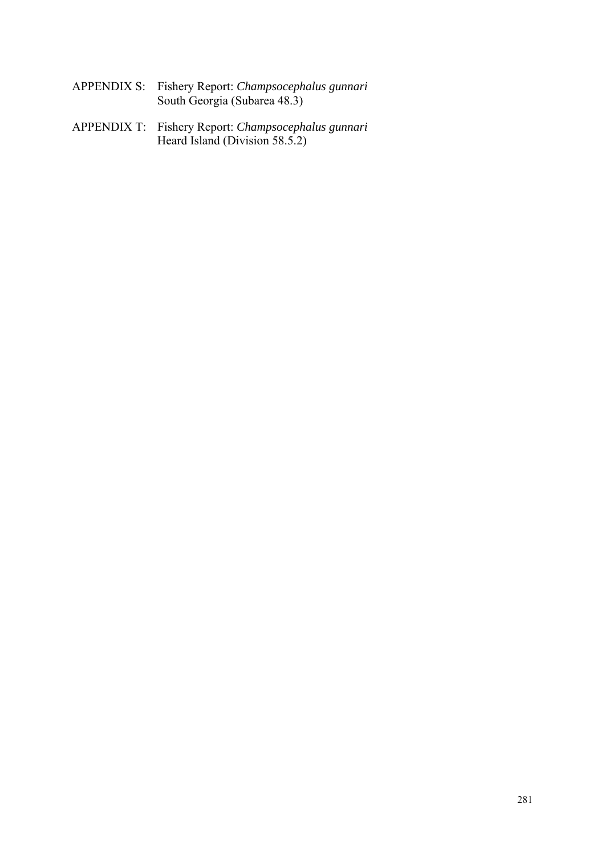- APPENDIX S: Fishery Report: *Champsocephalus gunnari*  South Georgia (Subarea 48.3)
- APPENDIX T: Fishery Report: *Champsocephalus gunnari*  Heard Island (Division 58.5.2)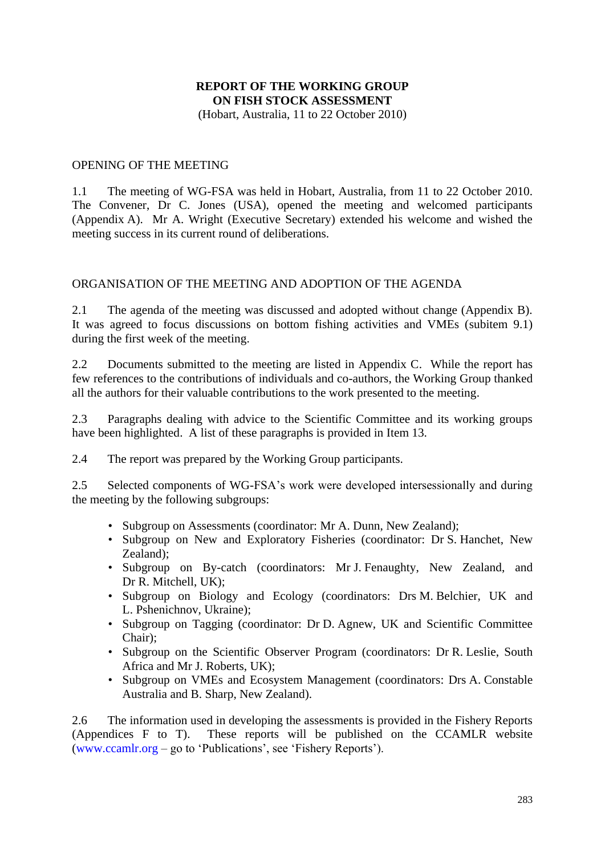### **REPORT OF THE WORKING GROUP ON FISH STOCK ASSESSMENT** (Hobart, Australia, 11 to 22 October 2010)

OPENING OF THE MEETING

1.1 The meeting of WG-FSA was held in Hobart, Australia, from 11 to 22 October 2010. The Convener, Dr C. Jones (USA), opened the meeting and welcomed participants (Appendix A). Mr A. Wright (Executive Secretary) extended his welcome and wished the meeting success in its current round of deliberations.

### ORGANISATION OF THE MEETING AND ADOPTION OF THE AGENDA

2.1 The agenda of the meeting was discussed and adopted without change (Appendix B). It was agreed to focus discussions on bottom fishing activities and VMEs (subitem 9.1) during the first week of the meeting.

2.2 Documents submitted to the meeting are listed in Appendix C. While the report has few references to the contributions of individuals and co-authors, the Working Group thanked all the authors for their valuable contributions to the work presented to the meeting.

2.3 Paragraphs dealing with advice to the Scientific Committee and its working groups have been highlighted. A list of these paragraphs is provided in Item 13.

2.4 The report was prepared by the Working Group participants.

2.5 Selected components of WG-FSA's work were developed intersessionally and during the meeting by the following subgroups:

- Subgroup on Assessments (coordinator: Mr A. Dunn, New Zealand);
- Subgroup on New and Exploratory Fisheries (coordinator: Dr S. Hanchet, New Zealand);
- Subgroup on By-catch (coordinators: Mr J. Fenaughty, New Zealand, and Dr R. Mitchell, UK);
- Subgroup on Biology and Ecology (coordinators: Drs M. Belchier, UK and L. Pshenichnov, Ukraine);
- Subgroup on Tagging (coordinator: Dr D. Agnew, UK and Scientific Committee Chair);
- Subgroup on the Scientific Observer Program (coordinators: Dr R. Leslie, South Africa and Mr J. Roberts, UK);
- Subgroup on VMEs and Ecosystem Management (coordinators: Drs A. Constable Australia and B. Sharp, New Zealand).

2.6 The information used in developing the assessments is provided in the Fishery Reports (Appendices F to T). These reports will be published on the CCAMLR website [\(www.ccamlr.org](http://www.ccamlr.org/) – go to 'Publications', see 'Fishery Reports').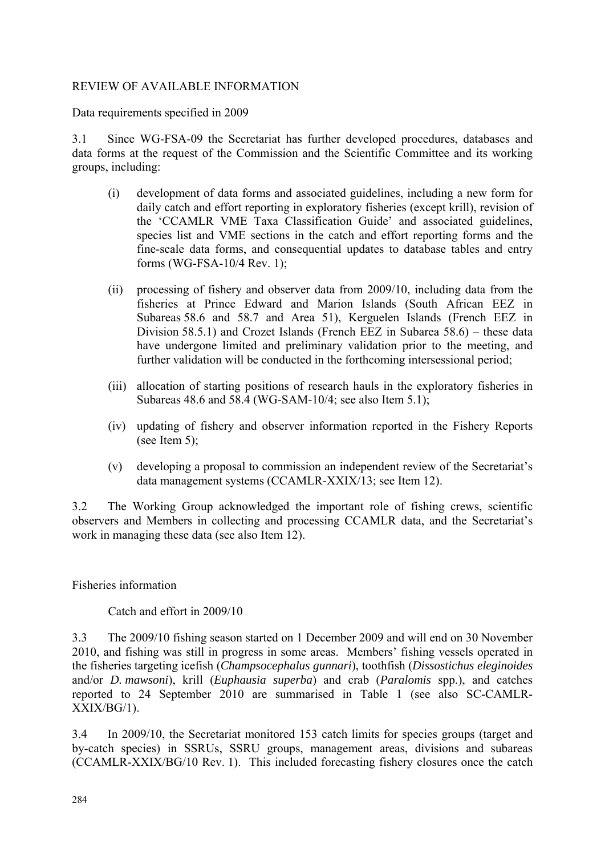### <span id="page-9-0"></span>REVIEW OF AVAILABLE INFORMATION

Data requirements specified in 2009

3.1 Since WG-FSA-09 the Secretariat has further developed procedures, databases and data forms at the request of the Commission and the Scientific Committee and its working groups, including:

- (i) development of data forms and associated guidelines, including a new form for daily catch and effort reporting in exploratory fisheries (except krill), revision of the 'CCAMLR VME Taxa Classification Guide' and associated guidelines, species list and VME sections in the catch and effort reporting forms and the fine-scale data forms, and consequential updates to database tables and entry forms (WG-FSA-10/4 Rev. 1);
- (ii) processing of fishery and observer data from 2009/10, including data from the fisheries at Prince Edward and Marion Islands (South African EEZ in Subareas 58.6 and 58.7 and Area 51), Kerguelen Islands (French EEZ in Division 58.5.1) and Crozet Islands (French EEZ in Subarea 58.6) – these data have undergone limited and preliminary validation prior to the meeting, and further validation will be conducted in the forthcoming intersessional period;
- (iii) allocation of starting positions of research hauls in the exploratory fisheries in Subareas 48.6 and 58.4 (WG-SAM-10/4; see also Item 5.1);
- (iv) updating of fishery and observer information reported in the Fishery Reports (see Item 5);
- (v) developing a proposal to commission an independent review of the Secretariat's data management systems (CCAMLR-XXIX/13; see Item 12).

3.2 The Working Group acknowledged the important role of fishing crews, scientific observers and Members in collecting and processing CCAMLR data, and the Secretariat's work in managing these data (see also Item 12).

Fisheries information

Catch and effort in 2009/10

3.3 The 2009/10 fishing season started on 1 December 2009 and will end on 30 November 2010, and fishing was still in progress in some areas. Members' fishing vessels operated in the fisheries targeting icefish (*Champsocephalus gunnari*), toothfish (*Dissostichus eleginoides* and/or *D. mawsoni*), krill (*Euphausia superba*) and crab (*Paralomis* spp.), and catches reported to 24 September 2010 are summarised in Table 1 (see also SC-CAMLR-XXIX/BG/1).

3.4 In 2009/10, the Secretariat monitored 153 catch limits for species groups (target and by-catch species) in SSRUs, SSRU groups, management areas, divisions and subareas (CCAMLR-XXIX/BG/10 Rev. 1). This included forecasting fishery closures once the catch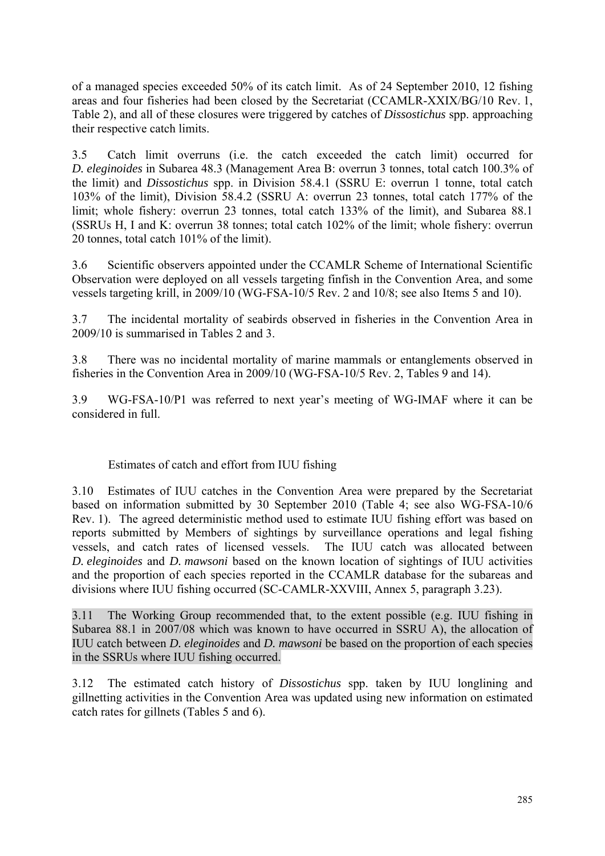of a managed species exceeded 50% of its catch limit. As of 24 September 2010, 12 fishing areas and four fisheries had been closed by the Secretariat (CCAMLR-XXIX/BG/10 Rev. 1, Table 2), and all of these closures were triggered by catches of *Dissostichus* spp. approaching their respective catch limits.

3.5 Catch limit overruns (i.e. the catch exceeded the catch limit) occurred for *D. eleginoides* in Subarea 48.3 (Management Area B: overrun 3 tonnes, total catch 100.3% of the limit) and *Dissostichus* spp. in Division 58.4.1 (SSRU E: overrun 1 tonne, total catch 103% of the limit), Division 58.4.2 (SSRU A: overrun 23 tonnes, total catch 177% of the limit; whole fishery: overrun 23 tonnes, total catch 133% of the limit), and Subarea 88.1 (SSRUs H, I and K: overrun 38 tonnes; total catch 102% of the limit; whole fishery: overrun 20 tonnes, total catch 101% of the limit).

3.6 Scientific observers appointed under the CCAMLR Scheme of International Scientific Observation were deployed on all vessels targeting finfish in the Convention Area, and some vessels targeting krill, in 2009/10 (WG-FSA-10/5 Rev. 2 and 10/8; see also Items 5 and 10).

3.7 The incidental mortality of seabirds observed in fisheries in the Convention Area in 2009/10 is summarised in Tables 2 and 3.

3.8 There was no incidental mortality of marine mammals or entanglements observed in fisheries in the Convention Area in 2009/10 (WG-FSA-10/5 Rev. 2, Tables 9 and 14).

3.9 WG-FSA-10/P1 was referred to next year's meeting of WG-IMAF where it can be considered in full.

# Estimates of catch and effort from IUU fishing

3.10 Estimates of IUU catches in the Convention Area were prepared by the Secretariat based on information submitted by 30 September 2010 (Table 4; see also WG-FSA-10/6 Rev. 1). The agreed deterministic method used to estimate IUU fishing effort was based on reports submitted by Members of sightings by surveillance operations and legal fishing vessels, and catch rates of licensed vessels. The IUU catch was allocated between *D. eleginoides* and *D. mawsoni* based on the known location of sightings of IUU activities and the proportion of each species reported in the CCAMLR database for the subareas and divisions where IUU fishing occurred (SC-CAMLR-XXVIII, Annex 5, paragraph 3.23).

3.11 The Working Group recommended that, to the extent possible (e.g. IUU fishing in Subarea 88.1 in 2007/08 which was known to have occurred in SSRU A), the allocation of IUU catch between *D. eleginoides* and *D. mawsoni* be based on the proportion of each species in the SSRUs where IUU fishing occurred.

3.12 The estimated catch history of *Dissostichus* spp. taken by IUU longlining and gillnetting activities in the Convention Area was updated using new information on estimated catch rates for gillnets (Tables 5 and 6).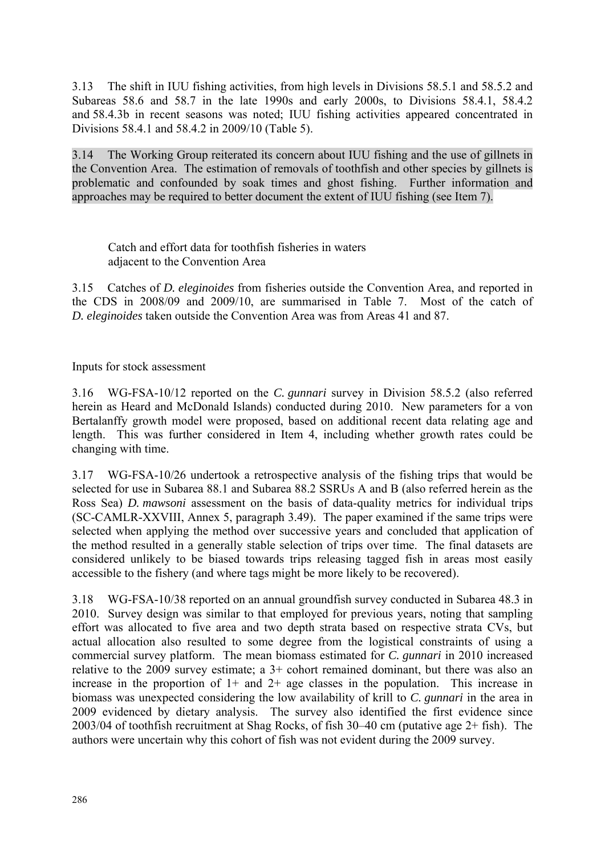3.13 The shift in IUU fishing activities, from high levels in Divisions 58.5.1 and 58.5.2 and Subareas 58.6 and 58.7 in the late 1990s and early 2000s, to Divisions 58.4.1, 58.4.2 and 58.4.3b in recent seasons was noted; IUU fishing activities appeared concentrated in Divisions 58.4.1 and 58.4.2 in 2009/10 (Table 5).

3.14 The Working Group reiterated its concern about IUU fishing and the use of gillnets in the Convention Area. The estimation of removals of toothfish and other species by gillnets is problematic and confounded by soak times and ghost fishing. Further information and approaches may be required to better document the extent of IUU fishing (see Item 7).

Catch and effort data for toothfish fisheries in waters adjacent to the Convention Area

3.15 Catches of *D. eleginoides* from fisheries outside the Convention Area, and reported in the CDS in 2008/09 and 2009/10, are summarised in Table 7. Most of the catch of *D. eleginoides* taken outside the Convention Area was from Areas 41 and 87.

Inputs for stock assessment

3.16 WG-FSA-10/12 reported on the *C. gunnari* survey in Division 58.5.2 (also referred herein as Heard and McDonald Islands) conducted during 2010. New parameters for a von Bertalanffy growth model were proposed, based on additional recent data relating age and length. This was further considered in Item 4, including whether growth rates could be changing with time.

3.17 WG-FSA-10/26 undertook a retrospective analysis of the fishing trips that would be selected for use in Subarea 88.1 and Subarea 88.2 SSRUs A and B (also referred herein as the Ross Sea) *D. mawsoni* assessment on the basis of data-quality metrics for individual trips (SC-CAMLR-XXVIII, Annex 5, paragraph 3.49). The paper examined if the same trips were selected when applying the method over successive years and concluded that application of the method resulted in a generally stable selection of trips over time. The final datasets are considered unlikely to be biased towards trips releasing tagged fish in areas most easily accessible to the fishery (and where tags might be more likely to be recovered).

3.18 WG-FSA-10/38 reported on an annual groundfish survey conducted in Subarea 48.3 in 2010. Survey design was similar to that employed for previous years, noting that sampling effort was allocated to five area and two depth strata based on respective strata CVs, but actual allocation also resulted to some degree from the logistical constraints of using a commercial survey platform. The mean biomass estimated for *C. gunnari* in 2010 increased relative to the 2009 survey estimate; a 3+ cohort remained dominant, but there was also an increase in the proportion of  $1+$  and  $2+$  age classes in the population. This increase in biomass was unexpected considering the low availability of krill to *C. gunnari* in the area in 2009 evidenced by dietary analysis. The survey also identified the first evidence since 2003/04 of toothfish recruitment at Shag Rocks, of fish 30–40 cm (putative age 2+ fish). The authors were uncertain why this cohort of fish was not evident during the 2009 survey.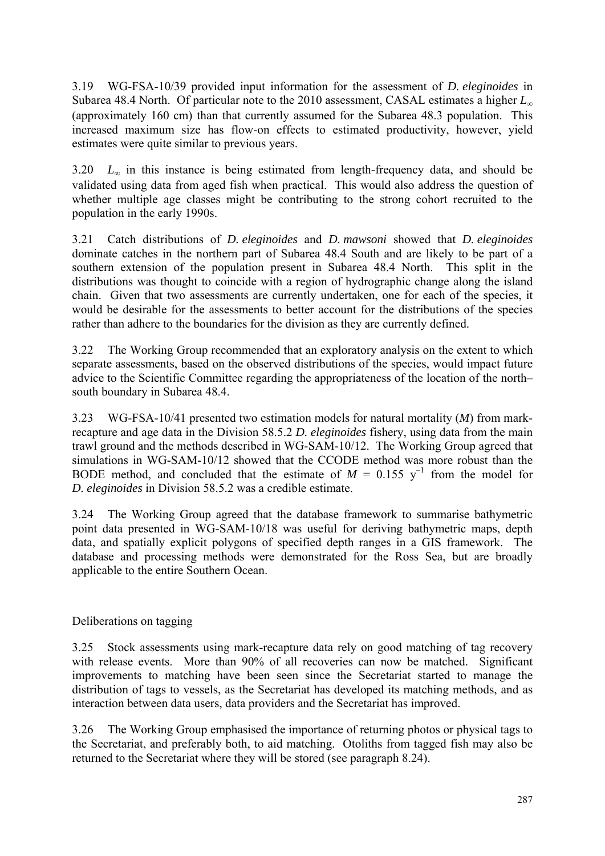3.19 WG-FSA-10/39 provided input information for the assessment of *D. eleginoides* in Subarea 48.4 North. Of particular note to the 2010 assessment, CASAL estimates a higher *L*<sup>∞</sup> (approximately 160 cm) than that currently assumed for the Subarea 48.3 population. This increased maximum size has flow-on effects to estimated productivity, however, yield estimates were quite similar to previous years.

3.20  $L_{\infty}$  in this instance is being estimated from length-frequency data, and should be validated using data from aged fish when practical. This would also address the question of whether multiple age classes might be contributing to the strong cohort recruited to the population in the early 1990s.

3.21 Catch distributions of *D. eleginoides* and *D. mawsoni* showed that *D. eleginoides* dominate catches in the northern part of Subarea 48.4 South and are likely to be part of a southern extension of the population present in Subarea 48.4 North. This split in the distributions was thought to coincide with a region of hydrographic change along the island chain. Given that two assessments are currently undertaken, one for each of the species, it would be desirable for the assessments to better account for the distributions of the species rather than adhere to the boundaries for the division as they are currently defined.

3.22 The Working Group recommended that an exploratory analysis on the extent to which separate assessments, based on the observed distributions of the species, would impact future advice to the Scientific Committee regarding the appropriateness of the location of the north– south boundary in Subarea 48.4.

3.23 WG-FSA-10/41 presented two estimation models for natural mortality (*M*) from markrecapture and age data in the Division 58.5.2 *D. eleginoides* fishery, using data from the main trawl ground and the methods described in WG-SAM-10/12. The Working Group agreed that simulations in WG-SAM-10/12 showed that the CCODE method was more robust than the BODE method, and concluded that the estimate of  $M = 0.155$  y<sup>-1</sup> from the model for *D. eleginoides* in Division 58.5.2 was a credible estimate.

3.24 The Working Group agreed that the database framework to summarise bathymetric point data presented in WG-SAM-10/18 was useful for deriving bathymetric maps, depth data, and spatially explicit polygons of specified depth ranges in a GIS framework. The database and processing methods were demonstrated for the Ross Sea, but are broadly applicable to the entire Southern Ocean.

# Deliberations on tagging

3.25 Stock assessments using mark-recapture data rely on good matching of tag recovery with release events. More than 90% of all recoveries can now be matched. Significant improvements to matching have been seen since the Secretariat started to manage the distribution of tags to vessels, as the Secretariat has developed its matching methods, and as interaction between data users, data providers and the Secretariat has improved.

3.26 The Working Group emphasised the importance of returning photos or physical tags to the Secretariat, and preferably both, to aid matching. Otoliths from tagged fish may also be returned to the Secretariat where they will be stored (see paragraph 8.24).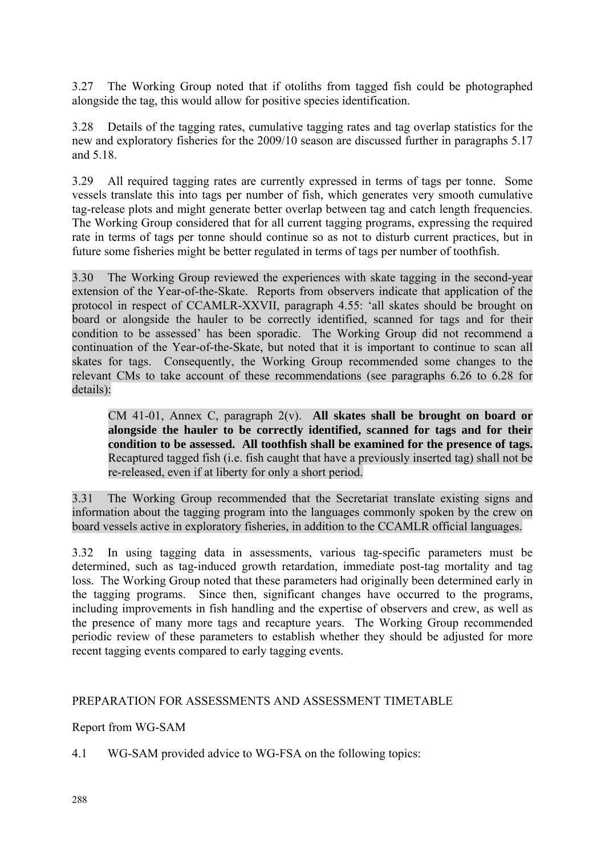<span id="page-13-0"></span>3.27 The Working Group noted that if otoliths from tagged fish could be photographed alongside the tag, this would allow for positive species identification.

3.28 Details of the tagging rates, cumulative tagging rates and tag overlap statistics for the new and exploratory fisheries for the 2009/10 season are discussed further in paragraphs 5.17 and 5.18.

3.29 All required tagging rates are currently expressed in terms of tags per tonne. Some vessels translate this into tags per number of fish, which generates very smooth cumulative tag-release plots and might generate better overlap between tag and catch length frequencies. The Working Group considered that for all current tagging programs, expressing the required rate in terms of tags per tonne should continue so as not to disturb current practices, but in future some fisheries might be better regulated in terms of tags per number of toothfish.

3.30 The Working Group reviewed the experiences with skate tagging in the second-year extension of the Year-of-the-Skate. Reports from observers indicate that application of the protocol in respect of CCAMLR-XXVII, paragraph 4.55: 'all skates should be brought on board or alongside the hauler to be correctly identified, scanned for tags and for their condition to be assessed' has been sporadic. The Working Group did not recommend a continuation of the Year-of-the-Skate, but noted that it is important to continue to scan all skates for tags. Consequently, the Working Group recommended some changes to the relevant CMs to take account of these recommendations (see paragraphs 6.26 to 6.28 for details):

CM 41-01, Annex C, paragraph 2(v). **All skates shall be brought on board or alongside the hauler to be correctly identified, scanned for tags and for their condition to be assessed. All toothfish shall be examined for the presence of tags.**  Recaptured tagged fish (i.e. fish caught that have a previously inserted tag) shall not be re-released, even if at liberty for only a short period.

3.31 The Working Group recommended that the Secretariat translate existing signs and information about the tagging program into the languages commonly spoken by the crew on board vessels active in exploratory fisheries, in addition to the CCAMLR official languages.

3.32 In using tagging data in assessments, various tag-specific parameters must be determined, such as tag-induced growth retardation, immediate post-tag mortality and tag loss. The Working Group noted that these parameters had originally been determined early in the tagging programs. Since then, significant changes have occurred to the programs, including improvements in fish handling and the expertise of observers and crew, as well as the presence of many more tags and recapture years. The Working Group recommended periodic review of these parameters to establish whether they should be adjusted for more recent tagging events compared to early tagging events.

# PREPARATION FOR ASSESSMENTS AND ASSESSMENT TIMETABLE

Report from WG-SAM

4.1 WG-SAM provided advice to WG-FSA on the following topics: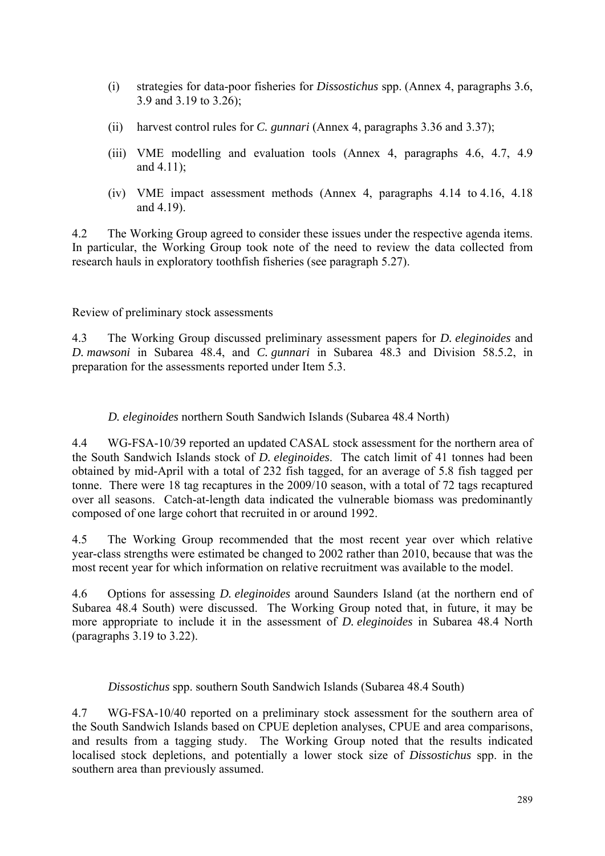- (i) strategies for data-poor fisheries for *Dissostichus* spp. (Annex 4, paragraphs 3.6, 3.9 and 3.19 to 3.26);
- (ii) harvest control rules for *C. gunnari* (Annex 4, paragraphs 3.36 and 3.37);
- (iii) VME modelling and evaluation tools (Annex 4, paragraphs 4.6, 4.7, 4.9 and 4.11);
- (iv) VME impact assessment methods (Annex 4, paragraphs 4.14 to 4.16, 4.18 and 4.19).

4.2 The Working Group agreed to consider these issues under the respective agenda items. In particular, the Working Group took note of the need to review the data collected from research hauls in exploratory toothfish fisheries (see paragraph 5.27).

Review of preliminary stock assessments

4.3 The Working Group discussed preliminary assessment papers for *D. eleginoides* and *D. mawsoni* in Subarea 48.4, and *C. gunnari* in Subarea 48.3 and Division 58.5.2, in preparation for the assessments reported under Item 5.3.

*D. eleginoides* northern South Sandwich Islands (Subarea 48.4 North)

4.4 WG-FSA-10/39 reported an updated CASAL stock assessment for the northern area of the South Sandwich Islands stock of *D. eleginoides*. The catch limit of 41 tonnes had been obtained by mid-April with a total of 232 fish tagged, for an average of 5.8 fish tagged per tonne. There were 18 tag recaptures in the 2009/10 season, with a total of 72 tags recaptured over all seasons. Catch-at-length data indicated the vulnerable biomass was predominantly composed of one large cohort that recruited in or around 1992.

4.5 The Working Group recommended that the most recent year over which relative year-class strengths were estimated be changed to 2002 rather than 2010, because that was the most recent year for which information on relative recruitment was available to the model.

4.6 Options for assessing *D. eleginoides* around Saunders Island (at the northern end of Subarea 48.4 South) were discussed. The Working Group noted that, in future, it may be more appropriate to include it in the assessment of *D. eleginoides* in Subarea 48.4 North (paragraphs 3.19 to 3.22).

*Dissostichus* spp. southern South Sandwich Islands (Subarea 48.4 South)

4.7 WG-FSA-10/40 reported on a preliminary stock assessment for the southern area of the South Sandwich Islands based on CPUE depletion analyses, CPUE and area comparisons, and results from a tagging study. The Working Group noted that the results indicated localised stock depletions, and potentially a lower stock size of *Dissostichus* spp. in the southern area than previously assumed.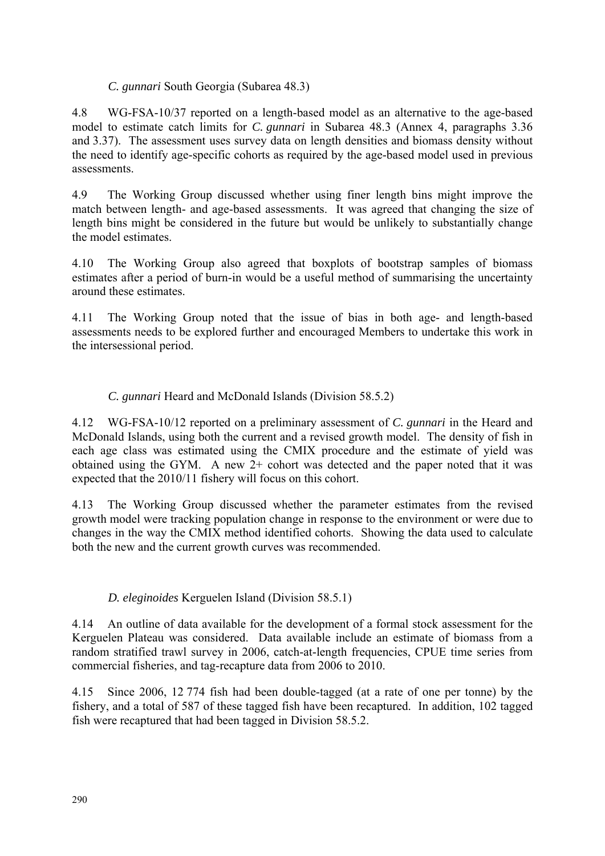# *C. gunnari* South Georgia (Subarea 48.3)

4.8 WG-FSA-10/37 reported on a length-based model as an alternative to the age-based model to estimate catch limits for *C. gunnari* in Subarea 48.3 (Annex 4, paragraphs 3.36 and 3.37). The assessment uses survey data on length densities and biomass density without the need to identify age-specific cohorts as required by the age-based model used in previous assessments.

4.9 The Working Group discussed whether using finer length bins might improve the match between length- and age-based assessments. It was agreed that changing the size of length bins might be considered in the future but would be unlikely to substantially change the model estimates.

4.10 The Working Group also agreed that boxplots of bootstrap samples of biomass estimates after a period of burn-in would be a useful method of summarising the uncertainty around these estimates.

4.11 The Working Group noted that the issue of bias in both age- and length-based assessments needs to be explored further and encouraged Members to undertake this work in the intersessional period.

# *C. gunnari* Heard and McDonald Islands (Division 58.5.2)

4.12 WG-FSA-10/12 reported on a preliminary assessment of *C. gunnari* in the Heard and McDonald Islands, using both the current and a revised growth model. The density of fish in each age class was estimated using the CMIX procedure and the estimate of yield was obtained using the GYM. A new  $2+$  cohort was detected and the paper noted that it was expected that the 2010/11 fishery will focus on this cohort.

4.13 The Working Group discussed whether the parameter estimates from the revised growth model were tracking population change in response to the environment or were due to changes in the way the CMIX method identified cohorts. Showing the data used to calculate both the new and the current growth curves was recommended.

# *D. eleginoides* Kerguelen Island (Division 58.5.1)

4.14 An outline of data available for the development of a formal stock assessment for the Kerguelen Plateau was considered. Data available include an estimate of biomass from a random stratified trawl survey in 2006, catch-at-length frequencies, CPUE time series from commercial fisheries, and tag-recapture data from 2006 to 2010.

4.15 Since 2006, 12 774 fish had been double-tagged (at a rate of one per tonne) by the fishery, and a total of 587 of these tagged fish have been recaptured. In addition, 102 tagged fish were recaptured that had been tagged in Division 58.5.2.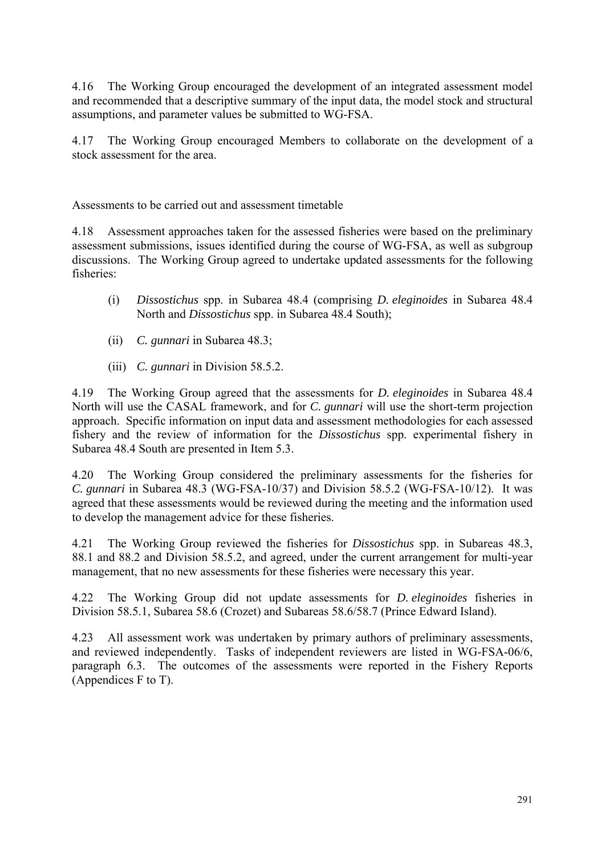4.16 The Working Group encouraged the development of an integrated assessment model and recommended that a descriptive summary of the input data, the model stock and structural assumptions, and parameter values be submitted to WG-FSA.

4.17 The Working Group encouraged Members to collaborate on the development of a stock assessment for the area.

Assessments to be carried out and assessment timetable

4.18 Assessment approaches taken for the assessed fisheries were based on the preliminary assessment submissions, issues identified during the course of WG-FSA, as well as subgroup discussions. The Working Group agreed to undertake updated assessments for the following fisheries:

- (i) *Dissostichus* spp. in Subarea 48.4 (comprising *D. eleginoides* in Subarea 48.4 North and *Dissostichus* spp. in Subarea 48.4 South);
- (ii) *C. gunnari* in Subarea 48.3;
- (iii) *C. gunnari* in Division 58.5.2.

4.19 The Working Group agreed that the assessments for *D. eleginoides* in Subarea 48.4 North will use the CASAL framework, and for *C. gunnari* will use the short-term projection approach. Specific information on input data and assessment methodologies for each assessed fishery and the review of information for the *Dissostichus* spp. experimental fishery in Subarea 48.4 South are presented in Item 5.3.

4.20 The Working Group considered the preliminary assessments for the fisheries for *C. gunnari* in Subarea 48.3 (WG-FSA-10/37) and Division 58.5.2 (WG-FSA-10/12). It was agreed that these assessments would be reviewed during the meeting and the information used to develop the management advice for these fisheries.

4.21 The Working Group reviewed the fisheries for *Dissostichus* spp. in Subareas 48.3, 88.1 and 88.2 and Division 58.5.2, and agreed, under the current arrangement for multi-year management, that no new assessments for these fisheries were necessary this year.

4.22 The Working Group did not update assessments for *D. eleginoides* fisheries in Division 58.5.1, Subarea 58.6 (Crozet) and Subareas 58.6/58.7 (Prince Edward Island).

4.23 All assessment work was undertaken by primary authors of preliminary assessments, and reviewed independently. Tasks of independent reviewers are listed in WG-FSA-06/6, paragraph 6.3. The outcomes of the assessments were reported in the Fishery Reports (Appendices F to T).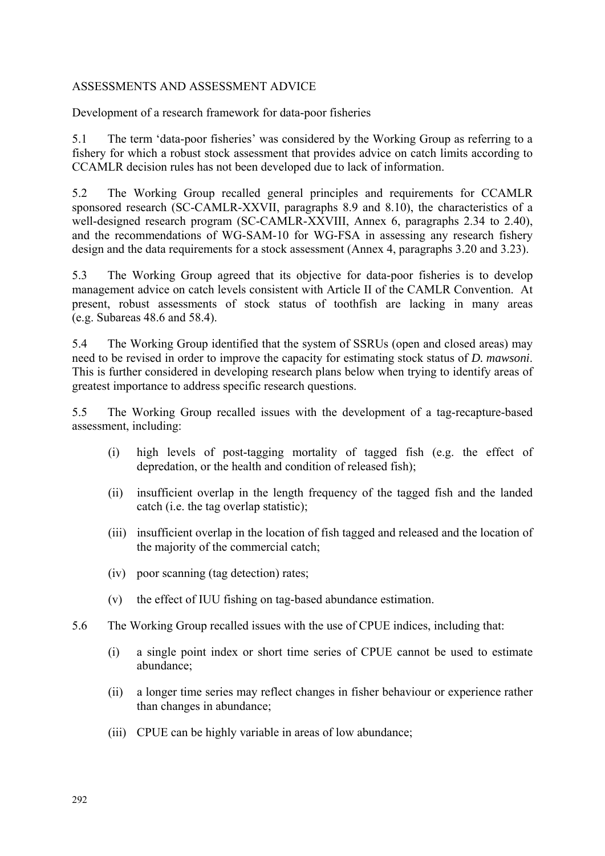# <span id="page-17-0"></span>ASSESSMENTS AND ASSESSMENT ADVICE

Development of a research framework for data-poor fisheries

5.1 The term 'data-poor fisheries' was considered by the Working Group as referring to a fishery for which a robust stock assessment that provides advice on catch limits according to CCAMLR decision rules has not been developed due to lack of information.

5.2 The Working Group recalled general principles and requirements for CCAMLR sponsored research (SC-CAMLR-XXVII, paragraphs 8.9 and 8.10), the characteristics of a well-designed research program (SC-CAMLR-XXVIII, Annex 6, paragraphs 2.34 to 2.40), and the recommendations of WG-SAM-10 for WG-FSA in assessing any research fishery design and the data requirements for a stock assessment (Annex 4, paragraphs 3.20 and 3.23).

5.3 The Working Group agreed that its objective for data-poor fisheries is to develop management advice on catch levels consistent with Article II of the CAMLR Convention. At present, robust assessments of stock status of toothfish are lacking in many areas (e.g. Subareas 48.6 and 58.4).

5.4 The Working Group identified that the system of SSRUs (open and closed areas) may need to be revised in order to improve the capacity for estimating stock status of *D. mawsoni*. This is further considered in developing research plans below when trying to identify areas of greatest importance to address specific research questions.

5.5 The Working Group recalled issues with the development of a tag-recapture-based assessment, including:

- (i) high levels of post-tagging mortality of tagged fish (e.g. the effect of depredation, or the health and condition of released fish);
- (ii) insufficient overlap in the length frequency of the tagged fish and the landed catch (i.e. the tag overlap statistic);
- (iii) insufficient overlap in the location of fish tagged and released and the location of the majority of the commercial catch;
- (iv) poor scanning (tag detection) rates;
- (v) the effect of IUU fishing on tag-based abundance estimation.
- 5.6 The Working Group recalled issues with the use of CPUE indices, including that:
	- (i) a single point index or short time series of CPUE cannot be used to estimate abundance;
	- (ii) a longer time series may reflect changes in fisher behaviour or experience rather than changes in abundance;
	- (iii) CPUE can be highly variable in areas of low abundance;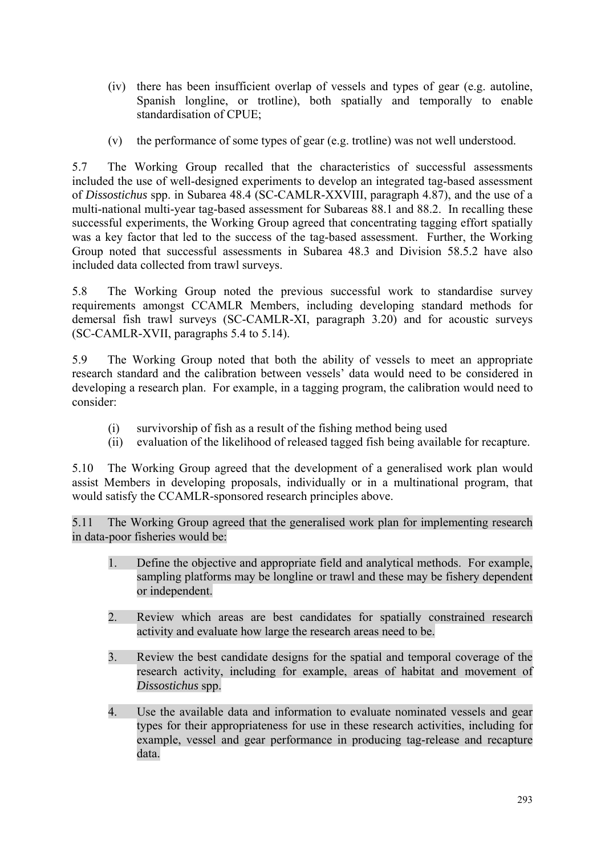- (iv) there has been insufficient overlap of vessels and types of gear (e.g. autoline, Spanish longline, or trotline), both spatially and temporally to enable standardisation of CPUE;
- (v) the performance of some types of gear (e.g. trotline) was not well understood.

5.7 The Working Group recalled that the characteristics of successful assessments included the use of well-designed experiments to develop an integrated tag-based assessment of *Dissostichus* spp. in Subarea 48.4 (SC-CAMLR-XXVIII, paragraph 4.87), and the use of a multi-national multi-year tag-based assessment for Subareas 88.1 and 88.2. In recalling these successful experiments, the Working Group agreed that concentrating tagging effort spatially was a key factor that led to the success of the tag-based assessment. Further, the Working Group noted that successful assessments in Subarea 48.3 and Division 58.5.2 have also included data collected from trawl surveys.

5.8 The Working Group noted the previous successful work to standardise survey requirements amongst CCAMLR Members, including developing standard methods for demersal fish trawl surveys (SC-CAMLR-XI, paragraph 3.20) and for acoustic surveys (SC-CAMLR-XVII, paragraphs 5.4 to 5.14).

5.9 The Working Group noted that both the ability of vessels to meet an appropriate research standard and the calibration between vessels' data would need to be considered in developing a research plan. For example, in a tagging program, the calibration would need to consider:

- (i) survivorship of fish as a result of the fishing method being used
- (ii) evaluation of the likelihood of released tagged fish being available for recapture.

5.10 The Working Group agreed that the development of a generalised work plan would assist Members in developing proposals, individually or in a multinational program, that would satisfy the CCAMLR-sponsored research principles above.

5.11 The Working Group agreed that the generalised work plan for implementing research in data-poor fisheries would be:

- 1. Define the objective and appropriate field and analytical methods. For example, sampling platforms may be longline or trawl and these may be fishery dependent or independent.
- 2. Review which areas are best candidates for spatially constrained research activity and evaluate how large the research areas need to be.
- 3. Review the best candidate designs for the spatial and temporal coverage of the research activity, including for example, areas of habitat and movement of *Dissostichus* spp.
- 4. Use the available data and information to evaluate nominated vessels and gear types for their appropriateness for use in these research activities, including for example, vessel and gear performance in producing tag-release and recapture data.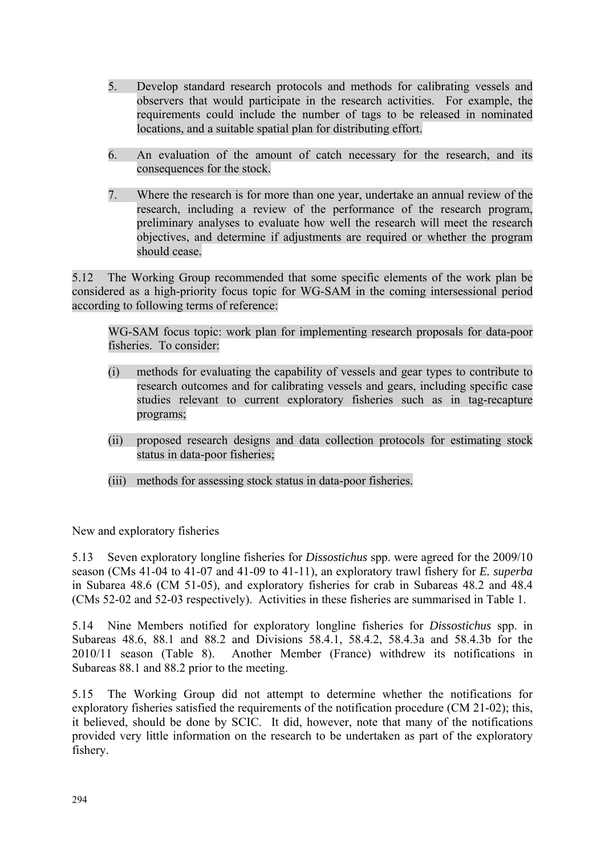- 5. Develop standard research protocols and methods for calibrating vessels and observers that would participate in the research activities. For example, the requirements could include the number of tags to be released in nominated locations, and a suitable spatial plan for distributing effort.
- 6. An evaluation of the amount of catch necessary for the research, and its consequences for the stock.
- 7. Where the research is for more than one year, undertake an annual review of the research, including a review of the performance of the research program, preliminary analyses to evaluate how well the research will meet the research objectives, and determine if adjustments are required or whether the program should cease.

5.12 The Working Group recommended that some specific elements of the work plan be considered as a high-priority focus topic for WG-SAM in the coming intersessional period according to following terms of reference:

WG-SAM focus topic: work plan for implementing research proposals for data-poor fisheries. To consider:

- (i) methods for evaluating the capability of vessels and gear types to contribute to research outcomes and for calibrating vessels and gears, including specific case studies relevant to current exploratory fisheries such as in tag-recapture programs;
- (ii) proposed research designs and data collection protocols for estimating stock status in data-poor fisheries;
- (iii) methods for assessing stock status in data-poor fisheries.

New and exploratory fisheries

5.13 Seven exploratory longline fisheries for *Dissostichus* spp. were agreed for the 2009/10 season (CMs 41-04 to 41-07 and 41-09 to 41-11), an exploratory trawl fishery for *E. superba* in Subarea 48.6 (CM 51-05), and exploratory fisheries for crab in Subareas 48.2 and 48.4 (CMs 52-02 and 52-03 respectively). Activities in these fisheries are summarised in Table 1.

5.14 Nine Members notified for exploratory longline fisheries for *Dissostichus* spp. in Subareas 48.6, 88.1 and 88.2 and Divisions 58.4.1, 58.4.2, 58.4.3a and 58.4.3b for the 2010/11 season (Table 8). Another Member (France) withdrew its notifications in Subareas 88.1 and 88.2 prior to the meeting.

5.15 The Working Group did not attempt to determine whether the notifications for exploratory fisheries satisfied the requirements of the notification procedure (CM 21-02); this, it believed, should be done by SCIC. It did, however, note that many of the notifications provided very little information on the research to be undertaken as part of the exploratory fishery.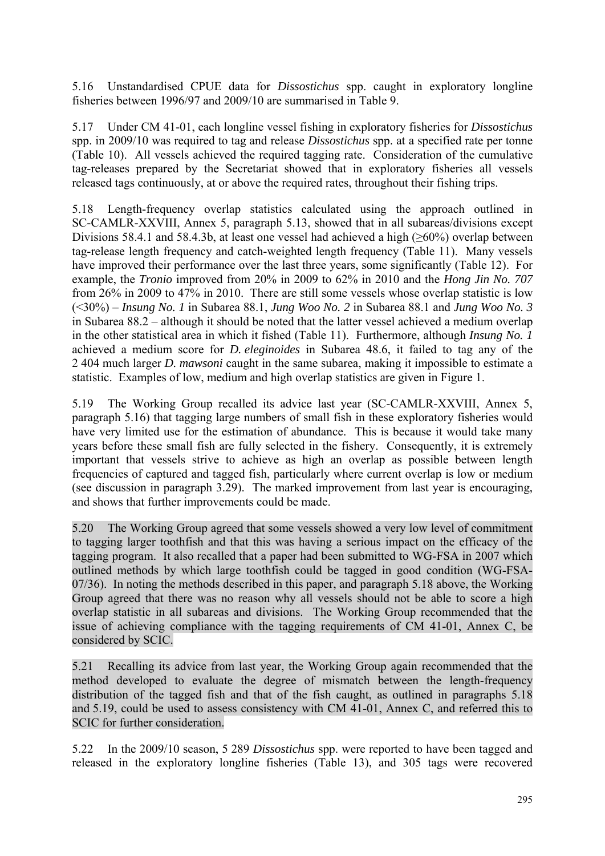5.16 Unstandardised CPUE data for *Dissostichus* spp. caught in exploratory longline fisheries between 1996/97 and 2009/10 are summarised in Table 9.

5.17 Under CM 41-01, each longline vessel fishing in exploratory fisheries for *Dissostichus* spp. in 2009/10 was required to tag and release *Dissostichus* spp. at a specified rate per tonne (Table 10). All vessels achieved the required tagging rate. Consideration of the cumulative tag-releases prepared by the Secretariat showed that in exploratory fisheries all vessels released tags continuously, at or above the required rates, throughout their fishing trips.

5.18 Length-frequency overlap statistics calculated using the approach outlined in SC-CAMLR-XXVIII, Annex 5, paragraph 5.13, showed that in all subareas/divisions except Divisions 58.4.1 and 58.4.3b, at least one vessel had achieved a high ( $\geq 60\%$ ) overlap between tag-release length frequency and catch-weighted length frequency (Table 11). Many vessels have improved their performance over the last three years, some significantly (Table 12). For example, the *Tronio* improved from 20% in 2009 to 62% in 2010 and the *Hong Jin No. 707* from 26% in 2009 to 47% in 2010. There are still some vessels whose overlap statistic is low (<30%) – *Insung No. 1* in Subarea 88.1, *Jung Woo No. 2* in Subarea 88.1 and *Jung Woo No. 3* in Subarea 88.2 – although it should be noted that the latter vessel achieved a medium overlap in the other statistical area in which it fished (Table 11). Furthermore, although *Insung No. 1* achieved a medium score for *D. eleginoides* in Subarea 48.6, it failed to tag any of the 2 404 much larger *D. mawsoni* caught in the same subarea, making it impossible to estimate a statistic. Examples of low, medium and high overlap statistics are given in Figure 1.

5.19 The Working Group recalled its advice last year (SC-CAMLR-XXVIII, Annex 5, paragraph 5.16) that tagging large numbers of small fish in these exploratory fisheries would have very limited use for the estimation of abundance. This is because it would take many years before these small fish are fully selected in the fishery. Consequently, it is extremely important that vessels strive to achieve as high an overlap as possible between length frequencies of captured and tagged fish, particularly where current overlap is low or medium (see discussion in paragraph 3.29). The marked improvement from last year is encouraging, and shows that further improvements could be made.

5.20 The Working Group agreed that some vessels showed a very low level of commitment to tagging larger toothfish and that this was having a serious impact on the efficacy of the tagging program. It also recalled that a paper had been submitted to WG-FSA in 2007 which outlined methods by which large toothfish could be tagged in good condition (WG-FSA-07/36). In noting the methods described in this paper, and paragraph 5.18 above, the Working Group agreed that there was no reason why all vessels should not be able to score a high overlap statistic in all subareas and divisions. The Working Group recommended that the issue of achieving compliance with the tagging requirements of CM 41-01, Annex C, be considered by SCIC.

5.21 Recalling its advice from last year, the Working Group again recommended that the method developed to evaluate the degree of mismatch between the length-frequency distribution of the tagged fish and that of the fish caught, as outlined in paragraphs 5.18 and 5.19, could be used to assess consistency with CM 41-01, Annex C, and referred this to SCIC for further consideration.

5.22 In the 2009/10 season, 5 289 *Dissostichus* spp. were reported to have been tagged and released in the exploratory longline fisheries (Table 13), and 305 tags were recovered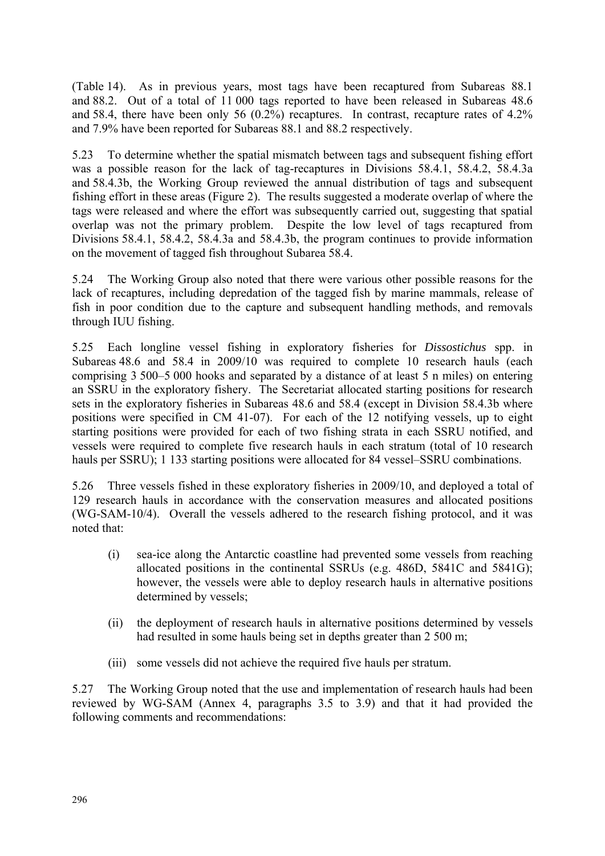(Table 14). As in previous years, most tags have been recaptured from Subareas 88.1 and 88.2. Out of a total of 11 000 tags reported to have been released in Subareas 48.6 and 58.4, there have been only 56 (0.2%) recaptures. In contrast, recapture rates of 4.2% and 7.9% have been reported for Subareas 88.1 and 88.2 respectively.

5.23 To determine whether the spatial mismatch between tags and subsequent fishing effort was a possible reason for the lack of tag-recaptures in Divisions 58.4.1, 58.4.2, 58.4.3a and 58.4.3b, the Working Group reviewed the annual distribution of tags and subsequent fishing effort in these areas (Figure 2). The results suggested a moderate overlap of where the tags were released and where the effort was subsequently carried out, suggesting that spatial overlap was not the primary problem. Despite the low level of tags recaptured from Divisions 58.4.1, 58.4.2, 58.4.3a and 58.4.3b, the program continues to provide information on the movement of tagged fish throughout Subarea 58.4.

5.24 The Working Group also noted that there were various other possible reasons for the lack of recaptures, including depredation of the tagged fish by marine mammals, release of fish in poor condition due to the capture and subsequent handling methods, and removals through IUU fishing.

5.25 Each longline vessel fishing in exploratory fisheries for *Dissostichus* spp. in Subareas 48.6 and 58.4 in 2009/10 was required to complete 10 research hauls (each comprising 3 500–5 000 hooks and separated by a distance of at least 5 n miles) on entering an SSRU in the exploratory fishery. The Secretariat allocated starting positions for research sets in the exploratory fisheries in Subareas 48.6 and 58.4 (except in Division 58.4.3b where positions were specified in CM 41-07). For each of the 12 notifying vessels, up to eight starting positions were provided for each of two fishing strata in each SSRU notified, and vessels were required to complete five research hauls in each stratum (total of 10 research hauls per SSRU); 1 133 starting positions were allocated for 84 vessel–SSRU combinations.

5.26 Three vessels fished in these exploratory fisheries in 2009/10, and deployed a total of 129 research hauls in accordance with the conservation measures and allocated positions (WG-SAM-10/4). Overall the vessels adhered to the research fishing protocol, and it was noted that:

- (i) sea-ice along the Antarctic coastline had prevented some vessels from reaching allocated positions in the continental SSRUs (e.g. 486D, 5841C and 5841G); however, the vessels were able to deploy research hauls in alternative positions determined by vessels;
- (ii) the deployment of research hauls in alternative positions determined by vessels had resulted in some hauls being set in depths greater than 2 500 m;
- (iii) some vessels did not achieve the required five hauls per stratum.

5.27 The Working Group noted that the use and implementation of research hauls had been reviewed by WG-SAM (Annex 4, paragraphs 3.5 to 3.9) and that it had provided the following comments and recommendations: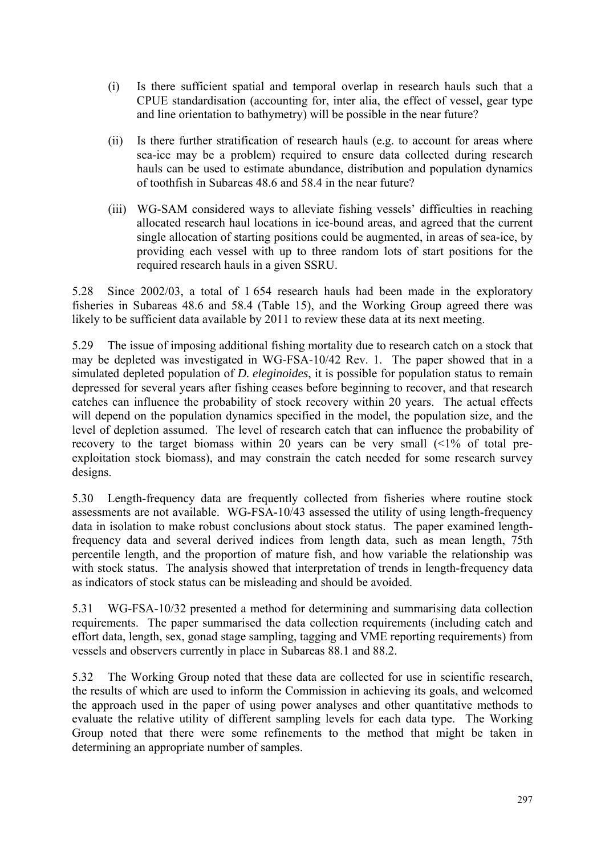- (i) Is there sufficient spatial and temporal overlap in research hauls such that a CPUE standardisation (accounting for, inter alia, the effect of vessel, gear type and line orientation to bathymetry) will be possible in the near future?
- (ii) Is there further stratification of research hauls (e.g. to account for areas where sea-ice may be a problem) required to ensure data collected during research hauls can be used to estimate abundance, distribution and population dynamics of toothfish in Subareas 48.6 and 58.4 in the near future?
- (iii) WG-SAM considered ways to alleviate fishing vessels' difficulties in reaching allocated research haul locations in ice-bound areas, and agreed that the current single allocation of starting positions could be augmented, in areas of sea-ice, by providing each vessel with up to three random lots of start positions for the required research hauls in a given SSRU.

5.28 Since 2002/03, a total of 1 654 research hauls had been made in the exploratory fisheries in Subareas 48.6 and 58.4 (Table 15), and the Working Group agreed there was likely to be sufficient data available by 2011 to review these data at its next meeting.

5.29 The issue of imposing additional fishing mortality due to research catch on a stock that may be depleted was investigated in WG-FSA-10/42 Rev. 1. The paper showed that in a simulated depleted population of *D. eleginoides*, it is possible for population status to remain depressed for several years after fishing ceases before beginning to recover, and that research catches can influence the probability of stock recovery within 20 years. The actual effects will depend on the population dynamics specified in the model, the population size, and the level of depletion assumed. The level of research catch that can influence the probability of recovery to the target biomass within 20 years can be very small  $\langle 1\%$  of total preexploitation stock biomass), and may constrain the catch needed for some research survey designs.

5.30 Length-frequency data are frequently collected from fisheries where routine stock assessments are not available. WG-FSA-10/43 assessed the utility of using length-frequency data in isolation to make robust conclusions about stock status. The paper examined lengthfrequency data and several derived indices from length data, such as mean length, 75th percentile length, and the proportion of mature fish, and how variable the relationship was with stock status. The analysis showed that interpretation of trends in length-frequency data as indicators of stock status can be misleading and should be avoided.

5.31 WG-FSA-10/32 presented a method for determining and summarising data collection requirements. The paper summarised the data collection requirements (including catch and effort data, length, sex, gonad stage sampling, tagging and VME reporting requirements) from vessels and observers currently in place in Subareas 88.1 and 88.2.

5.32 The Working Group noted that these data are collected for use in scientific research, the results of which are used to inform the Commission in achieving its goals, and welcomed the approach used in the paper of using power analyses and other quantitative methods to evaluate the relative utility of different sampling levels for each data type. The Working Group noted that there were some refinements to the method that might be taken in determining an appropriate number of samples.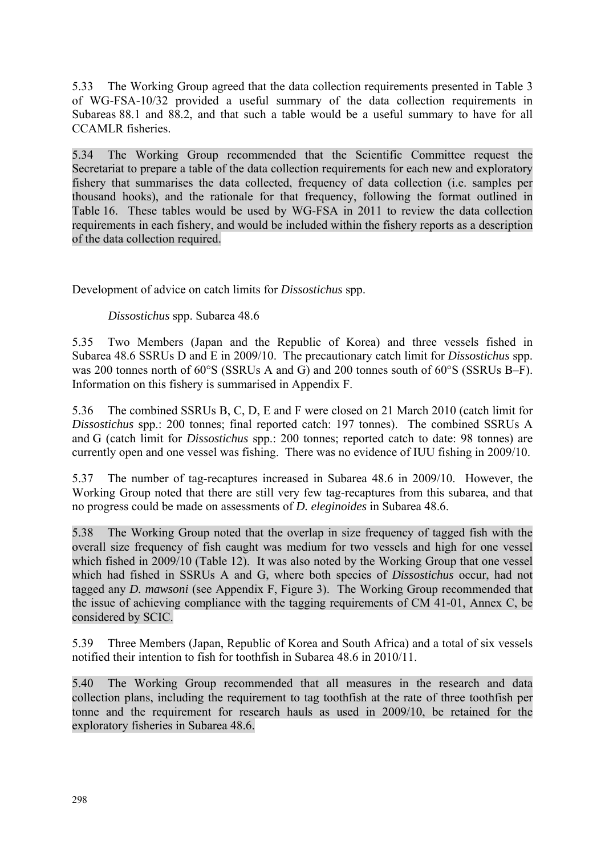5.33 The Working Group agreed that the data collection requirements presented in Table 3 of WG-FSA-10/32 provided a useful summary of the data collection requirements in Subareas 88.1 and 88.2, and that such a table would be a useful summary to have for all CCAMLR fisheries.

5.34 The Working Group recommended that the Scientific Committee request the Secretariat to prepare a table of the data collection requirements for each new and exploratory fishery that summarises the data collected, frequency of data collection (i.e. samples per thousand hooks), and the rationale for that frequency, following the format outlined in Table 16. These tables would be used by WG-FSA in 2011 to review the data collection requirements in each fishery, and would be included within the fishery reports as a description of the data collection required.

Development of advice on catch limits for *Dissostichus* spp.

# *Dissostichus* spp. Subarea 48.6

5.35 Two Members (Japan and the Republic of Korea) and three vessels fished in Subarea 48.6 SSRUs D and E in 2009/10. The precautionary catch limit for *Dissostichus* spp. was 200 tonnes north of 60°S (SSRUs A and G) and 200 tonnes south of 60°S (SSRUs B–F). Information on this fishery is summarised in Appendix F.

5.36 The combined SSRUs B, C, D, E and F were closed on 21 March 2010 (catch limit for *Dissostichus* spp.: 200 tonnes; final reported catch: 197 tonnes). The combined SSRUs A and G (catch limit for *Dissostichus* spp.: 200 tonnes; reported catch to date: 98 tonnes) are currently open and one vessel was fishing. There was no evidence of IUU fishing in 2009/10.

5.37 The number of tag-recaptures increased in Subarea 48.6 in 2009/10. However, the Working Group noted that there are still very few tag-recaptures from this subarea, and that no progress could be made on assessments of *D. eleginoides* in Subarea 48.6.

5.38 The Working Group noted that the overlap in size frequency of tagged fish with the overall size frequency of fish caught was medium for two vessels and high for one vessel which fished in 2009/10 (Table 12). It was also noted by the Working Group that one vessel which had fished in SSRUs A and G, where both species of *Dissostichus* occur, had not tagged any *D. mawsoni* (see Appendix F, Figure 3). The Working Group recommended that the issue of achieving compliance with the tagging requirements of CM 41-01, Annex C, be considered by SCIC.

5.39 Three Members (Japan, Republic of Korea and South Africa) and a total of six vessels notified their intention to fish for toothfish in Subarea 48.6 in 2010/11.

5.40 The Working Group recommended that all measures in the research and data collection plans, including the requirement to tag toothfish at the rate of three toothfish per tonne and the requirement for research hauls as used in 2009/10, be retained for the exploratory fisheries in Subarea 48.6.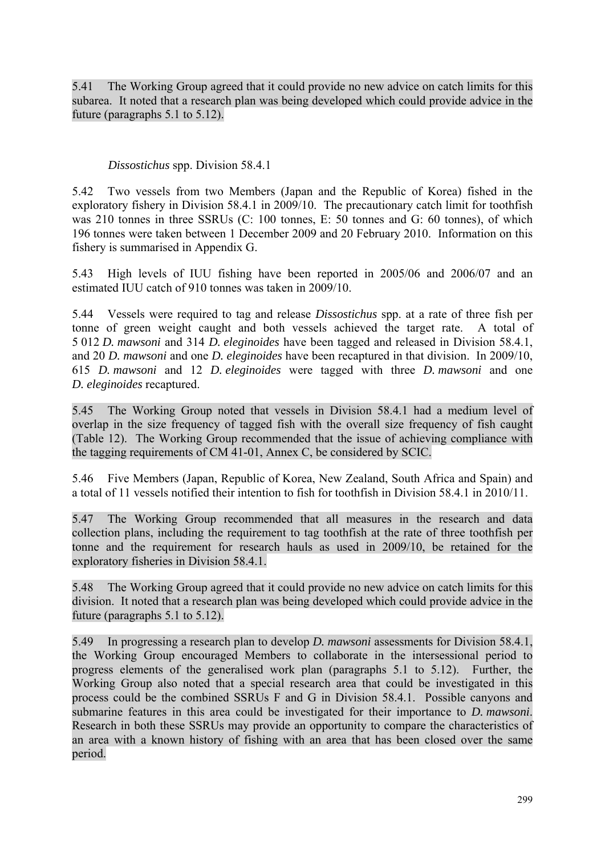5.41 The Working Group agreed that it could provide no new advice on catch limits for this subarea. It noted that a research plan was being developed which could provide advice in the future (paragraphs 5.1 to 5.12).

### *Dissostichus* spp. Division 58.4.1

5.42 Two vessels from two Members (Japan and the Republic of Korea) fished in the exploratory fishery in Division 58.4.1 in 2009/10. The precautionary catch limit for toothfish was 210 tonnes in three SSRUs (C: 100 tonnes, E: 50 tonnes and G: 60 tonnes), of which 196 tonnes were taken between 1 December 2009 and 20 February 2010. Information on this fishery is summarised in Appendix G.

5.43 High levels of IUU fishing have been reported in 2005/06 and 2006/07 and an estimated IUU catch of 910 tonnes was taken in 2009/10.

5.44 Vessels were required to tag and release *Dissostichus* spp. at a rate of three fish per tonne of green weight caught and both vessels achieved the target rate. A total of 5 012 *D. mawsoni* and 314 *D. eleginoides* have been tagged and released in Division 58.4.1, and 20 *D. mawsoni* and one *D. eleginoides* have been recaptured in that division. In 2009/10, 615 *D. mawsoni* and 12 *D. eleginoides* were tagged with three *D. mawsoni* and one *D. eleginoides* recaptured.

5.45 The Working Group noted that vessels in Division 58.4.1 had a medium level of overlap in the size frequency of tagged fish with the overall size frequency of fish caught (Table 12). The Working Group recommended that the issue of achieving compliance with the tagging requirements of CM 41-01, Annex C, be considered by SCIC.

5.46 Five Members (Japan, Republic of Korea, New Zealand, South Africa and Spain) and a total of 11 vessels notified their intention to fish for toothfish in Division 58.4.1 in 2010/11.

5.47 The Working Group recommended that all measures in the research and data collection plans, including the requirement to tag toothfish at the rate of three toothfish per tonne and the requirement for research hauls as used in 2009/10, be retained for the exploratory fisheries in Division 58.4.1.

5.48 The Working Group agreed that it could provide no new advice on catch limits for this division. It noted that a research plan was being developed which could provide advice in the future (paragraphs 5.1 to 5.12).

5.49 In progressing a research plan to develop *D. mawsoni* assessments for Division 58.4.1, the Working Group encouraged Members to collaborate in the intersessional period to progress elements of the generalised work plan (paragraphs 5.1 to 5.12). Further, the Working Group also noted that a special research area that could be investigated in this process could be the combined SSRUs F and G in Division 58.4.1. Possible canyons and submarine features in this area could be investigated for their importance to *D. mawsoni*. Research in both these SSRUs may provide an opportunity to compare the characteristics of an area with a known history of fishing with an area that has been closed over the same period.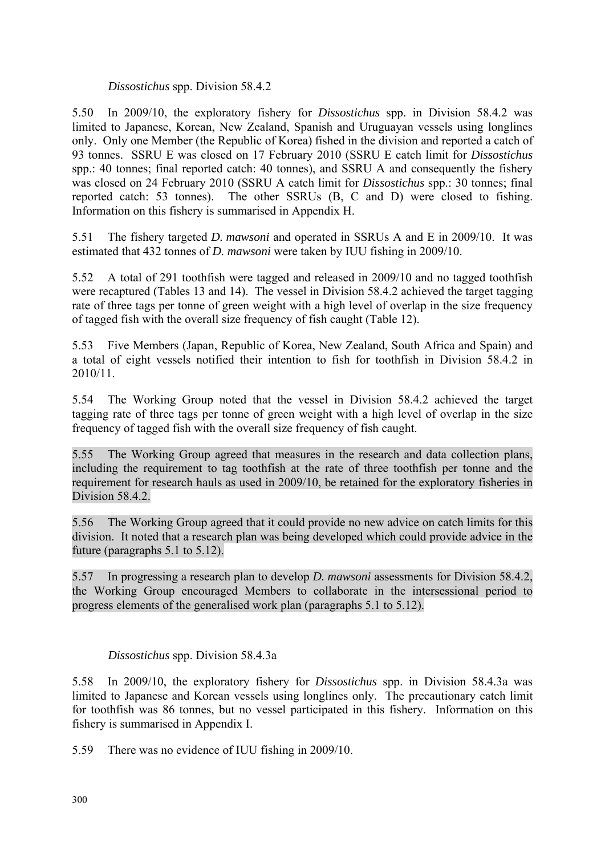### *Dissostichus* spp. Division 58.4.2

5.50 In 2009/10, the exploratory fishery for *Dissostichus* spp. in Division 58.4.2 was limited to Japanese, Korean, New Zealand, Spanish and Uruguayan vessels using longlines only. Only one Member (the Republic of Korea) fished in the division and reported a catch of 93 tonnes. SSRU E was closed on 17 February 2010 (SSRU E catch limit for *Dissostichus* spp.: 40 tonnes; final reported catch: 40 tonnes), and SSRU A and consequently the fishery was closed on 24 February 2010 (SSRU A catch limit for *Dissostichus* spp.: 30 tonnes; final reported catch: 53 tonnes). The other SSRUs (B, C and D) were closed to fishing. Information on this fishery is summarised in Appendix H.

5.51 The fishery targeted *D. mawsoni* and operated in SSRUs A and E in 2009/10. It was estimated that 432 tonnes of *D. mawsoni* were taken by IUU fishing in 2009/10.

5.52 A total of 291 toothfish were tagged and released in 2009/10 and no tagged toothfish were recaptured (Tables 13 and 14). The vessel in Division 58.4.2 achieved the target tagging rate of three tags per tonne of green weight with a high level of overlap in the size frequency of tagged fish with the overall size frequency of fish caught (Table 12).

5.53 Five Members (Japan, Republic of Korea, New Zealand, South Africa and Spain) and a total of eight vessels notified their intention to fish for toothfish in Division 58.4.2 in 2010/11.

5.54 The Working Group noted that the vessel in Division 58.4.2 achieved the target tagging rate of three tags per tonne of green weight with a high level of overlap in the size frequency of tagged fish with the overall size frequency of fish caught.

5.55 The Working Group agreed that measures in the research and data collection plans, including the requirement to tag toothfish at the rate of three toothfish per tonne and the requirement for research hauls as used in 2009/10, be retained for the exploratory fisheries in Division 58.4.2<sup>1</sup>

5.56 The Working Group agreed that it could provide no new advice on catch limits for this division. It noted that a research plan was being developed which could provide advice in the future (paragraphs 5.1 to 5.12).

5.57 In progressing a research plan to develop *D. mawsoni* assessments for Division 58.4.2, the Working Group encouraged Members to collaborate in the intersessional period to progress elements of the generalised work plan (paragraphs 5.1 to 5.12).

# *Dissostichus* spp. Division 58.4.3a

5.58 In 2009/10, the exploratory fishery for *Dissostichus* spp. in Division 58.4.3a was limited to Japanese and Korean vessels using longlines only. The precautionary catch limit for toothfish was 86 tonnes, but no vessel participated in this fishery. Information on this fishery is summarised in Appendix I.

5.59 There was no evidence of IUU fishing in 2009/10.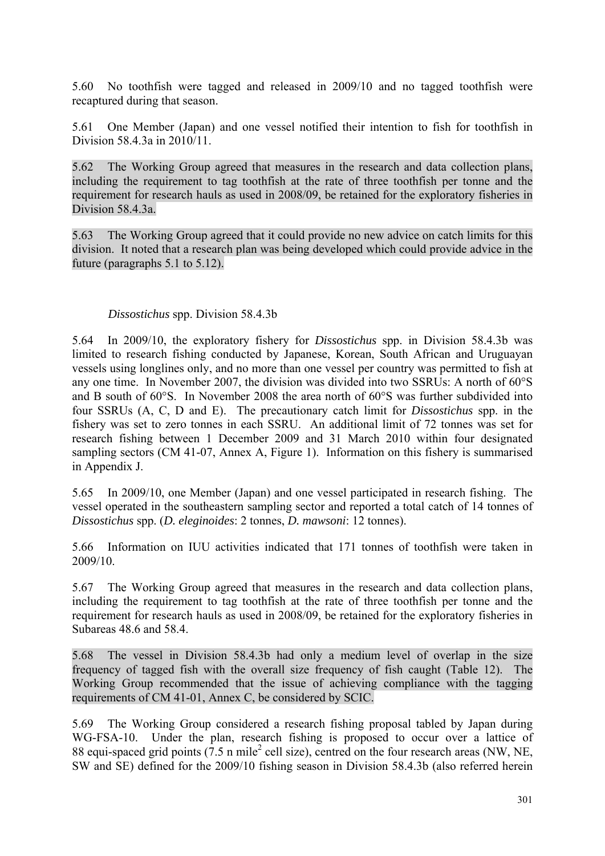5.60 No toothfish were tagged and released in 2009/10 and no tagged toothfish were recaptured during that season.

5.61 One Member (Japan) and one vessel notified their intention to fish for toothfish in Division 58.4.3a in 2010/11.

5.62 The Working Group agreed that measures in the research and data collection plans, including the requirement to tag toothfish at the rate of three toothfish per tonne and the requirement for research hauls as used in 2008/09, be retained for the exploratory fisheries in Division 58.4.3a.

5.63 The Working Group agreed that it could provide no new advice on catch limits for this division. It noted that a research plan was being developed which could provide advice in the future (paragraphs 5.1 to 5.12).

### *Dissostichus* spp. Division 58.4.3b

5.64 In 2009/10, the exploratory fishery for *Dissostichus* spp. in Division 58.4.3b was limited to research fishing conducted by Japanese, Korean, South African and Uruguayan vessels using longlines only, and no more than one vessel per country was permitted to fish at any one time. In November 2007, the division was divided into two SSRUs: A north of 60°S and B south of 60°S. In November 2008 the area north of 60°S was further subdivided into four SSRUs (A, C, D and E). The precautionary catch limit for *Dissostichus* spp. in the fishery was set to zero tonnes in each SSRU. An additional limit of 72 tonnes was set for research fishing between 1 December 2009 and 31 March 2010 within four designated sampling sectors (CM 41-07, Annex A, Figure 1). Information on this fishery is summarised in Appendix J.

5.65 In 2009/10, one Member (Japan) and one vessel participated in research fishing. The vessel operated in the southeastern sampling sector and reported a total catch of 14 tonnes of *Dissostichus* spp. (*D. eleginoides*: 2 tonnes, *D. mawsoni*: 12 tonnes).

5.66 Information on IUU activities indicated that 171 tonnes of toothfish were taken in 2009/10.

5.67 The Working Group agreed that measures in the research and data collection plans, including the requirement to tag toothfish at the rate of three toothfish per tonne and the requirement for research hauls as used in 2008/09, be retained for the exploratory fisheries in Subareas 48.6 and 58.4.

5.68 The vessel in Division 58.4.3b had only a medium level of overlap in the size frequency of tagged fish with the overall size frequency of fish caught (Table 12). The Working Group recommended that the issue of achieving compliance with the tagging requirements of CM 41-01, Annex C, be considered by SCIC.

5.69 The Working Group considered a research fishing proposal tabled by Japan during WG-FSA-10. Under the plan, research fishing is proposed to occur over a lattice of 88 equi-spaced grid points  $(7.5 \text{ n mile}^2 \text{ cell size})$ , centred on the four research areas (NW, NE, SW and SE) defined for the 2009/10 fishing season in Division 58.4.3b (also referred herein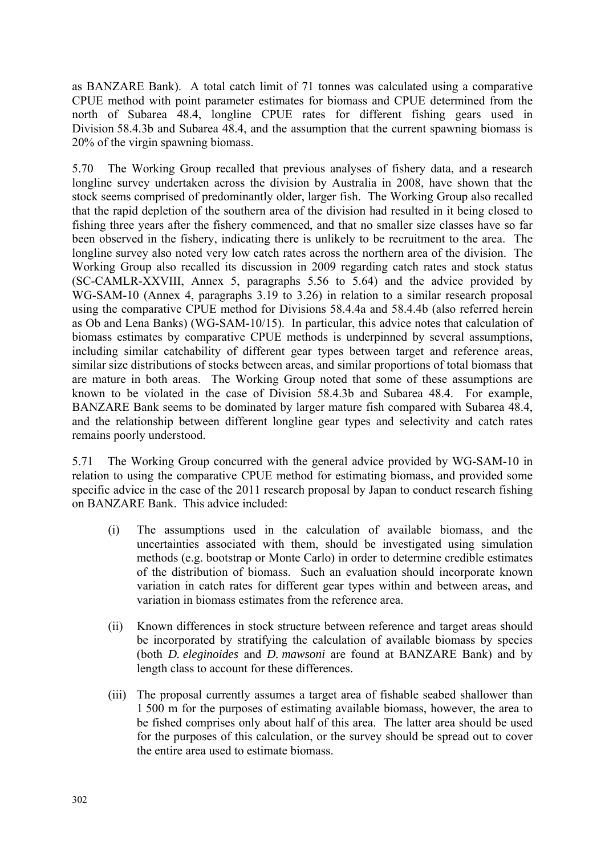as BANZARE Bank). A total catch limit of 71 tonnes was calculated using a comparative CPUE method with point parameter estimates for biomass and CPUE determined from the north of Subarea 48.4, longline CPUE rates for different fishing gears used in Division 58.4.3b and Subarea 48.4, and the assumption that the current spawning biomass is 20% of the virgin spawning biomass.

5.70 The Working Group recalled that previous analyses of fishery data, and a research longline survey undertaken across the division by Australia in 2008, have shown that the stock seems comprised of predominantly older, larger fish. The Working Group also recalled that the rapid depletion of the southern area of the division had resulted in it being closed to fishing three years after the fishery commenced, and that no smaller size classes have so far been observed in the fishery, indicating there is unlikely to be recruitment to the area. The longline survey also noted very low catch rates across the northern area of the division. The Working Group also recalled its discussion in 2009 regarding catch rates and stock status (SC-CAMLR-XXVIII, Annex 5, paragraphs 5.56 to 5.64) and the advice provided by WG-SAM-10 (Annex 4, paragraphs 3.19 to 3.26) in relation to a similar research proposal using the comparative CPUE method for Divisions 58.4.4a and 58.4.4b (also referred herein as Ob and Lena Banks) (WG-SAM-10/15). In particular, this advice notes that calculation of biomass estimates by comparative CPUE methods is underpinned by several assumptions, including similar catchability of different gear types between target and reference areas, similar size distributions of stocks between areas, and similar proportions of total biomass that are mature in both areas. The Working Group noted that some of these assumptions are known to be violated in the case of Division 58.4.3b and Subarea 48.4. For example, BANZARE Bank seems to be dominated by larger mature fish compared with Subarea 48.4, and the relationship between different longline gear types and selectivity and catch rates remains poorly understood.

5.71 The Working Group concurred with the general advice provided by WG-SAM-10 in relation to using the comparative CPUE method for estimating biomass, and provided some specific advice in the case of the 2011 research proposal by Japan to conduct research fishing on BANZARE Bank. This advice included:

- (i) The assumptions used in the calculation of available biomass, and the uncertainties associated with them, should be investigated using simulation methods (e.g. bootstrap or Monte Carlo) in order to determine credible estimates of the distribution of biomass. Such an evaluation should incorporate known variation in catch rates for different gear types within and between areas, and variation in biomass estimates from the reference area.
- (ii) Known differences in stock structure between reference and target areas should be incorporated by stratifying the calculation of available biomass by species (both *D. eleginoides* and *D. mawsoni* are found at BANZARE Bank) and by length class to account for these differences.
- (iii) The proposal currently assumes a target area of fishable seabed shallower than 1 500 m for the purposes of estimating available biomass, however, the area to be fished comprises only about half of this area. The latter area should be used for the purposes of this calculation, or the survey should be spread out to cover the entire area used to estimate biomass.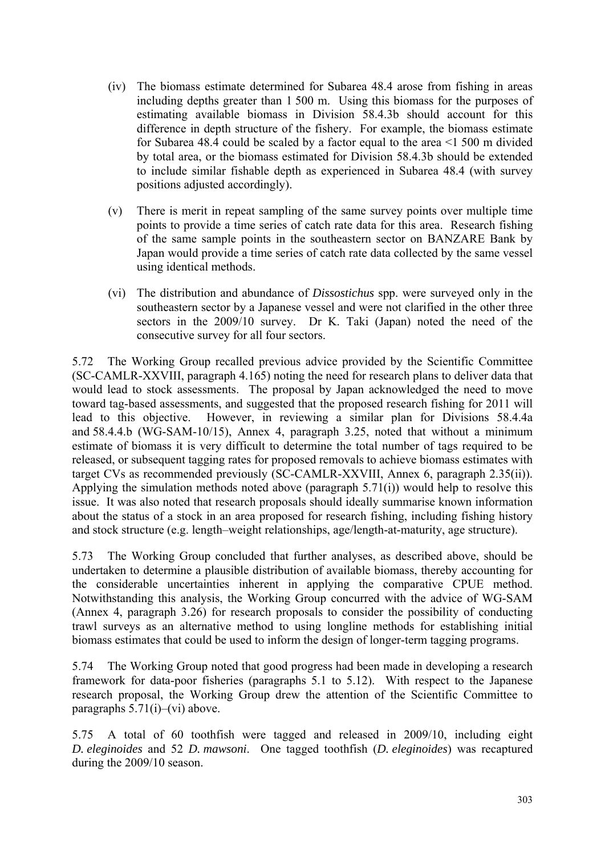- (iv) The biomass estimate determined for Subarea 48.4 arose from fishing in areas including depths greater than 1 500 m. Using this biomass for the purposes of estimating available biomass in Division 58.4.3b should account for this difference in depth structure of the fishery. For example, the biomass estimate for Subarea 48.4 could be scaled by a factor equal to the area <1 500 m divided by total area, or the biomass estimated for Division 58.4.3b should be extended to include similar fishable depth as experienced in Subarea 48.4 (with survey positions adjusted accordingly).
- (v) There is merit in repeat sampling of the same survey points over multiple time points to provide a time series of catch rate data for this area. Research fishing of the same sample points in the southeastern sector on BANZARE Bank by Japan would provide a time series of catch rate data collected by the same vessel using identical methods.
- (vi) The distribution and abundance of *Dissostichus* spp. were surveyed only in the southeastern sector by a Japanese vessel and were not clarified in the other three sectors in the 2009/10 survey. Dr K. Taki (Japan) noted the need of the consecutive survey for all four sectors.

5.72 The Working Group recalled previous advice provided by the Scientific Committee (SC-CAMLR-XXVIII, paragraph 4.165) noting the need for research plans to deliver data that would lead to stock assessments. The proposal by Japan acknowledged the need to move toward tag-based assessments, and suggested that the proposed research fishing for 2011 will lead to this objective. However, in reviewing a similar plan for Divisions 58.4.4a and 58.4.4.b (WG-SAM-10/15), Annex 4, paragraph 3.25, noted that without a minimum estimate of biomass it is very difficult to determine the total number of tags required to be released, or subsequent tagging rates for proposed removals to achieve biomass estimates with target CVs as recommended previously (SC-CAMLR-XXVIII, Annex 6, paragraph 2.35(ii)). Applying the simulation methods noted above (paragraph 5.71(i)) would help to resolve this issue. It was also noted that research proposals should ideally summarise known information about the status of a stock in an area proposed for research fishing, including fishing history and stock structure (e.g. length–weight relationships, age/length-at-maturity, age structure).

5.73 The Working Group concluded that further analyses, as described above, should be undertaken to determine a plausible distribution of available biomass, thereby accounting for the considerable uncertainties inherent in applying the comparative CPUE method. Notwithstanding this analysis, the Working Group concurred with the advice of WG-SAM (Annex 4, paragraph 3.26) for research proposals to consider the possibility of conducting trawl surveys as an alternative method to using longline methods for establishing initial biomass estimates that could be used to inform the design of longer-term tagging programs.

5.74 The Working Group noted that good progress had been made in developing a research framework for data-poor fisheries (paragraphs 5.1 to 5.12). With respect to the Japanese research proposal, the Working Group drew the attention of the Scientific Committee to paragraphs 5.71(i)–(vi) above.

5.75 A total of 60 toothfish were tagged and released in 2009/10, including eight *D. eleginoides* and 52 *D. mawsoni*. One tagged toothfish (*D. eleginoides*) was recaptured during the 2009/10 season.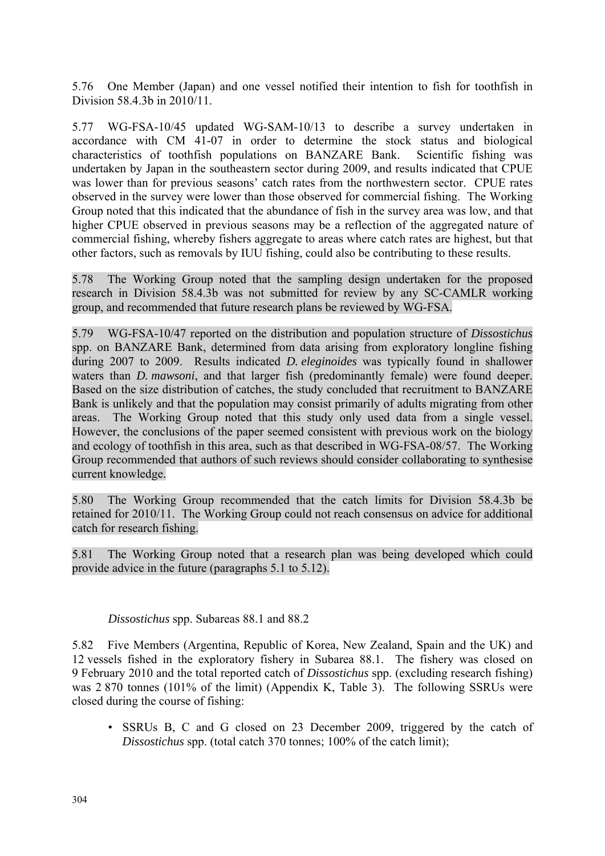5.76 One Member (Japan) and one vessel notified their intention to fish for toothfish in Division 58.4.3b in 2010/11.

5.77 WG-FSA-10/45 updated WG-SAM-10/13 to describe a survey undertaken in accordance with CM 41-07 in order to determine the stock status and biological characteristics of toothfish populations on BANZARE Bank. Scientific fishing was undertaken by Japan in the southeastern sector during 2009, and results indicated that CPUE was lower than for previous seasons' catch rates from the northwestern sector. CPUE rates observed in the survey were lower than those observed for commercial fishing. The Working Group noted that this indicated that the abundance of fish in the survey area was low, and that higher CPUE observed in previous seasons may be a reflection of the aggregated nature of commercial fishing, whereby fishers aggregate to areas where catch rates are highest, but that other factors, such as removals by IUU fishing, could also be contributing to these results.

5.78 The Working Group noted that the sampling design undertaken for the proposed research in Division 58.4.3b was not submitted for review by any SC-CAMLR working group, and recommended that future research plans be reviewed by WG-FSA.

5.79 WG-FSA-10/47 reported on the distribution and population structure of *Dissostichus* spp. on BANZARE Bank, determined from data arising from exploratory longline fishing during 2007 to 2009. Results indicated *D. eleginoides* was typically found in shallower waters than *D. mawsoni*, and that larger fish (predominantly female) were found deeper. Based on the size distribution of catches, the study concluded that recruitment to BANZARE Bank is unlikely and that the population may consist primarily of adults migrating from other areas. The Working Group noted that this study only used data from a single vessel. However, the conclusions of the paper seemed consistent with previous work on the biology and ecology of toothfish in this area, such as that described in WG-FSA-08/57. The Working Group recommended that authors of such reviews should consider collaborating to synthesise current knowledge.

5.80 The Working Group recommended that the catch limits for Division 58.4.3b be retained for 2010/11. The Working Group could not reach consensus on advice for additional catch for research fishing.

5.81 The Working Group noted that a research plan was being developed which could provide advice in the future (paragraphs 5.1 to 5.12).

### *Dissostichus* spp. Subareas 88.1 and 88.2

5.82 Five Members (Argentina, Republic of Korea, New Zealand, Spain and the UK) and 12 vessels fished in the exploratory fishery in Subarea 88.1. The fishery was closed on 9 February 2010 and the total reported catch of *Dissostichus* spp. (excluding research fishing) was 2 870 tonnes (101% of the limit) (Appendix K, Table 3). The following SSRUs were closed during the course of fishing:

• SSRUs B, C and G closed on 23 December 2009, triggered by the catch of *Dissostichus* spp. (total catch 370 tonnes; 100% of the catch limit);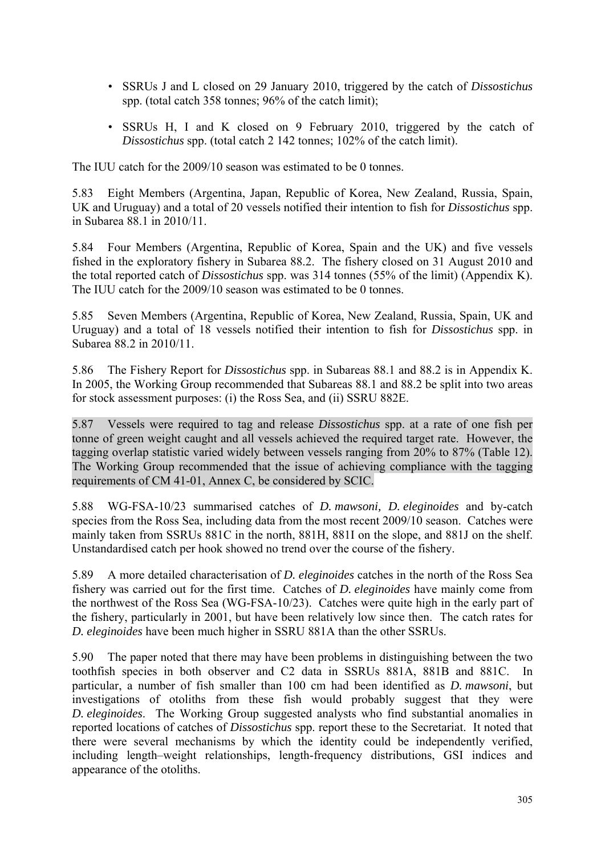- SSRUs J and L closed on 29 January 2010, triggered by the catch of *Dissostichus* spp. (total catch 358 tonnes; 96% of the catch limit);
- SSRUs H, I and K closed on 9 February 2010, triggered by the catch of *Dissostichus* spp. (total catch 2 142 tonnes; 102% of the catch limit).

The IUU catch for the 2009/10 season was estimated to be 0 tonnes.

5.83 Eight Members (Argentina, Japan, Republic of Korea, New Zealand, Russia, Spain, UK and Uruguay) and a total of 20 vessels notified their intention to fish for *Dissostichus* spp. in Subarea 88.1 in 2010/11.

5.84 Four Members (Argentina, Republic of Korea, Spain and the UK) and five vessels fished in the exploratory fishery in Subarea 88.2. The fishery closed on 31 August 2010 and the total reported catch of *Dissostichus* spp. was 314 tonnes (55% of the limit) (Appendix K). The IUU catch for the 2009/10 season was estimated to be 0 tonnes.

5.85 Seven Members (Argentina, Republic of Korea, New Zealand, Russia, Spain, UK and Uruguay) and a total of 18 vessels notified their intention to fish for *Dissostichus* spp. in Subarea 88.2 in 2010/11.

5.86 The Fishery Report for *Dissostichus* spp. in Subareas 88.1 and 88.2 is in Appendix K. In 2005, the Working Group recommended that Subareas 88.1 and 88.2 be split into two areas for stock assessment purposes: (i) the Ross Sea, and (ii) SSRU 882E.

5.87 Vessels were required to tag and release *Dissostichus* spp. at a rate of one fish per tonne of green weight caught and all vessels achieved the required target rate. However, the tagging overlap statistic varied widely between vessels ranging from 20% to 87% (Table 12). The Working Group recommended that the issue of achieving compliance with the tagging requirements of CM 41-01, Annex C, be considered by SCIC.

5.88 WG-FSA-10/23 summarised catches of *D. mawsoni, D. eleginoides* and by-catch species from the Ross Sea, including data from the most recent 2009/10 season. Catches were mainly taken from SSRUs 881C in the north, 881H, 881I on the slope, and 881J on the shelf. Unstandardised catch per hook showed no trend over the course of the fishery.

5.89 A more detailed characterisation of *D. eleginoides* catches in the north of the Ross Sea fishery was carried out for the first time. Catches of *D. eleginoides* have mainly come from the northwest of the Ross Sea (WG-FSA-10/23). Catches were quite high in the early part of the fishery, particularly in 2001, but have been relatively low since then. The catch rates for *D. eleginoides* have been much higher in SSRU 881A than the other SSRUs.

5.90 The paper noted that there may have been problems in distinguishing between the two toothfish species in both observer and C2 data in SSRUs 881A, 881B and 881C. In particular, a number of fish smaller than 100 cm had been identified as *D. mawsoni*, but investigations of otoliths from these fish would probably suggest that they were *D. eleginoides*. The Working Group suggested analysts who find substantial anomalies in reported locations of catches of *Dissostichus* spp. report these to the Secretariat. It noted that there were several mechanisms by which the identity could be independently verified, including length–weight relationships, length-frequency distributions, GSI indices and appearance of the otoliths.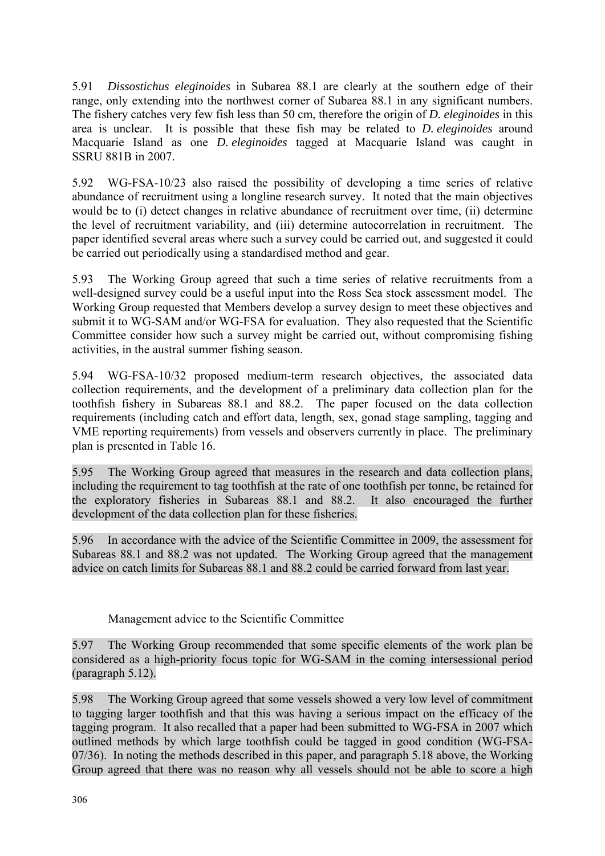5.91 *Dissostichus eleginoides* in Subarea 88.1 are clearly at the southern edge of their range, only extending into the northwest corner of Subarea 88.1 in any significant numbers. The fishery catches very few fish less than 50 cm, therefore the origin of *D. eleginoides* in this area is unclear. It is possible that these fish may be related to *D. eleginoides* around Macquarie Island as one *D. eleginoides* tagged at Macquarie Island was caught in SSRU 881B in 2007.

5.92 WG-FSA-10/23 also raised the possibility of developing a time series of relative abundance of recruitment using a longline research survey. It noted that the main objectives would be to (i) detect changes in relative abundance of recruitment over time, (ii) determine the level of recruitment variability, and (iii) determine autocorrelation in recruitment. The paper identified several areas where such a survey could be carried out, and suggested it could be carried out periodically using a standardised method and gear.

5.93 The Working Group agreed that such a time series of relative recruitments from a well-designed survey could be a useful input into the Ross Sea stock assessment model. The Working Group requested that Members develop a survey design to meet these objectives and submit it to WG-SAM and/or WG-FSA for evaluation. They also requested that the Scientific Committee consider how such a survey might be carried out, without compromising fishing activities, in the austral summer fishing season.

5.94 WG-FSA-10/32 proposed medium-term research objectives, the associated data collection requirements, and the development of a preliminary data collection plan for the toothfish fishery in Subareas 88.1 and 88.2. The paper focused on the data collection requirements (including catch and effort data, length, sex, gonad stage sampling, tagging and VME reporting requirements) from vessels and observers currently in place. The preliminary plan is presented in Table 16.

5.95 The Working Group agreed that measures in the research and data collection plans, including the requirement to tag toothfish at the rate of one toothfish per tonne, be retained for the exploratory fisheries in Subareas 88.1 and 88.2. It also encouraged the further development of the data collection plan for these fisheries.

5.96 In accordance with the advice of the Scientific Committee in 2009, the assessment for Subareas 88.1 and 88.2 was not updated. The Working Group agreed that the management advice on catch limits for Subareas 88.1 and 88.2 could be carried forward from last year.

Management advice to the Scientific Committee

5.97 The Working Group recommended that some specific elements of the work plan be considered as a high-priority focus topic for WG-SAM in the coming intersessional period (paragraph 5.12).

5.98 The Working Group agreed that some vessels showed a very low level of commitment to tagging larger toothfish and that this was having a serious impact on the efficacy of the tagging program. It also recalled that a paper had been submitted to WG-FSA in 2007 which outlined methods by which large toothfish could be tagged in good condition (WG-FSA-07/36). In noting the methods described in this paper, and paragraph 5.18 above, the Working Group agreed that there was no reason why all vessels should not be able to score a high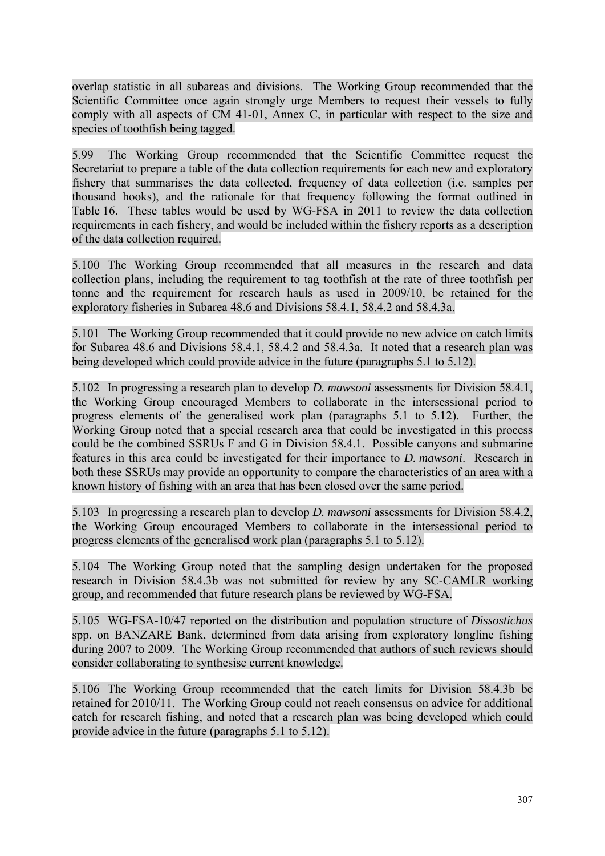overlap statistic in all subareas and divisions. The Working Group recommended that the Scientific Committee once again strongly urge Members to request their vessels to fully comply with all aspects of CM 41-01, Annex C, in particular with respect to the size and species of toothfish being tagged.

5.99 The Working Group recommended that the Scientific Committee request the Secretariat to prepare a table of the data collection requirements for each new and exploratory fishery that summarises the data collected, frequency of data collection (i.e. samples per thousand hooks), and the rationale for that frequency following the format outlined in Table 16. These tables would be used by WG-FSA in 2011 to review the data collection requirements in each fishery, and would be included within the fishery reports as a description of the data collection required.

5.100 The Working Group recommended that all measures in the research and data collection plans, including the requirement to tag toothfish at the rate of three toothfish per tonne and the requirement for research hauls as used in 2009/10, be retained for the exploratory fisheries in Subarea 48.6 and Divisions 58.4.1, 58.4.2 and 58.4.3a.

5.101 The Working Group recommended that it could provide no new advice on catch limits for Subarea 48.6 and Divisions 58.4.1, 58.4.2 and 58.4.3a. It noted that a research plan was being developed which could provide advice in the future (paragraphs 5.1 to 5.12).

5.102 In progressing a research plan to develop *D. mawsoni* assessments for Division 58.4.1, the Working Group encouraged Members to collaborate in the intersessional period to progress elements of the generalised work plan (paragraphs 5.1 to 5.12). Further, the Working Group noted that a special research area that could be investigated in this process could be the combined SSRUs F and G in Division 58.4.1. Possible canyons and submarine features in this area could be investigated for their importance to *D. mawsoni*. Research in both these SSRUs may provide an opportunity to compare the characteristics of an area with a known history of fishing with an area that has been closed over the same period.

5.103 In progressing a research plan to develop *D. mawsoni* assessments for Division 58.4.2, the Working Group encouraged Members to collaborate in the intersessional period to progress elements of the generalised work plan (paragraphs 5.1 to 5.12).

5.104 The Working Group noted that the sampling design undertaken for the proposed research in Division 58.4.3b was not submitted for review by any SC-CAMLR working group, and recommended that future research plans be reviewed by WG-FSA.

5.105 WG-FSA-10/47 reported on the distribution and population structure of *Dissostichus* spp. on BANZARE Bank, determined from data arising from exploratory longline fishing during 2007 to 2009. The Working Group recommended that authors of such reviews should consider collaborating to synthesise current knowledge.

5.106 The Working Group recommended that the catch limits for Division 58.4.3b be retained for 2010/11. The Working Group could not reach consensus on advice for additional catch for research fishing, and noted that a research plan was being developed which could provide advice in the future (paragraphs 5.1 to 5.12).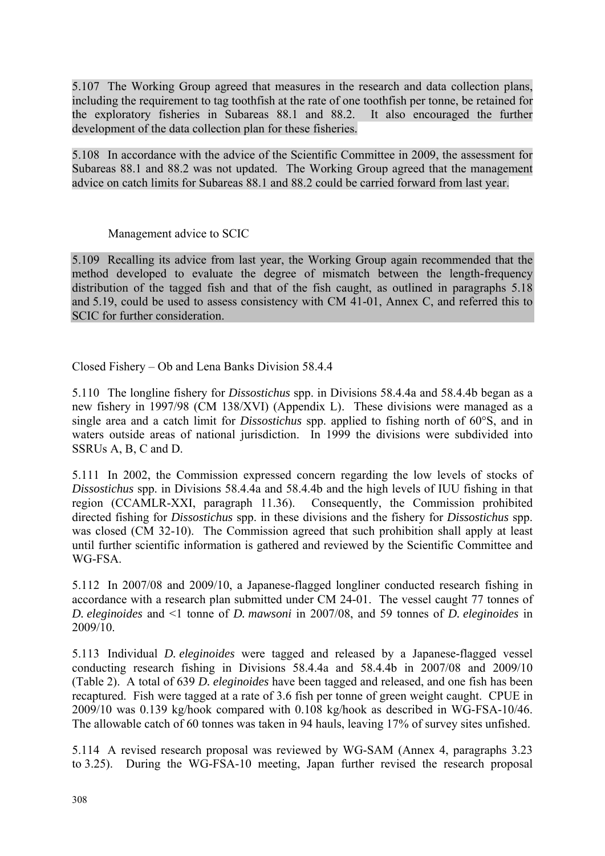5.107 The Working Group agreed that measures in the research and data collection plans, including the requirement to tag toothfish at the rate of one toothfish per tonne, be retained for the exploratory fisheries in Subareas 88.1 and 88.2. It also encouraged the further development of the data collection plan for these fisheries.

5.108 In accordance with the advice of the Scientific Committee in 2009, the assessment for Subareas 88.1 and 88.2 was not updated. The Working Group agreed that the management advice on catch limits for Subareas 88.1 and 88.2 could be carried forward from last year.

# Management advice to SCIC

5.109 Recalling its advice from last year, the Working Group again recommended that the method developed to evaluate the degree of mismatch between the length-frequency distribution of the tagged fish and that of the fish caught, as outlined in paragraphs 5.18 and 5.19, could be used to assess consistency with CM 41-01, Annex C, and referred this to SCIC for further consideration.

Closed Fishery – Ob and Lena Banks Division 58.4.4

5.110 The longline fishery for *Dissostichus* spp. in Divisions 58.4.4a and 58.4.4b began as a new fishery in 1997/98 (CM 138/XVI) (Appendix L). These divisions were managed as a single area and a catch limit for *Dissostichus* spp. applied to fishing north of 60°S, and in waters outside areas of national jurisdiction. In 1999 the divisions were subdivided into SSRUs A, B, C and D.

5.111 In 2002, the Commission expressed concern regarding the low levels of stocks of *Dissostichus* spp. in Divisions 58.4.4a and 58.4.4b and the high levels of IUU fishing in that region (CCAMLR-XXI, paragraph 11.36). Consequently, the Commission prohibited directed fishing for *Dissostichus* spp. in these divisions and the fishery for *Dissostichus* spp. was closed (CM 32-10). The Commission agreed that such prohibition shall apply at least until further scientific information is gathered and reviewed by the Scientific Committee and WG-FSA.

5.112 In 2007/08 and 2009/10, a Japanese-flagged longliner conducted research fishing in accordance with a research plan submitted under CM 24-01. The vessel caught 77 tonnes of *D. eleginoides* and <1 tonne of *D. mawsoni* in 2007/08, and 59 tonnes of *D. eleginoides* in 2009/10.

5.113 Individual *D. eleginoides* were tagged and released by a Japanese-flagged vessel conducting research fishing in Divisions 58.4.4a and 58.4.4b in 2007/08 and 2009/10 (Table 2). A total of 639 *D. eleginoides* have been tagged and released, and one fish has been recaptured. Fish were tagged at a rate of 3.6 fish per tonne of green weight caught. CPUE in 2009/10 was 0.139 kg/hook compared with 0.108 kg/hook as described in WG-FSA-10/46. The allowable catch of 60 tonnes was taken in 94 hauls, leaving 17% of survey sites unfished.

5.114 A revised research proposal was reviewed by WG-SAM (Annex 4, paragraphs 3.23 to 3.25). During the WG-FSA-10 meeting, Japan further revised the research proposal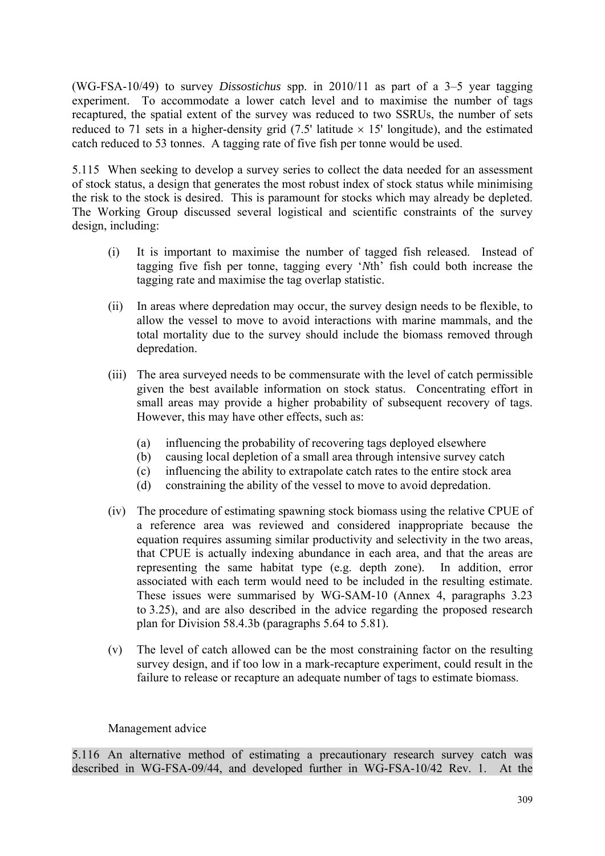(WG-FSA-10/49) to survey *Dissostichus* spp. in 2010/11 as part of a 3–5 year tagging experiment. To accommodate a lower catch level and to maximise the number of tags recaptured, the spatial extent of the survey was reduced to two SSRUs, the number of sets reduced to 71 sets in a higher-density grid (7.5' latitude  $\times$  15' longitude), and the estimated catch reduced to 53 tonnes. A tagging rate of five fish per tonne would be used.

5.115 When seeking to develop a survey series to collect the data needed for an assessment of stock status, a design that generates the most robust index of stock status while minimising the risk to the stock is desired. This is paramount for stocks which may already be depleted. The Working Group discussed several logistical and scientific constraints of the survey design, including:

- (i) It is important to maximise the number of tagged fish released. Instead of tagging five fish per tonne, tagging every '*N*th' fish could both increase the tagging rate and maximise the tag overlap statistic.
- (ii) In areas where depredation may occur, the survey design needs to be flexible, to allow the vessel to move to avoid interactions with marine mammals, and the total mortality due to the survey should include the biomass removed through depredation.
- (iii) The area surveyed needs to be commensurate with the level of catch permissible given the best available information on stock status. Concentrating effort in small areas may provide a higher probability of subsequent recovery of tags. However, this may have other effects, such as:
	- (a) influencing the probability of recovering tags deployed elsewhere
	- (b) causing local depletion of a small area through intensive survey catch
	- (c) influencing the ability to extrapolate catch rates to the entire stock area
	- (d) constraining the ability of the vessel to move to avoid depredation.
- (iv) The procedure of estimating spawning stock biomass using the relative CPUE of a reference area was reviewed and considered inappropriate because the equation requires assuming similar productivity and selectivity in the two areas, that CPUE is actually indexing abundance in each area, and that the areas are representing the same habitat type (e.g. depth zone). In addition, error associated with each term would need to be included in the resulting estimate. These issues were summarised by WG-SAM-10 (Annex 4, paragraphs 3.23 to 3.25), and are also described in the advice regarding the proposed research plan for Division 58.4.3b (paragraphs 5.64 to 5.81).
- (v) The level of catch allowed can be the most constraining factor on the resulting survey design, and if too low in a mark-recapture experiment, could result in the failure to release or recapture an adequate number of tags to estimate biomass.

### Management advice

5.116 An alternative method of estimating a precautionary research survey catch was described in WG-FSA-09/44, and developed further in WG-FSA-10/42 Rev. 1. At the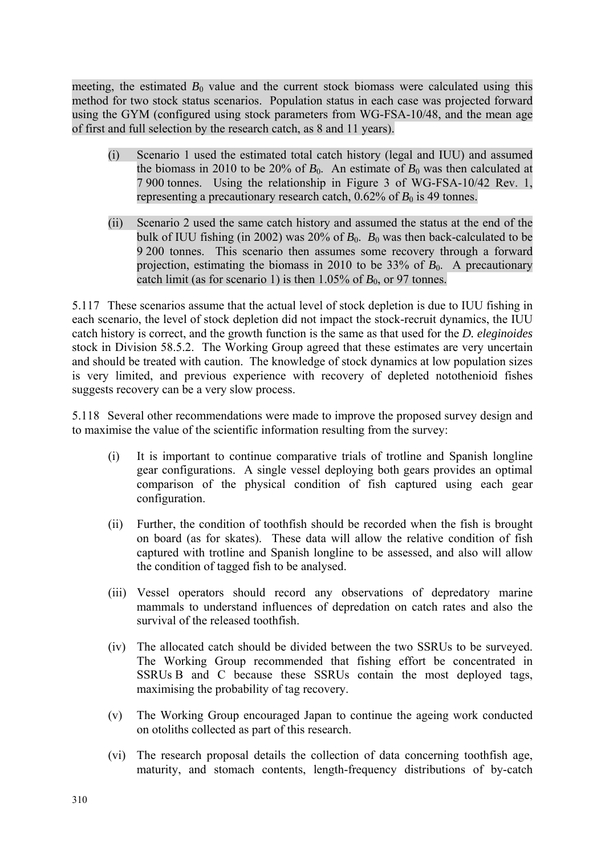meeting, the estimated  $B_0$  value and the current stock biomass were calculated using this method for two stock status scenarios. Population status in each case was projected forward using the GYM (configured using stock parameters from WG-FSA-10/48, and the mean age of first and full selection by the research catch, as 8 and 11 years).

- (i) Scenario 1 used the estimated total catch history (legal and IUU) and assumed the biomass in 2010 to be 20% of  $B_0$ . An estimate of  $B_0$  was then calculated at 7 900 tonnes. Using the relationship in Figure 3 of WG-FSA-10/42 Rev. 1, representing a precautionary research catch,  $0.62\%$  of  $B_0$  is 49 tonnes.
- (ii) Scenario 2 used the same catch history and assumed the status at the end of the bulk of IUU fishing (in 2002) was 20% of  $B_0$ .  $B_0$  was then back-calculated to be 9 200 tonnes. This scenario then assumes some recovery through a forward projection, estimating the biomass in 2010 to be  $33\%$  of  $B_0$ . A precautionary catch limit (as for scenario 1) is then  $1.05\%$  of  $B_0$ , or 97 tonnes.

5.117 These scenarios assume that the actual level of stock depletion is due to IUU fishing in each scenario, the level of stock depletion did not impact the stock-recruit dynamics, the IUU catch history is correct, and the growth function is the same as that used for the *D. eleginoides* stock in Division 58.5.2. The Working Group agreed that these estimates are very uncertain and should be treated with caution. The knowledge of stock dynamics at low population sizes is very limited, and previous experience with recovery of depleted notothenioid fishes suggests recovery can be a very slow process.

5.118 Several other recommendations were made to improve the proposed survey design and to maximise the value of the scientific information resulting from the survey:

- (i) It is important to continue comparative trials of trotline and Spanish longline gear configurations. A single vessel deploying both gears provides an optimal comparison of the physical condition of fish captured using each gear configuration.
- (ii) Further, the condition of toothfish should be recorded when the fish is brought on board (as for skates). These data will allow the relative condition of fish captured with trotline and Spanish longline to be assessed, and also will allow the condition of tagged fish to be analysed.
- (iii) Vessel operators should record any observations of depredatory marine mammals to understand influences of depredation on catch rates and also the survival of the released toothfish.
- (iv) The allocated catch should be divided between the two SSRUs to be surveyed. The Working Group recommended that fishing effort be concentrated in SSRUs B and C because these SSRUs contain the most deployed tags, maximising the probability of tag recovery.
- (v) The Working Group encouraged Japan to continue the ageing work conducted on otoliths collected as part of this research.
- (vi) The research proposal details the collection of data concerning toothfish age, maturity, and stomach contents, length-frequency distributions of by-catch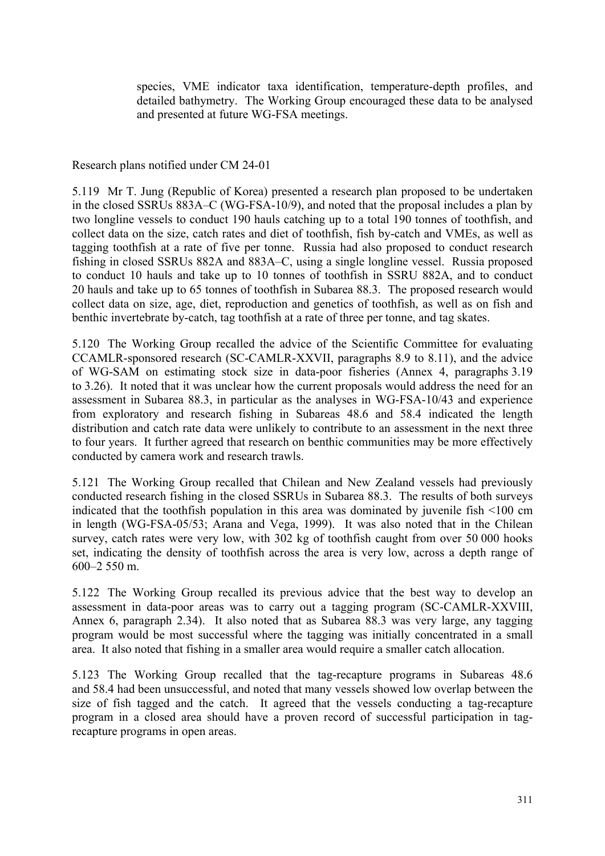species, VME indicator taxa identification, temperature-depth profiles, and detailed bathymetry. The Working Group encouraged these data to be analysed and presented at future WG-FSA meetings.

Research plans notified under CM 24-01

5.119 Mr T. Jung (Republic of Korea) presented a research plan proposed to be undertaken in the closed SSRUs 883A–C (WG-FSA-10/9), and noted that the proposal includes a plan by two longline vessels to conduct 190 hauls catching up to a total 190 tonnes of toothfish, and collect data on the size, catch rates and diet of toothfish, fish by-catch and VMEs, as well as tagging toothfish at a rate of five per tonne. Russia had also proposed to conduct research fishing in closed SSRUs 882A and 883A–C, using a single longline vessel. Russia proposed to conduct 10 hauls and take up to 10 tonnes of toothfish in SSRU 882A, and to conduct 20 hauls and take up to 65 tonnes of toothfish in Subarea 88.3. The proposed research would collect data on size, age, diet, reproduction and genetics of toothfish, as well as on fish and benthic invertebrate by-catch, tag toothfish at a rate of three per tonne, and tag skates.

5.120 The Working Group recalled the advice of the Scientific Committee for evaluating CCAMLR-sponsored research (SC-CAMLR-XXVII, paragraphs 8.9 to 8.11), and the advice of WG-SAM on estimating stock size in data-poor fisheries (Annex 4, paragraphs 3.19 to 3.26). It noted that it was unclear how the current proposals would address the need for an assessment in Subarea 88.3, in particular as the analyses in WG-FSA-10/43 and experience from exploratory and research fishing in Subareas 48.6 and 58.4 indicated the length distribution and catch rate data were unlikely to contribute to an assessment in the next three to four years. It further agreed that research on benthic communities may be more effectively conducted by camera work and research trawls.

5.121 The Working Group recalled that Chilean and New Zealand vessels had previously conducted research fishing in the closed SSRUs in Subarea 88.3. The results of both surveys indicated that the toothfish population in this area was dominated by juvenile fish <100 cm in length (WG-FSA-05/53; Arana and Vega, 1999). It was also noted that in the Chilean survey, catch rates were very low, with 302 kg of toothfish caught from over 50 000 hooks set, indicating the density of toothfish across the area is very low, across a depth range of 600–2 550 m.

5.122 The Working Group recalled its previous advice that the best way to develop an assessment in data-poor areas was to carry out a tagging program (SC-CAMLR-XXVIII, Annex 6, paragraph 2.34). It also noted that as Subarea 88.3 was very large, any tagging program would be most successful where the tagging was initially concentrated in a small area. It also noted that fishing in a smaller area would require a smaller catch allocation.

5.123 The Working Group recalled that the tag-recapture programs in Subareas 48.6 and 58.4 had been unsuccessful, and noted that many vessels showed low overlap between the size of fish tagged and the catch. It agreed that the vessels conducting a tag-recapture program in a closed area should have a proven record of successful participation in tagrecapture programs in open areas.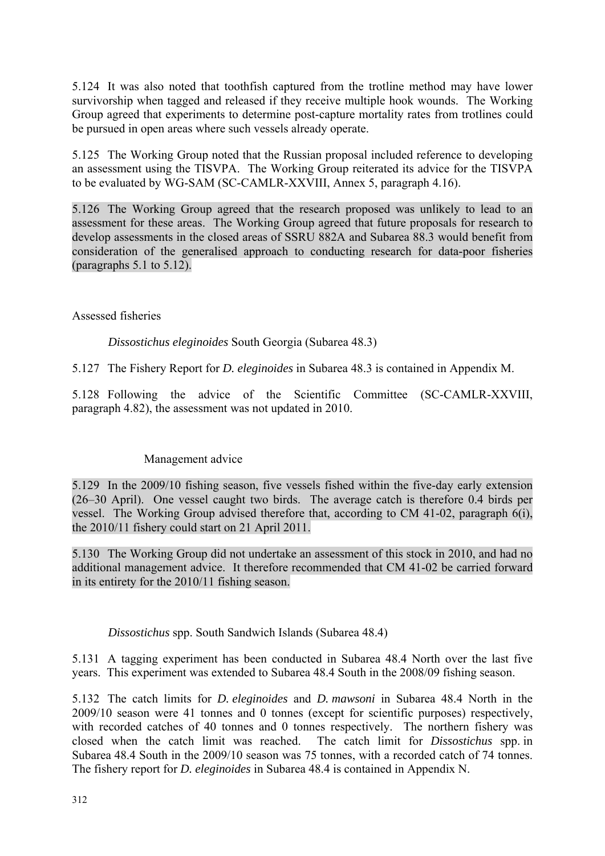5.124 It was also noted that toothfish captured from the trotline method may have lower survivorship when tagged and released if they receive multiple hook wounds. The Working Group agreed that experiments to determine post-capture mortality rates from trotlines could be pursued in open areas where such vessels already operate.

5.125 The Working Group noted that the Russian proposal included reference to developing an assessment using the TISVPA. The Working Group reiterated its advice for the TISVPA to be evaluated by WG-SAM (SC-CAMLR-XXVIII, Annex 5, paragraph 4.16).

5.126 The Working Group agreed that the research proposed was unlikely to lead to an assessment for these areas. The Working Group agreed that future proposals for research to develop assessments in the closed areas of SSRU 882A and Subarea 88.3 would benefit from consideration of the generalised approach to conducting research for data-poor fisheries (paragraphs 5.1 to 5.12).

#### Assessed fisheries

*Dissostichus eleginoides* South Georgia (Subarea 48.3)

5.127 The Fishery Report for *D. eleginoides* in Subarea 48.3 is contained in Appendix M.

5.128 Following the advice of the Scientific Committee (SC-CAMLR-XXVIII, paragraph 4.82), the assessment was not updated in 2010.

# Management advice

5.129 In the 2009/10 fishing season, five vessels fished within the five-day early extension (26–30 April). One vessel caught two birds. The average catch is therefore 0.4 birds per vessel. The Working Group advised therefore that, according to CM 41-02, paragraph 6(i), the 2010/11 fishery could start on 21 April 2011.

5.130 The Working Group did not undertake an assessment of this stock in 2010, and had no additional management advice. It therefore recommended that CM 41-02 be carried forward in its entirety for the 2010/11 fishing season.

*Dissostichus* spp. South Sandwich Islands (Subarea 48.4)

5.131 A tagging experiment has been conducted in Subarea 48.4 North over the last five years. This experiment was extended to Subarea 48.4 South in the 2008/09 fishing season.

5.132 The catch limits for *D. eleginoides* and *D. mawsoni* in Subarea 48.4 North in the 2009/10 season were 41 tonnes and 0 tonnes (except for scientific purposes) respectively, with recorded catches of 40 tonnes and 0 tonnes respectively. The northern fishery was closed when the catch limit was reached. The catch limit for *Dissostichus* spp. in Subarea 48.4 South in the 2009/10 season was 75 tonnes, with a recorded catch of 74 tonnes. The fishery report for *D. eleginoides* in Subarea 48.4 is contained in Appendix N.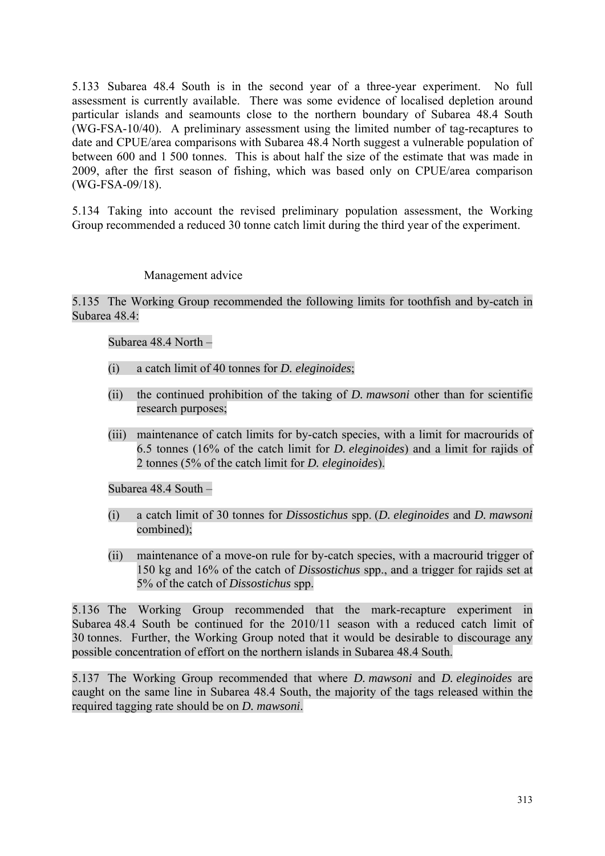5.133 Subarea 48.4 South is in the second year of a three-year experiment. No full assessment is currently available. There was some evidence of localised depletion around particular islands and seamounts close to the northern boundary of Subarea 48.4 South (WG-FSA-10/40). A preliminary assessment using the limited number of tag-recaptures to date and CPUE/area comparisons with Subarea 48.4 North suggest a vulnerable population of between 600 and 1 500 tonnes. This is about half the size of the estimate that was made in 2009, after the first season of fishing, which was based only on CPUE/area comparison (WG-FSA-09/18).

5.134 Taking into account the revised preliminary population assessment, the Working Group recommended a reduced 30 tonne catch limit during the third year of the experiment.

#### Management advice

#### 5.135 The Working Group recommended the following limits for toothfish and by-catch in Subarea 48.4:

Subarea 48.4 North –

- (i) a catch limit of 40 tonnes for *D. eleginoides*;
- (ii) the continued prohibition of the taking of *D. mawsoni* other than for scientific research purposes;
- (iii) maintenance of catch limits for by-catch species, with a limit for macrourids of 6.5 tonnes (16% of the catch limit for *D. eleginoides*) and a limit for rajids of 2 tonnes (5% of the catch limit for *D. eleginoides*).

Subarea 48.4 South –

- (i) a catch limit of 30 tonnes for *Dissostichus* spp. (*D. eleginoides* and *D. mawsoni* combined);
- (ii) maintenance of a move-on rule for by-catch species, with a macrourid trigger of 150 kg and 16% of the catch of *Dissostichus* spp., and a trigger for rajids set at 5% of the catch of *Dissostichus* spp.

5.136 The Working Group recommended that the mark-recapture experiment in Subarea 48.4 South be continued for the 2010/11 season with a reduced catch limit of 30 tonnes. Further, the Working Group noted that it would be desirable to discourage any possible concentration of effort on the northern islands in Subarea 48.4 South.

5.137 The Working Group recommended that where *D. mawsoni* and *D. eleginoides* are caught on the same line in Subarea 48.4 South, the majority of the tags released within the required tagging rate should be on *D. mawsoni*.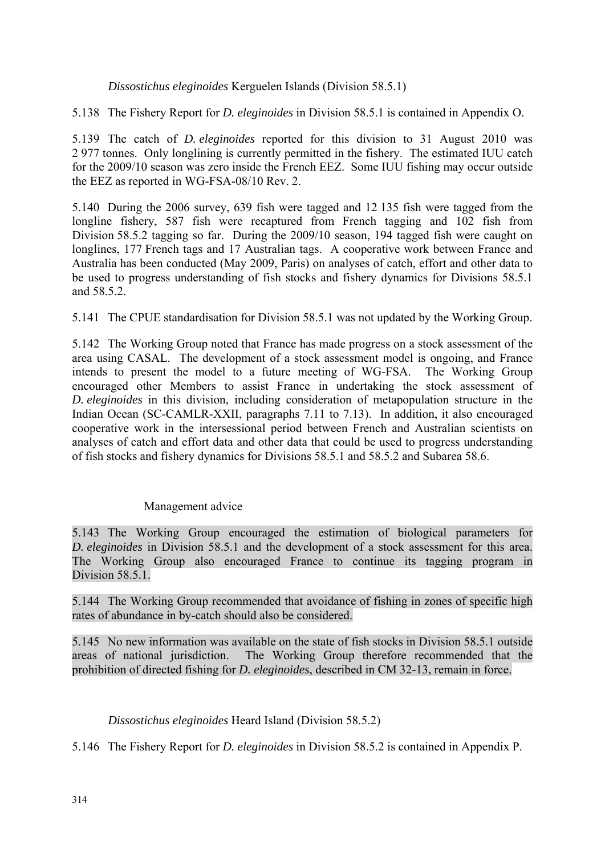*Dissostichus eleginoides* Kerguelen Islands (Division 58.5.1)

5.138 The Fishery Report for *D. eleginoides* in Division 58.5.1 is contained in Appendix O.

5.139 The catch of *D. eleginoides* reported for this division to 31 August 2010 was 2 977 tonnes. Only longlining is currently permitted in the fishery. The estimated IUU catch for the 2009/10 season was zero inside the French EEZ. Some IUU fishing may occur outside the EEZ as reported in WG-FSA-08/10 Rev. 2.

5.140 During the 2006 survey, 639 fish were tagged and 12 135 fish were tagged from the longline fishery, 587 fish were recaptured from French tagging and 102 fish from Division 58.5.2 tagging so far. During the 2009/10 season, 194 tagged fish were caught on longlines, 177 French tags and 17 Australian tags. A cooperative work between France and Australia has been conducted (May 2009, Paris) on analyses of catch, effort and other data to be used to progress understanding of fish stocks and fishery dynamics for Divisions 58.5.1 and 58.5.2

5.141 The CPUE standardisation for Division 58.5.1 was not updated by the Working Group.

5.142 The Working Group noted that France has made progress on a stock assessment of the area using CASAL. The development of a stock assessment model is ongoing, and France intends to present the model to a future meeting of WG-FSA. The Working Group encouraged other Members to assist France in undertaking the stock assessment of *D. eleginoides* in this division, including consideration of metapopulation structure in the Indian Ocean (SC-CAMLR-XXII, paragraphs 7.11 to 7.13). In addition, it also encouraged cooperative work in the intersessional period between French and Australian scientists on analyses of catch and effort data and other data that could be used to progress understanding of fish stocks and fishery dynamics for Divisions 58.5.1 and 58.5.2 and Subarea 58.6.

#### Management advice

5.143 The Working Group encouraged the estimation of biological parameters for *D. eleginoides* in Division 58.5.1 and the development of a stock assessment for this area. The Working Group also encouraged France to continue its tagging program in Division 58.5.1.

5.144 The Working Group recommended that avoidance of fishing in zones of specific high rates of abundance in by-catch should also be considered.

5.145 No new information was available on the state of fish stocks in Division 58.5.1 outside areas of national jurisdiction. The Working Group therefore recommended that the prohibition of directed fishing for *D. eleginoides*, described in CM 32-13, remain in force.

# *Dissostichus eleginoides* Heard Island (Division 58.5.2)

5.146 The Fishery Report for *D. eleginoides* in Division 58.5.2 is contained in Appendix P.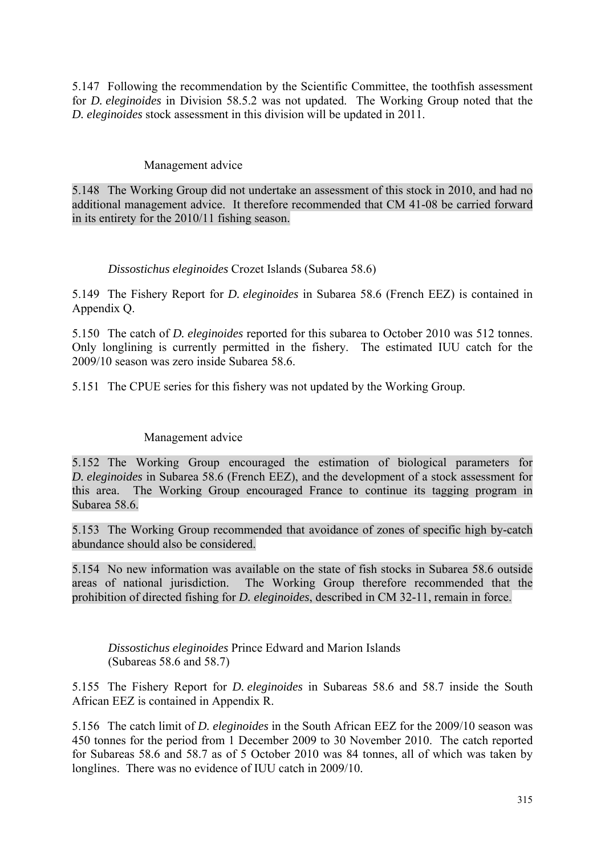5.147 Following the recommendation by the Scientific Committee, the toothfish assessment for *D. eleginoides* in Division 58.5.2 was not updated. The Working Group noted that the *D. eleginoides* stock assessment in this division will be updated in 2011.

#### Management advice

5.148 The Working Group did not undertake an assessment of this stock in 2010, and had no additional management advice. It therefore recommended that CM 41-08 be carried forward in its entirety for the 2010/11 fishing season.

#### *Dissostichus eleginoides* Crozet Islands (Subarea 58.6)

5.149 The Fishery Report for *D. eleginoides* in Subarea 58.6 (French EEZ) is contained in Appendix Q.

5.150 The catch of *D. eleginoides* reported for this subarea to October 2010 was 512 tonnes. Only longlining is currently permitted in the fishery. The estimated IUU catch for the 2009/10 season was zero inside Subarea 58.6.

5.151 The CPUE series for this fishery was not updated by the Working Group.

# Management advice

5.152 The Working Group encouraged the estimation of biological parameters for *D. eleginoides* in Subarea 58.6 (French EEZ), and the development of a stock assessment for this area. The Working Group encouraged France to continue its tagging program in Subarea 58.6<sup>.</sup>

5.153 The Working Group recommended that avoidance of zones of specific high by-catch abundance should also be considered.

5.154 No new information was available on the state of fish stocks in Subarea 58.6 outside areas of national jurisdiction. The Working Group therefore recommended that the prohibition of directed fishing for *D. eleginoides*, described in CM 32-11, remain in force.

*Dissostichus eleginoides* Prince Edward and Marion Islands (Subareas 58.6 and 58.7)

5.155 The Fishery Report for *D. eleginoides* in Subareas 58.6 and 58.7 inside the South African EEZ is contained in Appendix R.

5.156 The catch limit of *D. eleginoides* in the South African EEZ for the 2009/10 season was 450 tonnes for the period from 1 December 2009 to 30 November 2010. The catch reported for Subareas 58.6 and 58.7 as of 5 October 2010 was 84 tonnes, all of which was taken by longlines. There was no evidence of IUU catch in 2009/10.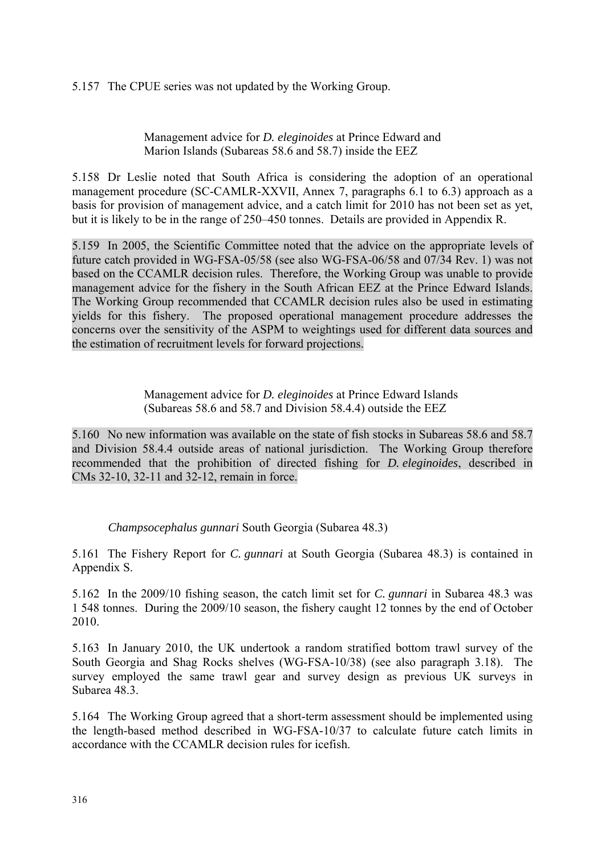### 5.157 The CPUE series was not updated by the Working Group.

#### Management advice for *D. eleginoides* at Prince Edward and Marion Islands (Subareas 58.6 and 58.7) inside the EEZ

5.158 Dr Leslie noted that South Africa is considering the adoption of an operational management procedure (SC-CAMLR-XXVII, Annex 7, paragraphs 6.1 to 6.3) approach as a basis for provision of management advice, and a catch limit for 2010 has not been set as yet, but it is likely to be in the range of 250–450 tonnes. Details are provided in Appendix R.

5.159 In 2005, the Scientific Committee noted that the advice on the appropriate levels of future catch provided in WG-FSA-05/58 (see also WG-FSA-06/58 and 07/34 Rev. 1) was not based on the CCAMLR decision rules. Therefore, the Working Group was unable to provide management advice for the fishery in the South African EEZ at the Prince Edward Islands. The Working Group recommended that CCAMLR decision rules also be used in estimating yields for this fishery. The proposed operational management procedure addresses the concerns over the sensitivity of the ASPM to weightings used for different data sources and the estimation of recruitment levels for forward projections.

> Management advice for *D. eleginoides* at Prince Edward Islands (Subareas 58.6 and 58.7 and Division 58.4.4) outside the EEZ

5.160 No new information was available on the state of fish stocks in Subareas 58.6 and 58.7 and Division 58.4.4 outside areas of national jurisdiction. The Working Group therefore recommended that the prohibition of directed fishing for *D. eleginoides*, described in CMs 32-10, 32-11 and 32-12, remain in force.

*Champsocephalus gunnari* South Georgia (Subarea 48.3)

5.161 The Fishery Report for *C. gunnari* at South Georgia (Subarea 48.3) is contained in Appendix S.

5.162 In the 2009/10 fishing season, the catch limit set for *C. gunnari* in Subarea 48.3 was 1 548 tonnes. During the 2009/10 season, the fishery caught 12 tonnes by the end of October 2010.

5.163 In January 2010, the UK undertook a random stratified bottom trawl survey of the South Georgia and Shag Rocks shelves (WG-FSA-10/38) (see also paragraph 3.18). The survey employed the same trawl gear and survey design as previous UK surveys in Subarea 48.3.

5.164 The Working Group agreed that a short-term assessment should be implemented using the length-based method described in WG-FSA-10/37 to calculate future catch limits in accordance with the CCAMLR decision rules for icefish.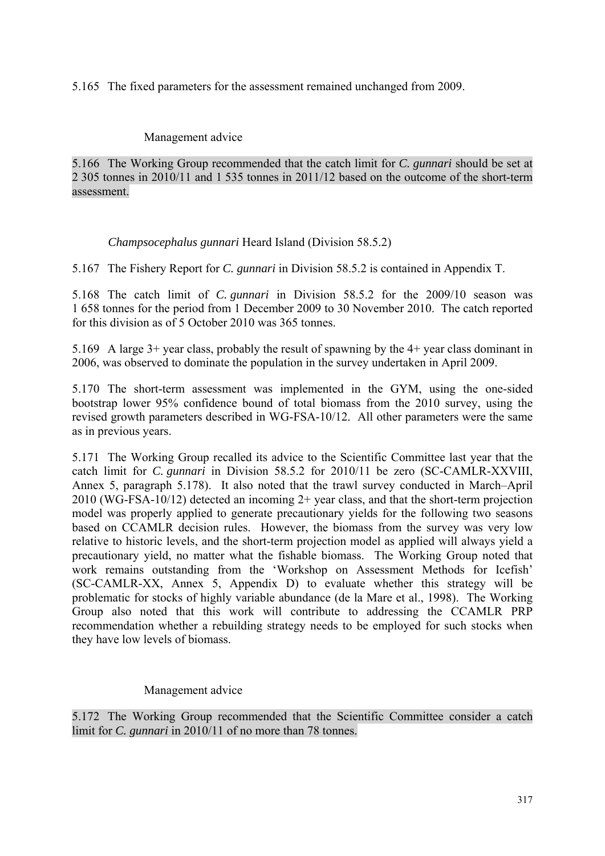5.165 The fixed parameters for the assessment remained unchanged from 2009.

#### Management advice

5.166 The Working Group recommended that the catch limit for *C. gunnari* should be set at 2 305 tonnes in 2010/11 and 1 535 tonnes in 2011/12 based on the outcome of the short-term assessment.

# *Champsocephalus gunnari* Heard Island (Division 58.5.2)

5.167 The Fishery Report for *C. gunnari* in Division 58.5.2 is contained in Appendix T.

5.168 The catch limit of *C. gunnari* in Division 58.5.2 for the 2009/10 season was 1 658 tonnes for the period from 1 December 2009 to 30 November 2010. The catch reported for this division as of 5 October 2010 was 365 tonnes.

5.169 A large 3+ year class, probably the result of spawning by the 4+ year class dominant in 2006, was observed to dominate the population in the survey undertaken in April 2009.

5.170 The short-term assessment was implemented in the GYM, using the one-sided bootstrap lower 95% confidence bound of total biomass from the 2010 survey, using the revised growth parameters described in WG-FSA-10/12. All other parameters were the same as in previous years.

5.171 The Working Group recalled its advice to the Scientific Committee last year that the catch limit for *C. gunnari* in Division 58.5.2 for 2010/11 be zero (SC-CAMLR-XXVIII, Annex 5, paragraph 5.178). It also noted that the trawl survey conducted in March–April 2010 (WG-FSA-10/12) detected an incoming 2+ year class, and that the short-term projection model was properly applied to generate precautionary yields for the following two seasons based on CCAMLR decision rules. However, the biomass from the survey was very low relative to historic levels, and the short-term projection model as applied will always yield a precautionary yield, no matter what the fishable biomass. The Working Group noted that work remains outstanding from the 'Workshop on Assessment Methods for Icefish' (SC-CAMLR-XX, Annex 5, Appendix D) to evaluate whether this strategy will be problematic for stocks of highly variable abundance (de la Mare et al., 1998). The Working Group also noted that this work will contribute to addressing the CCAMLR PRP recommendation whether a rebuilding strategy needs to be employed for such stocks when they have low levels of biomass.

# Management advice

5.172 The Working Group recommended that the Scientific Committee consider a catch limit for *C. gunnari* in 2010/11 of no more than 78 tonnes.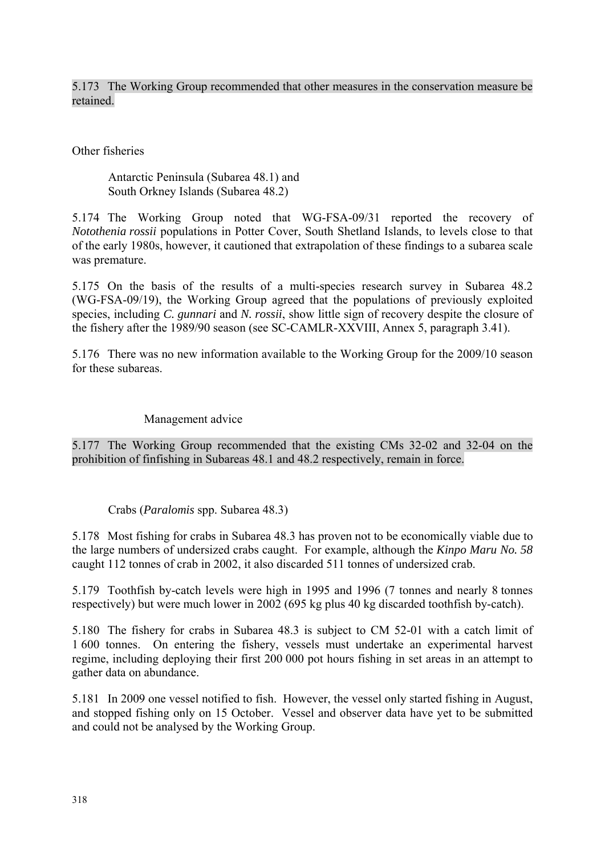5.173 The Working Group recommended that other measures in the conservation measure be retained.

Other fisheries

Antarctic Peninsula (Subarea 48.1) and South Orkney Islands (Subarea 48.2)

5.174 The Working Group noted that WG-FSA-09/31 reported the recovery of *Notothenia rossii* populations in Potter Cover, South Shetland Islands, to levels close to that of the early 1980s, however, it cautioned that extrapolation of these findings to a subarea scale was premature.

5.175 On the basis of the results of a multi-species research survey in Subarea 48.2 (WG-FSA-09/19), the Working Group agreed that the populations of previously exploited species, including *C. gunnari* and *N. rossii*, show little sign of recovery despite the closure of the fishery after the 1989/90 season (see SC-CAMLR-XXVIII, Annex 5, paragraph 3.41).

5.176 There was no new information available to the Working Group for the 2009/10 season for these subareas.

Management advice

5.177 The Working Group recommended that the existing CMs 32-02 and 32-04 on the prohibition of finfishing in Subareas 48.1 and 48.2 respectively, remain in force.

Crabs (*Paralomis* spp. Subarea 48.3)

5.178 Most fishing for crabs in Subarea 48.3 has proven not to be economically viable due to the large numbers of undersized crabs caught. For example, although the *Kinpo Maru No. 58* caught 112 tonnes of crab in 2002, it also discarded 511 tonnes of undersized crab.

5.179 Toothfish by-catch levels were high in 1995 and 1996 (7 tonnes and nearly 8 tonnes respectively) but were much lower in 2002 (695 kg plus 40 kg discarded toothfish by-catch).

5.180 The fishery for crabs in Subarea 48.3 is subject to CM 52-01 with a catch limit of 1 600 tonnes. On entering the fishery, vessels must undertake an experimental harvest regime, including deploying their first 200 000 pot hours fishing in set areas in an attempt to gather data on abundance.

5.181 In 2009 one vessel notified to fish. However, the vessel only started fishing in August, and stopped fishing only on 15 October. Vessel and observer data have yet to be submitted and could not be analysed by the Working Group.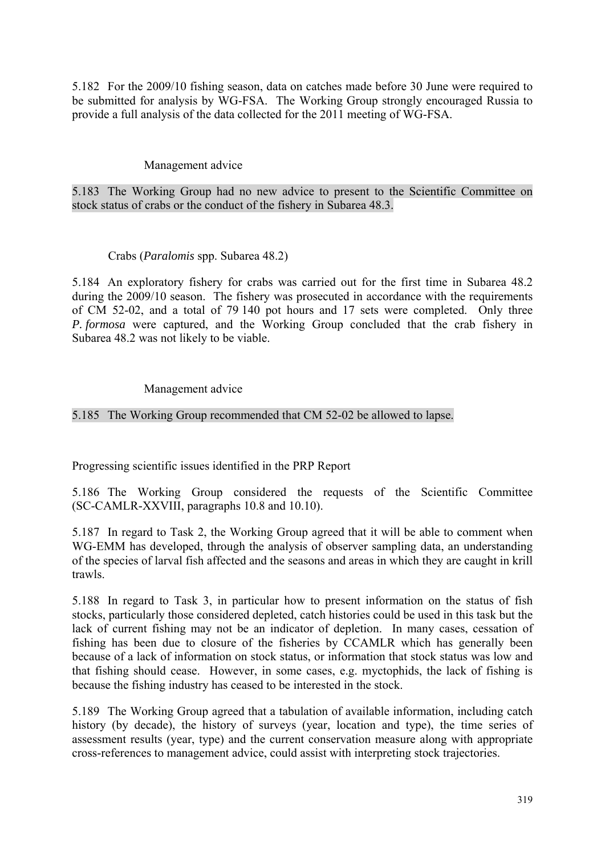5.182 For the 2009/10 fishing season, data on catches made before 30 June were required to be submitted for analysis by WG-FSA. The Working Group strongly encouraged Russia to provide a full analysis of the data collected for the 2011 meeting of WG-FSA.

#### Management advice

5.183 The Working Group had no new advice to present to the Scientific Committee on stock status of crabs or the conduct of the fishery in Subarea 48.3.

#### Crabs (*Paralomis* spp. Subarea 48.2)

5.184 An exploratory fishery for crabs was carried out for the first time in Subarea 48.2 during the 2009/10 season. The fishery was prosecuted in accordance with the requirements of CM 52-02, and a total of 79 140 pot hours and 17 sets were completed. Only three *P. formosa* were captured, and the Working Group concluded that the crab fishery in Subarea 48.2 was not likely to be viable.

#### Management advice

5.185 The Working Group recommended that CM 52-02 be allowed to lapse.

Progressing scientific issues identified in the PRP Report

5.186 The Working Group considered the requests of the Scientific Committee (SC-CAMLR-XXVIII, paragraphs 10.8 and 10.10).

5.187 In regard to Task 2, the Working Group agreed that it will be able to comment when WG-EMM has developed, through the analysis of observer sampling data, an understanding of the species of larval fish affected and the seasons and areas in which they are caught in krill trawls.

5.188 In regard to Task 3, in particular how to present information on the status of fish stocks, particularly those considered depleted, catch histories could be used in this task but the lack of current fishing may not be an indicator of depletion. In many cases, cessation of fishing has been due to closure of the fisheries by CCAMLR which has generally been because of a lack of information on stock status, or information that stock status was low and that fishing should cease. However, in some cases, e.g. myctophids, the lack of fishing is because the fishing industry has ceased to be interested in the stock.

5.189 The Working Group agreed that a tabulation of available information, including catch history (by decade), the history of surveys (year, location and type), the time series of assessment results (year, type) and the current conservation measure along with appropriate cross-references to management advice, could assist with interpreting stock trajectories.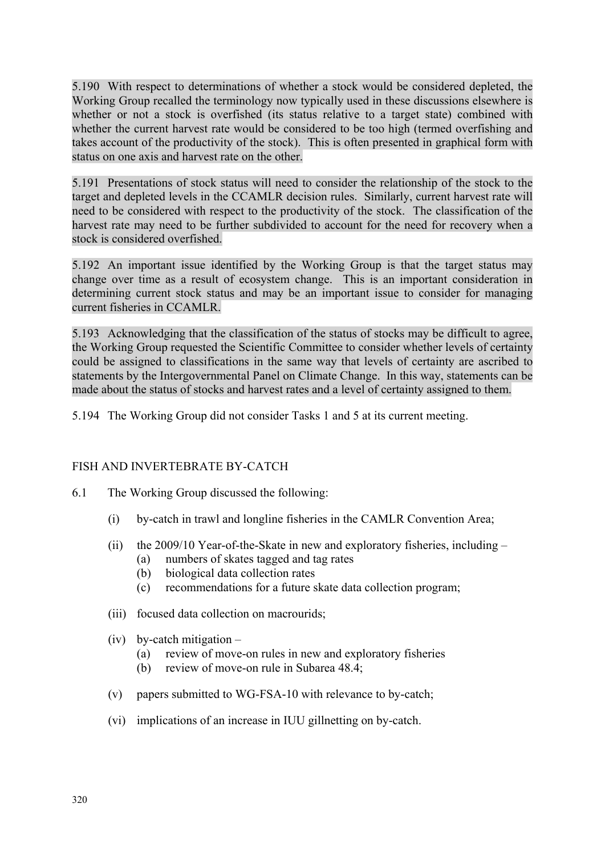5.190 With respect to determinations of whether a stock would be considered depleted, the Working Group recalled the terminology now typically used in these discussions elsewhere is whether or not a stock is overfished (its status relative to a target state) combined with whether the current harvest rate would be considered to be too high (termed overfishing and takes account of the productivity of the stock). This is often presented in graphical form with status on one axis and harvest rate on the other.

5.191 Presentations of stock status will need to consider the relationship of the stock to the target and depleted levels in the CCAMLR decision rules. Similarly, current harvest rate will need to be considered with respect to the productivity of the stock. The classification of the harvest rate may need to be further subdivided to account for the need for recovery when a stock is considered overfished.

5.192 An important issue identified by the Working Group is that the target status may change over time as a result of ecosystem change. This is an important consideration in determining current stock status and may be an important issue to consider for managing current fisheries in CCAMLR.

5.193 Acknowledging that the classification of the status of stocks may be difficult to agree, the Working Group requested the Scientific Committee to consider whether levels of certainty could be assigned to classifications in the same way that levels of certainty are ascribed to statements by the Intergovernmental Panel on Climate Change. In this way, statements can be made about the status of stocks and harvest rates and a level of certainty assigned to them.

5.194 The Working Group did not consider Tasks 1 and 5 at its current meeting.

# FISH AND INVERTEBRATE BY-CATCH

- 6.1 The Working Group discussed the following:
	- (i) by-catch in trawl and longline fisheries in the CAMLR Convention Area;
	- (ii) the 2009/10 Year-of-the-Skate in new and exploratory fisheries, including
		- (a) numbers of skates tagged and tag rates
		- (b) biological data collection rates
		- (c) recommendations for a future skate data collection program;
	- (iii) focused data collection on macrourids;
	- (iv) by-catch mitigation
		- (a) review of move-on rules in new and exploratory fisheries
		- (b) review of move-on rule in Subarea 48.4;
	- (v) papers submitted to WG-FSA-10 with relevance to by-catch;
	- (vi) implications of an increase in IUU gillnetting on by-catch.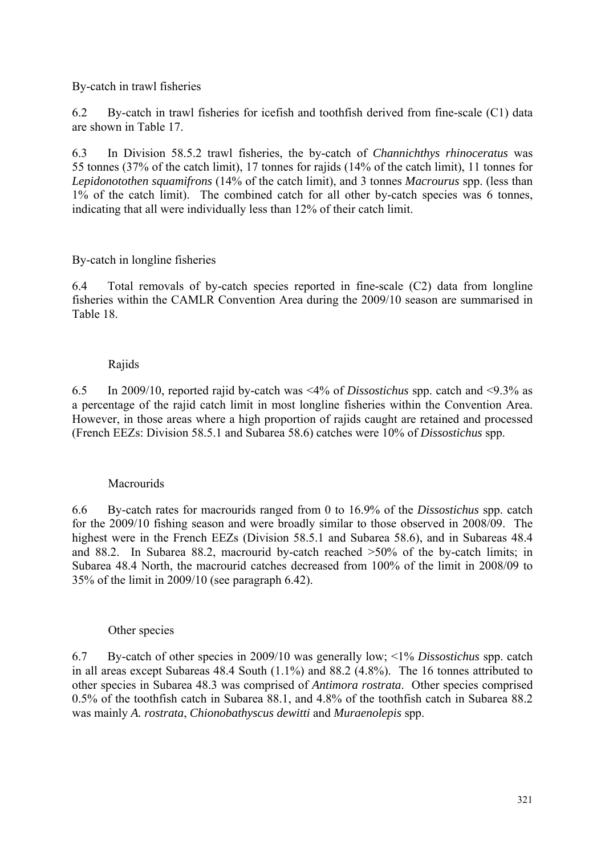By-catch in trawl fisheries

6.2 By-catch in trawl fisheries for icefish and toothfish derived from fine-scale (C1) data are shown in Table 17.

6.3 In Division 58.5.2 trawl fisheries, the by-catch of *Channichthys rhinoceratus* was 55 tonnes (37% of the catch limit), 17 tonnes for rajids (14% of the catch limit), 11 tonnes for *Lepidonotothen squamifrons* (14% of the catch limit), and 3 tonnes *Macrourus* spp. (less than 1% of the catch limit). The combined catch for all other by-catch species was 6 tonnes, indicating that all were individually less than 12% of their catch limit.

# By-catch in longline fisheries

6.4 Total removals of by-catch species reported in fine-scale (C2) data from longline fisheries within the CAMLR Convention Area during the 2009/10 season are summarised in Table 18.

# Rajids

6.5 In 2009/10, reported rajid by-catch was <4% of *Dissostichus* spp. catch and <9.3% as a percentage of the rajid catch limit in most longline fisheries within the Convention Area. However, in those areas where a high proportion of rajids caught are retained and processed (French EEZs: Division 58.5.1 and Subarea 58.6) catches were 10% of *Dissostichus* spp.

# Macrourids

6.6 By-catch rates for macrourids ranged from 0 to 16.9% of the *Dissostichus* spp. catch for the 2009/10 fishing season and were broadly similar to those observed in 2008/09. The highest were in the French EEZs (Division 58.5.1 and Subarea 58.6), and in Subareas 48.4 and 88.2. In Subarea 88.2, macrourid by-catch reached >50% of the by-catch limits; in Subarea 48.4 North, the macrourid catches decreased from 100% of the limit in 2008/09 to 35% of the limit in 2009/10 (see paragraph 6.42).

#### Other species

6.7 By-catch of other species in 2009/10 was generally low; <1% *Dissostichus* spp. catch in all areas except Subareas 48.4 South (1.1%) and 88.2 (4.8%). The 16 tonnes attributed to other species in Subarea 48.3 was comprised of *Antimora rostrata*. Other species comprised 0.5% of the toothfish catch in Subarea 88.1, and 4.8% of the toothfish catch in Subarea 88.2 was mainly *A. rostrata*, *Chionobathyscus dewitti* and *Muraenolepis* spp.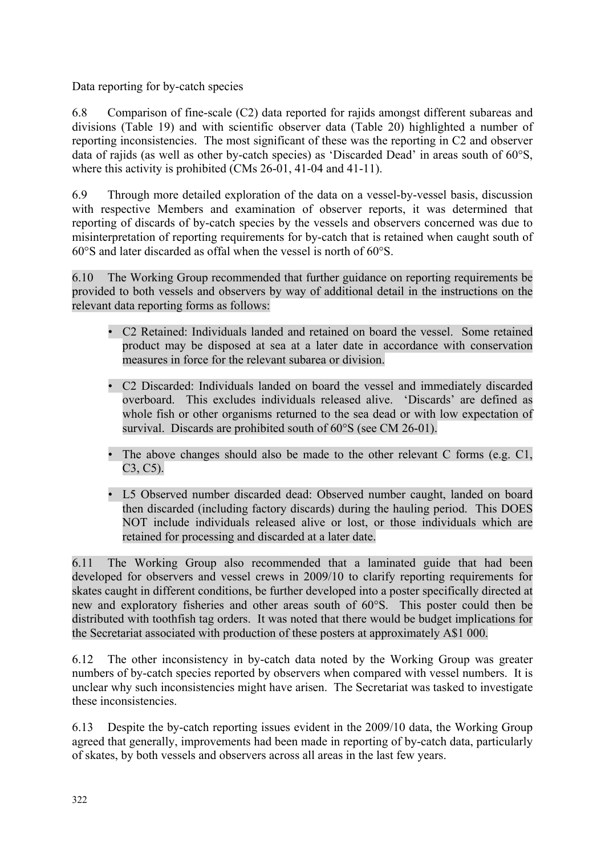Data reporting for by-catch species

6.8 Comparison of fine-scale (C2) data reported for rajids amongst different subareas and divisions (Table 19) and with scientific observer data (Table 20) highlighted a number of reporting inconsistencies. The most significant of these was the reporting in C2 and observer data of rajids (as well as other by-catch species) as 'Discarded Dead' in areas south of 60°S. where this activity is prohibited (CMs 26-01, 41-04 and 41-11).

6.9 Through more detailed exploration of the data on a vessel-by-vessel basis, discussion with respective Members and examination of observer reports, it was determined that reporting of discards of by-catch species by the vessels and observers concerned was due to misinterpretation of reporting requirements for by-catch that is retained when caught south of 60°S and later discarded as offal when the vessel is north of 60°S.

6.10 The Working Group recommended that further guidance on reporting requirements be provided to both vessels and observers by way of additional detail in the instructions on the relevant data reporting forms as follows:

- C2 Retained: Individuals landed and retained on board the vessel. Some retained product may be disposed at sea at a later date in accordance with conservation measures in force for the relevant subarea or division.
- C2 Discarded: Individuals landed on board the vessel and immediately discarded overboard. This excludes individuals released alive. 'Discards' are defined as whole fish or other organisms returned to the sea dead or with low expectation of survival. Discards are prohibited south of 60°S (see CM 26-01).
- The above changes should also be made to the other relevant C forms (e.g. C1, C3, C5).
- L5 Observed number discarded dead: Observed number caught, landed on board then discarded (including factory discards) during the hauling period. This DOES NOT include individuals released alive or lost, or those individuals which are retained for processing and discarded at a later date.

6.11 The Working Group also recommended that a laminated guide that had been developed for observers and vessel crews in 2009/10 to clarify reporting requirements for skates caught in different conditions, be further developed into a poster specifically directed at new and exploratory fisheries and other areas south of 60°S. This poster could then be distributed with toothfish tag orders. It was noted that there would be budget implications for the Secretariat associated with production of these posters at approximately A\$1 000.

6.12 The other inconsistency in by-catch data noted by the Working Group was greater numbers of by-catch species reported by observers when compared with vessel numbers. It is unclear why such inconsistencies might have arisen. The Secretariat was tasked to investigate these inconsistencies.

6.13 Despite the by-catch reporting issues evident in the 2009/10 data, the Working Group agreed that generally, improvements had been made in reporting of by-catch data, particularly of skates, by both vessels and observers across all areas in the last few years.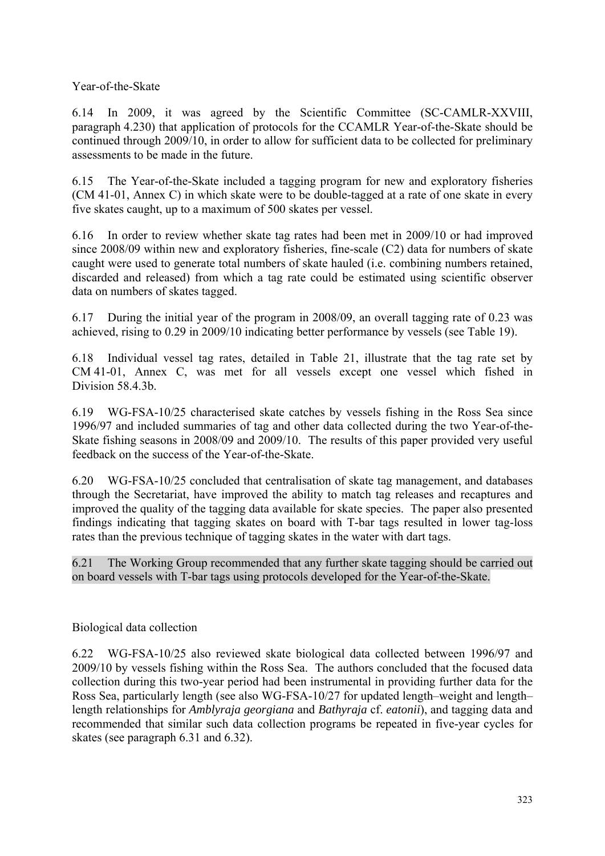Year-of-the-Skate

6.14 In 2009, it was agreed by the Scientific Committee (SC-CAMLR-XXVIII, paragraph 4.230) that application of protocols for the CCAMLR Year-of-the-Skate should be continued through 2009/10, in order to allow for sufficient data to be collected for preliminary assessments to be made in the future.

6.15 The Year-of-the-Skate included a tagging program for new and exploratory fisheries (CM 41-01, Annex C) in which skate were to be double-tagged at a rate of one skate in every five skates caught, up to a maximum of 500 skates per vessel.

6.16 In order to review whether skate tag rates had been met in 2009/10 or had improved since 2008/09 within new and exploratory fisheries, fine-scale (C2) data for numbers of skate caught were used to generate total numbers of skate hauled (i.e. combining numbers retained, discarded and released) from which a tag rate could be estimated using scientific observer data on numbers of skates tagged.

6.17 During the initial year of the program in 2008/09, an overall tagging rate of 0.23 was achieved, rising to 0.29 in 2009/10 indicating better performance by vessels (see Table 19).

6.18 Individual vessel tag rates, detailed in Table 21, illustrate that the tag rate set by CM 41-01, Annex C, was met for all vessels except one vessel which fished in Division 58.4.3b.

6.19 WG-FSA-10/25 characterised skate catches by vessels fishing in the Ross Sea since 1996/97 and included summaries of tag and other data collected during the two Year-of-the-Skate fishing seasons in 2008/09 and 2009/10. The results of this paper provided very useful feedback on the success of the Year-of-the-Skate.

6.20 WG-FSA-10/25 concluded that centralisation of skate tag management, and databases through the Secretariat, have improved the ability to match tag releases and recaptures and improved the quality of the tagging data available for skate species. The paper also presented findings indicating that tagging skates on board with T-bar tags resulted in lower tag-loss rates than the previous technique of tagging skates in the water with dart tags.

6.21 The Working Group recommended that any further skate tagging should be carried out on board vessels with T-bar tags using protocols developed for the Year-of-the-Skate.

# Biological data collection

6.22 WG-FSA-10/25 also reviewed skate biological data collected between 1996/97 and 2009/10 by vessels fishing within the Ross Sea. The authors concluded that the focused data collection during this two-year period had been instrumental in providing further data for the Ross Sea, particularly length (see also WG-FSA-10/27 for updated length–weight and length– length relationships for *Amblyraja georgiana* and *Bathyraja* cf. *eatonii*), and tagging data and recommended that similar such data collection programs be repeated in five-year cycles for skates (see paragraph 6.31 and 6.32).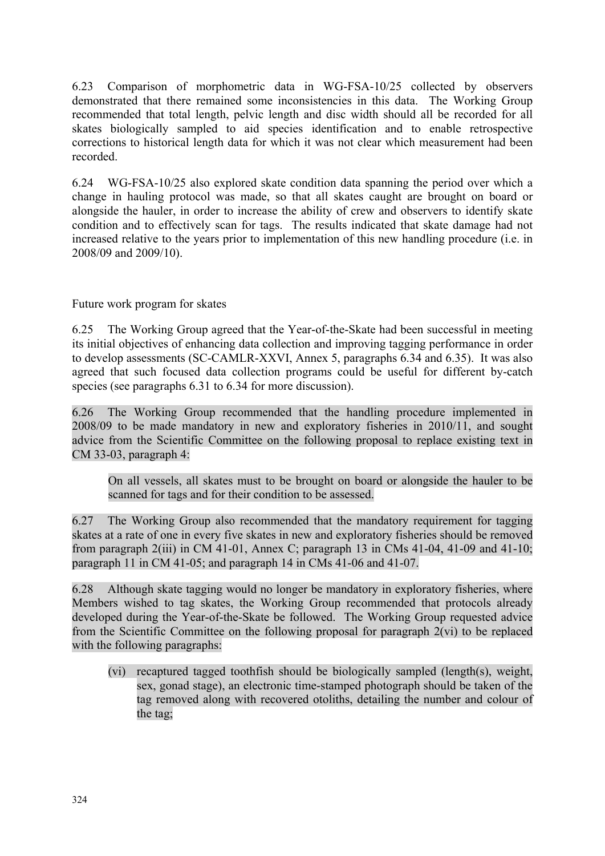6.23 Comparison of morphometric data in WG-FSA-10/25 collected by observers demonstrated that there remained some inconsistencies in this data. The Working Group recommended that total length, pelvic length and disc width should all be recorded for all skates biologically sampled to aid species identification and to enable retrospective corrections to historical length data for which it was not clear which measurement had been recorded.

6.24 WG-FSA-10/25 also explored skate condition data spanning the period over which a change in hauling protocol was made, so that all skates caught are brought on board or alongside the hauler, in order to increase the ability of crew and observers to identify skate condition and to effectively scan for tags. The results indicated that skate damage had not increased relative to the years prior to implementation of this new handling procedure (i.e. in 2008/09 and 2009/10).

Future work program for skates

6.25 The Working Group agreed that the Year-of-the-Skate had been successful in meeting its initial objectives of enhancing data collection and improving tagging performance in order to develop assessments (SC-CAMLR-XXVI, Annex 5, paragraphs 6.34 and 6.35). It was also agreed that such focused data collection programs could be useful for different by-catch species (see paragraphs 6.31 to 6.34 for more discussion).

6.26 The Working Group recommended that the handling procedure implemented in 2008/09 to be made mandatory in new and exploratory fisheries in 2010/11, and sought advice from the Scientific Committee on the following proposal to replace existing text in CM 33-03, paragraph 4:

On all vessels, all skates must to be brought on board or alongside the hauler to be scanned for tags and for their condition to be assessed.

6.27 The Working Group also recommended that the mandatory requirement for tagging skates at a rate of one in every five skates in new and exploratory fisheries should be removed from paragraph  $2(iii)$  in CM 41-01, Annex C; paragraph 13 in CMs 41-04, 41-09 and 41-10; paragraph 11 in CM 41-05; and paragraph 14 in CMs 41-06 and 41-07.

6.28 Although skate tagging would no longer be mandatory in exploratory fisheries, where Members wished to tag skates, the Working Group recommended that protocols already developed during the Year-of-the-Skate be followed. The Working Group requested advice from the Scientific Committee on the following proposal for paragraph 2(vi) to be replaced with the following paragraphs:

(vi) recaptured tagged toothfish should be biologically sampled (length(s), weight, sex, gonad stage), an electronic time-stamped photograph should be taken of the tag removed along with recovered otoliths, detailing the number and colour of the tag;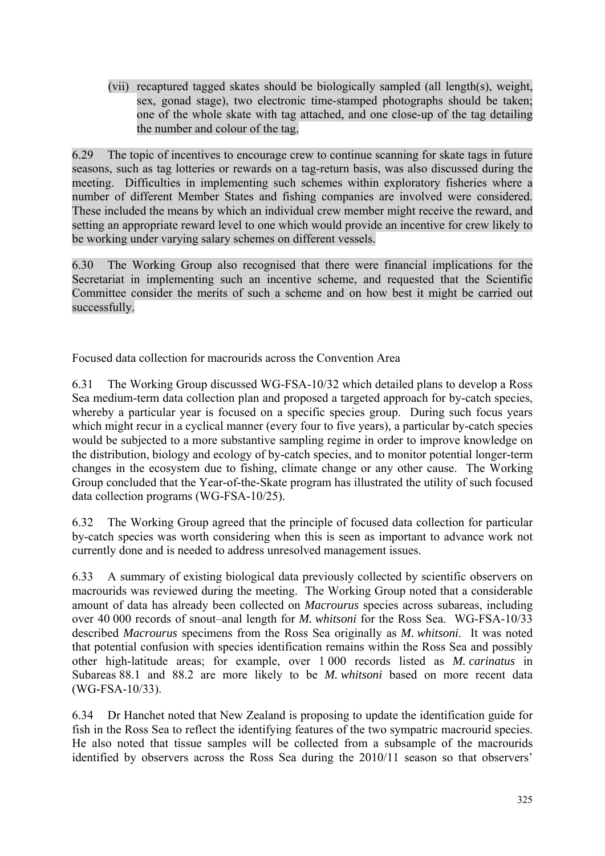(vii) recaptured tagged skates should be biologically sampled (all length(s), weight, sex, gonad stage), two electronic time-stamped photographs should be taken; one of the whole skate with tag attached, and one close-up of the tag detailing the number and colour of the tag.

6.29 The topic of incentives to encourage crew to continue scanning for skate tags in future seasons, such as tag lotteries or rewards on a tag-return basis, was also discussed during the meeting. Difficulties in implementing such schemes within exploratory fisheries where a number of different Member States and fishing companies are involved were considered. These included the means by which an individual crew member might receive the reward, and setting an appropriate reward level to one which would provide an incentive for crew likely to be working under varying salary schemes on different vessels.

6.30 The Working Group also recognised that there were financial implications for the Secretariat in implementing such an incentive scheme, and requested that the Scientific Committee consider the merits of such a scheme and on how best it might be carried out successfully.

Focused data collection for macrourids across the Convention Area

6.31 The Working Group discussed WG-FSA-10/32 which detailed plans to develop a Ross Sea medium-term data collection plan and proposed a targeted approach for by-catch species, whereby a particular year is focused on a specific species group. During such focus years which might recur in a cyclical manner (every four to five years), a particular by-catch species would be subjected to a more substantive sampling regime in order to improve knowledge on the distribution, biology and ecology of by-catch species, and to monitor potential longer-term changes in the ecosystem due to fishing, climate change or any other cause. The Working Group concluded that the Year-of-the-Skate program has illustrated the utility of such focused data collection programs (WG-FSA-10/25).

6.32 The Working Group agreed that the principle of focused data collection for particular by-catch species was worth considering when this is seen as important to advance work not currently done and is needed to address unresolved management issues.

6.33 A summary of existing biological data previously collected by scientific observers on macrourids was reviewed during the meeting. The Working Group noted that a considerable amount of data has already been collected on *Macrourus* species across subareas, including over 40 000 records of snout–anal length for *M. whitsoni* for the Ross Sea. WG-FSA-10/33 described *Macrourus* specimens from the Ross Sea originally as *M. whitsoni*. It was noted that potential confusion with species identification remains within the Ross Sea and possibly other high-latitude areas; for example, over 1 000 records listed as *M. carinatus* in Subareas 88.1 and 88.2 are more likely to be *M. whitsoni* based on more recent data (WG-FSA-10/33).

6.34 Dr Hanchet noted that New Zealand is proposing to update the identification guide for fish in the Ross Sea to reflect the identifying features of the two sympatric macrourid species. He also noted that tissue samples will be collected from a subsample of the macrourids identified by observers across the Ross Sea during the 2010/11 season so that observers'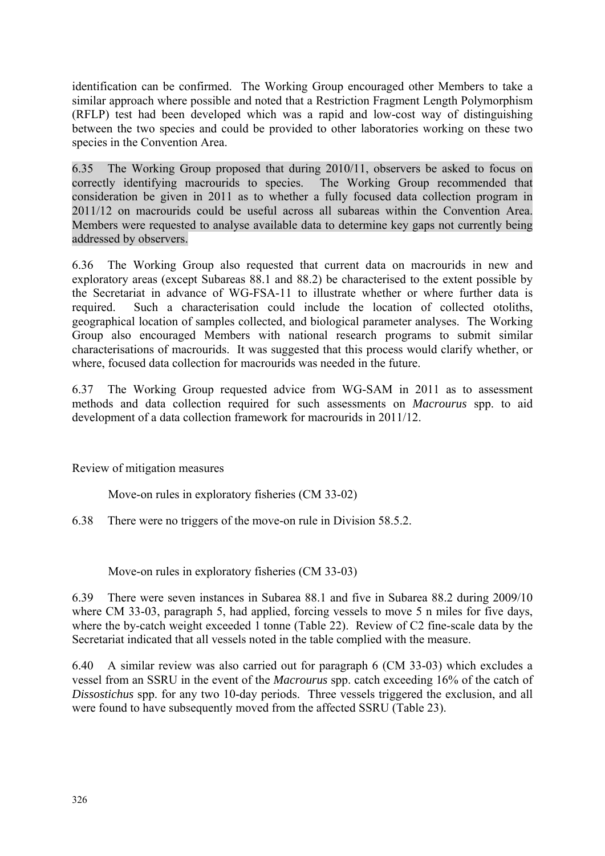identification can be confirmed. The Working Group encouraged other Members to take a similar approach where possible and noted that a Restriction Fragment Length Polymorphism (RFLP) test had been developed which was a rapid and low-cost way of distinguishing between the two species and could be provided to other laboratories working on these two species in the Convention Area.

6.35 The Working Group proposed that during 2010/11, observers be asked to focus on correctly identifying macrourids to species. The Working Group recommended that consideration be given in 2011 as to whether a fully focused data collection program in 2011/12 on macrourids could be useful across all subareas within the Convention Area. Members were requested to analyse available data to determine key gaps not currently being addressed by observers.

6.36 The Working Group also requested that current data on macrourids in new and exploratory areas (except Subareas 88.1 and 88.2) be characterised to the extent possible by the Secretariat in advance of WG-FSA-11 to illustrate whether or where further data is required. Such a characterisation could include the location of collected otoliths, geographical location of samples collected, and biological parameter analyses. The Working Group also encouraged Members with national research programs to submit similar characterisations of macrourids. It was suggested that this process would clarify whether, or where, focused data collection for macrourids was needed in the future.

6.37 The Working Group requested advice from WG-SAM in 2011 as to assessment methods and data collection required for such assessments on *Macrourus* spp. to aid development of a data collection framework for macrourids in 2011/12.

Review of mitigation measures

Move-on rules in exploratory fisheries (CM 33-02)

6.38 There were no triggers of the move-on rule in Division 58.5.2.

Move-on rules in exploratory fisheries (CM 33-03)

6.39 There were seven instances in Subarea 88.1 and five in Subarea 88.2 during 2009/10 where CM 33-03, paragraph 5, had applied, forcing vessels to move 5 n miles for five days, where the by-catch weight exceeded 1 tonne (Table 22). Review of C2 fine-scale data by the Secretariat indicated that all vessels noted in the table complied with the measure.

6.40 A similar review was also carried out for paragraph 6 (CM 33-03) which excludes a vessel from an SSRU in the event of the *Macrourus* spp. catch exceeding 16% of the catch of *Dissostichus* spp. for any two 10-day periods. Three vessels triggered the exclusion, and all were found to have subsequently moved from the affected SSRU (Table 23).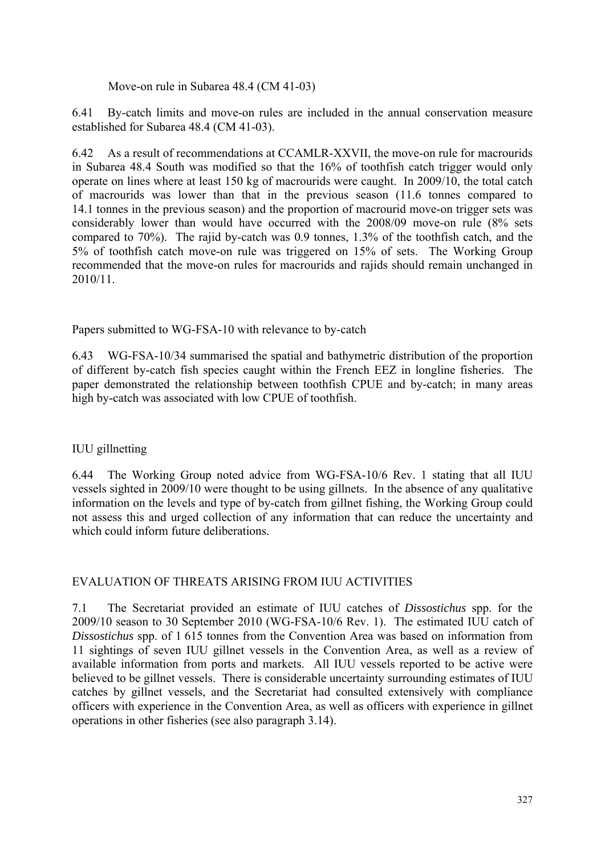Move-on rule in Subarea 48.4 (CM 41-03)

6.41 By-catch limits and move-on rules are included in the annual conservation measure established for Subarea 48.4 (CM 41-03).

6.42 As a result of recommendations at CCAMLR-XXVII, the move-on rule for macrourids in Subarea 48.4 South was modified so that the 16% of toothfish catch trigger would only operate on lines where at least 150 kg of macrourids were caught. In 2009/10, the total catch of macrourids was lower than that in the previous season (11.6 tonnes compared to 14.1 tonnes in the previous season) and the proportion of macrourid move-on trigger sets was considerably lower than would have occurred with the 2008/09 move-on rule (8% sets compared to 70%). The rajid by-catch was 0.9 tonnes, 1.3% of the toothfish catch, and the 5% of toothfish catch move-on rule was triggered on 15% of sets. The Working Group recommended that the move-on rules for macrourids and rajids should remain unchanged in 2010/11.

Papers submitted to WG-FSA-10 with relevance to by-catch

6.43 WG-FSA-10/34 summarised the spatial and bathymetric distribution of the proportion of different by-catch fish species caught within the French EEZ in longline fisheries. The paper demonstrated the relationship between toothfish CPUE and by-catch; in many areas high by-catch was associated with low CPUE of toothfish.

# IUU gillnetting

6.44 The Working Group noted advice from WG-FSA-10/6 Rev. 1 stating that all IUU vessels sighted in 2009/10 were thought to be using gillnets. In the absence of any qualitative information on the levels and type of by-catch from gillnet fishing, the Working Group could not assess this and urged collection of any information that can reduce the uncertainty and which could inform future deliberations.

# EVALUATION OF THREATS ARISING FROM IUU ACTIVITIES

7.1 The Secretariat provided an estimate of IUU catches of *Dissostichus* spp. for the 2009/10 season to 30 September 2010 (WG-FSA-10/6 Rev. 1). The estimated IUU catch of *Dissostichus* spp. of 1 615 tonnes from the Convention Area was based on information from 11 sightings of seven IUU gillnet vessels in the Convention Area, as well as a review of available information from ports and markets. All IUU vessels reported to be active were believed to be gillnet vessels. There is considerable uncertainty surrounding estimates of IUU catches by gillnet vessels, and the Secretariat had consulted extensively with compliance officers with experience in the Convention Area, as well as officers with experience in gillnet operations in other fisheries (see also paragraph 3.14).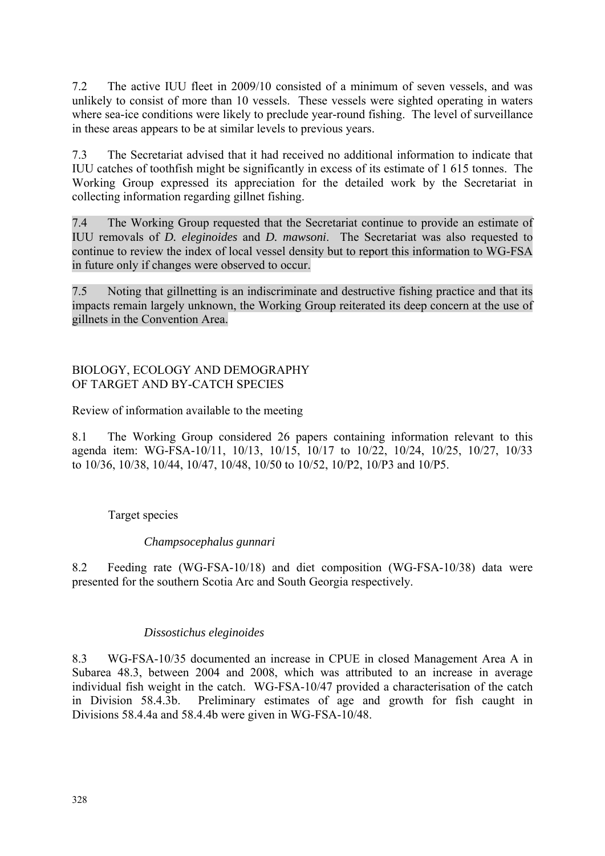7.2 The active IUU fleet in 2009/10 consisted of a minimum of seven vessels, and was unlikely to consist of more than 10 vessels. These vessels were sighted operating in waters where sea-ice conditions were likely to preclude year-round fishing. The level of surveillance in these areas appears to be at similar levels to previous years.

7.3 The Secretariat advised that it had received no additional information to indicate that IUU catches of toothfish might be significantly in excess of its estimate of 1 615 tonnes. The Working Group expressed its appreciation for the detailed work by the Secretariat in collecting information regarding gillnet fishing.

7.4 The Working Group requested that the Secretariat continue to provide an estimate of IUU removals of *D. eleginoides* and *D. mawsoni*. The Secretariat was also requested to continue to review the index of local vessel density but to report this information to WG-FSA in future only if changes were observed to occur.

7.5 Noting that gillnetting is an indiscriminate and destructive fishing practice and that its impacts remain largely unknown, the Working Group reiterated its deep concern at the use of gillnets in the Convention Area.

### BIOLOGY, ECOLOGY AND DEMOGRAPHY OF TARGET AND BY-CATCH SPECIES

Review of information available to the meeting

8.1 The Working Group considered 26 papers containing information relevant to this agenda item: WG-FSA-10/11, 10/13, 10/15, 10/17 to 10/22, 10/24, 10/25, 10/27, 10/33 to 10/36, 10/38, 10/44, 10/47, 10/48, 10/50 to 10/52, 10/P2, 10/P3 and 10/P5.

# Target species

# *Champsocephalus gunnari*

8.2 Feeding rate (WG-FSA-10/18) and diet composition (WG-FSA-10/38) data were presented for the southern Scotia Arc and South Georgia respectively.

# *Dissostichus eleginoides*

8.3 WG-FSA-10/35 documented an increase in CPUE in closed Management Area A in Subarea 48.3, between 2004 and 2008, which was attributed to an increase in average individual fish weight in the catch. WG-FSA-10/47 provided a characterisation of the catch in Division 58.4.3b. Preliminary estimates of age and growth for fish caught in Divisions 58.4.4a and 58.4.4b were given in WG-FSA-10/48.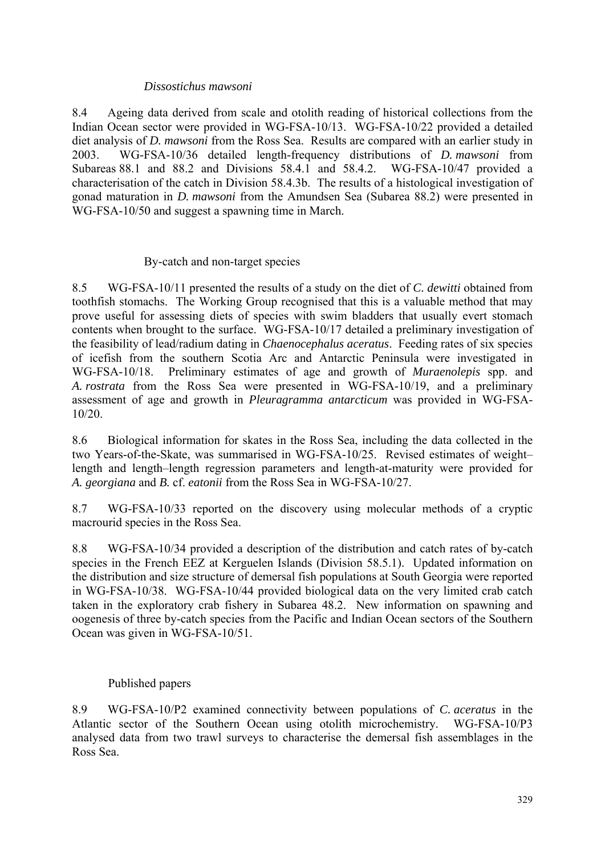### *Dissostichus mawsoni*

8.4 Ageing data derived from scale and otolith reading of historical collections from the Indian Ocean sector were provided in WG-FSA-10/13. WG-FSA-10/22 provided a detailed diet analysis of *D. mawsoni* from the Ross Sea. Results are compared with an earlier study in 2003. WG-FSA-10/36 detailed length-frequency distributions of *D. mawsoni* from Subareas 88.1 and 88.2 and Divisions 58.4.1 and 58.4.2. WG-FSA-10/47 provided a characterisation of the catch in Division 58.4.3b. The results of a histological investigation of gonad maturation in *D. mawsoni* from the Amundsen Sea (Subarea 88.2) were presented in WG-FSA-10/50 and suggest a spawning time in March.

# By-catch and non-target species

8.5 WG-FSA-10/11 presented the results of a study on the diet of *C. dewitti* obtained from toothfish stomachs. The Working Group recognised that this is a valuable method that may prove useful for assessing diets of species with swim bladders that usually evert stomach contents when brought to the surface. WG-FSA-10/17 detailed a preliminary investigation of the feasibility of lead/radium dating in *Chaenocephalus aceratus*. Feeding rates of six species of icefish from the southern Scotia Arc and Antarctic Peninsula were investigated in WG-FSA-10/18. Preliminary estimates of age and growth of *Muraenolepis* spp. and *A. rostrata* from the Ross Sea were presented in WG-FSA-10/19, and a preliminary assessment of age and growth in *Pleuragramma antarcticum* was provided in WG-FSA-10/20.

8.6 Biological information for skates in the Ross Sea, including the data collected in the two Years-of-the-Skate, was summarised in WG-FSA-10/25. Revised estimates of weight– length and length–length regression parameters and length-at-maturity were provided for *A. georgiana* and *B.* cf. *eatonii* from the Ross Sea in WG-FSA-10/27.

8.7 WG-FSA-10/33 reported on the discovery using molecular methods of a cryptic macrourid species in the Ross Sea.

8.8 WG-FSA-10/34 provided a description of the distribution and catch rates of by-catch species in the French EEZ at Kerguelen Islands (Division 58.5.1). Updated information on the distribution and size structure of demersal fish populations at South Georgia were reported in WG-FSA-10/38. WG-FSA-10/44 provided biological data on the very limited crab catch taken in the exploratory crab fishery in Subarea 48.2. New information on spawning and oogenesis of three by-catch species from the Pacific and Indian Ocean sectors of the Southern Ocean was given in WG-FSA-10/51.

# Published papers

8.9 WG-FSA-10/P2 examined connectivity between populations of *C. aceratus* in the Atlantic sector of the Southern Ocean using otolith microchemistry. WG-FSA-10/P3 analysed data from two trawl surveys to characterise the demersal fish assemblages in the Ross Sea.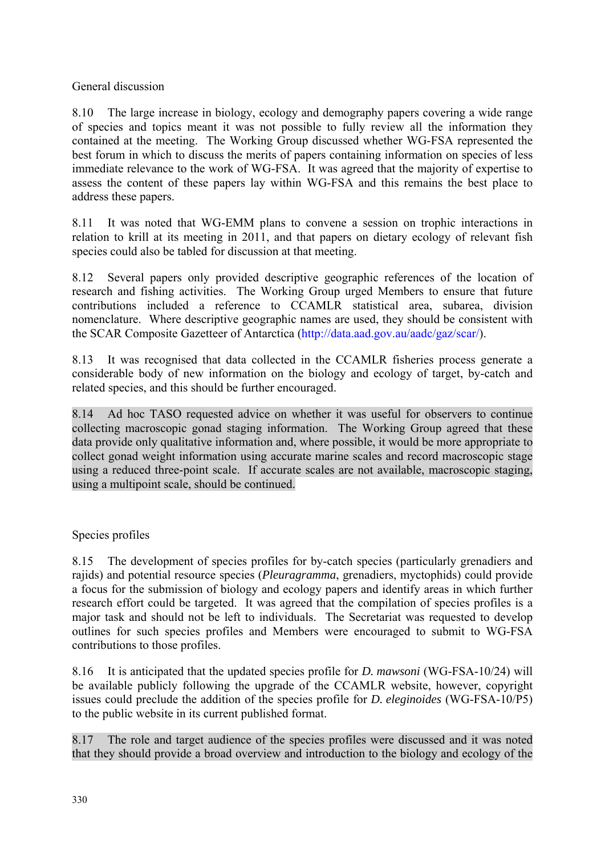General discussion

8.10 The large increase in biology, ecology and demography papers covering a wide range of species and topics meant it was not possible to fully review all the information they contained at the meeting. The Working Group discussed whether WG-FSA represented the best forum in which to discuss the merits of papers containing information on species of less immediate relevance to the work of WG-FSA. It was agreed that the majority of expertise to assess the content of these papers lay within WG-FSA and this remains the best place to address these papers.

8.11 It was noted that WG-EMM plans to convene a session on trophic interactions in relation to krill at its meeting in 2011, and that papers on dietary ecology of relevant fish species could also be tabled for discussion at that meeting.

8.12 Several papers only provided descriptive geographic references of the location of research and fishing activities. The Working Group urged Members to ensure that future contributions included a reference to CCAMLR statistical area, subarea, division nomenclature. Where descriptive geographic names are used, they should be consistent with the SCAR Composite Gazetteer of Antarctica (http://data.aad.gov.au/aadc/gaz/scar/).

8.13 It was recognised that data collected in the CCAMLR fisheries process generate a considerable body of new information on the biology and ecology of target, by-catch and related species, and this should be further encouraged.

8.14 Ad hoc TASO requested advice on whether it was useful for observers to continue collecting macroscopic gonad staging information. The Working Group agreed that these data provide only qualitative information and, where possible, it would be more appropriate to collect gonad weight information using accurate marine scales and record macroscopic stage using a reduced three-point scale. If accurate scales are not available, macroscopic staging, using a multipoint scale, should be continued.

Species profiles

8.15 The development of species profiles for by-catch species (particularly grenadiers and rajids) and potential resource species (*Pleuragramma*, grenadiers, myctophids) could provide a focus for the submission of biology and ecology papers and identify areas in which further research effort could be targeted. It was agreed that the compilation of species profiles is a major task and should not be left to individuals. The Secretariat was requested to develop outlines for such species profiles and Members were encouraged to submit to WG-FSA contributions to those profiles.

8.16 It is anticipated that the updated species profile for *D. mawsoni* (WG-FSA-10/24) will be available publicly following the upgrade of the CCAMLR website, however, copyright issues could preclude the addition of the species profile for *D. eleginoides* (WG-FSA-10/P5) to the public website in its current published format.

8.17 The role and target audience of the species profiles were discussed and it was noted that they should provide a broad overview and introduction to the biology and ecology of the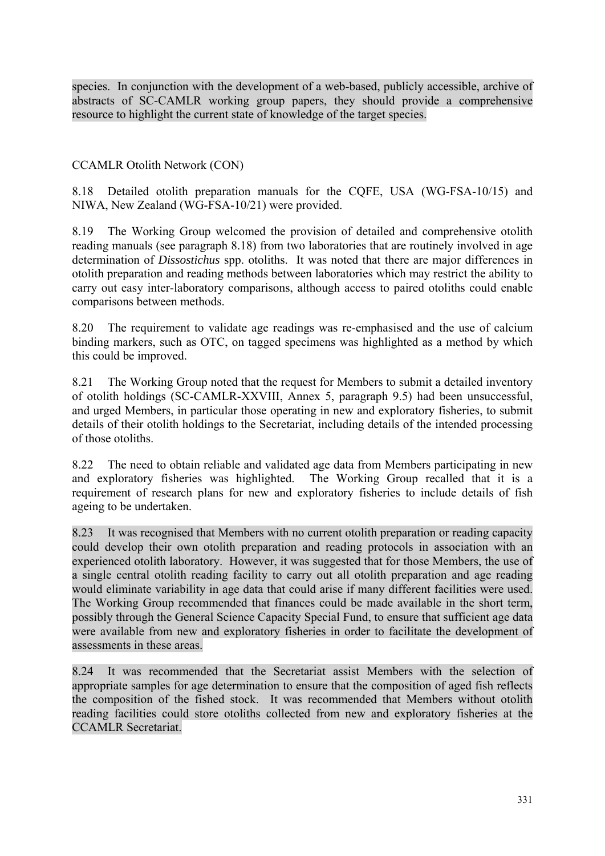species. In conjunction with the development of a web-based, publicly accessible, archive of abstracts of SC-CAMLR working group papers, they should provide a comprehensive resource to highlight the current state of knowledge of the target species.

# CCAMLR Otolith Network (CON)

8.18 Detailed otolith preparation manuals for the CQFE, USA (WG-FSA-10/15) and NIWA, New Zealand (WG-FSA-10/21) were provided.

8.19 The Working Group welcomed the provision of detailed and comprehensive otolith reading manuals (see paragraph 8.18) from two laboratories that are routinely involved in age determination of *Dissostichus* spp. otoliths. It was noted that there are major differences in otolith preparation and reading methods between laboratories which may restrict the ability to carry out easy inter-laboratory comparisons, although access to paired otoliths could enable comparisons between methods.

8.20 The requirement to validate age readings was re-emphasised and the use of calcium binding markers, such as OTC, on tagged specimens was highlighted as a method by which this could be improved.

8.21 The Working Group noted that the request for Members to submit a detailed inventory of otolith holdings (SC-CAMLR-XXVIII, Annex 5, paragraph 9.5) had been unsuccessful, and urged Members, in particular those operating in new and exploratory fisheries, to submit details of their otolith holdings to the Secretariat, including details of the intended processing of those otoliths.

8.22 The need to obtain reliable and validated age data from Members participating in new and exploratory fisheries was highlighted. The Working Group recalled that it is a requirement of research plans for new and exploratory fisheries to include details of fish ageing to be undertaken.

8.23 It was recognised that Members with no current otolith preparation or reading capacity could develop their own otolith preparation and reading protocols in association with an experienced otolith laboratory. However, it was suggested that for those Members, the use of a single central otolith reading facility to carry out all otolith preparation and age reading would eliminate variability in age data that could arise if many different facilities were used. The Working Group recommended that finances could be made available in the short term, possibly through the General Science Capacity Special Fund, to ensure that sufficient age data were available from new and exploratory fisheries in order to facilitate the development of assessments in these areas.

8.24 It was recommended that the Secretariat assist Members with the selection of appropriate samples for age determination to ensure that the composition of aged fish reflects the composition of the fished stock. It was recommended that Members without otolith reading facilities could store otoliths collected from new and exploratory fisheries at the CCAMLR Secretariat.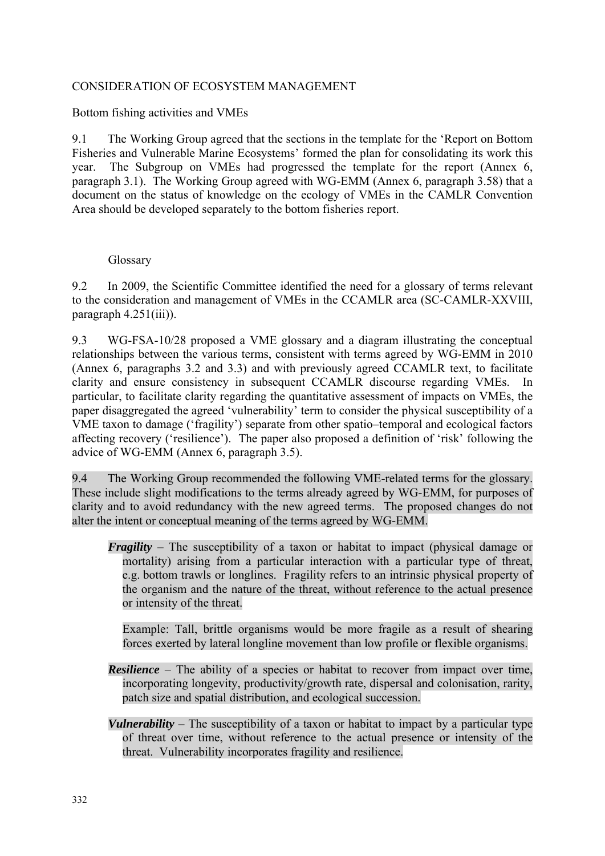# CONSIDERATION OF ECOSYSTEM MANAGEMENT

#### Bottom fishing activities and VMEs

9.1 The Working Group agreed that the sections in the template for the 'Report on Bottom Fisheries and Vulnerable Marine Ecosystems' formed the plan for consolidating its work this year. The Subgroup on VMEs had progressed the template for the report (Annex 6, paragraph 3.1). The Working Group agreed with WG-EMM (Annex 6, paragraph 3.58) that a document on the status of knowledge on the ecology of VMEs in the CAMLR Convention Area should be developed separately to the bottom fisheries report.

#### Glossary

9.2 In 2009, the Scientific Committee identified the need for a glossary of terms relevant to the consideration and management of VMEs in the CCAMLR area (SC-CAMLR-XXVIII, paragraph 4.251(iii)).

9.3 WG-FSA-10/28 proposed a VME glossary and a diagram illustrating the conceptual relationships between the various terms, consistent with terms agreed by WG-EMM in 2010 (Annex 6, paragraphs 3.2 and 3.3) and with previously agreed CCAMLR text, to facilitate clarity and ensure consistency in subsequent CCAMLR discourse regarding VMEs. In particular, to facilitate clarity regarding the quantitative assessment of impacts on VMEs, the paper disaggregated the agreed 'vulnerability' term to consider the physical susceptibility of a VME taxon to damage ('fragility') separate from other spatio–temporal and ecological factors affecting recovery ('resilience'). The paper also proposed a definition of 'risk' following the advice of WG-EMM (Annex 6, paragraph 3.5).

9.4 The Working Group recommended the following VME-related terms for the glossary. These include slight modifications to the terms already agreed by WG-EMM, for purposes of clarity and to avoid redundancy with the new agreed terms. The proposed changes do not alter the intent or conceptual meaning of the terms agreed by WG-EMM.

*Fragility* – The susceptibility of a taxon or habitat to impact (physical damage or mortality) arising from a particular interaction with a particular type of threat, e.g. bottom trawls or longlines. Fragility refers to an intrinsic physical property of the organism and the nature of the threat, without reference to the actual presence or intensity of the threat.

 Example: Tall, brittle organisms would be more fragile as a result of shearing forces exerted by lateral longline movement than low profile or flexible organisms.

- *Resilience* The ability of a species or habitat to recover from impact over time, incorporating longevity, productivity/growth rate, dispersal and colonisation, rarity, patch size and spatial distribution, and ecological succession.
- *Vulnerability* The susceptibility of a taxon or habitat to impact by a particular type of threat over time, without reference to the actual presence or intensity of the threat. Vulnerability incorporates fragility and resilience.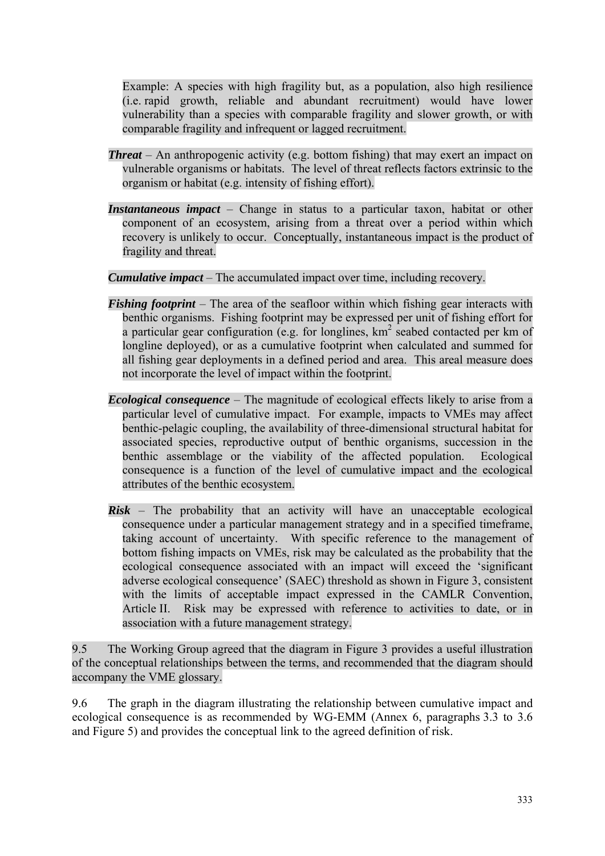Example: A species with high fragility but, as a population, also high resilience (i.e. rapid growth, reliable and abundant recruitment) would have lower vulnerability than a species with comparable fragility and slower growth, or with comparable fragility and infrequent or lagged recruitment.

- *Threat* An anthropogenic activity (e.g. bottom fishing) that may exert an impact on vulnerable organisms or habitats. The level of threat reflects factors extrinsic to the organism or habitat (e.g. intensity of fishing effort).
- *Instantaneous impact* Change in status to a particular taxon, habitat or other component of an ecosystem, arising from a threat over a period within which recovery is unlikely to occur. Conceptually, instantaneous impact is the product of fragility and threat.

*Cumulative impact* – The accumulated impact over time, including recovery.

- *Fishing footprint* The area of the seafloor within which fishing gear interacts with benthic organisms. Fishing footprint may be expressed per unit of fishing effort for a particular gear configuration (e.g. for longlines,  $km^2$  seabed contacted per km of longline deployed), or as a cumulative footprint when calculated and summed for all fishing gear deployments in a defined period and area. This areal measure does not incorporate the level of impact within the footprint.
- *Ecological consequence* The magnitude of ecological effects likely to arise from a particular level of cumulative impact. For example, impacts to VMEs may affect benthic-pelagic coupling, the availability of three-dimensional structural habitat for associated species, reproductive output of benthic organisms, succession in the benthic assemblage or the viability of the affected population. Ecological consequence is a function of the level of cumulative impact and the ecological attributes of the benthic ecosystem.
- $Risk$  The probability that an activity will have an unacceptable ecological consequence under a particular management strategy and in a specified timeframe, taking account of uncertainty. With specific reference to the management of bottom fishing impacts on VMEs, risk may be calculated as the probability that the ecological consequence associated with an impact will exceed the 'significant adverse ecological consequence' (SAEC) threshold as shown in Figure 3, consistent with the limits of acceptable impact expressed in the CAMLR Convention, Article II. Risk may be expressed with reference to activities to date, or in association with a future management strategy.

9.5 The Working Group agreed that the diagram in Figure 3 provides a useful illustration of the conceptual relationships between the terms, and recommended that the diagram should accompany the VME glossary.

9.6 The graph in the diagram illustrating the relationship between cumulative impact and ecological consequence is as recommended by WG-EMM (Annex 6, paragraphs 3.3 to 3.6 and Figure 5) and provides the conceptual link to the agreed definition of risk.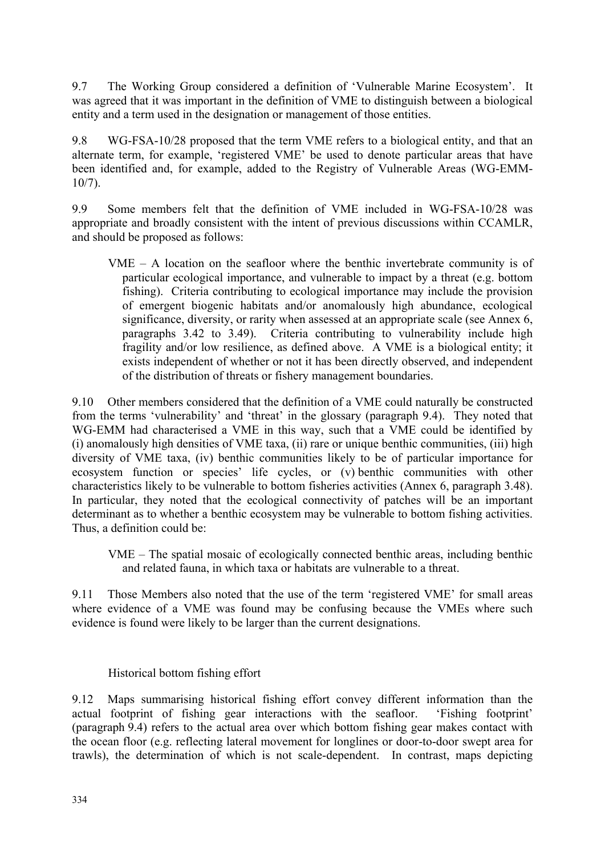9.7 The Working Group considered a definition of 'Vulnerable Marine Ecosystem'. It was agreed that it was important in the definition of VME to distinguish between a biological entity and a term used in the designation or management of those entities.

9.8 WG-FSA-10/28 proposed that the term VME refers to a biological entity, and that an alternate term, for example, 'registered VME' be used to denote particular areas that have been identified and, for example, added to the Registry of Vulnerable Areas (WG-EMM-10/7).

9.9 Some members felt that the definition of VME included in WG-FSA-10/28 was appropriate and broadly consistent with the intent of previous discussions within CCAMLR, and should be proposed as follows:

VME – A location on the seafloor where the benthic invertebrate community is of particular ecological importance, and vulnerable to impact by a threat (e.g. bottom fishing). Criteria contributing to ecological importance may include the provision of emergent biogenic habitats and/or anomalously high abundance, ecological significance, diversity, or rarity when assessed at an appropriate scale (see Annex 6, paragraphs 3.42 to 3.49). Criteria contributing to vulnerability include high fragility and/or low resilience, as defined above. A VME is a biological entity; it exists independent of whether or not it has been directly observed, and independent of the distribution of threats or fishery management boundaries.

9.10 Other members considered that the definition of a VME could naturally be constructed from the terms 'vulnerability' and 'threat' in the glossary (paragraph 9.4). They noted that WG-EMM had characterised a VME in this way, such that a VME could be identified by (i) anomalously high densities of VME taxa, (ii) rare or unique benthic communities, (iii) high diversity of VME taxa, (iv) benthic communities likely to be of particular importance for ecosystem function or species' life cycles, or (v) benthic communities with other characteristics likely to be vulnerable to bottom fisheries activities (Annex 6, paragraph 3.48). In particular, they noted that the ecological connectivity of patches will be an important determinant as to whether a benthic ecosystem may be vulnerable to bottom fishing activities. Thus, a definition could be:

VME – The spatial mosaic of ecologically connected benthic areas, including benthic and related fauna, in which taxa or habitats are vulnerable to a threat.

9.11 Those Members also noted that the use of the term 'registered VME' for small areas where evidence of a VME was found may be confusing because the VMEs where such evidence is found were likely to be larger than the current designations.

Historical bottom fishing effort

9.12 Maps summarising historical fishing effort convey different information than the actual footprint of fishing gear interactions with the seafloor. 'Fishing footprint' (paragraph 9.4) refers to the actual area over which bottom fishing gear makes contact with the ocean floor (e.g. reflecting lateral movement for longlines or door-to-door swept area for trawls), the determination of which is not scale-dependent. In contrast, maps depicting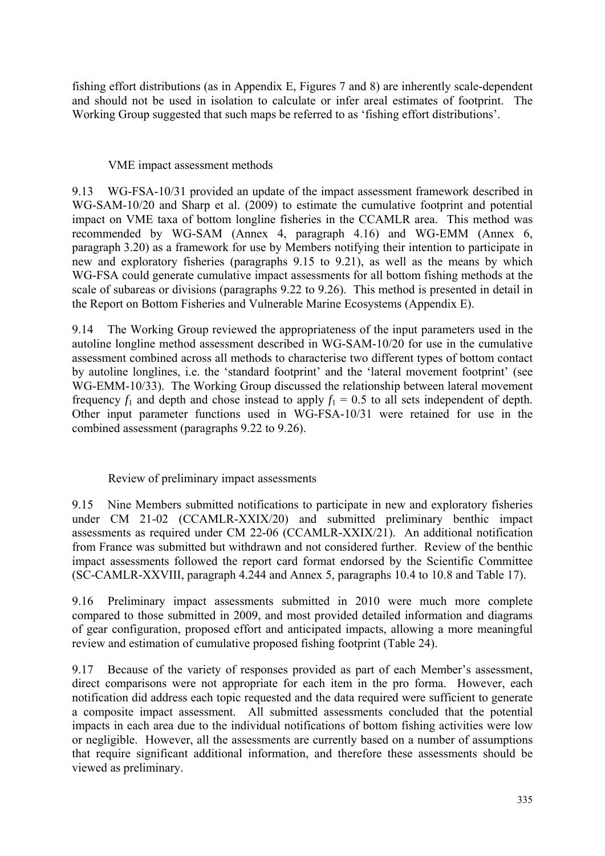fishing effort distributions (as in Appendix E, Figures 7 and 8) are inherently scale-dependent and should not be used in isolation to calculate or infer areal estimates of footprint. The Working Group suggested that such maps be referred to as 'fishing effort distributions'.

# VME impact assessment methods

9.13 WG-FSA-10/31 provided an update of the impact assessment framework described in WG-SAM-10/20 and Sharp et al. (2009) to estimate the cumulative footprint and potential impact on VME taxa of bottom longline fisheries in the CCAMLR area. This method was recommended by WG-SAM (Annex 4, paragraph 4.16) and WG-EMM (Annex 6, paragraph 3.20) as a framework for use by Members notifying their intention to participate in new and exploratory fisheries (paragraphs 9.15 to 9.21), as well as the means by which WG-FSA could generate cumulative impact assessments for all bottom fishing methods at the scale of subareas or divisions (paragraphs 9.22 to 9.26). This method is presented in detail in the Report on Bottom Fisheries and Vulnerable Marine Ecosystems (Appendix E).

9.14 The Working Group reviewed the appropriateness of the input parameters used in the autoline longline method assessment described in WG-SAM-10/20 for use in the cumulative assessment combined across all methods to characterise two different types of bottom contact by autoline longlines, i.e. the 'standard footprint' and the 'lateral movement footprint' (see WG-EMM-10/33). The Working Group discussed the relationship between lateral movement frequency  $f_1$  and depth and chose instead to apply  $f_1 = 0.5$  to all sets independent of depth. Other input parameter functions used in WG-FSA-10/31 were retained for use in the combined assessment (paragraphs 9.22 to 9.26).

# Review of preliminary impact assessments

9.15 Nine Members submitted notifications to participate in new and exploratory fisheries under CM 21-02 (CCAMLR-XXIX/20) and submitted preliminary benthic impact assessments as required under CM 22-06 (CCAMLR-XXIX/21). An additional notification from France was submitted but withdrawn and not considered further. Review of the benthic impact assessments followed the report card format endorsed by the Scientific Committee (SC-CAMLR-XXVIII, paragraph 4.244 and Annex 5, paragraphs 10.4 to 10.8 and Table 17).

9.16 Preliminary impact assessments submitted in 2010 were much more complete compared to those submitted in 2009, and most provided detailed information and diagrams of gear configuration, proposed effort and anticipated impacts, allowing a more meaningful review and estimation of cumulative proposed fishing footprint (Table 24).

9.17 Because of the variety of responses provided as part of each Member's assessment, direct comparisons were not appropriate for each item in the pro forma. However, each notification did address each topic requested and the data required were sufficient to generate a composite impact assessment. All submitted assessments concluded that the potential impacts in each area due to the individual notifications of bottom fishing activities were low or negligible. However, all the assessments are currently based on a number of assumptions that require significant additional information, and therefore these assessments should be viewed as preliminary.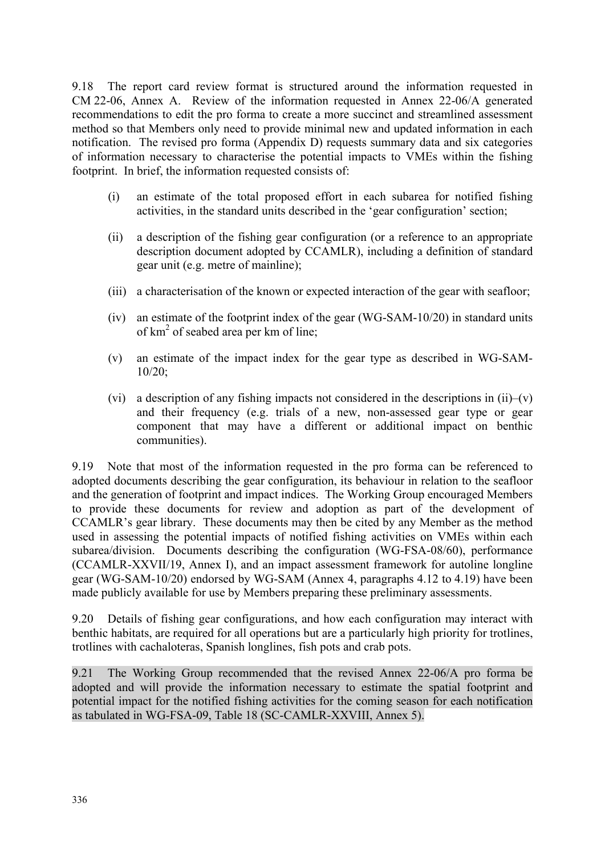9.18 The report card review format is structured around the information requested in CM 22-06, Annex A. Review of the information requested in Annex 22-06/A generated recommendations to edit the pro forma to create a more succinct and streamlined assessment method so that Members only need to provide minimal new and updated information in each notification. The revised pro forma (Appendix D) requests summary data and six categories of information necessary to characterise the potential impacts to VMEs within the fishing footprint. In brief, the information requested consists of:

- (i) an estimate of the total proposed effort in each subarea for notified fishing activities, in the standard units described in the 'gear configuration' section;
- (ii) a description of the fishing gear configuration (or a reference to an appropriate description document adopted by CCAMLR), including a definition of standard gear unit (e.g. metre of mainline);
- (iii) a characterisation of the known or expected interaction of the gear with seafloor;
- (iv) an estimate of the footprint index of the gear (WG-SAM-10/20) in standard units of km<sup>2</sup> of seabed area per km of line;
- (v) an estimate of the impact index for the gear type as described in WG-SAM-10/20;
- (vi) a description of any fishing impacts not considered in the descriptions in  $(ii)$ – $(v)$ and their frequency (e.g. trials of a new, non-assessed gear type or gear component that may have a different or additional impact on benthic communities).

9.19 Note that most of the information requested in the pro forma can be referenced to adopted documents describing the gear configuration, its behaviour in relation to the seafloor and the generation of footprint and impact indices. The Working Group encouraged Members to provide these documents for review and adoption as part of the development of CCAMLR's gear library. These documents may then be cited by any Member as the method used in assessing the potential impacts of notified fishing activities on VMEs within each subarea/division. Documents describing the configuration (WG-FSA-08/60), performance (CCAMLR-XXVII/19, Annex I), and an impact assessment framework for autoline longline gear (WG-SAM-10/20) endorsed by WG-SAM (Annex 4, paragraphs 4.12 to 4.19) have been made publicly available for use by Members preparing these preliminary assessments.

9.20 Details of fishing gear configurations, and how each configuration may interact with benthic habitats, are required for all operations but are a particularly high priority for trotlines, trotlines with cachaloteras, Spanish longlines, fish pots and crab pots.

9.21 The Working Group recommended that the revised Annex 22-06/A pro forma be adopted and will provide the information necessary to estimate the spatial footprint and potential impact for the notified fishing activities for the coming season for each notification as tabulated in WG-FSA-09, Table 18 (SC-CAMLR-XXVIII, Annex 5).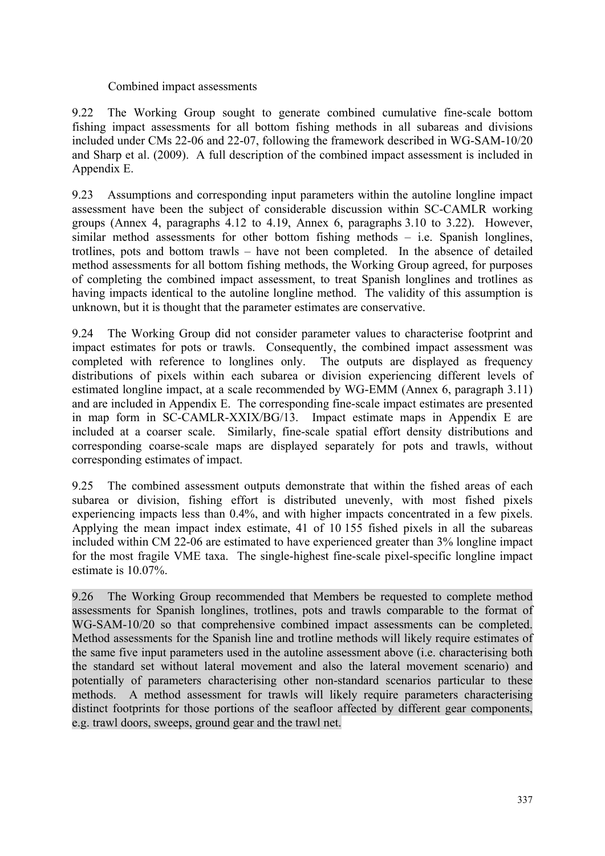#### Combined impact assessments

9.22 The Working Group sought to generate combined cumulative fine-scale bottom fishing impact assessments for all bottom fishing methods in all subareas and divisions included under CMs 22-06 and 22-07, following the framework described in WG-SAM-10/20 and Sharp et al. (2009). A full description of the combined impact assessment is included in Appendix E.

9.23 Assumptions and corresponding input parameters within the autoline longline impact assessment have been the subject of considerable discussion within SC-CAMLR working groups (Annex 4, paragraphs 4.12 to 4.19, Annex 6, paragraphs 3.10 to 3.22). However, similar method assessments for other bottom fishing methods – i.e. Spanish longlines, trotlines, pots and bottom trawls – have not been completed. In the absence of detailed method assessments for all bottom fishing methods, the Working Group agreed, for purposes of completing the combined impact assessment, to treat Spanish longlines and trotlines as having impacts identical to the autoline longline method. The validity of this assumption is unknown, but it is thought that the parameter estimates are conservative.

9.24 The Working Group did not consider parameter values to characterise footprint and impact estimates for pots or trawls. Consequently, the combined impact assessment was completed with reference to longlines only. The outputs are displayed as frequency distributions of pixels within each subarea or division experiencing different levels of estimated longline impact, at a scale recommended by WG-EMM (Annex 6, paragraph 3.11) and are included in Appendix E. The corresponding fine-scale impact estimates are presented in map form in SC-CAMLR-XXIX/BG/13. Impact estimate maps in Appendix E are included at a coarser scale. Similarly, fine-scale spatial effort density distributions and corresponding coarse-scale maps are displayed separately for pots and trawls, without corresponding estimates of impact.

9.25 The combined assessment outputs demonstrate that within the fished areas of each subarea or division, fishing effort is distributed unevenly, with most fished pixels experiencing impacts less than 0.4%, and with higher impacts concentrated in a few pixels. Applying the mean impact index estimate, 41 of 10 155 fished pixels in all the subareas included within CM 22-06 are estimated to have experienced greater than 3% longline impact for the most fragile VME taxa. The single-highest fine-scale pixel-specific longline impact estimate is 10.07%.

9.26 The Working Group recommended that Members be requested to complete method assessments for Spanish longlines, trotlines, pots and trawls comparable to the format of WG-SAM-10/20 so that comprehensive combined impact assessments can be completed. Method assessments for the Spanish line and trotline methods will likely require estimates of the same five input parameters used in the autoline assessment above (i.e. characterising both the standard set without lateral movement and also the lateral movement scenario) and potentially of parameters characterising other non-standard scenarios particular to these methods. A method assessment for trawls will likely require parameters characterising distinct footprints for those portions of the seafloor affected by different gear components, e.g. trawl doors, sweeps, ground gear and the trawl net.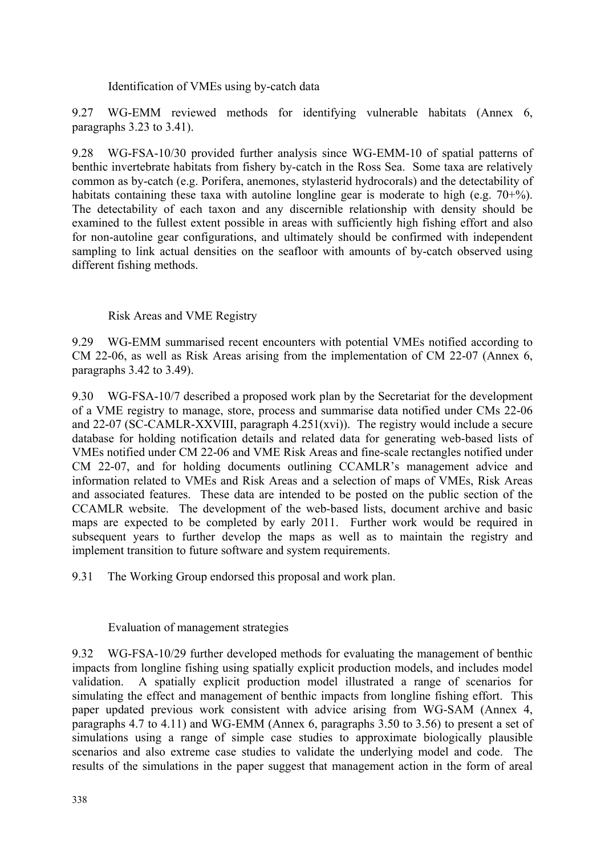Identification of VMEs using by-catch data

9.27 WG-EMM reviewed methods for identifying vulnerable habitats (Annex 6, paragraphs 3.23 to 3.41).

9.28 WG-FSA-10/30 provided further analysis since WG-EMM-10 of spatial patterns of benthic invertebrate habitats from fishery by-catch in the Ross Sea. Some taxa are relatively common as by-catch (e.g. Porifera, anemones, stylasterid hydrocorals) and the detectability of habitats containing these taxa with autoline longline gear is moderate to high (e.g. 70+%). The detectability of each taxon and any discernible relationship with density should be examined to the fullest extent possible in areas with sufficiently high fishing effort and also for non-autoline gear configurations, and ultimately should be confirmed with independent sampling to link actual densities on the seafloor with amounts of by-catch observed using different fishing methods.

Risk Areas and VME Registry

9.29 WG-EMM summarised recent encounters with potential VMEs notified according to CM 22-06, as well as Risk Areas arising from the implementation of CM 22-07 (Annex 6, paragraphs 3.42 to 3.49).

9.30 WG-FSA-10/7 described a proposed work plan by the Secretariat for the development of a VME registry to manage, store, process and summarise data notified under CMs 22-06 and 22-07 (SC-CAMLR-XXVIII, paragraph 4.251(xvi)). The registry would include a secure database for holding notification details and related data for generating web-based lists of VMEs notified under CM 22-06 and VME Risk Areas and fine-scale rectangles notified under CM 22-07, and for holding documents outlining CCAMLR's management advice and information related to VMEs and Risk Areas and a selection of maps of VMEs, Risk Areas and associated features. These data are intended to be posted on the public section of the CCAMLR website. The development of the web-based lists, document archive and basic maps are expected to be completed by early 2011. Further work would be required in subsequent years to further develop the maps as well as to maintain the registry and implement transition to future software and system requirements.

9.31 The Working Group endorsed this proposal and work plan.

Evaluation of management strategies

9.32 WG-FSA-10/29 further developed methods for evaluating the management of benthic impacts from longline fishing using spatially explicit production models, and includes model validation. A spatially explicit production model illustrated a range of scenarios for simulating the effect and management of benthic impacts from longline fishing effort. This paper updated previous work consistent with advice arising from WG-SAM (Annex 4, paragraphs 4.7 to 4.11) and WG-EMM (Annex 6, paragraphs 3.50 to 3.56) to present a set of simulations using a range of simple case studies to approximate biologically plausible scenarios and also extreme case studies to validate the underlying model and code. The results of the simulations in the paper suggest that management action in the form of areal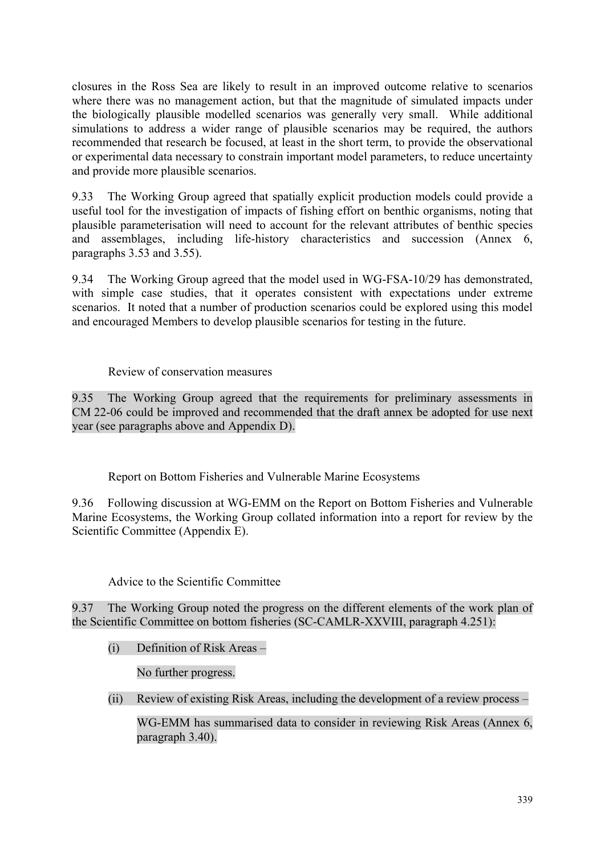closures in the Ross Sea are likely to result in an improved outcome relative to scenarios where there was no management action, but that the magnitude of simulated impacts under the biologically plausible modelled scenarios was generally very small. While additional simulations to address a wider range of plausible scenarios may be required, the authors recommended that research be focused, at least in the short term, to provide the observational or experimental data necessary to constrain important model parameters, to reduce uncertainty and provide more plausible scenarios.

9.33 The Working Group agreed that spatially explicit production models could provide a useful tool for the investigation of impacts of fishing effort on benthic organisms, noting that plausible parameterisation will need to account for the relevant attributes of benthic species and assemblages, including life-history characteristics and succession (Annex 6, paragraphs 3.53 and 3.55).

9.34 The Working Group agreed that the model used in WG-FSA-10/29 has demonstrated, with simple case studies, that it operates consistent with expectations under extreme scenarios. It noted that a number of production scenarios could be explored using this model and encouraged Members to develop plausible scenarios for testing in the future.

# Review of conservation measures

9.35 The Working Group agreed that the requirements for preliminary assessments in CM 22-06 could be improved and recommended that the draft annex be adopted for use next year (see paragraphs above and Appendix D).

Report on Bottom Fisheries and Vulnerable Marine Ecosystems

9.36 Following discussion at WG-EMM on the Report on Bottom Fisheries and Vulnerable Marine Ecosystems, the Working Group collated information into a report for review by the Scientific Committee (Appendix E).

#### Advice to the Scientific Committee

9.37 The Working Group noted the progress on the different elements of the work plan of the Scientific Committee on bottom fisheries (SC-CAMLR-XXVIII, paragraph 4.251):

(i) Definition of Risk Areas –

No further progress.

(ii) Review of existing Risk Areas, including the development of a review process –

WG-EMM has summarised data to consider in reviewing Risk Areas (Annex 6, paragraph 3.40).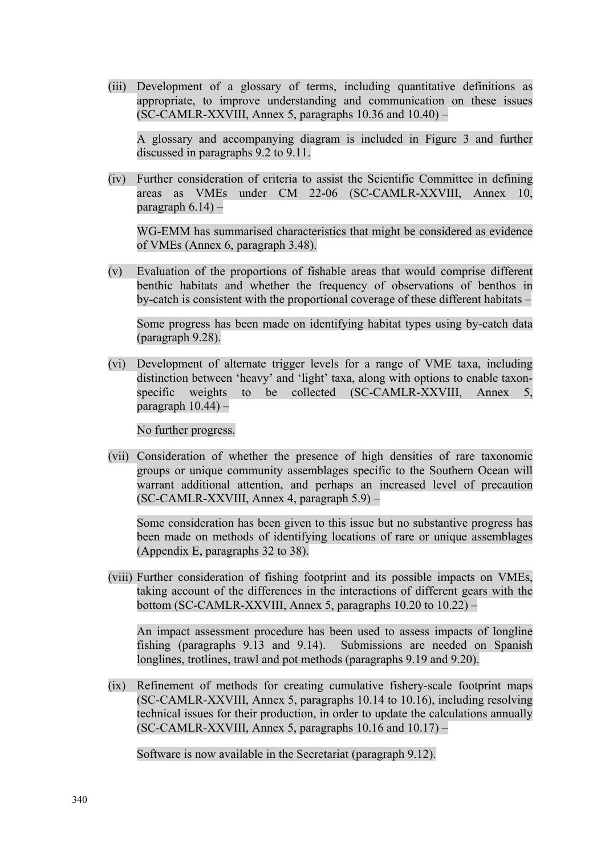(iii) Development of a glossary of terms, including quantitative definitions as appropriate, to improve understanding and communication on these issues  $SC-CAMLR-XXVIII$ , Annex 5, paragraphs 10.36 and 10.40) –

A glossary and accompanying diagram is included in Figure 3 and further discussed in paragraphs 9.2 to 9.11.

(iv) Further consideration of criteria to assist the Scientific Committee in defining areas as VMEs under CM 22-06 (SC-CAMLR-XXVIII, Annex 10, paragraph  $6.14$ ) –

WG-EMM has summarised characteristics that might be considered as evidence of VMEs (Annex 6, paragraph 3.48).

(v) Evaluation of the proportions of fishable areas that would comprise different benthic habitats and whether the frequency of observations of benthos in by-catch is consistent with the proportional coverage of these different habitats –

Some progress has been made on identifying habitat types using by-catch data (paragraph 9.28).

(vi) Development of alternate trigger levels for a range of VME taxa, including distinction between 'heavy' and 'light' taxa, along with options to enable taxonspecific weights to be collected (SC-CAMLR-XXVIII, Annex 5, paragraph  $10.44$ ) –

No further progress.

(vii) Consideration of whether the presence of high densities of rare taxonomic groups or unique community assemblages specific to the Southern Ocean will warrant additional attention, and perhaps an increased level of precaution (SC-CAMLR-XXVIII, Annex 4, paragraph 5.9) –

Some consideration has been given to this issue but no substantive progress has been made on methods of identifying locations of rare or unique assemblages (Appendix E, paragraphs 32 to 38).

(viii) Further consideration of fishing footprint and its possible impacts on VMEs, taking account of the differences in the interactions of different gears with the bottom (SC-CAMLR-XXVIII, Annex 5, paragraphs 10.20 to 10.22) –

An impact assessment procedure has been used to assess impacts of longline fishing (paragraphs 9.13 and 9.14). Submissions are needed on Spanish longlines, trotlines, trawl and pot methods (paragraphs 9.19 and 9.20).

(ix) Refinement of methods for creating cumulative fishery-scale footprint maps (SC-CAMLR-XXVIII, Annex 5, paragraphs 10.14 to 10.16), including resolving technical issues for their production, in order to update the calculations annually  $SC-CAMLR-XXVIII$ , Annex 5, paragraphs 10.16 and 10.17) –

Software is now available in the Secretariat (paragraph 9.12).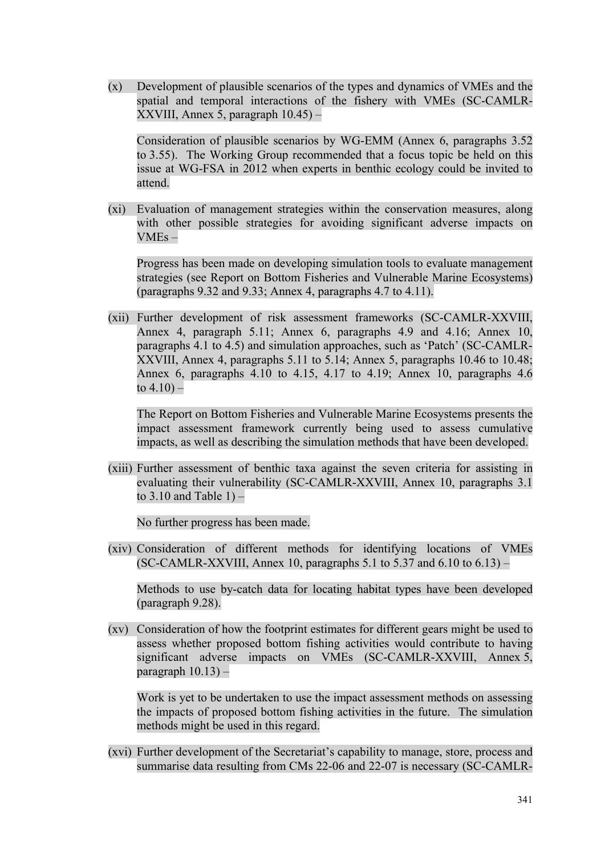(x) Development of plausible scenarios of the types and dynamics of VMEs and the spatial and temporal interactions of the fishery with VMEs (SC-CAMLR-XXVIII, Annex 5, paragraph 10.45) –

Consideration of plausible scenarios by WG-EMM (Annex 6, paragraphs 3.52 to 3.55). The Working Group recommended that a focus topic be held on this issue at WG-FSA in 2012 when experts in benthic ecology could be invited to attend.

(xi) Evaluation of management strategies within the conservation measures, along with other possible strategies for avoiding significant adverse impacts on VMEs –

Progress has been made on developing simulation tools to evaluate management strategies (see Report on Bottom Fisheries and Vulnerable Marine Ecosystems) (paragraphs 9.32 and 9.33; Annex 4, paragraphs 4.7 to 4.11).

(xii) Further development of risk assessment frameworks (SC-CAMLR-XXVIII, Annex 4, paragraph 5.11; Annex 6, paragraphs 4.9 and 4.16; Annex 10, paragraphs 4.1 to 4.5) and simulation approaches, such as 'Patch' (SC-CAMLR-XXVIII, Annex 4, paragraphs 5.11 to 5.14; Annex 5, paragraphs 10.46 to 10.48; Annex 6, paragraphs  $4.10$  to  $4.15$ ,  $4.17$  to  $4.19$ ; Annex 10, paragraphs  $4.6$ to 4.10) –

The Report on Bottom Fisheries and Vulnerable Marine Ecosystems presents the impact assessment framework currently being used to assess cumulative impacts, as well as describing the simulation methods that have been developed.

(xiii) Further assessment of benthic taxa against the seven criteria for assisting in evaluating their vulnerability (SC-CAMLR-XXVIII, Annex 10, paragraphs 3.1 to  $3.10$  and Table  $1$ ) –

No further progress has been made.

(xiv) Consideration of different methods for identifying locations of VMEs (SC-CAMLR-XXVIII, Annex 10, paragraphs 5.1 to 5.37 and 6.10 to 6.13) –

Methods to use by-catch data for locating habitat types have been developed (paragraph 9.28).

(xv) Consideration of how the footprint estimates for different gears might be used to assess whether proposed bottom fishing activities would contribute to having significant adverse impacts on VMEs (SC-CAMLR-XXVIII, Annex 5, paragraph  $10.13$ ) –

Work is yet to be undertaken to use the impact assessment methods on assessing the impacts of proposed bottom fishing activities in the future. The simulation methods might be used in this regard.

(xvi) Further development of the Secretariat's capability to manage, store, process and summarise data resulting from CMs 22-06 and 22-07 is necessary (SC-CAMLR-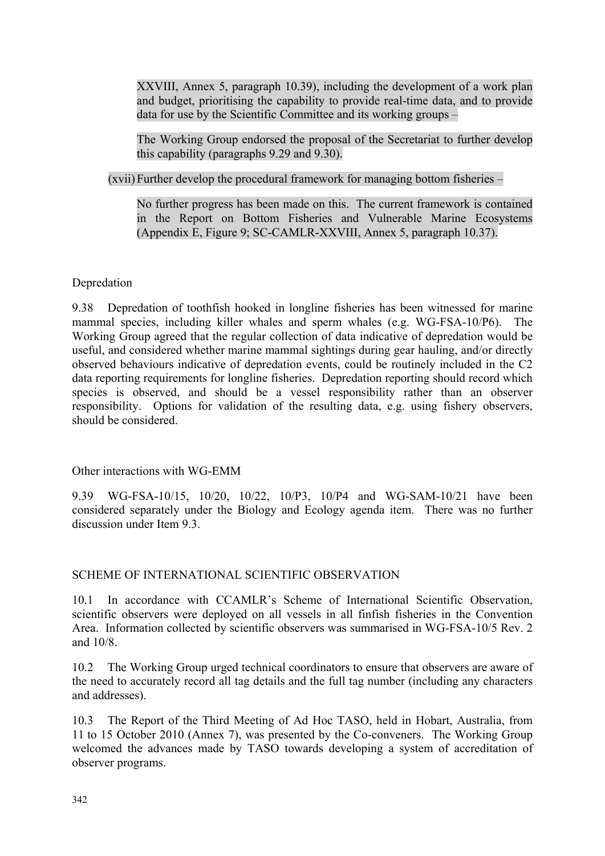XXVIII, Annex 5, paragraph 10.39), including the development of a work plan and budget, prioritising the capability to provide real-time data, and to provide data for use by the Scientific Committee and its working groups –

The Working Group endorsed the proposal of the Secretariat to further develop this capability (paragraphs 9.29 and 9.30).

(xvii) Further develop the procedural framework for managing bottom fisheries –

No further progress has been made on this. The current framework is contained in the Report on Bottom Fisheries and Vulnerable Marine Ecosystems (Appendix E, Figure 9; SC-CAMLR-XXVIII, Annex 5, paragraph 10.37).

#### Depredation

9.38 Depredation of toothfish hooked in longline fisheries has been witnessed for marine mammal species, including killer whales and sperm whales (e.g. WG-FSA-10/P6). The Working Group agreed that the regular collection of data indicative of depredation would be useful, and considered whether marine mammal sightings during gear hauling, and/or directly observed behaviours indicative of depredation events, could be routinely included in the C2 data reporting requirements for longline fisheries. Depredation reporting should record which species is observed, and should be a vessel responsibility rather than an observer responsibility. Options for validation of the resulting data, e.g. using fishery observers, should be considered.

#### Other interactions with WG-EMM

9.39 WG-FSA-10/15, 10/20, 10/22, 10/P3, 10/P4 and WG-SAM-10/21 have been considered separately under the Biology and Ecology agenda item. There was no further discussion under Item 9.3.

#### SCHEME OF INTERNATIONAL SCIENTIFIC OBSERVATION

10.1 In accordance with CCAMLR's Scheme of International Scientific Observation, scientific observers were deployed on all vessels in all finfish fisheries in the Convention Area. Information collected by scientific observers was summarised in WG-FSA-10/5 Rev. 2 and 10/8.

10.2 The Working Group urged technical coordinators to ensure that observers are aware of the need to accurately record all tag details and the full tag number (including any characters and addresses).

10.3 The Report of the Third Meeting of Ad Hoc TASO, held in Hobart, Australia, from 11 to 15 October 2010 (Annex 7), was presented by the Co-conveners. The Working Group welcomed the advances made by TASO towards developing a system of accreditation of observer programs.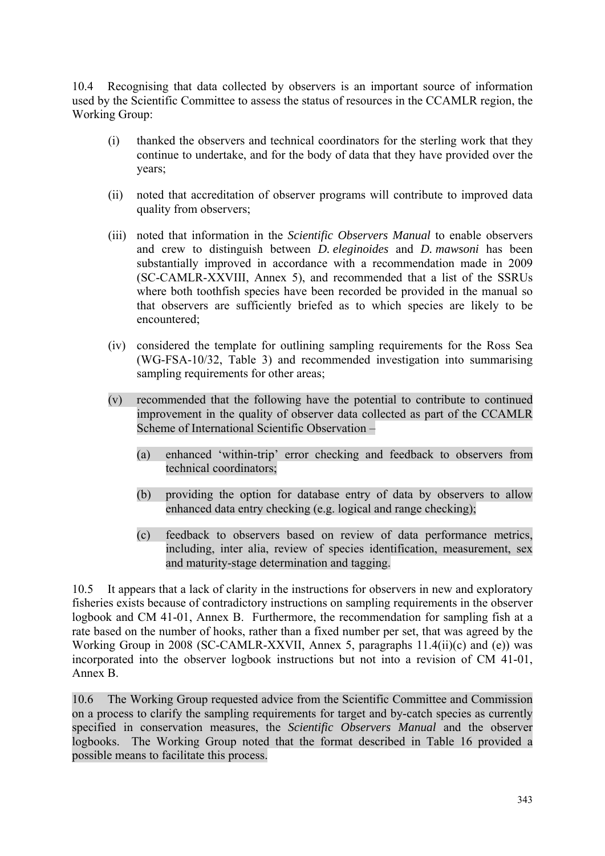10.4 Recognising that data collected by observers is an important source of information used by the Scientific Committee to assess the status of resources in the CCAMLR region, the Working Group:

- (i) thanked the observers and technical coordinators for the sterling work that they continue to undertake, and for the body of data that they have provided over the years;
- (ii) noted that accreditation of observer programs will contribute to improved data quality from observers;
- (iii) noted that information in the *Scientific Observers Manual* to enable observers and crew to distinguish between *D. eleginoides* and *D. mawsoni* has been substantially improved in accordance with a recommendation made in 2009 (SC-CAMLR-XXVIII, Annex 5), and recommended that a list of the SSRUs where both toothfish species have been recorded be provided in the manual so that observers are sufficiently briefed as to which species are likely to be encountered;
- (iv) considered the template for outlining sampling requirements for the Ross Sea (WG-FSA-10/32, Table 3) and recommended investigation into summarising sampling requirements for other areas;
- (v) recommended that the following have the potential to contribute to continued improvement in the quality of observer data collected as part of the CCAMLR Scheme of International Scientific Observation –
	- (a) enhanced 'within-trip' error checking and feedback to observers from technical coordinators;
	- (b) providing the option for database entry of data by observers to allow enhanced data entry checking (e.g. logical and range checking);
	- (c) feedback to observers based on review of data performance metrics, including, inter alia, review of species identification, measurement, sex and maturity-stage determination and tagging.

10.5 It appears that a lack of clarity in the instructions for observers in new and exploratory fisheries exists because of contradictory instructions on sampling requirements in the observer logbook and CM 41-01, Annex B. Furthermore, the recommendation for sampling fish at a rate based on the number of hooks, rather than a fixed number per set, that was agreed by the Working Group in 2008 (SC-CAMLR-XXVII, Annex 5, paragraphs 11.4(ii)(c) and (e)) was incorporated into the observer logbook instructions but not into a revision of CM 41-01, Annex B.

10.6 The Working Group requested advice from the Scientific Committee and Commission on a process to clarify the sampling requirements for target and by-catch species as currently specified in conservation measures, the *Scientific Observers Manual* and the observer logbooks. The Working Group noted that the format described in Table 16 provided a possible means to facilitate this process.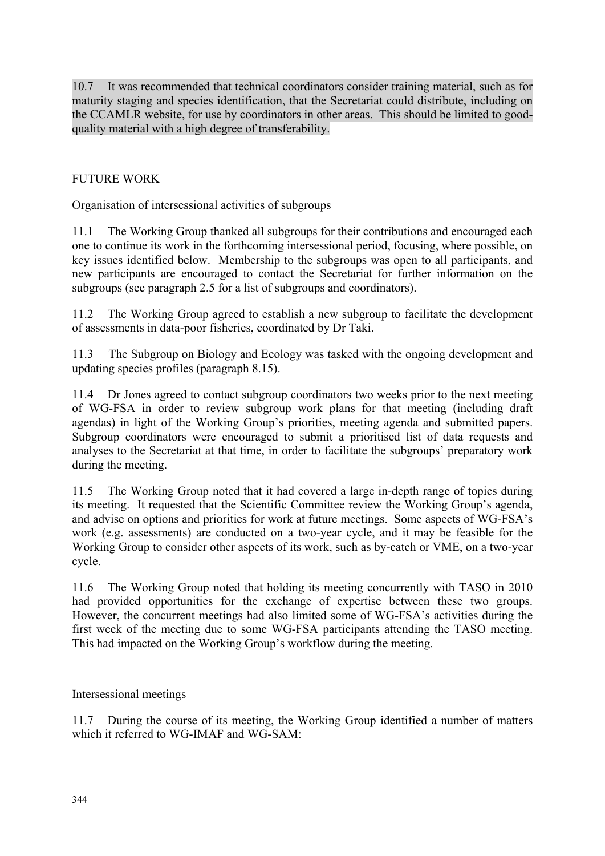10.7 It was recommended that technical coordinators consider training material, such as for maturity staging and species identification, that the Secretariat could distribute, including on the CCAMLR website, for use by coordinators in other areas. This should be limited to goodquality material with a high degree of transferability.

# FUTURE WORK

Organisation of intersessional activities of subgroups

11.1 The Working Group thanked all subgroups for their contributions and encouraged each one to continue its work in the forthcoming intersessional period, focusing, where possible, on key issues identified below. Membership to the subgroups was open to all participants, and new participants are encouraged to contact the Secretariat for further information on the subgroups (see paragraph 2.5 for a list of subgroups and coordinators).

11.2 The Working Group agreed to establish a new subgroup to facilitate the development of assessments in data-poor fisheries, coordinated by Dr Taki.

11.3 The Subgroup on Biology and Ecology was tasked with the ongoing development and updating species profiles (paragraph 8.15).

11.4 Dr Jones agreed to contact subgroup coordinators two weeks prior to the next meeting of WG-FSA in order to review subgroup work plans for that meeting (including draft agendas) in light of the Working Group's priorities, meeting agenda and submitted papers. Subgroup coordinators were encouraged to submit a prioritised list of data requests and analyses to the Secretariat at that time, in order to facilitate the subgroups' preparatory work during the meeting.

11.5 The Working Group noted that it had covered a large in-depth range of topics during its meeting. It requested that the Scientific Committee review the Working Group's agenda, and advise on options and priorities for work at future meetings. Some aspects of WG-FSA's work (e.g. assessments) are conducted on a two-year cycle, and it may be feasible for the Working Group to consider other aspects of its work, such as by-catch or VME, on a two-year cycle.

11.6 The Working Group noted that holding its meeting concurrently with TASO in 2010 had provided opportunities for the exchange of expertise between these two groups. However, the concurrent meetings had also limited some of WG-FSA's activities during the first week of the meeting due to some WG-FSA participants attending the TASO meeting. This had impacted on the Working Group's workflow during the meeting.

Intersessional meetings

11.7 During the course of its meeting, the Working Group identified a number of matters which it referred to WG-IMAF and WG-SAM: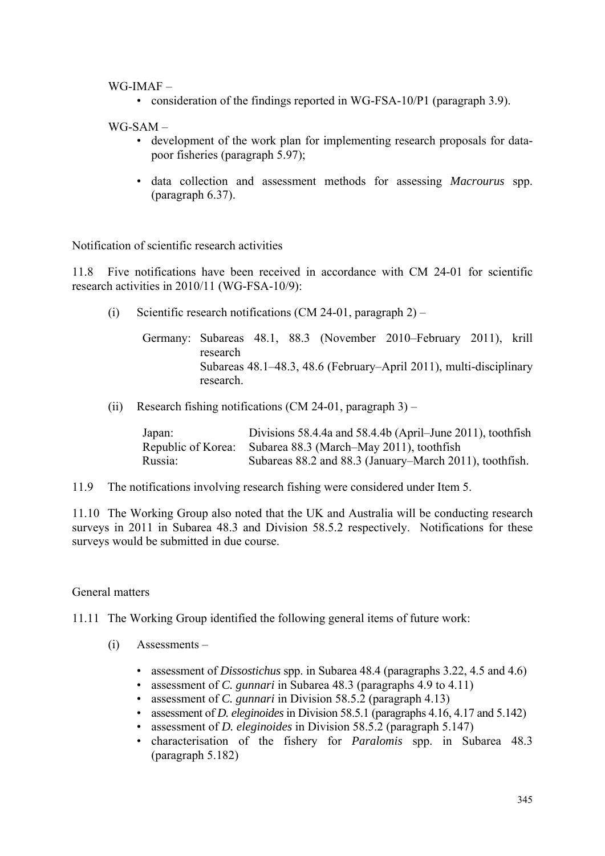#### WG-IMAF –

• consideration of the findings reported in WG-FSA-10/P1 (paragraph 3.9).

WG-SAM –

- development of the work plan for implementing research proposals for datapoor fisheries (paragraph 5.97);
- data collection and assessment methods for assessing *Macrourus* spp. (paragraph 6.37).

Notification of scientific research activities

11.8 Five notifications have been received in accordance with CM 24-01 for scientific research activities in 2010/11 (WG-FSA-10/9):

(i) Scientific research notifications  $(CM 24-01$ , paragraph 2) –

Germany: Subareas 48.1, 88.3 (November 2010–February 2011), krill research Subareas 48.1–48.3, 48.6 (February–April 2011), multi-disciplinary research.

(ii) Research fishing notifications (CM 24-01, paragraph 3) –

| Japan:  | Divisions 58.4.4a and 58.4.4b (April–June 2011), toothfish  |
|---------|-------------------------------------------------------------|
|         | Republic of Korea: Subarea 88.3 (March–May 2011), toothfish |
| Russia: | Subareas 88.2 and 88.3 (January–March 2011), toothfish.     |

11.9 The notifications involving research fishing were considered under Item 5.

11.10 The Working Group also noted that the UK and Australia will be conducting research surveys in 2011 in Subarea 48.3 and Division 58.5.2 respectively. Notifications for these surveys would be submitted in due course.

General matters

11.11 The Working Group identified the following general items of future work:

- (i) Assessments
	- assessment of *Dissostichus* spp. in Subarea 48.4 (paragraphs 3.22, 4.5 and 4.6)
	- assessment of *C. gunnari* in Subarea 48.3 (paragraphs 4.9 to 4.11)
	- assessment of *C. gunnari* in Division 58.5.2 (paragraph 4.13)
	- assessment of *D. eleginoides* in Division 58.5.1 (paragraphs 4.16, 4.17 and 5.142)
	- assessment of *D. eleginoides* in Division 58.5.2 (paragraph 5.147)
	- characterisation of the fishery for *Paralomis* spp. in Subarea 48.3 (paragraph 5.182)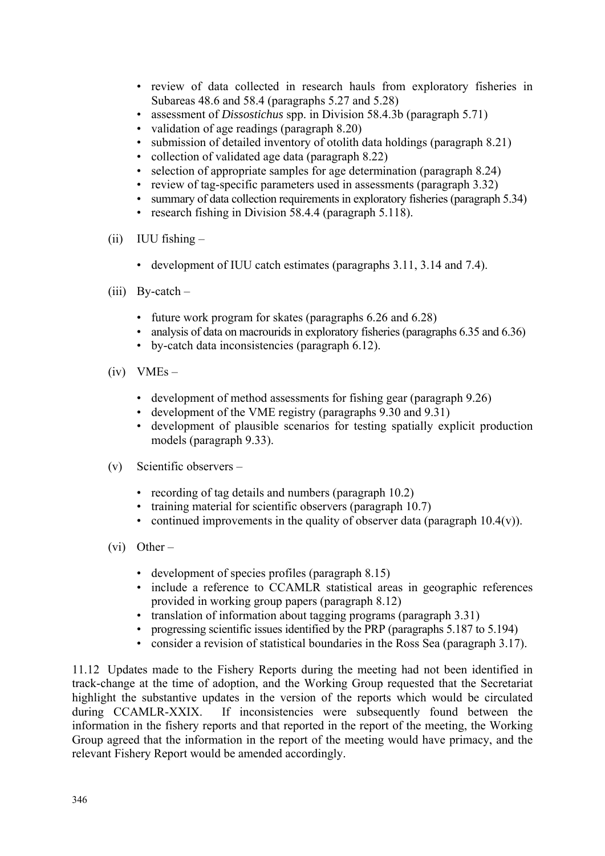- review of data collected in research hauls from exploratory fisheries in Subareas 48.6 and 58.4 (paragraphs 5.27 and 5.28)
- assessment of *Dissostichus* spp. in Division 58.4.3b (paragraph 5.71)
- validation of age readings (paragraph 8.20)
- submission of detailed inventory of otolith data holdings (paragraph 8.21)
- collection of validated age data (paragraph 8.22)
- selection of appropriate samples for age determination (paragraph 8.24)
- review of tag-specific parameters used in assessments (paragraph 3.32)
- summary of data collection requirements in exploratory fisheries (paragraph 5.34)
- research fishing in Division 58.4.4 (paragraph 5.118).
- (ii) IUU fishing
	- development of IUU catch estimates (paragraphs 3.11, 3.14 and 7.4).
- (iii) By-catch
	- future work program for skates (paragraphs 6.26 and 6.28)
	- analysis of data on macrourids in exploratory fisheries (paragraphs 6.35 and 6.36)
	- by-catch data inconsistencies (paragraph 6.12).
- $(iv)$  VMEs
	- development of method assessments for fishing gear (paragraph 9.26)
	- development of the VME registry (paragraphs 9.30 and 9.31)
	- development of plausible scenarios for testing spatially explicit production models (paragraph 9.33).
- (v) Scientific observers
	- recording of tag details and numbers (paragraph 10.2)
	- training material for scientific observers (paragraph 10.7)
	- continued improvements in the quality of observer data (paragraph  $10.4(v)$ ).
- (vi) Other
	- development of species profiles (paragraph 8.15)
	- include a reference to CCAMLR statistical areas in geographic references provided in working group papers (paragraph 8.12)
	- translation of information about tagging programs (paragraph 3.31)
	- progressing scientific issues identified by the PRP (paragraphs 5.187 to 5.194)
	- consider a revision of statistical boundaries in the Ross Sea (paragraph 3.17).

11.12 Updates made to the Fishery Reports during the meeting had not been identified in track-change at the time of adoption, and the Working Group requested that the Secretariat highlight the substantive updates in the version of the reports which would be circulated during CCAMLR-XXIX. If inconsistencies were subsequently found between the information in the fishery reports and that reported in the report of the meeting, the Working Group agreed that the information in the report of the meeting would have primacy, and the relevant Fishery Report would be amended accordingly.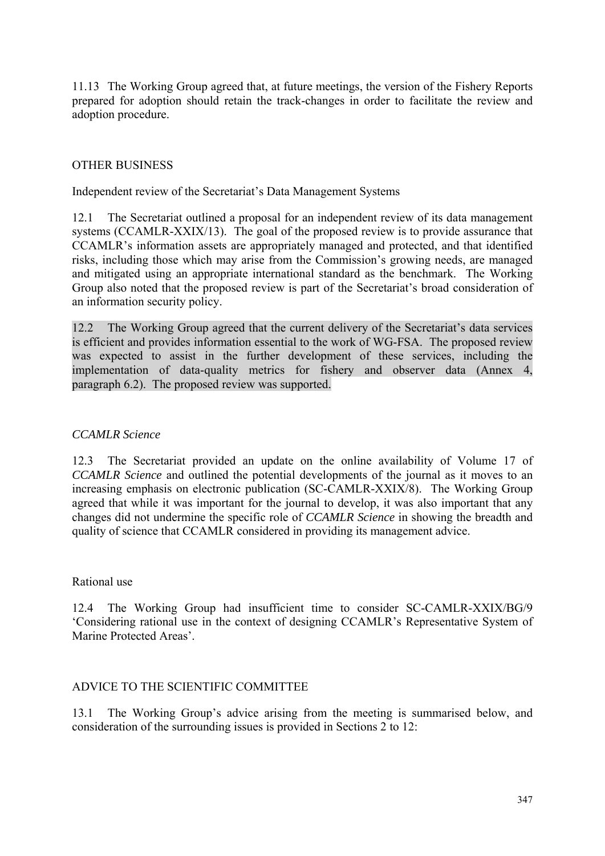11.13 The Working Group agreed that, at future meetings, the version of the Fishery Reports prepared for adoption should retain the track-changes in order to facilitate the review and adoption procedure.

### OTHER BUSINESS

Independent review of the Secretariat's Data Management Systems

12.1 The Secretariat outlined a proposal for an independent review of its data management systems (CCAMLR-XXIX/13). The goal of the proposed review is to provide assurance that CCAMLR's information assets are appropriately managed and protected, and that identified risks, including those which may arise from the Commission's growing needs, are managed and mitigated using an appropriate international standard as the benchmark. The Working Group also noted that the proposed review is part of the Secretariat's broad consideration of an information security policy.

12.2 The Working Group agreed that the current delivery of the Secretariat's data services is efficient and provides information essential to the work of WG-FSA. The proposed review was expected to assist in the further development of these services, including the implementation of data-quality metrics for fishery and observer data (Annex 4, paragraph 6.2). The proposed review was supported.

#### *CCAMLR Science*

12.3 The Secretariat provided an update on the online availability of Volume 17 of *CCAMLR Science* and outlined the potential developments of the journal as it moves to an increasing emphasis on electronic publication (SC-CAMLR-XXIX/8). The Working Group agreed that while it was important for the journal to develop, it was also important that any changes did not undermine the specific role of *CCAMLR Science* in showing the breadth and quality of science that CCAMLR considered in providing its management advice.

#### Rational use

12.4 The Working Group had insufficient time to consider SC-CAMLR-XXIX/BG/9 'Considering rational use in the context of designing CCAMLR's Representative System of Marine Protected Areas'.

#### ADVICE TO THE SCIENTIFIC COMMITTEE

13.1 The Working Group's advice arising from the meeting is summarised below, and consideration of the surrounding issues is provided in Sections 2 to 12: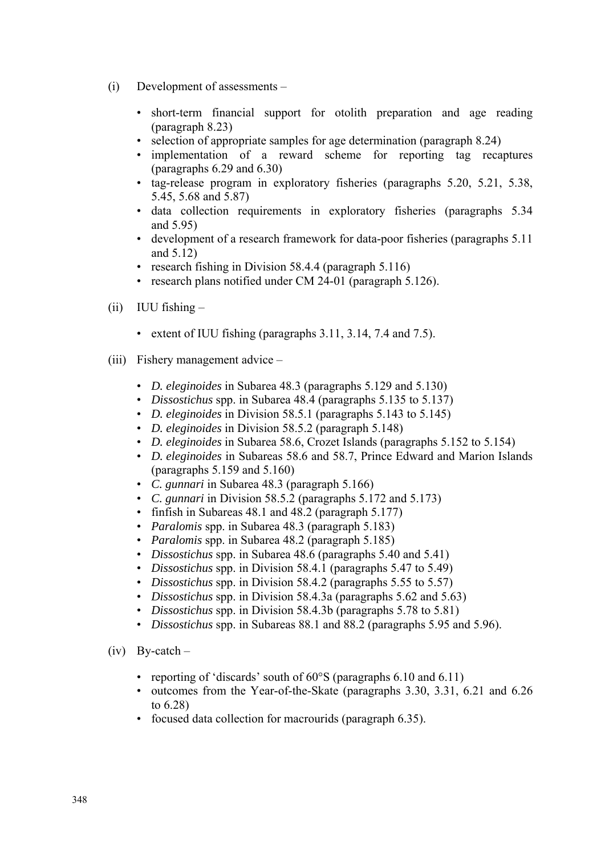- (i) Development of assessments
	- short-term financial support for otolith preparation and age reading (paragraph 8.23)
	- selection of appropriate samples for age determination (paragraph 8.24)
	- implementation of a reward scheme for reporting tag recaptures (paragraphs 6.29 and 6.30)
	- tag-release program in exploratory fisheries (paragraphs 5.20, 5.21, 5.38, 5.45, 5.68 and 5.87)
	- data collection requirements in exploratory fisheries (paragraphs 5.34 and 5.95)
	- development of a research framework for data-poor fisheries (paragraphs 5.11 and 5.12)
	- research fishing in Division 58.4.4 (paragraph 5.116)
	- research plans notified under CM 24-01 (paragraph 5.126).
- (ii) IUU fishing
	- extent of IUU fishing (paragraphs 3.11, 3.14, 7.4 and 7.5).
- (iii) Fishery management advice
	- *D. eleginoides* in Subarea 48.3 (paragraphs 5.129 and 5.130)
	- *Dissostichus* spp. in Subarea 48.4 (paragraphs 5.135 to 5.137)
	- *D. eleginoides* in Division 58.5.1 (paragraphs 5.143 to 5.145)
	- *D. eleginoides* in Division 58.5.2 (paragraph 5.148)
	- *D. eleginoides* in Subarea 58.6, Crozet Islands (paragraphs 5.152 to 5.154)
	- *D. eleginoides* in Subareas 58.6 and 58.7, Prince Edward and Marion Islands (paragraphs 5.159 and 5.160)
	- *C. gunnari* in Subarea 48.3 (paragraph 5.166)
	- *C. gunnari* in Division 58.5.2 (paragraphs 5.172 and 5.173)
	- finfish in Subareas 48.1 and 48.2 (paragraph 5.177)
	- *Paralomis* spp. in Subarea 48.3 (paragraph 5.183)
	- *Paralomis* spp. in Subarea 48.2 (paragraph 5.185)
	- *Dissostichus* spp. in Subarea 48.6 (paragraphs 5.40 and 5.41)
	- *Dissostichus* spp. in Division 58.4.1 (paragraphs 5.47 to 5.49)
	- *Dissostichus* spp. in Division 58.4.2 (paragraphs 5.55 to 5.57)
	- *Dissostichus* spp. in Division 58.4.3a (paragraphs 5.62 and 5.63)
	- *Dissostichus* spp. in Division 58.4.3b (paragraphs 5.78 to 5.81)
	- *Dissostichus* spp. in Subareas 88.1 and 88.2 (paragraphs 5.95 and 5.96).
- $(iv)$  By-catch
	- reporting of 'discards' south of 60°S (paragraphs 6.10 and 6.11)
	- outcomes from the Year-of-the-Skate (paragraphs 3.30, 3.31, 6.21 and 6.26 to 6.28)
	- focused data collection for macrourids (paragraph 6.35).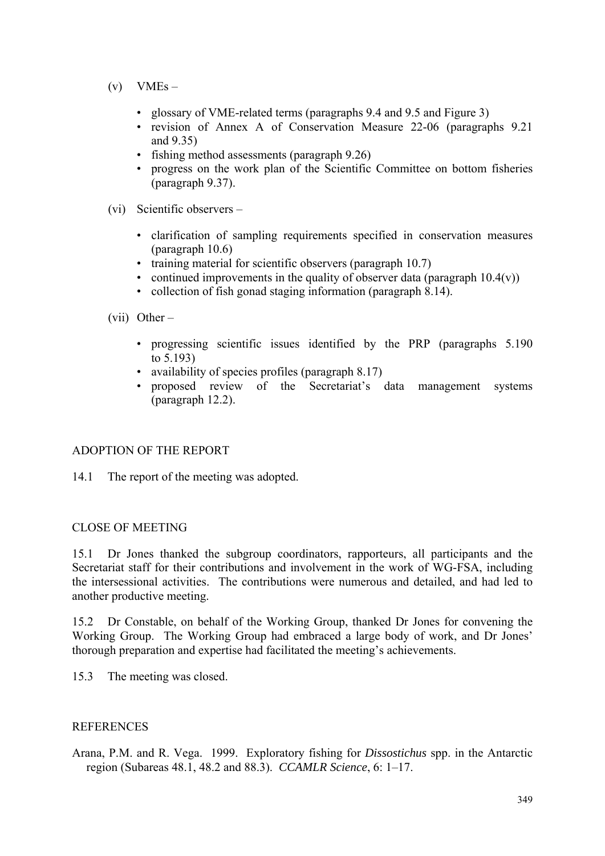- $(v)$  VMEs
	- glossary of VME-related terms (paragraphs 9.4 and 9.5 and Figure 3)
	- revision of Annex A of Conservation Measure 22-06 (paragraphs 9.21 and 9.35)
	- fishing method assessments (paragraph 9.26)
	- progress on the work plan of the Scientific Committee on bottom fisheries (paragraph 9.37).
- (vi) Scientific observers
	- clarification of sampling requirements specified in conservation measures (paragraph 10.6)
	- training material for scientific observers (paragraph 10.7)
	- continued improvements in the quality of observer data (paragraph  $10.4(v)$ )
	- collection of fish gonad staging information (paragraph 8.14).

(vii) Other –

- progressing scientific issues identified by the PRP (paragraphs 5.190 to 5.193)
- availability of species profiles (paragraph 8.17)
- proposed review of the Secretariat's data management systems (paragraph 12.2).

### ADOPTION OF THE REPORT

14.1 The report of the meeting was adopted.

#### CLOSE OF MEETING

15.1 Dr Jones thanked the subgroup coordinators, rapporteurs, all participants and the Secretariat staff for their contributions and involvement in the work of WG-FSA, including the intersessional activities. The contributions were numerous and detailed, and had led to another productive meeting.

15.2 Dr Constable, on behalf of the Working Group, thanked Dr Jones for convening the Working Group. The Working Group had embraced a large body of work, and Dr Jones' thorough preparation and expertise had facilitated the meeting's achievements.

15.3 The meeting was closed.

#### **REFERENCES**

Arana, P.M. and R. Vega. 1999. Exploratory fishing for *Dissostichus* spp. in the Antarctic region (Subareas 48.1, 48.2 and 88.3). *CCAMLR Science*, 6: 1–17.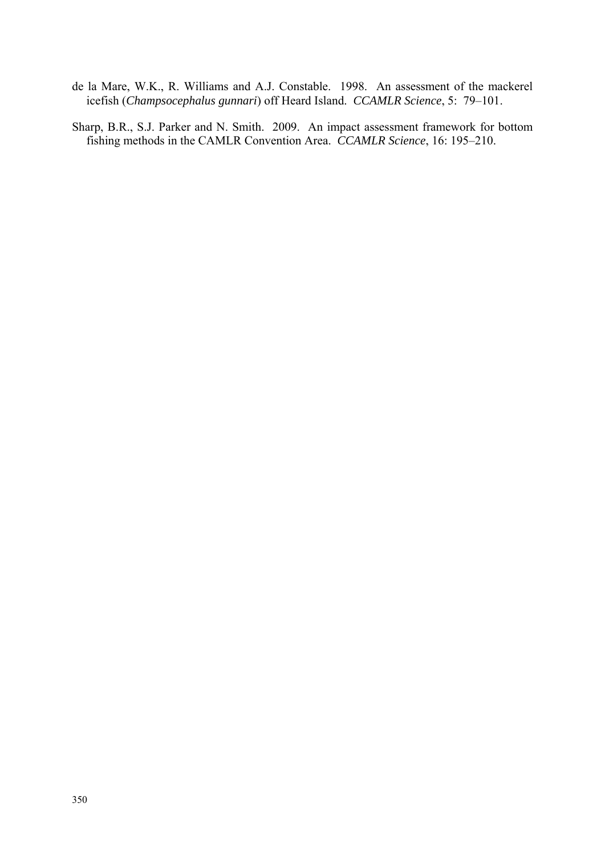- de la Mare, W.K., R. Williams and A.J. Constable. 1998. An assessment of the mackerel icefish (*Champsocephalus gunnari*) off Heard Island. *CCAMLR Science*, 5: 79–101.
- Sharp, B.R., S.J. Parker and N. Smith. 2009. An impact assessment framework for bottom fishing methods in the CAMLR Convention Area. *CCAMLR Science*, 16: 195–210.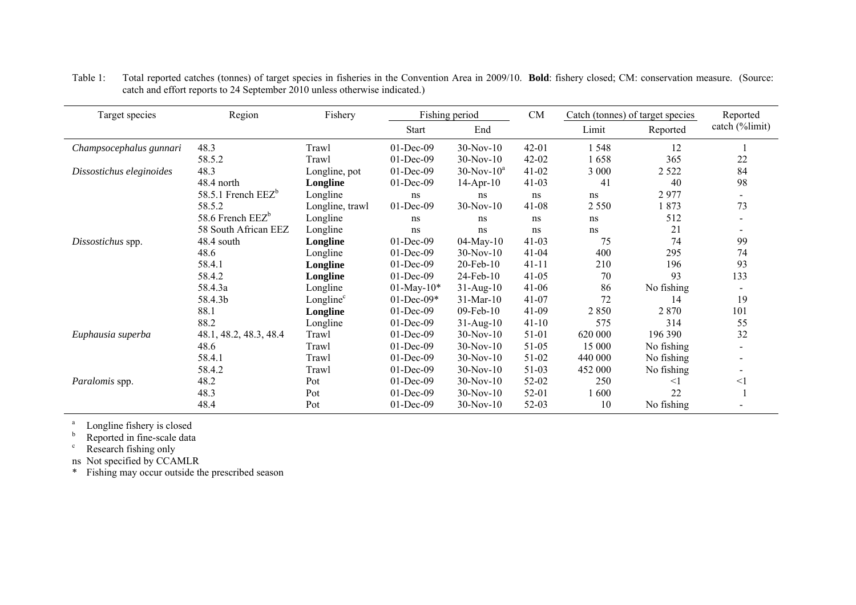| Target species           | Region<br>Fishery      |                       |                  | Fishing period    |           |         | Catch (tonnes) of target species | Reported       |
|--------------------------|------------------------|-----------------------|------------------|-------------------|-----------|---------|----------------------------------|----------------|
|                          |                        |                       | <b>Start</b>     | End               |           | Limit   | Reported                         | catch (%limit) |
| Champsocephalus gunnari  | 48.3                   | Trawl                 | 01-Dec-09        | $30-Nov-10$       | $42 - 01$ | 1548    | 12                               |                |
|                          | 58.5.2                 | Trawl                 | 01-Dec-09        | $30-Nov-10$       | $42 - 02$ | 1658    | 365                              | $22\,$         |
| Dissostichus eleginoides | 48.3                   | Longline, pot         | $01$ -Dec-09     | $30$ -Nov- $10^a$ | $41 - 02$ | 3 0 0 0 | 2 5 2 2                          | 84             |
|                          | 48.4 north             | Longline              | 01-Dec-09        | $14$ -Apr-10      | $41 - 03$ | 41      | 40                               | 98             |
|                          | 58.5.1 French $EEZ^b$  | Longline              | ns               | ns                | ns        | ns      | 2977                             |                |
|                          | 58.5.2                 | Longline, trawl       | 01-Dec-09        | $30-Nov-10$       | $41 - 08$ | 2 5 5 0 | 1873                             | 73             |
|                          | 58.6 French $EEZ^b$    | Longline              | ns               | ns                | ns        | ns      | 512                              |                |
|                          | 58 South African EEZ   | Longline              | ns               | ns                | ns        | ns      | 21                               |                |
| Dissostichus spp.        | 48.4 south             | Longline              | 01-Dec-09        | $04$ -May- $10$   | $41 - 03$ | 75      | 74                               | 99             |
|                          | 48.6                   | Longline              | 01-Dec-09        | $30-Nov-10$       | $41 - 04$ | 400     | 295                              | 74             |
|                          | 58.4.1                 | Longline              | $01$ -Dec-09     | $20$ -Feb- $10$   | $41 - 11$ | 210     | 196                              | 93             |
|                          | 58.4.2                 | Longline              | $01$ -Dec-09     | 24-Feb-10         | $41 - 05$ | 70      | 93                               | 133            |
|                          | 58.4.3a                | Longline              | $01$ -May- $10*$ | $31 - Aug-10$     | $41 - 06$ | 86      | No fishing                       |                |
|                          | 58.4.3b                | Longline <sup>c</sup> | $01$ -Dec-09*    | $31$ -Mar-10      | $41 - 07$ | 72      | 14                               | 19             |
|                          | 88.1                   | Longline              | 01-Dec-09        | 09-Feb-10         | 41-09     | 2850    | 2 8 7 0                          | 101            |
|                          | 88.2                   | Longline              | 01-Dec-09        | $31-Aug-10$       | $41 - 10$ | 575     | 314                              | 55             |
| Euphausia superba        | 48.1, 48.2, 48.3, 48.4 | Trawl                 | $01$ -Dec-09     | $30-Nov-10$       | 51-01     | 620 000 | 196 390                          | 32             |
|                          | 48.6                   | Trawl                 | $01$ -Dec-09     | $30-Nov-10$       | 51-05     | 15 000  | No fishing                       |                |
|                          | 58.4.1                 | Trawl                 | 01-Dec-09        | $30-Nov-10$       | 51-02     | 440 000 | No fishing                       |                |
|                          | 58.4.2                 | Trawl                 | 01-Dec-09        | $30-Nov-10$       | 51-03     | 452 000 | No fishing                       |                |
| Paralomis spp.           | 48.2                   | Pot                   | 01-Dec-09        | $30-Nov-10$       | 52-02     | 250     | $<$ 1                            | $<$ l          |
|                          | 48.3                   | Pot                   | 01-Dec-09        | $30-Nov-10$       | 52-01     | 1600    | 22                               |                |
|                          | 48.4                   | Pot                   | 01-Dec-09        | $30-Nov-10$       | 52-03     | 10      | No fishing                       |                |

Table 1: Total reported catches (tonnes) of target species in fisheries in the Convention Area in 2009/10. **Bold**: fishery closed; CM: conservation measure. (Source: catch and effort reports to 24 September 2010 unless otherwise indicated.)

<sup>a</sup> Longline fishery is closed

<sup>b</sup> Reported in fine-scale data

 $\epsilon$  Research fishing only

ns Not specified by CCAMLR

\* Fishing may occur outside the prescribed season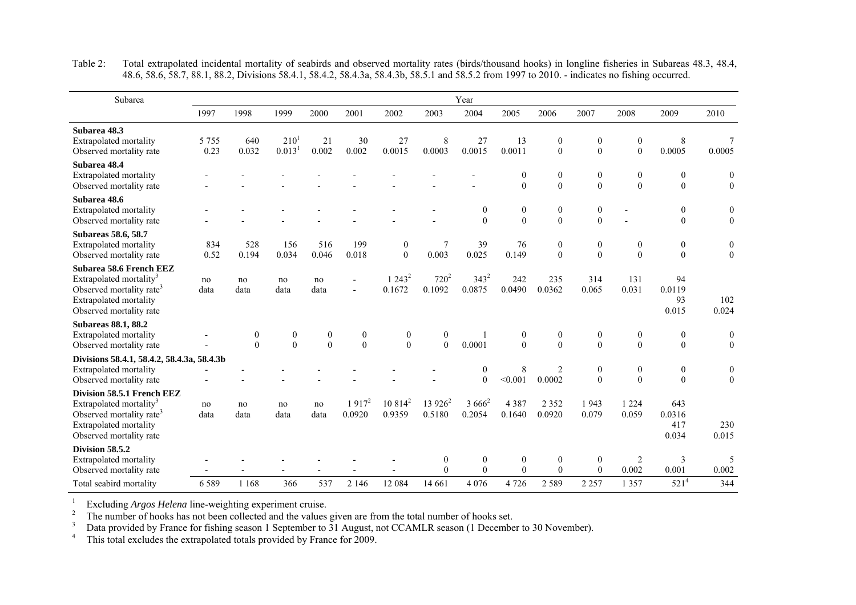| Subarea                                                                                                                                                               |                 |                              |                                 |                              |                              |                              |                              | Year                                 |                              |                              |                              |                                  |                                      |                                  |
|-----------------------------------------------------------------------------------------------------------------------------------------------------------------------|-----------------|------------------------------|---------------------------------|------------------------------|------------------------------|------------------------------|------------------------------|--------------------------------------|------------------------------|------------------------------|------------------------------|----------------------------------|--------------------------------------|----------------------------------|
|                                                                                                                                                                       | 1997            | 1998                         | 1999                            | 2000                         | 2001                         | 2002                         | 2003                         | 2004                                 | 2005                         | 2006                         | 2007                         | 2008                             | 2009                                 | 2010                             |
| Subarea 48.3<br>Extrapolated mortality<br>Observed mortality rate                                                                                                     | 5 7 5 5<br>0.23 | 640<br>0.032                 | $210^{1}$<br>0.013 <sup>1</sup> | 21<br>0.002                  | 30<br>0.002                  | 27<br>0.0015                 | 8<br>0.0003                  | 27<br>0.0015                         | 13<br>0.0011                 | $\mathbf{0}$<br>$\theta$     | $\mathbf{0}$<br>$\theta$     | $\boldsymbol{0}$<br>$\mathbf{0}$ | $\,$ 8 $\,$<br>0.0005                | 0.0005                           |
| Subarea 48.4<br><b>Extrapolated mortality</b><br>Observed mortality rate                                                                                              |                 |                              |                                 |                              |                              |                              |                              |                                      | $\mathbf{0}$<br>$\theta$     | $\mathbf{0}$<br>$\theta$     | $\mathbf{0}$<br>$\mathbf{0}$ | $\mathbf{0}$<br>$\boldsymbol{0}$ | $\boldsymbol{0}$<br>$\boldsymbol{0}$ | $\mathbf{0}$<br>$\boldsymbol{0}$ |
| Subarea 48.6<br><b>Extrapolated mortality</b><br>Observed mortality rate                                                                                              |                 |                              |                                 |                              |                              |                              |                              | $\boldsymbol{0}$<br>$\theta$         | $\boldsymbol{0}$<br>$\theta$ | $\mathbf{0}$<br>$\theta$     | $\mathbf{0}$<br>$\theta$     |                                  | $\mathbf{0}$<br>$\boldsymbol{0}$     | $\boldsymbol{0}$<br>$\mathbf{0}$ |
| <b>Subareas 58.6, 58.7</b><br>Extrapolated mortality<br>Observed mortality rate                                                                                       | 834<br>0.52     | 528<br>0.194                 | 156<br>0.034                    | 516<br>0.046                 | 199<br>0.018                 | $\boldsymbol{0}$<br>$\theta$ | 7<br>0.003                   | 39<br>0.025                          | 76<br>0.149                  | $\boldsymbol{0}$<br>$\theta$ | $\boldsymbol{0}$<br>$\theta$ | $\boldsymbol{0}$<br>$\theta$     | $\boldsymbol{0}$<br>$\theta$         | $\boldsymbol{0}$<br>$\theta$     |
| Subarea 58.6 French EEZ<br>Extrapolated mortality <sup>3</sup><br>Observed mortality rate <sup>3</sup><br><b>Extrapolated mortality</b><br>Observed mortality rate    | no<br>data      | no<br>data                   | no<br>data                      | no<br>data                   |                              | $1243^2$<br>0.1672           | $720^2$<br>0.1092            | $343^2$<br>0.0875                    | 242<br>0.0490                | 235<br>0.0362                | 314<br>0.065                 | 131<br>0.031                     | 94<br>0.0119<br>93<br>0.015          | 102<br>0.024                     |
| <b>Subareas 88.1, 88.2</b><br><b>Extrapolated mortality</b><br>Observed mortality rate                                                                                |                 | $\boldsymbol{0}$<br>$\theta$ | $\boldsymbol{0}$<br>$\theta$    | $\boldsymbol{0}$<br>$\theta$ | $\boldsymbol{0}$<br>$\theta$ | $\boldsymbol{0}$<br>$\theta$ | $\boldsymbol{0}$<br>$\theta$ | 0.0001                               | $\boldsymbol{0}$<br>$\theta$ | $\boldsymbol{0}$<br>$\theta$ | $\boldsymbol{0}$<br>$\theta$ | $\bf{0}$<br>$\theta$             | $\boldsymbol{0}$<br>$\mathbf{0}$     | $\boldsymbol{0}$<br>$\mathbf{0}$ |
| Divisions 58.4.1, 58.4.2, 58.4.3a, 58.4.3b<br>Extrapolated mortality<br>Observed mortality rate                                                                       |                 |                              |                                 |                              |                              |                              |                              | $\boldsymbol{0}$<br>$\boldsymbol{0}$ | 8<br>< 0.001                 | $\overline{c}$<br>0.0002     | $\mathbf{0}$<br>$\theta$     | $\mathbf{0}$<br>$\theta$         | $\mathbf{0}$<br>$\boldsymbol{0}$     | $\mathbf{0}$<br>$\boldsymbol{0}$ |
| Division 58.5.1 French EEZ<br>Extrapolated mortality <sup>3</sup><br>Observed mortality rate <sup>3</sup><br><b>Extrapolated mortality</b><br>Observed mortality rate | no<br>data      | no<br>data                   | no<br>data                      | no<br>data                   | $1917^2$<br>0.0920           | $10814^2$<br>0.9359          | $13926^2$<br>0.5180          | $3666^2$<br>0.2054                   | 4387<br>0.1640               | 2 3 5 2<br>0.0920            | 1943<br>0.079                | 1 2 2 4<br>0.059                 | 643<br>0.0316<br>417<br>0.034        | 230<br>0.015                     |
| Division 58.5.2<br>Extrapolated mortality<br>Observed mortality rate                                                                                                  |                 |                              |                                 |                              |                              |                              | $\boldsymbol{0}$<br>$\theta$ | $\boldsymbol{0}$<br>$\theta$         | $\boldsymbol{0}$<br>$\theta$ | $\mathbf{0}$<br>$\theta$     | $\mathbf{0}$<br>$\Omega$     | 2<br>0.002                       | 3<br>0.001                           | 5<br>0.002                       |
| Total seabird mortality                                                                                                                                               | 6589            | 1 1 6 8                      | 366                             | 537                          | 2 1 4 6                      | 12 084                       | 14 661                       | 4 0 7 6                              | 4726                         | 2 5 8 9                      | 2 2 5 7                      | 1 3 5 7                          | $521^{4}$                            | 344                              |

Table 2: Total extrapolated incidental mortality of seabirds and observed mortality rates (birds/thousand hooks) in longline fisheries in Subareas 48.3, 48.4, 48.6, 58.6, 58.7, 88.1, 88.2, Divisions 58.4.1, 58.4.2, 58.4.3a, 58.4.3b, 58.5.1 and 58.5.2 from 1997 to 2010. - indicates no fishing occurred.

 $1$  Excluding *Argos Helena* line-weighting experiment cruise.

 $2<sup>2</sup>$  The number of hooks has not been collected and the values given are from the total number of hooks set.

<sup>3</sup> Data provided by France for fishing season 1 September to  $31$  August, not CCAMLR season (1 December to 30 November).

<sup>4</sup> This total excludes the extrapolated totals provided by France for 2009.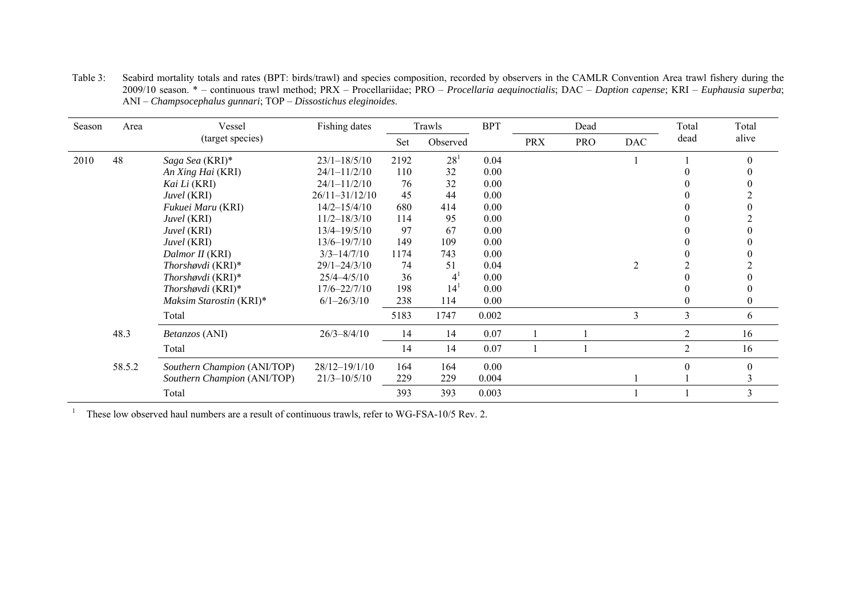| Season | Area   | Vessel                      | Fishing dates      |      | Trawls   | <b>BPT</b> |            | Dead       |            | Total          | Total        |
|--------|--------|-----------------------------|--------------------|------|----------|------------|------------|------------|------------|----------------|--------------|
|        |        | (target species)            |                    | Set  | Observed |            | <b>PRX</b> | <b>PRO</b> | <b>DAC</b> | dead           | alive        |
| 2010   | 48     | Saga Sea (KRI)*             | $23/1 - 18/5/10$   | 2192 | $28^{1}$ | 0.04       |            |            |            |                | $\theta$     |
|        |        | An Xing Hai (KRI)           | $24/1 - 11/2/10$   | 110  | 32       | 0.00       |            |            |            |                |              |
|        |        | Kai Li (KRI)                | $24/1 - 11/2/10$   | 76   | 32       | 0.00       |            |            |            |                |              |
|        |        | Juvel (KRI)                 | $26/11 - 31/12/10$ | 45   | 44       | 0.00       |            |            |            |                |              |
|        |        | Fukuei Maru (KRI)           | $14/2 - 15/4/10$   | 680  | 414      | 0.00       |            |            |            |                |              |
|        |        | Juvel (KRI)                 | $11/2 - 18/3/10$   | 114  | 95       | 0.00       |            |            |            |                |              |
|        |        | Juvel (KRI)                 | 13/4-19/5/10       | 97   | 67       | 0.00       |            |            |            |                |              |
|        |        | Juvel (KRI)                 | $13/6 - 19/7/10$   | 149  | 109      | 0.00       |            |            |            |                |              |
|        |        | Dalmor II (KRI)             | $3/3 - 14/7/10$    | 1174 | 743      | 0.00       |            |            |            |                |              |
|        |        | Thorshøvdi (KRI)*           | $29/1 - 24/3/10$   | 74   | 51       | 0.04       |            |            | 2          |                |              |
|        |        | Thorshovdi $(KRI)^*$        | $25/4 - 4/5/10$    | 36   | 4'       | 0.00       |            |            |            |                |              |
|        |        | Thorshovdi $(KRI)^*$        | $17/6 - 22/7/10$   | 198  | 14       | 0.00       |            |            |            |                |              |
|        |        | Maksim Starostin (KRI)*     | $6/1 - 26/3/10$    | 238  | 114      | 0.00       |            |            |            |                | $\mathbf{0}$ |
|        |        | Total                       |                    | 5183 | 1747     | 0.002      |            |            | 3          | 3              | 6            |
|        | 48.3   | Betanzos (ANI)              | $26/3 - 8/4/10$    | 14   | 14       | 0.07       |            |            |            | 2              | 16           |
|        |        | Total                       |                    | 14   | 14       | 0.07       |            |            |            | $\mathfrak{2}$ | 16           |
|        | 58.5.2 | Southern Champion (ANI/TOP) | 28/12-19/1/10      | 164  | 164      | 0.00       |            |            |            |                | $\Omega$     |
|        |        | Southern Champion (ANI/TOP) | $21/3 - 10/5/10$   | 229  | 229      | 0.004      |            |            |            |                |              |
|        |        | Total                       |                    | 393  | 393      | 0.003      |            |            |            |                | 3            |

Table 3: Seabird mortality totals and rates (BPT: birds/trawl) and species composition, recorded by observers in the CAMLR Convention Area trawl fishery during the 2009/10 season. \* – continuous trawl method; PRX – Procellariidae; PRO – *Procellaria aequinoctialis*; DAC – *Daption capense*; KRI – *Euphausia superba*; ANI – *Champsocephalus gunnari*; TOP – *Dissostichus eleginoides*.

<sup>1</sup> These low observed haul numbers are a result of continuous trawls, refer to WG-FSA-10/5 Rev. 2.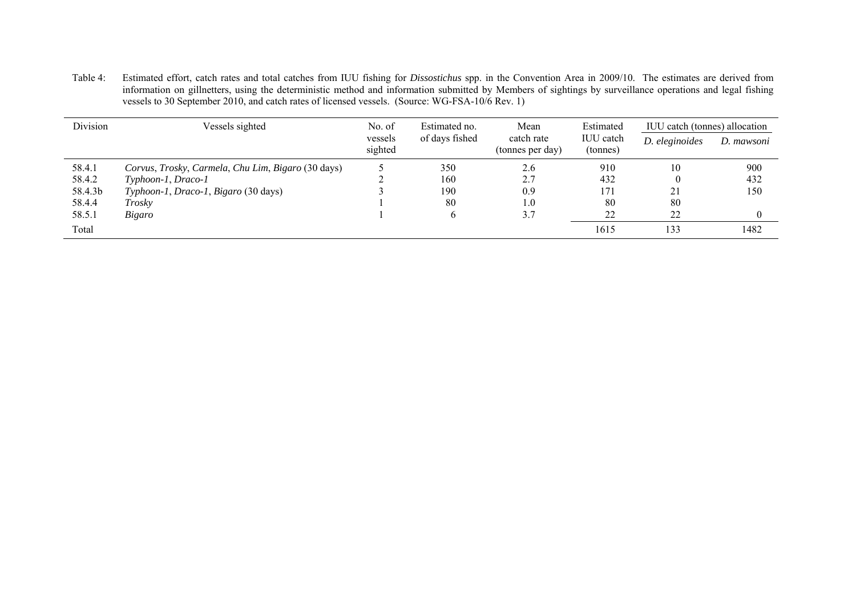Table 4: Estimated effort, catch rates and total catches from IUU fishing for *Dissostichus* spp. in the Convention Area in 2009/10. The estimates are derived from information on gillnetters, using the deterministic method and information submitted by Members of sightings by surveillance operations and legal fishing vessels to 30 September 2010, and catch rates of licensed vessels. (Source: WG-FSA-10/6 Rev. 1)

| Division | Vessels sighted                                    | No. of             | Estimated no.  | Mean                           | Estimated                    | IUU catch (tonnes) allocation |            |
|----------|----------------------------------------------------|--------------------|----------------|--------------------------------|------------------------------|-------------------------------|------------|
|          |                                                    | vessels<br>sighted | of days fished | catch rate<br>(tonnes per day) | <b>IUU</b> catch<br>(tonnes) | D. eleginoides                | D. mawsoni |
| 58.4.1   | Corvus, Trosky, Carmela, Chu Lim, Bigaro (30 days) |                    | 350            | 2.6                            | 910                          | 10                            | 900        |
| 58.4.2   | Typhoon-1, Draco-1                                 |                    | 160            | 2.7                            | 432                          |                               | 432        |
| 58.4.3b  | Typhoon-1, Draco-1, Bigaro (30 days)               |                    | 190            | 0.9                            | 171                          | 21                            | 150        |
| 58.4.4   | Troskv                                             |                    | 80             | 1.0                            | 80                           | 80                            |            |
| 58.5.1   | Bigaro                                             |                    | $\sigma$       | 3.7                            | 22                           | 22                            |            |
| Total    |                                                    |                    |                |                                | 1615                         | 133                           | 1482       |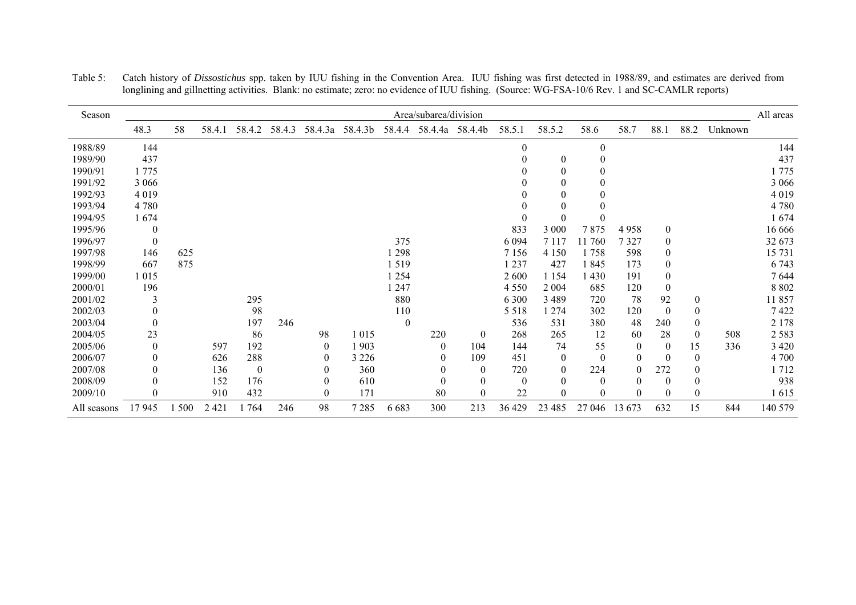| Season      |          |       |         |              |        |                  |         |          | Area/subarea/division |                  |                  |              |          |                  |                  |                  |         | All areas |
|-------------|----------|-------|---------|--------------|--------|------------------|---------|----------|-----------------------|------------------|------------------|--------------|----------|------------------|------------------|------------------|---------|-----------|
|             | 48.3     | 58    | 58.4.1  | 58.4.2       | 58.4.3 | 58.4.3a          | 58.4.3b | 58.4.4   |                       | 58.4.4a 58.4.4b  | 58.5.1           | 58.5.2       | 58.6     | 58.7             | 88.1             | 88.2             | Unknown |           |
| 1988/89     | 144      |       |         |              |        |                  |         |          |                       |                  | $\Omega$         |              | $\Omega$ |                  |                  |                  |         | 144       |
| 1989/90     | 437      |       |         |              |        |                  |         |          |                       |                  |                  | $\theta$     | $\theta$ |                  |                  |                  |         | 437       |
| 1990/91     | 1775     |       |         |              |        |                  |         |          |                       |                  |                  | $\Omega$     | 0        |                  |                  |                  |         | 1775      |
| 1991/92     | 3 0 6 6  |       |         |              |        |                  |         |          |                       |                  |                  | $\Omega$     | $\Omega$ |                  |                  |                  |         | 3 0 6 6   |
| 1992/93     | 4019     |       |         |              |        |                  |         |          |                       |                  |                  | 0            |          |                  |                  |                  |         | 4019      |
| 1993/94     | 4780     |       |         |              |        |                  |         |          |                       |                  |                  | $\Omega$     |          |                  |                  |                  |         | 4780      |
| 1994/95     | 1674     |       |         |              |        |                  |         |          |                       |                  |                  | $\Omega$     | $\Omega$ |                  |                  |                  |         | 1674      |
| 1995/96     | $\theta$ |       |         |              |        |                  |         |          |                       |                  | 833              | 3 000        | 7875     | 4958             | $\boldsymbol{0}$ |                  |         | 16 666    |
| 1996/97     | $\Omega$ |       |         |              |        |                  |         | 375      |                       |                  | 6 0 9 4          | 7 1 1 7      | 11760    | 7327             | $\theta$         |                  |         | 32 673    |
| 1997/98     | 146      | 625   |         |              |        |                  |         | 1 2 9 8  |                       |                  | 7 1 5 6          | 4 1 5 0      | 1758     | 598              | $\boldsymbol{0}$ |                  |         | 15 731    |
| 1998/99     | 667      | 875   |         |              |        |                  |         | 1519     |                       |                  | 1 2 3 7          | 427          | 1845     | 173              | $\theta$         |                  |         | 6743      |
| 1999/00     | 1015     |       |         |              |        |                  |         | 1 2 5 4  |                       |                  | 2 600            | 1 1 5 4      | 1430     | 191              | $\boldsymbol{0}$ |                  |         | 7644      |
| 2000/01     | 196      |       |         |              |        |                  |         | 1 247    |                       |                  | 4 5 5 0          | 2 0 0 4      | 685      | 120              | $\theta$         |                  |         | 8 8 0 2   |
| 2001/02     |          |       |         | 295          |        |                  |         | 880      |                       |                  | 6 3 0 0          | 3 4 8 9      | 720      | 78               | 92               | $\boldsymbol{0}$ |         | 11857     |
| 2002/03     | 0        |       |         | 98           |        |                  |         | 110      |                       |                  | 5 5 1 8          | 1 274        | 302      | 120              | $\Omega$         | $\theta$         |         | 7422      |
| 2003/04     |          |       |         | 197          | 246    |                  |         | $\theta$ |                       |                  | 536              | 531          | 380      | 48               | 240              | $\boldsymbol{0}$ |         | 2 1 7 8   |
| 2004/05     | 23       |       |         | 86           |        | 98               | 1015    |          | 220                   | $\mathbf{0}$     | 268              | 265          | 12       | 60               | 28               | $\theta$         | 508     | 2583      |
| 2005/06     | $\theta$ |       | 597     | 192          |        | $\overline{0}$   | 1 9 0 3 |          | $\theta$              | 104              | 144              | 74           | 55       | $\overline{0}$   | $\theta$         | 15               | 336     | 3 4 2 0   |
| 2006/07     |          |       | 626     | 288          |        | $\theta$         | 3 2 2 6 |          |                       | 109              | 451              | $\theta$     | $\theta$ | $\theta$         |                  | $\theta$         |         | 4 700     |
| 2007/08     |          |       | 136     | $\mathbf{0}$ |        | $\theta$         | 360     |          | 0                     | $\mathbf{0}$     | 720              | $\mathbf{0}$ | 224      | $\theta$         | 272              |                  |         | 1712      |
| 2008/09     |          |       | 152     | 176          |        | $\boldsymbol{0}$ | 610     |          | $\boldsymbol{0}$      | $\boldsymbol{0}$ | $\boldsymbol{0}$ | $\theta$     | $\theta$ | $\boldsymbol{0}$ | $\Omega$         | $\theta$         |         | 938       |
| 2009/10     |          |       | 910     | 432          |        | $\mathbf{0}$     | 171     |          | 80                    | $\theta$         | 22               | $\Omega$     | $\Omega$ | $\Omega$         | $\Omega$         | $\theta$         |         | 1615      |
| All seasons | 17945    | 1 500 | 2 4 2 1 | 1764         | 246    | 98               | 7285    | 6 6 8 3  | 300                   | 213              | 36 429           | 23 4 85      | 27 046   | 13 673           | 632              | 15               | 844     | 140 579   |

Table 5: Catch history of *Dissostichus* spp. taken by IUU fishing in the Convention Area. IUU fishing was first detected in 1988/89, and estimates are derived from longlining and gillnetting activities. Blank: no estimate; zero: no evidence of IUU fishing. (Source: WG-FSA-10/6 Rev. 1 and SC-CAMLR reports)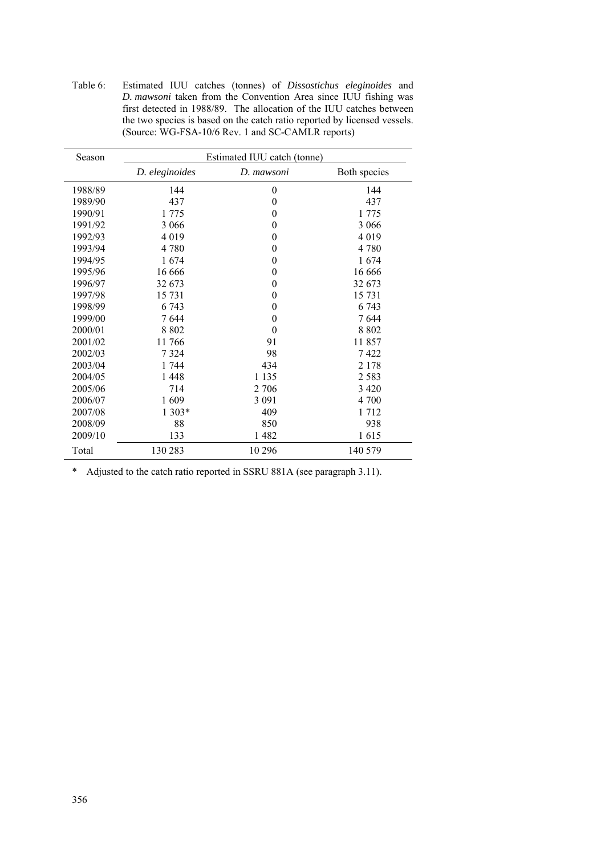Table 6: Estimated IUU catches (tonnes) of *Dissostichus eleginoides* and *D. mawsoni* taken from the Convention Area since IUU fishing was first detected in 1988/89. The allocation of the IUU catches between the two species is based on the catch ratio reported by licensed vessels. (Source: WG-FSA-10/6 Rev. 1 and SC-CAMLR reports)

| Season  | Estimated IUU catch (tonne) |                  |              |  |  |  |  |  |
|---------|-----------------------------|------------------|--------------|--|--|--|--|--|
|         | D. eleginoides              | D. mawsoni       | Both species |  |  |  |  |  |
| 1988/89 | 144                         | $\boldsymbol{0}$ | 144          |  |  |  |  |  |
| 1989/90 | 437                         | $\mathbf{0}$     | 437          |  |  |  |  |  |
| 1990/91 | 1 775                       | $\mathbf{0}$     | 1 775        |  |  |  |  |  |
| 1991/92 | 3 0 6 6                     | $\mathbf{0}$     | 3 0 6 6      |  |  |  |  |  |
| 1992/93 | 4 0 1 9                     | $\theta$         | 4 0 1 9      |  |  |  |  |  |
| 1993/94 | 4 7 8 0                     | $\theta$         | 4 7 8 0      |  |  |  |  |  |
| 1994/95 | 1674                        | 0                | 1674         |  |  |  |  |  |
| 1995/96 | 16 6 6 6                    | 0                | 16 6 6 6     |  |  |  |  |  |
| 1996/97 | 32 673                      | $\theta$         | 32 673       |  |  |  |  |  |
| 1997/98 | 15 731                      | $\overline{0}$   | 15 731       |  |  |  |  |  |
| 1998/99 | 6 743                       | $\theta$         | 6 7 4 3      |  |  |  |  |  |
| 1999/00 | 7644                        | 0                | 7644         |  |  |  |  |  |
| 2000/01 | 8 8 0 2                     | $\theta$         | 8 8 0 2      |  |  |  |  |  |
| 2001/02 | 11766                       | 91               | 11857        |  |  |  |  |  |
| 2002/03 | 7 3 2 4                     | 98               | 7422         |  |  |  |  |  |
| 2003/04 | 1 744                       | 434              | 2 1 7 8      |  |  |  |  |  |
| 2004/05 | 1448                        | 1 1 3 5          | 2 5 8 3      |  |  |  |  |  |
| 2005/06 | 714                         | 2 706            | 3 4 2 0      |  |  |  |  |  |
| 2006/07 | 1609                        | 3 0 9 1          | 4 700        |  |  |  |  |  |
| 2007/08 | 1 303*                      | 409              | 1712         |  |  |  |  |  |
| 2008/09 | 88                          | 850              | 938          |  |  |  |  |  |
| 2009/10 | 133                         | 1482             | 1615         |  |  |  |  |  |
| Total   | 130 283                     | 10 29 6          | 140 579      |  |  |  |  |  |

\* Adjusted to the catch ratio reported in SSRU 881A (see paragraph 3.11).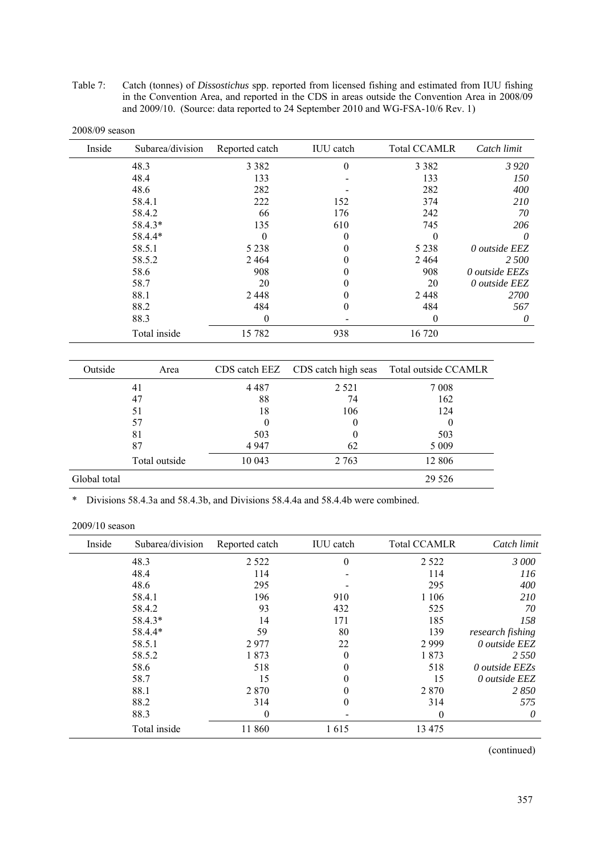Table 7: Catch (tonnes) of *Dissostichus* spp. reported from licensed fishing and estimated from IUU fishing in the Convention Area, and reported in the CDS in areas outside the Convention Area in 2008/09 and 2009/10. (Source: data reported to 24 September 2010 and WG-FSA-10/6 Rev. 1)

| Inside | Subarea/division | Reported catch | <b>IUU</b> catch | <b>Total CCAMLR</b> | Catch limit    |
|--------|------------------|----------------|------------------|---------------------|----------------|
|        | 48.3             | 3 3 8 2        | $\theta$         | 3 3 8 2             | 3920           |
|        | 48.4             | 133            |                  | 133                 | <i>150</i>     |
|        | 48.6             | 282            |                  | 282                 | 400            |
|        | 58.4.1           | 222            | 152              | 374                 | 210            |
|        | 58.4.2           | 66             | 176              | 242                 | 70             |
|        | 58.4.3*          | 135            | 610              | 745                 | 206            |
|        | 58.4.4*          | 0              | $\theta$         |                     | $\theta$       |
|        | 58.5.1           | 5 2 3 8        | $\theta$         | 5 2 3 8             | 0 outside EEZ  |
|        | 58.5.2           | 2 4 6 4        | $\theta$         | 2464                | 2 500          |
|        | 58.6             | 908            | 0                | 908                 | 0 outside EEZs |
|        | 58.7             | 20             | 0                | 20                  | 0 outside EEZ  |
|        | 88.1             | 2 4 4 8        | 0                | 2448                | <i>2700</i>    |
|        | 88.2             | 484            | 0                | 484                 | 567            |
|        | 88.3             | $\Omega$       |                  | $\theta$            | 0              |
|        | Total inside     | 15 782         | 938              | 16720               |                |

| Outside      | Area          |          | CDS catch EEZ CDS catch high seas | Total outside CCAMLR |
|--------------|---------------|----------|-----------------------------------|----------------------|
|              | 41            | 4 4 8 7  | 2 5 2 1                           | 7 0 0 8              |
|              | 47            | 88       | 74                                | 162                  |
|              | 51            | 18       | 106                               | 124                  |
|              | 57            | $\theta$ | 0                                 |                      |
|              | 81            | 503      | 0                                 | 503                  |
|              | 87            | 4 9 4 7  | 62                                | 5 0 0 9              |
|              | Total outside | 10 043   | 2 7 6 3                           | 12 806               |
| Global total |               |          |                                   | 29 5 26              |

\* Divisions 58.4.3a and 58.4.3b, and Divisions 58.4.4a and 58.4.4b were combined.

| Inside | Subarea/division | Reported catch | <b>IUU</b> catch | <b>Total CCAMLR</b> | Catch limit      |
|--------|------------------|----------------|------------------|---------------------|------------------|
|        | 48.3             | 2 5 2 2        | $\theta$         | 2 5 2 2             | 3 000            |
|        | 48.4             | 114            |                  | 114                 | 116              |
|        | 48.6             | 295            |                  | 295                 | 400              |
|        | 58.4.1           | 196            | 910              | 1 1 0 6             | 210              |
|        | 58.4.2           | 93             | 432              | 525                 | 70               |
|        | 58.4.3*          | 14             | 171              | 185                 | 158              |
|        | 58.4.4*          | 59             | 80               | 139                 | research fishing |
|        | 58.5.1           | 2977           | 22               | 2999                | 0 outside EEZ    |
|        | 58.5.2           | 1873           | 0                | 1873                | 2 5 5 0          |
|        | 58.6             | 518            |                  | 518                 | 0 outside EEZs   |
|        | 58.7             | 15             |                  | 15                  | 0 outside EEZ    |
|        | 88.1             | 2870           |                  | 2 8 7 0             | 2850             |
|        | 88.2             | 314            | 0                | 314                 | 575              |
|        | 88.3             | $\theta$       |                  | $\Omega$            | 0                |
|        | Total inside     | 11 860         | 1615             | 13 4 7 5            |                  |

(continued)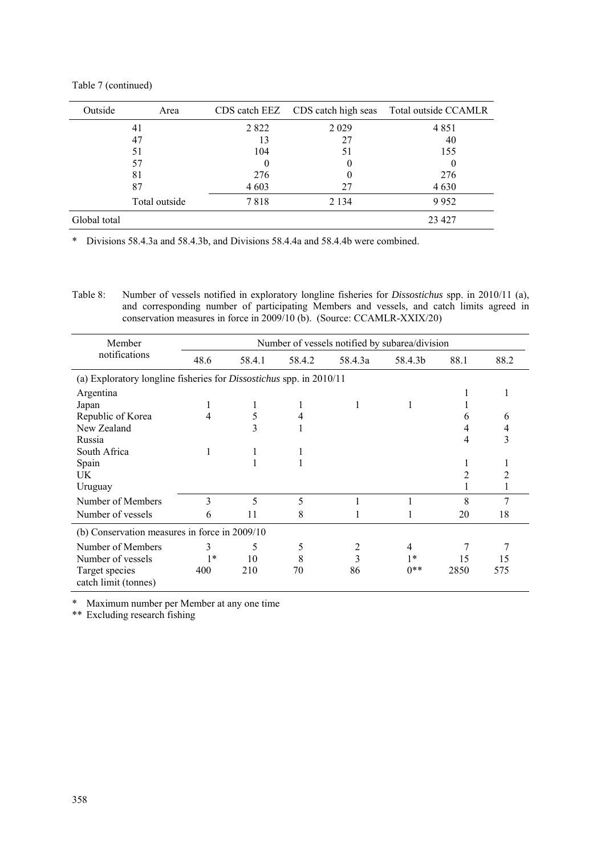| Outside      | Area          |          |         | CDS catch EEZ CDS catch high seas Total outside CCAMLR |
|--------------|---------------|----------|---------|--------------------------------------------------------|
|              | 41            | 2 8 2 2  | 2 0 2 9 | 4851                                                   |
|              | 47            | 13       | 27      | 40                                                     |
|              | 51            | 104      | 51      | 155                                                    |
|              | 57            | $\theta$ |         |                                                        |
|              | 81            | 276      |         | 276                                                    |
|              | 87            | 4 6 0 3  | 27      | 4630                                                   |
|              | Total outside | 7818     | 2 1 3 4 | 9952                                                   |
| Global total |               |          |         | 23 4 27                                                |

\* Divisions 58.4.3a and 58.4.3b, and Divisions 58.4.4a and 58.4.4b were combined.

Table 8: Number of vessels notified in exploratory longline fisheries for *Dissostichus* spp. in 2010/11 (a), and corresponding number of participating Members and vessels, and catch limits agreed in conservation measures in force in 2009/10 (b). (Source: CCAMLR-XXIX/20)

| Member                                                                     |      |        |        | Number of vessels notified by subarea/division |         |      |      |
|----------------------------------------------------------------------------|------|--------|--------|------------------------------------------------|---------|------|------|
| notifications                                                              | 48.6 | 58.4.1 | 58.4.2 | 58.4.3a                                        | 58.4.3b | 88.1 | 88.2 |
| (a) Exploratory longline fisheries for <i>Dissostichus</i> spp. in 2010/11 |      |        |        |                                                |         |      |      |
| Argentina                                                                  |      |        |        |                                                |         |      |      |
| Japan                                                                      | 1    |        |        |                                                |         |      |      |
| Republic of Korea                                                          | 4    | 5      |        |                                                |         | 6    | 6    |
| New Zealand                                                                |      | 3      |        |                                                |         | 4    |      |
| Russia                                                                     |      |        |        |                                                |         | 4    |      |
| South Africa                                                               | 1    |        |        |                                                |         |      |      |
| Spain                                                                      |      |        |        |                                                |         |      |      |
| UK                                                                         |      |        |        |                                                |         | 2    |      |
| Uruguay                                                                    |      |        |        |                                                |         |      |      |
| Number of Members                                                          | 3    | 5      | 5      |                                                |         | 8    | 7    |
| Number of vessels                                                          | 6    | 11     | 8      |                                                |         | 20   | 18   |
| (b) Conservation measures in force in 2009/10                              |      |        |        |                                                |         |      |      |
| Number of Members                                                          | 3    | 5      | 5      | 2                                              | 4       |      |      |
| Number of vessels                                                          | $1*$ | 10     | 8      | 3                                              | $1*$    | 15   | 15   |
| Target species<br>catch limit (tonnes)                                     | 400  | 210    | 70     | 86                                             | $0**$   | 2850 | 575  |

\* Maximum number per Member at any one time

\*\* Excluding research fishing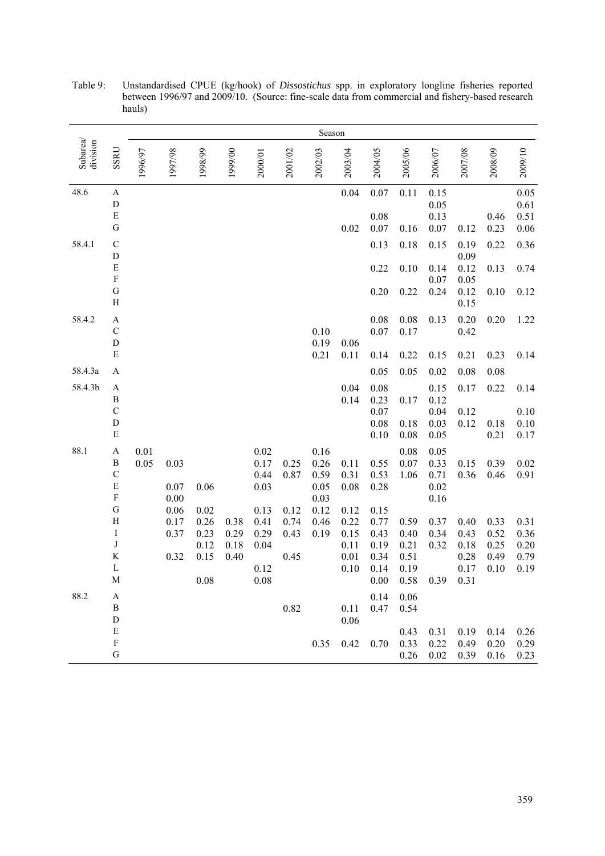|                      |                                                                                                                                                                                   |              |                                                          |                                                      |                              |                                                                                  |                                              | Season                                                       |                                                                      |                                                                              |                                                                      |                                                                      |                                                              |                                                      |                                                      |
|----------------------|-----------------------------------------------------------------------------------------------------------------------------------------------------------------------------------|--------------|----------------------------------------------------------|------------------------------------------------------|------------------------------|----------------------------------------------------------------------------------|----------------------------------------------|--------------------------------------------------------------|----------------------------------------------------------------------|------------------------------------------------------------------------------|----------------------------------------------------------------------|----------------------------------------------------------------------|--------------------------------------------------------------|------------------------------------------------------|------------------------------------------------------|
| Subarea/<br>division | SSRU                                                                                                                                                                              | 1996/97      | 1997/98                                                  | 1998/99                                              | 1999/00                      | 2000/01                                                                          | 2001/02                                      | 2002/03                                                      | 2003/04                                                              | 2004/05                                                                      | 2005/06                                                              | 2006/07                                                              | 2007/08                                                      | 2008/09                                              | 2009/10                                              |
| 48.6                 | $\boldsymbol{\mathsf{A}}$<br>$\mathbf D$<br>${\bf E}$<br>${\bf G}$                                                                                                                |              |                                                          |                                                      |                              |                                                                                  |                                              |                                                              | 0.04<br>0.02                                                         | 0.07<br>0.08<br>0.07                                                         | 0.11<br>0.16                                                         | 0.15<br>0.05<br>0.13<br>0.07                                         | 0.12                                                         | 0.46<br>0.23                                         | $0.05\,$<br>0.61<br>0.51<br>0.06                     |
| 58.4.1               | ${\bf C}$<br>${\rm D}$<br>$\mathbf E$<br>$\mathbf F$<br>${\bf G}$<br>$\rm H$                                                                                                      |              |                                                          |                                                      |                              |                                                                                  |                                              |                                                              |                                                                      | 0.13<br>0.22<br>0.20                                                         | 0.18<br>0.10<br>0.22                                                 | 0.15<br>0.14<br>0.07<br>0.24                                         | 0.19<br>0.09<br>0.12<br>0.05<br>0.12<br>0.15                 | 0.22<br>0.13<br>0.10                                 | 0.36<br>0.74<br>0.12                                 |
| 58.4.2               | $\boldsymbol{\rm{A}}$<br>$\mathbf C$<br>${\rm D}$<br>${\bf E}$                                                                                                                    |              |                                                          |                                                      |                              |                                                                                  |                                              | 0.10<br>0.19<br>0.21                                         | 0.06<br>0.11                                                         | 0.08<br>0.07<br>0.14                                                         | 0.08<br>0.17<br>0.22                                                 | 0.13<br>0.15                                                         | 0.20<br>0.42<br>0.21                                         | 0.20<br>0.23                                         | 1.22<br>0.14                                         |
| 58.4.3a              | $\boldsymbol{\mathsf{A}}$                                                                                                                                                         |              |                                                          |                                                      |                              |                                                                                  |                                              |                                                              |                                                                      | 0.05                                                                         | 0.05                                                                 | 0.02                                                                 | 0.08                                                         | 0.08                                                 |                                                      |
| 58.4.3b              | $\mathbf A$<br>$\, {\bf B}$<br>$\mathbf C$<br>${\rm D}$<br>${\bf E}$                                                                                                              |              |                                                          |                                                      |                              |                                                                                  |                                              |                                                              | $0.04\,$<br>0.14                                                     | 0.08<br>0.23<br>0.07<br>0.08<br>0.10                                         | 0.17<br>0.18<br>0.08                                                 | 0.15<br>0.12<br>0.04<br>0.03<br>0.05                                 | 0.17<br>0.12<br>0.12                                         | 0.22<br>0.18<br>0.21                                 | 0.14<br>$0.10\,$<br>0.10<br>0.17                     |
| 88.1                 | $\boldsymbol{\rm{A}}$<br>$\, {\bf B}$<br>$\mathbf C$<br>$\mathbf E$<br>$\mathbf F$<br>${\bf G}$<br>$\boldsymbol{\mathrm{H}}$<br>$\rm I$<br>$\bf J$<br>$\rm K$<br>$\mathbf L$<br>M | 0.01<br>0.05 | 0.03<br>0.07<br>$0.00\,$<br>0.06<br>0.17<br>0.37<br>0.32 | 0.06<br>0.02<br>0.26<br>0.23<br>0.12<br>0.15<br>0.08 | 0.38<br>0.29<br>0.18<br>0.40 | 0.02<br>0.17<br>0.44<br>0.03<br>0.13<br>0.41<br>0.29<br>0.04<br>0.12<br>$0.08\,$ | 0.25<br>0.87<br>0.12<br>0.74<br>0.43<br>0.45 | 0.16<br>0.26<br>0.59<br>0.05<br>0.03<br>0.12<br>0.46<br>0.19 | 0.11<br>0.31<br>0.08<br>0.12<br>0.22<br>0.15<br>0.11<br>0.01<br>0.10 | 0.55<br>0.53<br>0.28<br>0.15<br>0.77<br>0.43<br>0.19<br>0.34<br>0.14<br>0.00 | 0.08<br>0.07<br>1.06<br>0.59<br>0.40<br>0.21<br>0.51<br>0.19<br>0.58 | 0.05<br>0.33<br>0.71<br>0.02<br>0.16<br>0.37<br>0.34<br>0.32<br>0.39 | 0.15<br>0.36<br>0.40<br>0.43<br>0.18<br>0.28<br>0.17<br>0.31 | 0.39<br>0.46<br>0.33<br>0.52<br>0.25<br>0.49<br>0.10 | 0.02<br>0.91<br>0.31<br>0.36<br>0.20<br>0.79<br>0.19 |
| 88.2                 | A<br>B<br>${\bf D}$<br>${\bf E}$<br>$\mathbf F$<br>${\bf G}$                                                                                                                      |              |                                                          |                                                      |                              |                                                                                  | 0.82                                         |                                                              | 0.11<br>0.06<br>$0.35$ 0.42 0.70                                     | 0.14<br>0.47                                                                 | 0.06<br>0.54<br>0.43<br>0.33<br>0.26                                 | 0.31<br>0.22<br>0.02                                                 | 0.19<br>0.49<br>0.39                                         | 0.14<br>0.20<br>0.16                                 | 0.26<br>0.29<br>0.23                                 |

Table 9: Unstandardised CPUE (kg/hook) of *Dissostichus* spp. in exploratory longline fisheries reported between 1996/97 and 2009/10. (Source: fine-scale data from commercial and fishery-based research hauls)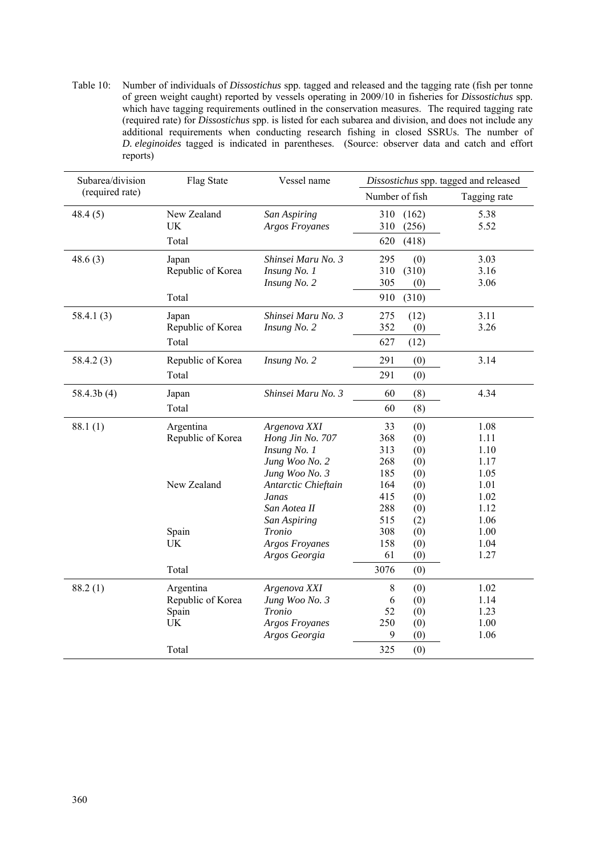Table 10: Number of individuals of *Dissostichus* spp. tagged and released and the tagging rate (fish per tonne of green weight caught) reported by vessels operating in 2009/10 in fisheries for *Dissostichus* spp. which have tagging requirements outlined in the conservation measures. The required tagging rate (required rate) for *Dissostichus* spp. is listed for each subarea and division, and does not include any additional requirements when conducting research fishing in closed SSRUs. The number of *D. eleginoides* tagged is indicated in parentheses. (Source: observer data and catch and effort reports)

| Subarea/division | Flag State        | Vessel name           |                |       | Dissostichus spp. tagged and released |
|------------------|-------------------|-----------------------|----------------|-------|---------------------------------------|
| (required rate)  |                   |                       | Number of fish |       | Tagging rate                          |
| 48.4(5)          | New Zealand       | San Aspiring          | 310            | (162) | 5.38                                  |
|                  | <b>UK</b>         | <b>Argos Froyanes</b> | 310            | (256) | 5.52                                  |
|                  | Total             |                       | 620            | (418) |                                       |
| 48.6(3)          | Japan             | Shinsei Maru No. 3    | 295            | (0)   | 3.03                                  |
|                  | Republic of Korea | Insung No. 1          | 310            | (310) | 3.16                                  |
|                  |                   | Insung No. 2          | 305            | (0)   | 3.06                                  |
|                  | Total             |                       | 910            | (310) |                                       |
| 58.4.1(3)        | Japan             | Shinsei Maru No. 3    | 275            | (12)  | 3.11                                  |
|                  | Republic of Korea | Insung No. 2          | 352            | (0)   | 3.26                                  |
|                  | Total             |                       | 627            | (12)  |                                       |
| 58.4.2(3)        | Republic of Korea | Insung No. 2          | 291            | (0)   | 3.14                                  |
|                  | Total             |                       | 291            | (0)   |                                       |
| 58.4.3b(4)       | Japan             | Shinsei Maru No. 3    | 60             | (8)   | 4.34                                  |
|                  | Total             |                       | 60             | (8)   |                                       |
| 88.1(1)          | Argentina         | Argenova XXI          | 33             | (0)   | 1.08                                  |
|                  | Republic of Korea | Hong Jin No. 707      | 368            | (0)   | 1.11                                  |
|                  |                   | Insung No. 1          | 313            | (0)   | 1.10                                  |
|                  |                   | Jung Woo No. 2        | 268            | (0)   | 1.17                                  |
|                  |                   | Jung Woo No. 3        | 185            | (0)   | 1.05                                  |
|                  | New Zealand       | Antarctic Chieftain   | 164            | (0)   | 1.01                                  |
|                  |                   | Janas                 | 415            | (0)   | 1.02                                  |
|                  |                   | San Aotea II          | 288            | (0)   | 1.12                                  |
|                  |                   | San Aspiring          | 515            | (2)   | 1.06                                  |
|                  | Spain             | Tronio                | 308            | (0)   | 1.00                                  |
|                  | <b>UK</b>         | <b>Argos Froyanes</b> | 158            | (0)   | 1.04                                  |
|                  |                   | Argos Georgia         | 61             | (0)   | 1.27                                  |
|                  | Total             |                       | 3076           | (0)   |                                       |
| 88.2(1)          | Argentina         | Argenova XXI          | $\,8\,$        | (0)   | 1.02                                  |
|                  | Republic of Korea | Jung Woo No. 3        | 6              | (0)   | 1.14                                  |
|                  | Spain             | Tronio                | 52             | (0)   | 1.23                                  |
|                  | UK                | Argos Froyanes        | 250            | (0)   | 1.00                                  |
|                  |                   | Argos Georgia         | 9              | (0)   | 1.06                                  |
|                  | Total             |                       | 325            | (0)   |                                       |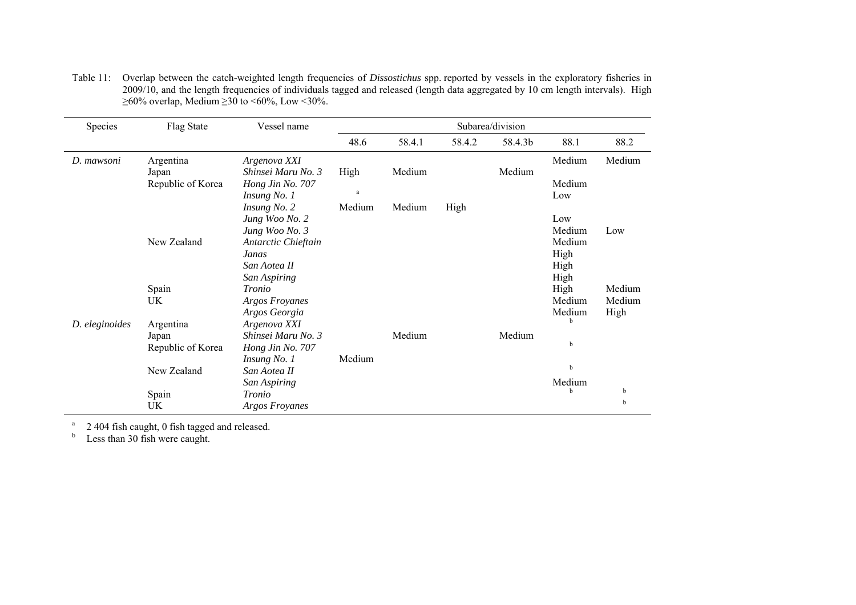| Species        | Flag State        | Vessel name           | Subarea/division |        |        |         |        |        |  |  |  |  |
|----------------|-------------------|-----------------------|------------------|--------|--------|---------|--------|--------|--|--|--|--|
|                |                   |                       | 48.6             | 58.4.1 | 58.4.2 | 58.4.3b | 88.1   | 88.2   |  |  |  |  |
| D. mawsoni     | Argentina         | Argenova XXI          |                  |        |        |         | Medium | Medium |  |  |  |  |
|                | Japan             | Shinsei Maru No. 3    | High             | Medium |        | Medium  |        |        |  |  |  |  |
|                | Republic of Korea | Hong Jin No. 707      |                  |        |        |         | Medium |        |  |  |  |  |
|                |                   | Insung No. 1          | $\rm{a}$         |        |        |         | Low    |        |  |  |  |  |
|                |                   | Insung No. 2          | Medium           | Medium | High   |         |        |        |  |  |  |  |
|                |                   | Jung Woo No. 2        |                  |        |        |         | Low    |        |  |  |  |  |
|                |                   | Jung Woo No. 3        |                  |        |        |         | Medium | Low    |  |  |  |  |
|                | New Zealand       | Antarctic Chieftain   |                  |        |        |         | Medium |        |  |  |  |  |
|                |                   | Janas                 |                  |        |        |         | High   |        |  |  |  |  |
|                |                   | San Aotea II          |                  |        |        |         | High   |        |  |  |  |  |
|                |                   | San Aspiring          |                  |        |        |         | High   |        |  |  |  |  |
|                | Spain             | Tronio                |                  |        |        |         | High   | Medium |  |  |  |  |
|                | UK                | <b>Argos Froyanes</b> |                  |        |        |         | Medium | Medium |  |  |  |  |
|                |                   | Argos Georgia         |                  |        |        |         | Medium | High   |  |  |  |  |
| D. eleginoides | Argentina         | Argenova XXI          |                  |        |        |         | b      |        |  |  |  |  |
|                | Japan             | Shinsei Maru No. 3    |                  | Medium |        | Medium  |        |        |  |  |  |  |
|                | Republic of Korea | Hong Jin No. 707      |                  |        |        |         | b      |        |  |  |  |  |
|                |                   | Insung No. 1          | Medium           |        |        |         |        |        |  |  |  |  |
|                | New Zealand       | San Aotea II          |                  |        |        |         | b      |        |  |  |  |  |
|                |                   | San Aspiring          |                  |        |        |         | Medium |        |  |  |  |  |
|                | Spain             | Tronio                |                  |        |        |         | b      | b      |  |  |  |  |
|                | UK                | <b>Argos Froyanes</b> |                  |        |        |         |        | b      |  |  |  |  |

Table 11: Overlap between the catch-weighted length frequencies of *Dissostichus* spp. reported by vessels in the exploratory fisheries in 2009/10, and the length frequencies of individuals tagged and released (length data aggregated by 10 cm length intervals). High  $\geq$ 60% overlap, Medium  $\geq$ 30 to <60%, Low <30%.

 $2\,404$  fish caught, 0 fish tagged and released.

 $b$  Less than 30 fish were caught.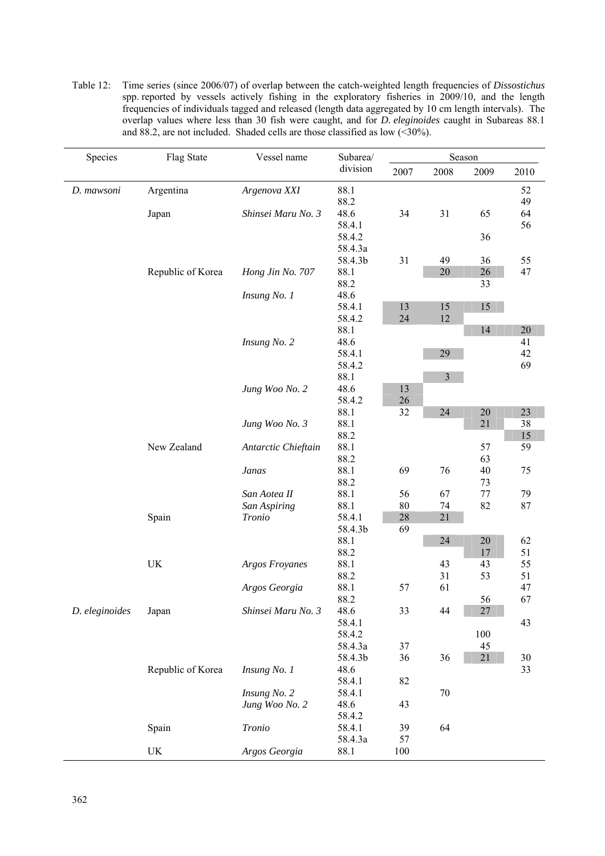| Table 12: Time series (since 2006/07) of overlap between the catch-weighted length frequencies of <i>Dissostichus</i> |
|-----------------------------------------------------------------------------------------------------------------------|
| spp. reported by vessels actively fishing in the exploratory fisheries in 2009/10, and the length                     |
| frequencies of individuals tagged and released (length data aggregated by 10 cm length intervals). The                |
| overlap values where less than 30 fish were caught, and for <i>D. eleginoides</i> caught in Subareas 88.1             |
| and 88.2, are not included. Shaded cells are those classified as low $($                                              |

| Species        | Flag State                      | Vessel name           | Subarea/         |      | Season   |          |          |
|----------------|---------------------------------|-----------------------|------------------|------|----------|----------|----------|
|                |                                 |                       | division         | 2007 | 2008     | 2009     | 2010     |
| D. mawsoni     | Argentina                       | Argenova XXI          | 88.1             |      |          |          | 52       |
|                |                                 |                       | 88.2             |      |          |          | 49       |
|                | Japan                           | Shinsei Maru No. 3    | 48.6             | 34   | 31       | 65       | 64       |
|                |                                 |                       | 58.4.1<br>58.4.2 |      |          |          | 56       |
|                |                                 |                       | 58.4.3a          |      |          | 36       |          |
|                |                                 |                       | 58.4.3b          | 31   | 49       | 36       | 55       |
|                | Republic of Korea               | Hong Jin No. 707      | 88.1             |      | 20       | $26\,$   | 47       |
|                |                                 |                       | 88.2             |      |          | 33       |          |
|                |                                 | Insung No. 1          | 48.6             |      |          |          |          |
|                |                                 |                       | 58.4.1           | 13   | 15       | 15       |          |
|                |                                 |                       | 58.4.2           | 24   | 12       |          |          |
|                |                                 |                       | 88.1             |      |          | 14       | $20\,$   |
|                |                                 | Insung No. 2          | 48.6             |      |          |          | 41       |
|                |                                 |                       | 58.4.1<br>58.4.2 |      | 29       |          | 42<br>69 |
|                |                                 |                       | 88.1             |      | 3        |          |          |
|                |                                 | Jung Woo No. 2        | 48.6             | 13   |          |          |          |
|                |                                 |                       | 58.4.2           | 26   |          |          |          |
|                |                                 |                       | 88.1             | 32   | 24       | $20\,$   | $23\,$   |
|                |                                 | Jung Woo No. 3        | 88.1             |      |          | 21       | 38       |
|                |                                 |                       | 88.2             |      |          |          | 15       |
|                | New Zealand                     | Antarctic Chieftain   | 88.1             |      |          | 57       | 59       |
|                |                                 | Janas                 | 88.2<br>88.1     | 69   | 76       | 63<br>40 |          |
|                |                                 |                       | 88.2             |      |          | 73       | 75       |
|                |                                 | San Aotea II          | 88.1             | 56   | 67       | 77       | 79       |
|                |                                 | San Aspiring          | 88.1             | 80   | 74       | 82       | 87       |
|                | Spain                           | Tronio                | 58.4.1           | 28   | 21       |          |          |
|                |                                 |                       | 58.4.3b          | 69   |          |          |          |
|                |                                 |                       | 88.1             |      | 24       | $20\,$   | 62       |
|                |                                 |                       | 88.2             |      |          | 17       | 51       |
|                | $\ensuremath{\text{UK}}\xspace$ | <b>Argos Froyanes</b> | 88.1<br>88.2     |      | 43<br>31 | 43<br>53 | 55<br>51 |
|                |                                 | Argos Georgia         | 88.1             | 57   | 61       |          | 47       |
|                |                                 |                       | 88.2             |      |          | 56       | 67       |
| D. eleginoides | Japan                           | Shinsei Maru No. 3    | 48.6             | 33   | 44       | 27       |          |
|                |                                 |                       | 58.4.1           |      |          |          | 43       |
|                |                                 |                       | 58.4.2           |      |          | 100      |          |
|                |                                 |                       | 58.4.3a          | 37   |          | 45       |          |
|                |                                 |                       | 58.4.3b          | 36   | 36       | $21\,$   | 30       |
|                | Republic of Korea               | Insung No. 1          | 48.6<br>58.4.1   |      |          |          | 33       |
|                |                                 | Insung No. 2          | 58.4.1           | 82   | 70       |          |          |
|                |                                 | Jung Woo No. 2        | 48.6             | 43   |          |          |          |
|                |                                 |                       | 58.4.2           |      |          |          |          |
|                | Spain                           | Tronio                | 58.4.1           | 39   | 64       |          |          |
|                |                                 |                       | 58.4.3a          | 57   |          |          |          |
|                | $\ensuremath{\text{UK}}\xspace$ | Argos Georgia         | 88.1             | 100  |          |          |          |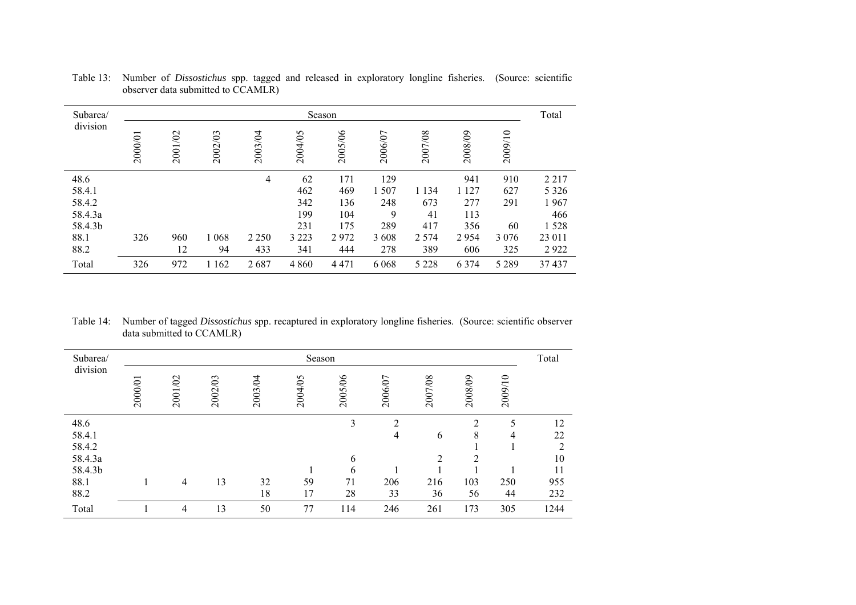| Subarea/ |         |         |         |         |         | Season  |         |         |         |         | Total   |
|----------|---------|---------|---------|---------|---------|---------|---------|---------|---------|---------|---------|
| division | 2000/01 | 2001/02 | 2002/03 | 2003/04 | 2004/05 | 2005/06 | 2006/07 | 2007/08 | 2008/09 | 2009/10 |         |
| 48.6     |         |         |         | 4       | 62      | 171     | 129     |         | 941     | 910     | 2 2 1 7 |
| 58.4.1   |         |         |         |         | 462     | 469     | 1507    | 1 1 3 4 | 1 1 2 7 | 627     | 5 3 2 6 |
| 58.4.2   |         |         |         |         | 342     | 136     | 248     | 673     | 277     | 291     | 1967    |
| 58.4.3a  |         |         |         |         | 199     | 104     | 9       | 41      | 113     |         | 466     |
| 58.4.3b  |         |         |         |         | 231     | 175     | 289     | 417     | 356     | 60      | 1528    |
| 88.1     | 326     | 960     | 1 0 6 8 | 2 2 5 0 | 3 2 2 3 | 2972    | 3 6 0 8 | 2 5 7 4 | 2954    | 3 0 7 6 | 23 011  |
| 88.2     |         | 12      | 94      | 433     | 341     | 444     | 278     | 389     | 606     | 325     | 2922    |
| Total    | 326     | 972     | 1 1 6 2 | 2687    | 4 8 6 0 | 4 4 7 1 | 6 0 6 8 | 5 2 2 8 | 6 3 7 4 | 5 2 8 9 | 37 437  |

Table 13: Number of *Dissostichus* spp. tagged and released in exploratory longline fisheries. (Source: scientific observer data submitted to CCAMLR)

Table 14: Number of tagged *Dissostichus* spp. recaptured in exploratory longline fisheries. (Source: scientific observer data submitted to CCAMLR)

| Subarea/ |         |         |         |         | Season  |         |         |                |               |         | Total |
|----------|---------|---------|---------|---------|---------|---------|---------|----------------|---------------|---------|-------|
| division | 2000/01 | 2001/02 | 2002/03 | 2003/04 | 2004/05 | 2005/06 | 2006/07 | 2007/08        | 2008/09       | 2009/10 |       |
| 48.6     |         |         |         |         |         | 3       | 2       |                | $\mathcal{D}$ | 5       | 12    |
| 58.4.1   |         |         |         |         |         |         | 4       | 6              | 8             | 4       | 22    |
| 58.4.2   |         |         |         |         |         |         |         |                |               |         | ↑     |
| 58.4.3a  |         |         |         |         |         | 6       |         | $\overline{2}$ | 2             |         | 10    |
| 58.4.3b  |         |         |         |         |         | 6       |         |                |               |         | 11    |
| 88.1     |         | 4       | 13      | 32      | 59      | 71      | 206     | 216            | 103           | 250     | 955   |
| 88.2     |         |         |         | 18      | 17      | 28      | 33      | 36             | 56            | 44      | 232   |
| Total    |         | 4       | 13      | 50      | 77      | 114     | 246     | 261            | 173           | 305     | 1244  |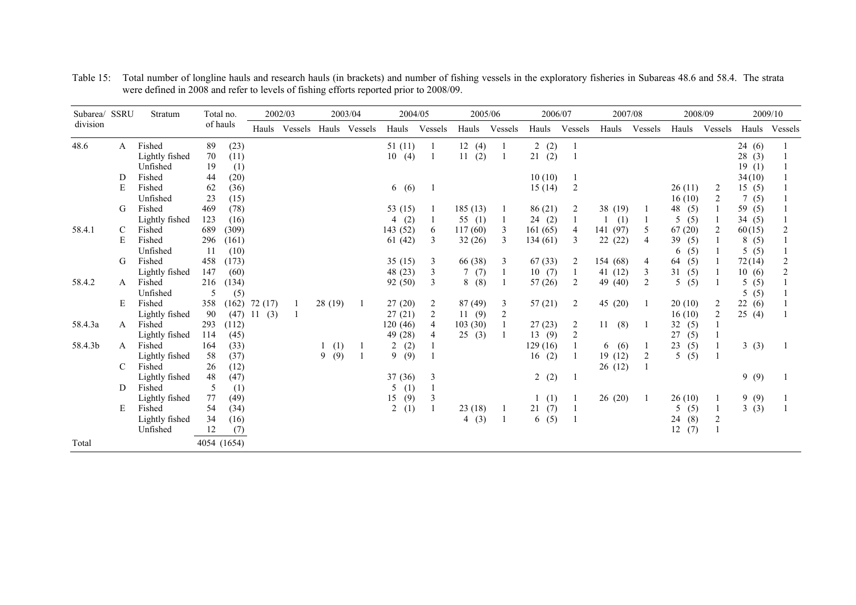| Subarea/ SSRU |   | Stratum        |     | Total no.   |         | 2002/03 |          | 2003/04               | 2004/05   |                | 2005/06   |                | 2006/07               |                | 2007/08   |         | 2008/09   |                  |          | 2009/10       |
|---------------|---|----------------|-----|-------------|---------|---------|----------|-----------------------|-----------|----------------|-----------|----------------|-----------------------|----------------|-----------|---------|-----------|------------------|----------|---------------|
| division      |   |                |     | of hauls    | Hauls   |         |          | Vessels Hauls Vessels | Hauls     | Vessels        | Hauls     | Vessels        | Hauls                 | Vessels        | Hauls     | Vessels | Hauls     | Vessels          |          | Hauls Vessels |
| 48.6          | A | Fished         | 89  | (23)        |         |         |          |                       | 51(11)    |                | 12(4)     | 1              | (2)<br>$\overline{2}$ |                |           |         |           |                  | 24(6)    |               |
|               |   | Lightly fished | 70  | (11)        |         |         |          |                       | 10(4)     |                | (2)<br>11 | -1             | (2)<br>21             | $\overline{1}$ |           |         |           |                  | 28(3)    |               |
|               |   | Unfished       | 19  | (1)         |         |         |          |                       |           |                |           |                |                       |                |           |         |           |                  | 19(1)    |               |
|               | D | Fished         | 44  | (20)        |         |         |          |                       |           |                |           |                | 10(10)                |                |           |         |           |                  | 34(10)   |               |
|               | E | Fished         | 62  | (36)        |         |         |          |                       | 6(6)      |                |           |                | 15(14)                | $\overline{c}$ |           |         | 26(11)    | 2                | 15(5)    |               |
|               |   | Unfished       | 23  | (15)        |         |         |          |                       |           |                |           |                |                       |                |           |         | 16(10)    | 2                | 7(5)     |               |
|               | G | Fished         | 469 | (78)        |         |         |          |                       | 53 $(15)$ |                | 185(13)   |                | 86(21)                | 2              | 38 (19)   |         | 48 (5)    |                  | 59 (5)   |               |
|               |   | Lightly fished | 123 | (16)        |         |         |          |                       | 4(2)      |                | 55 $(1)$  | $\mathbf{1}$   | 24(2)                 | -1             | (1)       |         | 5<br>(5)  |                  | 34(5)    |               |
| 58.4.1        |   | Fished         | 689 | (309)       |         |         |          |                       | 143 (52)  | 6              | 117(60)   | 3              | 161(65)               | 4              | 141 (97)  | 5       | 67(20)    | 2                | 60(15)   |               |
|               | E | Fished         | 296 | (161)       |         |         |          |                       | 61(42)    | 3              | 32(26)    | 3              | 134 (61)              | 3              | 22(22)    | 4       | 39<br>(5) |                  | 8(5)     |               |
|               |   | Unfished       | 11  | (10)        |         |         |          |                       |           |                |           |                |                       |                |           |         | (5)<br>6  |                  | 5(5)     |               |
|               | G | Fished         | 458 | (173)       |         |         |          |                       | 35(15)    | 3              | 66 (38)   | 3              | 67(33)                | $\overline{2}$ | 154 (68)  | 4       | (5)<br>64 |                  | 72(14)   |               |
|               |   | Lightly fished | 147 | (60)        |         |         |          |                       | 48 (23)   | 3              | 7(7)      | 1              | 10(7)                 | -1             | 41(12)    | 3       | 31<br>(5) |                  | 10(6)    |               |
| 58.4.2        | A | Fished         | 216 | (134)       |         |         |          |                       | 92 (50)   | 3              | 8(8)      |                | 57(26)                | 2              | 49 (40)   | 2       | 5<br>(5)  |                  | 5(5)     |               |
|               |   | Unfished       | 5   | (5)         |         |         |          |                       |           |                |           |                |                       |                |           |         |           |                  | (5)<br>5 |               |
|               | E | Fished         | 358 | (162)       | 72 (17) |         | 28 (19)  |                       | 27(20)    | $\overline{c}$ | 87 (49)   | 3              | 57(21)                | 2              | 45 (20)   |         | 20(10)    | 2                | 22(6)    |               |
|               |   | Lightly fished | 90  | (47)        | 11(3)   |         |          |                       | 27(21)    | $\overline{c}$ | 11(9)     | $\overline{c}$ |                       |                |           |         | 16(10)    | $\overline{2}$   | 25(4)    |               |
| 58.4.3a       | A | Fished         | 293 | (112)       |         |         |          |                       | 120 (46)  | 4              | 103(30)   |                | 27(23)                | $\overline{c}$ | (8)<br>11 |         | 32<br>(5) |                  |          |               |
|               |   | Lightly fished | 114 | (45)        |         |         |          |                       | 49 (28)   | 4              | 25(3)     |                | 13(9)                 | $\overline{c}$ |           |         | 27<br>(5) |                  |          |               |
| 58.4.3b       | A | Fished         | 164 | (33)        |         |         | (1)      |                       | 2(2)      |                |           |                | 129(16)               |                | (6)<br>6  |         | 23<br>(5) |                  | 3(3)     |               |
|               |   | Lightly fished | 58  | (37)        |         |         | (9)<br>9 | $\overline{1}$        | 9(9)      |                |           |                | (2)<br>16             |                | 19 (12)   | 2       | 5<br>(5)  |                  |          |               |
|               | C | Fished         | 26  | (12)        |         |         |          |                       |           |                |           |                |                       |                | 26 (12)   |         |           |                  |          |               |
|               |   | Lightly fished | 48  | (47)        |         |         |          |                       | 37(36)    | 3              |           |                | 2(2)                  |                |           |         |           |                  | 9(9)     |               |
|               | D | Fished         | 5   | (1)         |         |         |          |                       | (1)<br>5  |                |           |                |                       |                |           |         |           |                  |          |               |
|               |   | Lightly fished | 77  | (49)        |         |         |          |                       | (9)<br>15 | 3              |           |                | (1)                   |                | 26(20)    | -1      | 26(10)    |                  | 9(9)     |               |
|               | E | Fished         | 54  | (34)        |         |         |          |                       | 2(1)      |                | 23(18)    |                | (7)<br>21             |                |           |         | (5)<br>5  |                  | 3(3)     |               |
|               |   | Lightly fished | 34  | (16)        |         |         |          |                       |           |                | 4(3)      | 1              | 6(5)                  |                |           |         | (8)<br>24 | $\boldsymbol{2}$ |          |               |
|               |   | Unfished       | 12  | (7)         |         |         |          |                       |           |                |           |                |                       |                |           |         | 12<br>(7) |                  |          |               |
| Total         |   |                |     | 4054 (1654) |         |         |          |                       |           |                |           |                |                       |                |           |         |           |                  |          |               |

Table 15: Total number of longline hauls and research hauls (in brackets) and number of fishing vessels in the exploratory fisheries in Subareas 48.6 and 58.4. The strata were defined in 2008 and refer to levels of fishing efforts reported prior to 2008/09.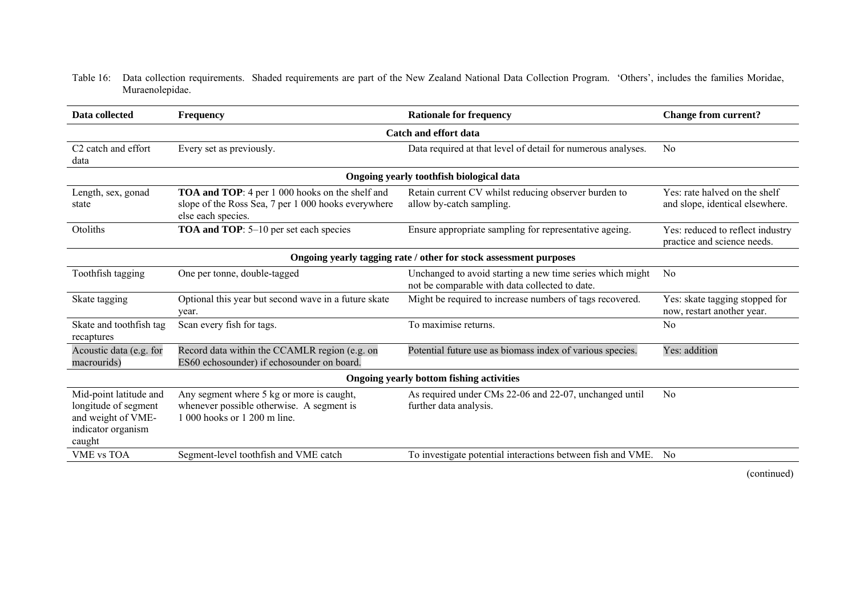#### Table 16: Data collection requirements. Shaded requirements are part of the New Zealand National Data Collection Program. 'Others', includes the families Moridae, Muraenolepidae.

| Data collected                                                                                       | <b>Frequency</b>                                                                                                       | <b>Rationale for frequency</b>                                                                              | <b>Change from current?</b>                                     |  |  |  |  |  |  |  |  |
|------------------------------------------------------------------------------------------------------|------------------------------------------------------------------------------------------------------------------------|-------------------------------------------------------------------------------------------------------------|-----------------------------------------------------------------|--|--|--|--|--|--|--|--|
|                                                                                                      |                                                                                                                        | <b>Catch and effort data</b>                                                                                |                                                                 |  |  |  |  |  |  |  |  |
| C <sub>2</sub> catch and effort<br>data                                                              | Every set as previously.                                                                                               | Data required at that level of detail for numerous analyses.                                                | N <sub>0</sub>                                                  |  |  |  |  |  |  |  |  |
|                                                                                                      |                                                                                                                        | Ongoing yearly toothfish biological data                                                                    |                                                                 |  |  |  |  |  |  |  |  |
| Length, sex, gonad<br>state                                                                          | Yes: rate halved on the shelf<br>and slope, identical elsewhere.                                                       |                                                                                                             |                                                                 |  |  |  |  |  |  |  |  |
| Otoliths                                                                                             | TOA and TOP: 5-10 per set each species                                                                                 | Ensure appropriate sampling for representative ageing.                                                      | Yes: reduced to reflect industry<br>practice and science needs. |  |  |  |  |  |  |  |  |
| Ongoing yearly tagging rate / other for stock assessment purposes                                    |                                                                                                                        |                                                                                                             |                                                                 |  |  |  |  |  |  |  |  |
| Toothfish tagging                                                                                    | One per tonne, double-tagged                                                                                           | Unchanged to avoid starting a new time series which might<br>not be comparable with data collected to date. | N <sub>0</sub>                                                  |  |  |  |  |  |  |  |  |
| Skate tagging                                                                                        | Optional this year but second wave in a future skate<br>year.                                                          | Might be required to increase numbers of tags recovered.                                                    | Yes: skate tagging stopped for<br>now, restart another year.    |  |  |  |  |  |  |  |  |
| Skate and toothfish tag<br>recaptures                                                                | Scan every fish for tags.                                                                                              | To maximise returns.                                                                                        | N <sub>0</sub>                                                  |  |  |  |  |  |  |  |  |
| Acoustic data (e.g. for<br>macrourids)                                                               | Record data within the CCAMLR region (e.g. on<br>ES60 echosounder) if echosounder on board.                            | Potential future use as biomass index of various species.                                                   | Yes: addition                                                   |  |  |  |  |  |  |  |  |
|                                                                                                      |                                                                                                                        | Ongoing yearly bottom fishing activities                                                                    |                                                                 |  |  |  |  |  |  |  |  |
| Mid-point latitude and<br>longitude of segment<br>and weight of VME-<br>indicator organism<br>caught | Any segment where 5 kg or more is caught,<br>whenever possible otherwise. A segment is<br>1 000 hooks or 1 200 m line. | As required under CMs 22-06 and 22-07, unchanged until<br>further data analysis.                            | N <sub>0</sub>                                                  |  |  |  |  |  |  |  |  |
| <b>VME vs TOA</b>                                                                                    | No                                                                                                                     |                                                                                                             |                                                                 |  |  |  |  |  |  |  |  |

(continued)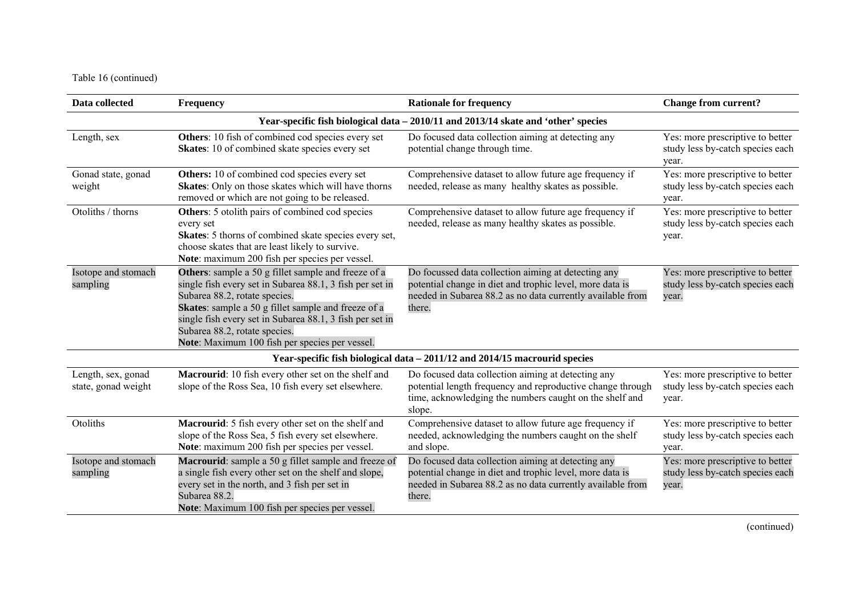Table 16 (continued)

| Data collected                            | <b>Frequency</b>                                                                                                                                                                                                                                                                                                                                       | <b>Rationale for frequency</b>                                                                                                                                                          | <b>Change from current?</b>                                                   |
|-------------------------------------------|--------------------------------------------------------------------------------------------------------------------------------------------------------------------------------------------------------------------------------------------------------------------------------------------------------------------------------------------------------|-----------------------------------------------------------------------------------------------------------------------------------------------------------------------------------------|-------------------------------------------------------------------------------|
|                                           |                                                                                                                                                                                                                                                                                                                                                        | Year-specific fish biological data - 2010/11 and 2013/14 skate and 'other' species                                                                                                      |                                                                               |
| Length, sex                               | Others: 10 fish of combined cod species every set<br>Skates: 10 of combined skate species every set                                                                                                                                                                                                                                                    | Do focused data collection aiming at detecting any<br>potential change through time.                                                                                                    | Yes: more prescriptive to better<br>study less by-catch species each<br>year. |
| Gonad state, gonad<br>weight              | Others: 10 of combined cod species every set<br>Skates: Only on those skates which will have thorns<br>removed or which are not going to be released.                                                                                                                                                                                                  | Comprehensive dataset to allow future age frequency if<br>needed, release as many healthy skates as possible.                                                                           | Yes: more prescriptive to better<br>study less by-catch species each<br>year. |
| Otoliths / thorns                         | <b>Others:</b> 5 otolith pairs of combined cod species<br>every set<br>Skates: 5 thorns of combined skate species every set,<br>choose skates that are least likely to survive.<br>Note: maximum 200 fish per species per vessel.                                                                                                                      | Comprehensive dataset to allow future age frequency if<br>needed, release as many healthy skates as possible.                                                                           | Yes: more prescriptive to better<br>study less by-catch species each<br>year. |
| Isotope and stomach<br>sampling           | Others: sample a 50 g fillet sample and freeze of a<br>single fish every set in Subarea 88.1, 3 fish per set in<br>Subarea 88.2, rotate species.<br>Skates: sample a 50 g fillet sample and freeze of a<br>single fish every set in Subarea 88.1, 3 fish per set in<br>Subarea 88.2, rotate species.<br>Note: Maximum 100 fish per species per vessel. | Do focussed data collection aiming at detecting any<br>potential change in diet and trophic level, more data is<br>needed in Subarea 88.2 as no data currently available from<br>there. | Yes: more prescriptive to better<br>study less by-catch species each<br>year. |
|                                           |                                                                                                                                                                                                                                                                                                                                                        | Year-specific fish biological data - 2011/12 and 2014/15 macrourid species                                                                                                              |                                                                               |
| Length, sex, gonad<br>state, gonad weight | Macrourid: 10 fish every other set on the shelf and<br>slope of the Ross Sea, 10 fish every set elsewhere.                                                                                                                                                                                                                                             | Do focused data collection aiming at detecting any<br>potential length frequency and reproductive change through<br>time, acknowledging the numbers caught on the shelf and<br>slope.   | Yes: more prescriptive to better<br>study less by-catch species each<br>year. |
| Otoliths                                  | Macrourid: 5 fish every other set on the shelf and<br>slope of the Ross Sea, 5 fish every set elsewhere.<br>Note: maximum 200 fish per species per vessel.                                                                                                                                                                                             | Comprehensive dataset to allow future age frequency if<br>needed, acknowledging the numbers caught on the shelf<br>and slope.                                                           | Yes: more prescriptive to better<br>study less by-catch species each<br>year. |
| Isotope and stomach<br>sampling           | Macrourid: sample a 50 g fillet sample and freeze of<br>a single fish every other set on the shelf and slope,<br>every set in the north, and 3 fish per set in<br>Subarea 88.2.<br>Note: Maximum 100 fish per species per vessel.                                                                                                                      | Do focused data collection aiming at detecting any<br>potential change in diet and trophic level, more data is<br>needed in Subarea 88.2 as no data currently available from<br>there.  | Yes: more prescriptive to better<br>study less by-catch species each<br>year. |

(continued)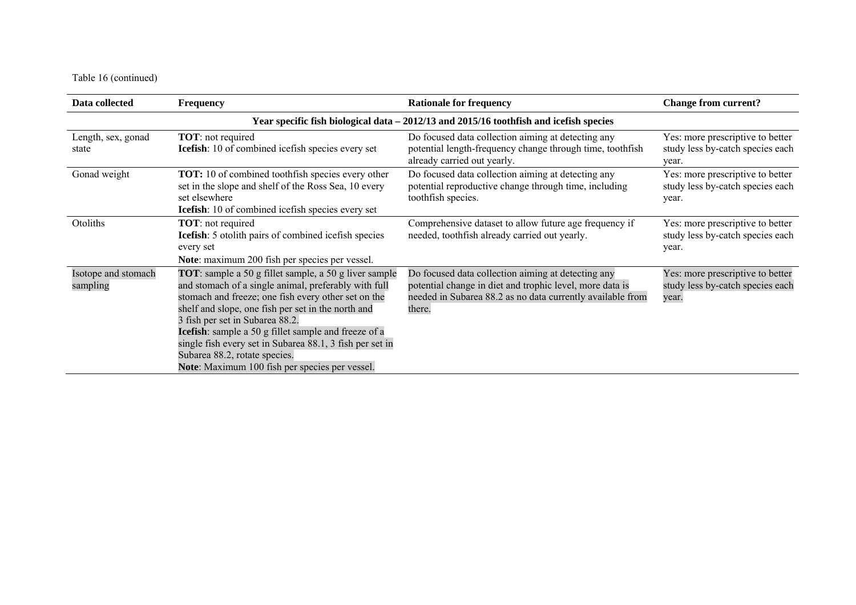Table 16 (continued)

| Data collected                  | <b>Frequency</b>                                                                                                                                                                                                                                                                                                                                                                                                                                                     | <b>Rationale for frequency</b>                                                                                                                                                         | <b>Change from current?</b>                                                   |  |
|---------------------------------|----------------------------------------------------------------------------------------------------------------------------------------------------------------------------------------------------------------------------------------------------------------------------------------------------------------------------------------------------------------------------------------------------------------------------------------------------------------------|----------------------------------------------------------------------------------------------------------------------------------------------------------------------------------------|-------------------------------------------------------------------------------|--|
|                                 |                                                                                                                                                                                                                                                                                                                                                                                                                                                                      | Year specific fish biological data - 2012/13 and 2015/16 toothfish and icefish species                                                                                                 |                                                                               |  |
| Length, sex, gonad<br>state     | <b>TOT:</b> not required<br><b>Icefish</b> : 10 of combined icefish species every set                                                                                                                                                                                                                                                                                                                                                                                | Do focused data collection aiming at detecting any<br>potential length-frequency change through time, toothfish<br>already carried out yearly.                                         | Yes: more prescriptive to better<br>study less by-catch species each<br>year. |  |
| Gonad weight                    | <b>TOT:</b> 10 of combined toothfish species every other<br>set in the slope and shelf of the Ross Sea, 10 every<br>set elsewhere<br><b>Icefish</b> : 10 of combined icefish species every set                                                                                                                                                                                                                                                                       | Do focused data collection aiming at detecting any<br>potential reproductive change through time, including<br>toothfish species.                                                      | Yes: more prescriptive to better<br>study less by-catch species each<br>year. |  |
| Otoliths                        | <b>TOT:</b> not required<br><b>Icefish</b> : 5 otolith pairs of combined icefish species<br>every set<br>Note: maximum 200 fish per species per vessel.                                                                                                                                                                                                                                                                                                              | Comprehensive dataset to allow future age frequency if<br>needed, toothfish already carried out yearly.                                                                                | Yes: more prescriptive to better<br>study less by-catch species each<br>year. |  |
| Isotope and stomach<br>sampling | TOT: sample a 50 g fillet sample, a 50 g liver sample<br>and stomach of a single animal, preferably with full<br>stomach and freeze; one fish every other set on the<br>shelf and slope, one fish per set in the north and<br>3 fish per set in Subarea 88.2.<br>Icefish: sample a 50 g fillet sample and freeze of a<br>single fish every set in Subarea 88.1, 3 fish per set in<br>Subarea 88.2, rotate species.<br>Note: Maximum 100 fish per species per vessel. | Do focused data collection aiming at detecting any<br>potential change in diet and trophic level, more data is<br>needed in Subarea 88.2 as no data currently available from<br>there. | Yes: more prescriptive to better<br>study less by-catch species each<br>year. |  |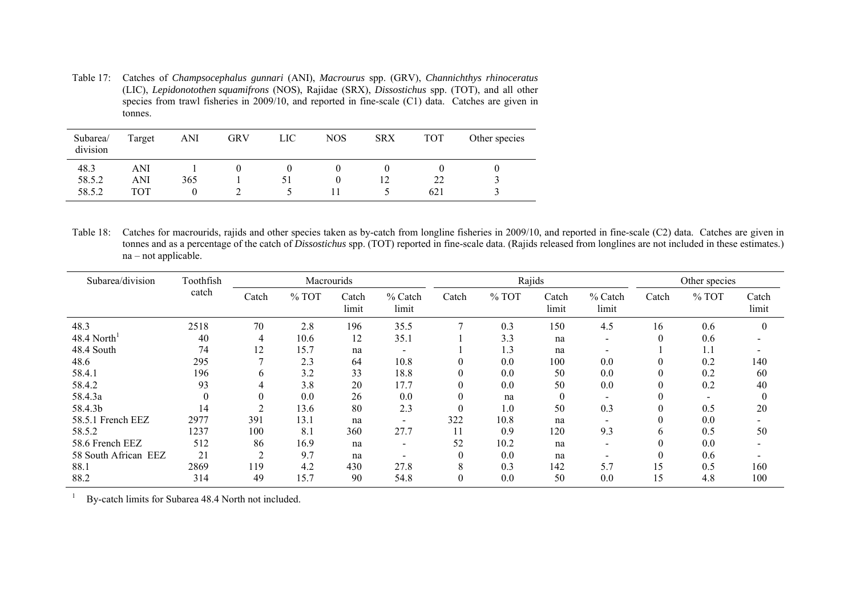Table 17: Catches of *Champsocephalus gunnari* (ANI), *Macrourus* spp. (GRV), *Channichthys rhinoceratus* (LIC), *Lepidonotothen squamifrons* (NOS), Rajidae (SRX), *Dissostichus* spp. (TOT), and all other species from trawl fisheries in 2009/10, and reported in fine-scale (C1) data. Catches are given in tonnes.

| Subarea/<br>division | Target | ANI | <b>GRV</b> | LIC | <b>NOS</b> | <b>SRX</b> | <b>TOT</b> | Other species |
|----------------------|--------|-----|------------|-----|------------|------------|------------|---------------|
| 48.3                 | ANI    |     |            |     |            |            |            |               |
| 58.5.2               | ANI    | 365 |            |     | O          | 12         | 22         |               |
| 58.5.2               | TOT    |     |            |     |            |            | 621        |               |

Table 18: Catches for macrourids, rajids and other species taken as by-catch from longline fisheries in 2009/10, and reported in fine-scale (C2) data. Catches are given in tonnes and as a percentage of the catch of *Dissostichus* spp. (TOT) reported in fine-scale data. (Rajids released from longlines are not included in these estimates.) na – not applicable.

| Subarea/division     | Toothfish |                | Macrourids |                |                          |          | Rajids  |                |                          |       | Other species            |                |
|----------------------|-----------|----------------|------------|----------------|--------------------------|----------|---------|----------------|--------------------------|-------|--------------------------|----------------|
|                      | catch     | Catch          | $%$ TOT    | Catch<br>limit | % Catch<br>limit         | Catch    | $%$ TOT | Catch<br>limit | % Catch<br>limit         | Catch | $%$ TOT                  | Catch<br>limit |
| 48.3                 | 2518      | 70             | 2.8        | 196            | 35.5                     |          | 0.3     | 150            | 4.5                      | 16    | 0.6                      |                |
| 48.4 North           | 40        | 4              | 10.6       | 12             | 35.1                     |          | 3.3     | na             | $\sim$                   | 0     | 0.6                      |                |
| 48.4 South           | 74        | 12             | 15.7       | na             | $\overline{\phantom{a}}$ |          | 1.3     | na             | $\overline{\phantom{0}}$ |       | 1.1                      |                |
| 48.6                 | 295       | $\overline{ }$ | 2.3        | 64             | 10.8                     |          | 0.0     | 100            | 0.0                      | 0     | 0.2                      | 140            |
| 58.4.1               | 196       | $\mathfrak b$  | 3.2        | 33             | 18.8                     |          | 0.0     | 50             | 0.0                      | 0     | 0.2                      | 60             |
| 58.4.2               | 93        |                | 3.8        | 20             | 17.7                     |          | 0.0     | 50             | 0.0                      | 0     | 0.2                      | 40             |
| 58.4.3a              | $\theta$  | $\theta$       | 0.0        | 26             | 0.0                      | $\theta$ | na      | $\theta$       | $\overline{\phantom{a}}$ | 0     | $\overline{\phantom{a}}$ |                |
| 58.4.3b              | 14        | ◠              | 13.6       | 80             | 2.3                      |          | 1.0     | 50             | 0.3                      | 0     | 0.5                      | 20             |
| 58.5.1 French EEZ    | 2977      | 391            | 13.1       | na             | $\overline{\phantom{0}}$ | 322      | 10.8    | na             | $\overline{\phantom{a}}$ | 0     | 0.0                      |                |
| 58.5.2               | 1237      | 100            | 8.1        | 360            | 27.7                     | 11       | 0.9     | 120            | 9.3                      | b.    | 0.5                      | 50             |
| 58.6 French EEZ      | 512       | 86             | 16.9       | na             | $\overline{\phantom{a}}$ | 52       | 10.2    | na             | $\overline{\phantom{a}}$ | 0     | 0.0                      |                |
| 58 South African EEZ | 21        | $\overline{2}$ | 9.7        | na             |                          |          | 0.0     | na             |                          | 0     | 0.6                      |                |
| 88.1                 | 2869      | 119            | 4.2        | 430            | 27.8                     | 8        | 0.3     | 142            | 5.7                      | 15    | 0.5                      | 160            |
| 88.2                 | 314       | 49             | 15.7       | 90             | 54.8                     | $\Omega$ | 0.0     | 50             | 0.0                      | 15    | 4.8                      | 100            |

1 By-catch limits for Subarea 48.4 North not included.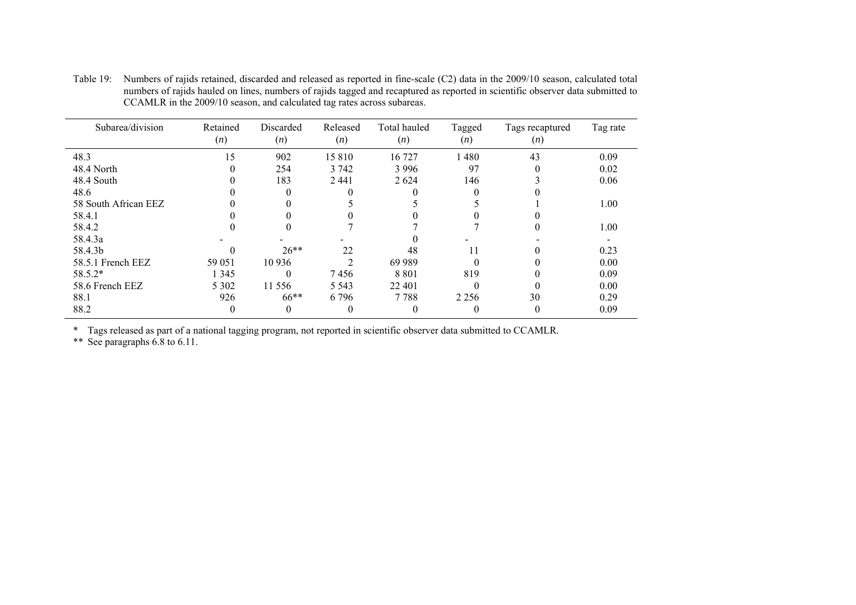| Subarea/division     | Retained<br>(n) | Discarded<br>(n) | Released<br>(n) | Total hauled<br>(n) | Tagged<br>(n) | Tags recaptured<br>(n) | Tag rate |
|----------------------|-----------------|------------------|-----------------|---------------------|---------------|------------------------|----------|
| 48.3                 | 15              | 902              | 15810           | 16 727              | 1480          | 43                     | 0.09     |
| 48.4 North           |                 | 254              | 3 7 4 2         | 3 9 9 6             | 97            |                        | 0.02     |
| 48.4 South           |                 | 183              | 2 4 4 1         | 2 6 2 4             | 146           |                        | 0.06     |
| 48.6                 |                 |                  |                 |                     |               |                        |          |
| 58 South African EEZ |                 |                  |                 |                     |               |                        | 1.00     |
| 58.4.1               |                 |                  |                 |                     |               |                        |          |
| 58.4.2               |                 |                  |                 |                     |               |                        | 1.00     |
| 58.4.3a              |                 |                  |                 |                     |               |                        |          |
| 58.4.3b              |                 | $26**$           | 22              | 48                  | 11            |                        | 0.23     |
| 58.5.1 French EEZ    | 59 051          | 10 9 36          | ↑               | 69 9 89             | $\Omega$      |                        | 0.00     |
| $58.5.2*$            | 1 3 4 5         | $\theta$         | 7456            | 8 8 0 1             | 819           |                        | 0.09     |
| 58.6 French EEZ      | 5 3 0 2         | 11 556           | 5 5 4 3         | 22 401              |               |                        | 0.00     |
| 88.1                 | 926             | $66***$          | 6796            | 7788                | 2 2 5 6       | 30                     | 0.29     |
| 88.2                 | 0               | 0                | $\theta$        | 0                   | $\theta$      | $\theta$               | 0.09     |

Table 19: Numbers of rajids retained, discarded and released as reported in fine-scale (C2) data in the 2009/10 season, calculated total numbers of rajids hauled on lines, numbers of rajids tagged and recaptured as reported in scientific observer data submitted to CCAMLR in the 2009/10 season, and calculated tag rates across subareas.

\* Tags released as part of a national tagging program, not reported in scientific observer data submitted to CCAMLR. \*\* See paragraphs 6.8 to 6.11.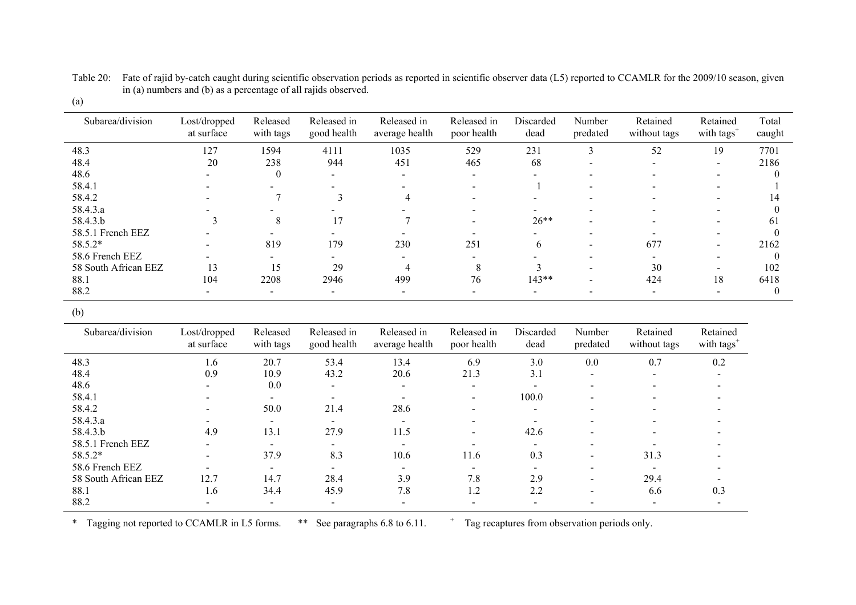| III (a) numbers and (b) as a percentage of an rapid observed.<br>(a) |                            |                       |                            |                               |                            |                   |                    |                          |                                    |                 |
|----------------------------------------------------------------------|----------------------------|-----------------------|----------------------------|-------------------------------|----------------------------|-------------------|--------------------|--------------------------|------------------------------------|-----------------|
| Subarea/division                                                     | Lost/dropped<br>at surface | Released<br>with tags | Released in<br>good health | Released in<br>average health | Released in<br>poor health | Discarded<br>dead | Number<br>predated | Retained<br>without tags | Retained<br>with tags <sup>1</sup> | Total<br>caught |
| 48.3                                                                 | 127                        | 1594                  | 4111                       | 1035                          | 529                        | 231               |                    |                          |                                    | 7701            |
| 48.4                                                                 | 20                         | 238                   | 944                        | 45!                           | 465                        | 68                | . .                | $\overline{\phantom{0}}$ | $\overline{\phantom{0}}$           | 2186            |

48.6 - 0 - - - - - - - - - - 0  $\,$ 

58.4.1 - - - - - - - - - - 1 - - - 1 58.4.2 - 7 3 4 - - - - - - - 14

 $58.4.3a$  - - - - - - - - - - - - - - - - 0

58.4.3.b 3 8 17 7 -  $26^{**}$  - - - - - 61

88.1 104 2208 2946 499 76 143\*\* - 424 18 6418

 $88.2$  - - - - - - - - - - - - - - - - - 0

58.5.1 French EEZ - - - - - - - - - 0 58.5.2\* - 819 179 230 251 6 - 677 - 2162

58.6 French EEZ - - - - - - - - - 0

58 South African EEZ 13 15 29 4 8 3 - 30 -

Table 20: Fate of rajid by-catch caught during scientific observation periods as reported in scientific observer data (L5) reported to CCAMLR for the 2009/10 season, given in (a) numbers and (b) as a percentage of all rajids observed.

| ×<br>I<br>M.<br>۹ |
|-------------------|
|-------------------|

| Subarea/division     | Lost/dropped<br>at surface | Released<br>with tags    | Released in<br>good health | Released in<br>average health | Released in<br>poor health | Discarded<br>dead        | Number<br>predated       | Retained<br>without tags | Retained<br>with tags <sup>+</sup> |
|----------------------|----------------------------|--------------------------|----------------------------|-------------------------------|----------------------------|--------------------------|--------------------------|--------------------------|------------------------------------|
| 48.3                 | 1.6                        | 20.7                     | 53.4                       | 13.4                          | 6.9                        | 3.0                      | 0.0                      | 0.7                      | 0.2                                |
| 48.4                 | 0.9                        | 10.9                     | 43.2                       | 20.6                          | 21.3                       | 3.1                      | $\overline{\phantom{0}}$ | $\overline{\phantom{0}}$ |                                    |
| 48.6                 | $\overline{\phantom{0}}$   | 0.0                      | $\overline{\phantom{0}}$   | $\overline{\phantom{0}}$      | $\overline{\phantom{0}}$   | $\sim$                   | -                        |                          |                                    |
| 58.4.1               |                            | $\,$                     | $\overline{\phantom{0}}$   |                               |                            | 100.0                    | $\,$                     |                          |                                    |
| 58.4.2               |                            | 50.0                     | 21.4                       | 28.6                          |                            | $\overline{\phantom{0}}$ | -                        |                          |                                    |
| 58.4.3.a             |                            | $\overline{\phantom{a}}$ | $\overline{\phantom{0}}$   |                               |                            |                          |                          |                          |                                    |
| 58.4.3.b             | 4.9                        | 13.1                     | 27.9                       | 11.5                          | $\overline{\phantom{a}}$   | 42.6                     | $\,$                     |                          |                                    |
| 58.5.1 French EEZ    | $\overline{\phantom{0}}$   | $\overline{\phantom{a}}$ |                            |                               |                            |                          |                          |                          |                                    |
| 58.5.2*              | $\overline{\phantom{0}}$   | 37.9                     | 8.3                        | 10.6                          | 11.6                       | 0.3                      | -                        | 31.3                     |                                    |
| 58.6 French EEZ      | $\overline{\phantom{0}}$   | $\blacksquare$           | $\sim$                     | $\overline{\phantom{0}}$      | $\overline{\phantom{0}}$   | $\sim$                   | $\overline{\phantom{0}}$ |                          |                                    |
| 58 South African EEZ | 12.7                       | 14.7                     | 28.4                       | 3.9                           | 7.8                        | 2.9                      | -                        | 29.4                     |                                    |
| 88.1                 | 1.6                        | 34.4                     | 45.9                       | 7.8                           | 1.2                        | 2.2                      | -                        | 6.6                      | 0.3                                |
| 88.2                 | $\overline{\phantom{0}}$   | $\overline{\phantom{a}}$ | $\overline{\phantom{a}}$   |                               |                            | $\blacksquare$           |                          |                          |                                    |

\* Tagging not reported to CCAMLR in L5 forms. \*\* See paragraphs 6.8 to 6.11. <sup>+</sup> Tag recaptures from observation periods only.

 $\boldsymbol{0}$ 

14

61

2162

102

6418

 $\boldsymbol{0}$ 

 $\mathbf{0}$ 

 $\mathbf{0}$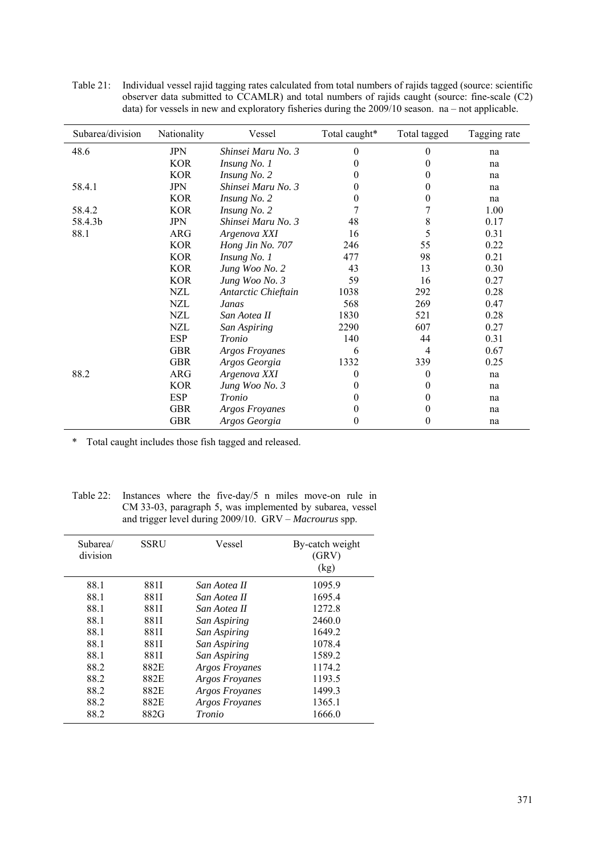| Subarea/division | Nationality | Vessel                | Total caught* | Total tagged | Tagging rate |
|------------------|-------------|-----------------------|---------------|--------------|--------------|
| 48.6             | JPN         | Shinsei Maru No. 3    | $\Omega$      | 0            | na           |
|                  | <b>KOR</b>  | Insung No. 1          | 0             | $\theta$     | na           |
|                  | <b>KOR</b>  | Insung No. 2          | $^{(1)}$      | 0            | na           |
| 58.4.1           | <b>JPN</b>  | Shinsei Maru No. 3    | $\bf{0}$      | 0            | na           |
|                  | <b>KOR</b>  | Insung No. 2          | $\bf{0}$      | 0            | na           |
| 58.4.2           | <b>KOR</b>  | Insung No. 2          |               | 7            | 1.00         |
| 58.4.3b          | <b>JPN</b>  | Shinsei Maru No. 3    | 48            | 8            | 0.17         |
| 88.1             | ARG         | Argenova XXI          | 16            | 5            | 0.31         |
|                  | <b>KOR</b>  | Hong Jin No. 707      | 246           | 55           | 0.22         |
|                  | <b>KOR</b>  | Insung No. 1          | 477           | 98           | 0.21         |
|                  | <b>KOR</b>  | Jung Woo No. 2        | 43            | 13           | 0.30         |
|                  | <b>KOR</b>  | Jung Woo No. 3        | 59            | 16           | 0.27         |
|                  | NZL         | Antarctic Chieftain   | 1038          | 292          | 0.28         |
|                  | <b>NZL</b>  | Janas                 | 568           | 269          | 0.47         |
|                  | <b>NZL</b>  | San Aotea II          | 1830          | 521          | 0.28         |
|                  | NZL         | San Aspiring          | 2290          | 607          | 0.27         |
|                  | <b>ESP</b>  | Tronio                | 140           | 44           | 0.31         |
|                  | <b>GBR</b>  | Argos Froyanes        | 6             | 4            | 0.67         |
|                  | <b>GBR</b>  | Argos Georgia         | 1332          | 339          | 0.25         |
| 88.2             | ARG         | Argenova XXI          | $\theta$      | $\theta$     | na           |
|                  | <b>KOR</b>  | Jung Woo No. 3        | $\theta$      | 0            | na           |
|                  | <b>ESP</b>  | Tronio                | $\theta$      | 0            | na           |
|                  | <b>GBR</b>  | <b>Argos Froyanes</b> | $\theta$      | 0            | na           |
|                  | <b>GBR</b>  | Argos Georgia         | $\theta$      | 0            | na           |

Table 21: Individual vessel rajid tagging rates calculated from total numbers of rajids tagged (source: scientific observer data submitted to CCAMLR) and total numbers of rajids caught (source: fine-scale (C2) data) for vessels in new and exploratory fisheries during the 2009/10 season. na – not applicable.

\* Total caught includes those fish tagged and released.

Table 22: Instances where the five-day/5 n miles move-on rule in CM 33-03, paragraph 5, was implemented by subarea, vessel and trigger level during 2009/10. GRV – *Macrourus* spp.

| Subarea/<br>division | <b>SSRU</b> | Vessel                | By-catch weight<br>(GRV)<br>(kg) |
|----------------------|-------------|-----------------------|----------------------------------|
| 88.1                 | 881I        | San Aotea II          | 1095.9                           |
| 88.1                 | 881I        | San Aotea II          | 1695.4                           |
| 88.1                 | 881I        | San Aotea II          | 1272.8                           |
| 88.1                 | 881I        | San Aspiring          | 2460.0                           |
| 88.1                 | 881I        | San Aspiring          | 1649.2                           |
| 88.1                 | 881I        | San Aspiring          | 1078.4                           |
| 88.1                 | 881I        | San Aspiring          | 1589.2                           |
| 882                  | 882E        | <b>Argos Froyanes</b> | 1174.2                           |
| 88.2                 | 882E        | <b>Argos Froyanes</b> | 1193.5                           |
| 88.2                 | 882E        | <b>Argos Froyanes</b> | 1499.3                           |
| 88.2                 | 882E        | <b>Argos Froyanes</b> | 1365.1                           |
| 88.2                 | 882G        | Tronio                | 1666.0                           |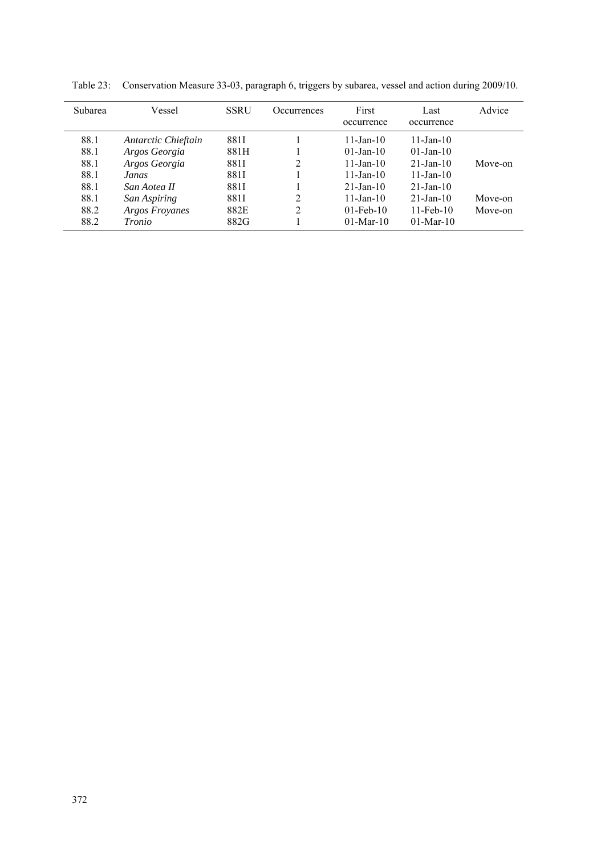| <b>Subarea</b> | Vessel                | <b>SSRU</b> | <b>Occurrences</b> | First<br>occurrence | Last<br>occurrence | Advice  |
|----------------|-----------------------|-------------|--------------------|---------------------|--------------------|---------|
| 88.1           | Antarctic Chieftain   | 881I        |                    | $11$ -Jan-10        | $11$ -Jan- $10$    |         |
| 88.1           | Argos Georgia         | 881H        |                    | $01$ -Jan-10        | $01$ -Jan-10       |         |
| 88.1           | Argos Georgia         | 881I        | 2                  | $11$ -Jan-10        | $21 - Jan - 10$    | Move-on |
| 88.1           | Janas                 | 881I        |                    | $11$ -Jan-10        | $11$ -Jan- $10$    |         |
| 88.1           | San Aotea II          | 881I        |                    | $21 - Jan - 10$     | $21 - Jan - 10$    |         |
| 88.1           | San Aspiring          | 881I        | 2                  | $11 - Jan - 10$     | $21 - Jan - 10$    | Move-on |
| 88.2           | <b>Argos Froyanes</b> | 882E        | 2                  | $01$ -Feb-10        | $11$ -Feb- $10$    | Move-on |
| 88.2           | Tronio                | 882G        |                    | $01-Mar-10$         | $01$ -Mar-10       |         |

Table 23: Conservation Measure 33-03, paragraph 6, triggers by subarea, vessel and action during 2009/10.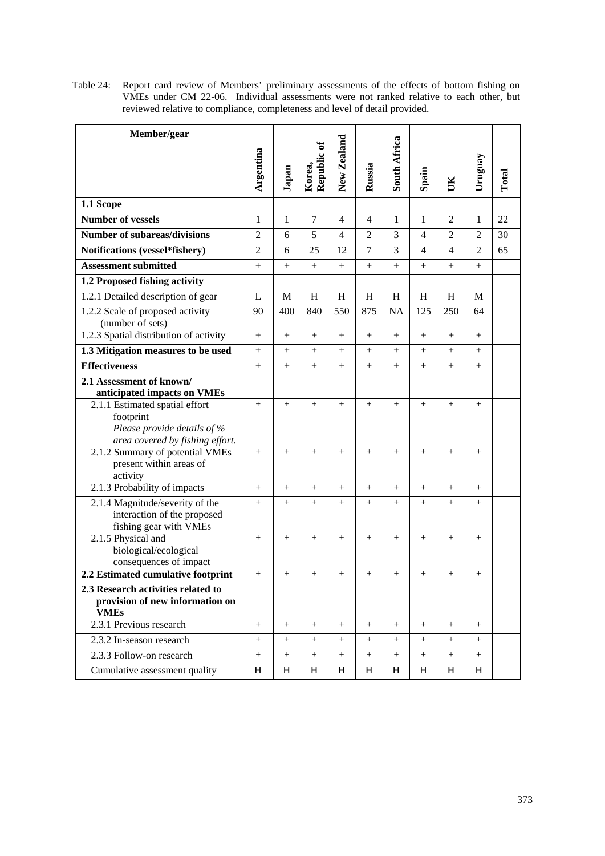Table 24: Report card review of Members' preliminary assessments of the effects of bottom fishing on VMEs under CM 22-06. Individual assessments were not ranked relative to each other, but reviewed relative to compliance, completeness and level of detail provided.

| Member/gear                                                    |                 |        |                 |                   |                |                 |                 |                |         |       |
|----------------------------------------------------------------|-----------------|--------|-----------------|-------------------|----------------|-----------------|-----------------|----------------|---------|-------|
|                                                                |                 |        | Republic of     | New Zealand       |                | South Africa    |                 |                |         |       |
|                                                                | Argentina       | Japan  | Korea,          |                   | Russia         |                 | Spain           | ŬК             | Uruguay | Total |
| 1.1 Scope                                                      |                 |        |                 |                   |                |                 |                 |                |         |       |
| <b>Number of vessels</b>                                       | 1               | 1      | $\tau$          | $\overline{4}$    | 4              | 1               | 1               | $\overline{2}$ | 1       | 22    |
| <b>Number of subareas/divisions</b>                            | 2               | 6      | 5               | 4                 | $\overline{2}$ | 3               | $\overline{4}$  | $\overline{2}$ | 2       | 30    |
| Notifications (vessel*fishery)                                 | $\overline{2}$  | 6      | 25              | 12                | 7              | 3               | $\overline{4}$  | 4              | 2       | 65    |
| <b>Assessment submitted</b>                                    | $+$             | $+$    | $^{+}$          | $+$               | $^{+}$         | $+$             | $^{+}$          | $+$            | $+$     |       |
| 1.2 Proposed fishing activity                                  |                 |        |                 |                   |                |                 |                 |                |         |       |
| 1.2.1 Detailed description of gear                             | L               | M      | H               | H                 | H              | H               | H               | H              | M       |       |
| 1.2.2 Scale of proposed activity<br>(number of sets)           | 90              | 400    | 840             | 550               | 875            | <b>NA</b>       | 125             | 250            | 64      |       |
| 1.2.3 Spatial distribution of activity                         | $+$             | $+$    | $^{+}$          | $+$               | $^{+}$         | $+$             | $+$             | $+$            | $+$     |       |
| 1.3 Mitigation measures to be used                             | $^{+}$          | $^{+}$ | $^{+}$          | $^{+}$            | $^{+}$         | $^{+}$          |                 | $^{+}$         | $^{+}$  |       |
| <b>Effectiveness</b>                                           | $+$             | $+$    | $^{+}$          | $+$               | $^{+}$         | $+$             | $+$             | $+$            | $^{+}$  |       |
| 2.1 Assessment of known/                                       |                 |        |                 |                   |                |                 |                 |                |         |       |
| anticipated impacts on VMEs                                    |                 |        |                 |                   |                |                 |                 |                |         |       |
| 2.1.1 Estimated spatial effort                                 | $+$             | $+$    | $+$             | $+$               | $^{+}$         | $+$             | $+$             | $^{+}$         | $+$     |       |
| footprint<br>Please provide details of %                       |                 |        |                 |                   |                |                 |                 |                |         |       |
| area covered by fishing effort.                                |                 |        |                 |                   |                |                 |                 |                |         |       |
| 2.1.2 Summary of potential VMEs<br>present within areas of     | $\! + \!\!\!\!$ | $+$    | $\! + \!\!\!\!$ | $+$               | $^{+}$         | $^{+}$          | $\! + \!\!\!\!$ | $^{+}$         | $^{+}$  |       |
| activity                                                       |                 |        |                 |                   |                |                 |                 |                |         |       |
| 2.1.3 Probability of impacts                                   | $+$             | $+$    | $+$             | $+$               | $^{+}$         | $+$             | $+$             | $^{+}$         | $+$     |       |
| 2.1.4 Magnitude/severity of the<br>interaction of the proposed | $\! + \!\!\!\!$ | $+$    | $^{+}$          | $^{+}$            | $^{+}$         | $+$             | $\! + \!\!\!\!$ | $^{+}$         | $+$     |       |
| fishing gear with VMEs                                         |                 |        |                 |                   |                |                 |                 |                |         |       |
| 2.1.5 Physical and                                             | $^{+}$          | $^{+}$ | $\! + \!\!\!\!$ | $+$               | $^{+}$         | $\! + \!\!\!\!$ | $\! + \!\!\!\!$ | $+$            | $^{+}$  |       |
| biological/ecological<br>consequences of impact                |                 |        |                 |                   |                |                 |                 |                |         |       |
| 2.2 Estimated cumulative footprint                             | $+$             | $+$    | $^{+}$          | $\! + \!\!\!\!$   | $^{+}$         | $^{+}$          | $+$             | $^{+}$         | $^{+}$  |       |
| 2.3 Research activities related to                             |                 |        |                 |                   |                |                 |                 |                |         |       |
| provision of new information on<br><b>VMEs</b>                 |                 |        |                 |                   |                |                 |                 |                |         |       |
| 2.3.1 Previous research                                        | $^{+}$          | $+$    | $^{+}$          | $+$               | $^{+}$         | $^{+}$          | $+$             | $^{+}$         | $+$     |       |
| 2.3.2 In-season research                                       | $+$             | $+$    | $+$             | $\qquad \qquad +$ | $^{+}$         | $^{+}$          | $+$             | $^{+}$         | $+$     |       |
| 2.3.3 Follow-on research                                       | $^{+}$          | $^{+}$ | $^{+}$          | $^{+}$            | $^{+}$         | $^{+}$          | $^{+}$          | $^{+}$         | $^{+}$  |       |
| Cumulative assessment quality                                  | H               | H      | H               | H                 | H              | H               | H               | Η              | H       |       |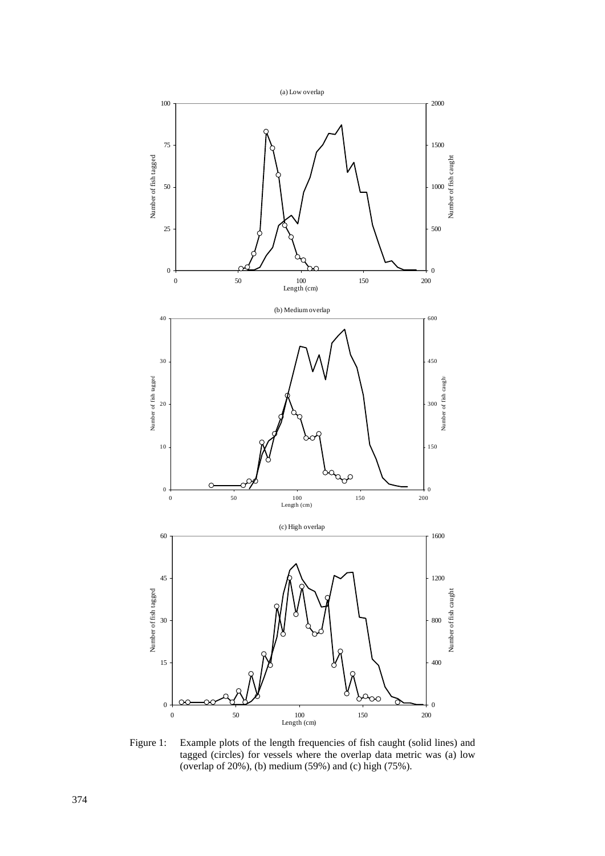

Figure 1: Example plots of the length frequencies of fish caught (solid lines) and tagged (circles) for vessels where the overlap data metric was (a) low (overlap of 20%), (b) medium (59%) and (c) high (75%).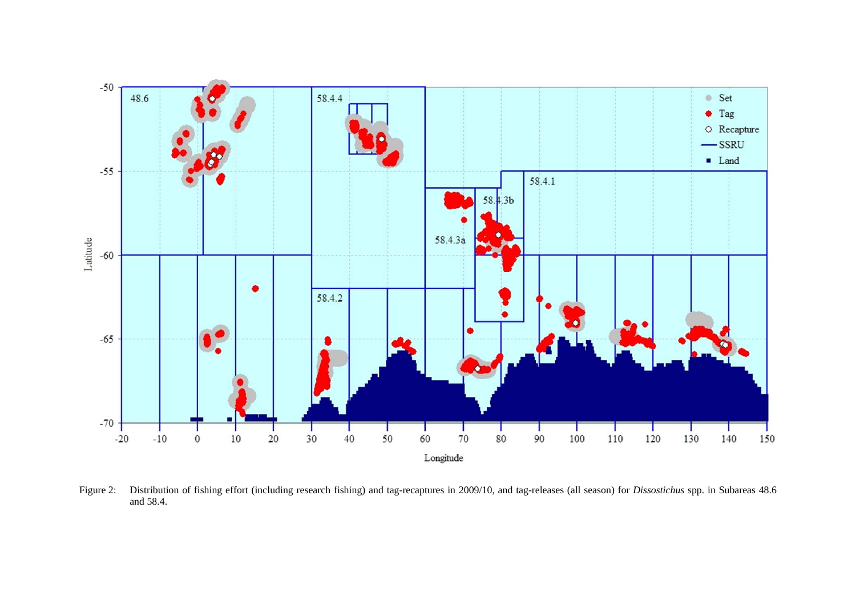

Figure 2: Distribution of fishing effort (including research fishing) and tag-recaptures in 2009/10, and tag-releases (all season) for *Dissostichus* spp. in Subareas 48.6 and 58.4.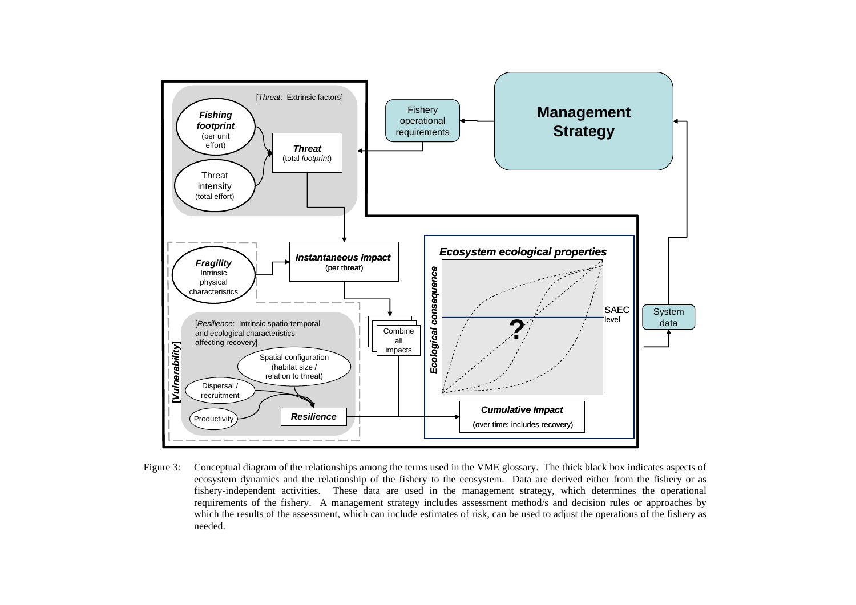

Figure 3: Conceptual diagram of the relationships among the terms used in the VME glossary. The thick black box indicates aspects of ecosystem dynamics and the relationship of the fishery to the ecosystem. Data are derived either from the fishery or as fishery-independent activities. These data are used in the management strategy, which determines the operational requirements of the fishery. A management strategy includes assessment method/s and decision rules or approaches by which the results of the assessment, which can include estimates of risk, can be used to adjust the operations of the fishery as needed.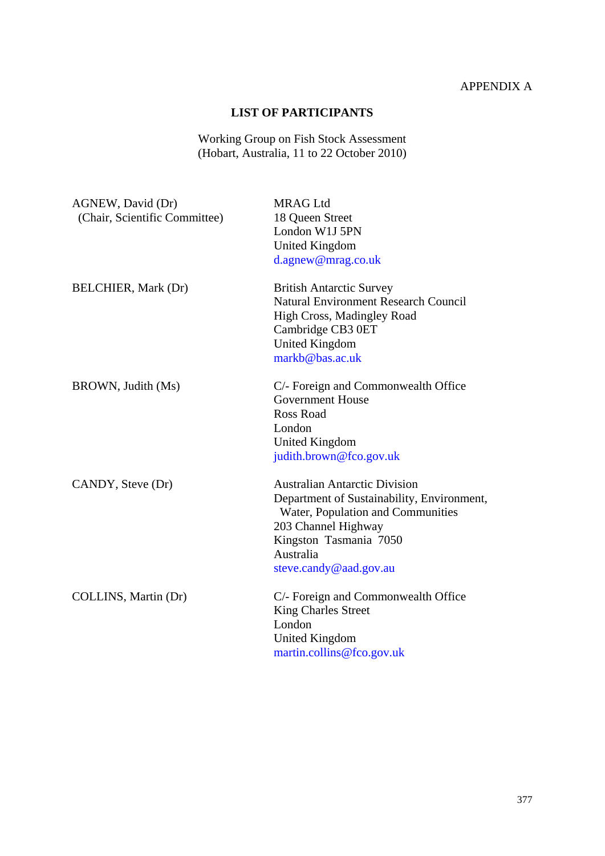# APPENDIX A

## **LIST OF PARTICIPANTS**

Working Group on Fish Stock Assessment (Hobart, Australia, 11 to 22 October 2010)

| AGNEW, David (Dr)<br>(Chair, Scientific Committee) | <b>MRAG Ltd</b><br>18 Queen Street<br>London W1J 5PN<br><b>United Kingdom</b><br>d.agnew@mrag.co.uk                                                                                                             |
|----------------------------------------------------|-----------------------------------------------------------------------------------------------------------------------------------------------------------------------------------------------------------------|
| <b>BELCHIER, Mark (Dr)</b>                         | <b>British Antarctic Survey</b><br><b>Natural Environment Research Council</b><br>High Cross, Madingley Road<br>Cambridge CB3 0ET<br><b>United Kingdom</b><br>markb@bas.ac.uk                                   |
| BROWN, Judith (Ms)                                 | C/- Foreign and Commonwealth Office<br><b>Government House</b><br><b>Ross Road</b><br>London<br>United Kingdom<br>judith.brown@fco.gov.uk                                                                       |
| CANDY, Steve (Dr)                                  | <b>Australian Antarctic Division</b><br>Department of Sustainability, Environment,<br>Water, Population and Communities<br>203 Channel Highway<br>Kingston Tasmania 7050<br>Australia<br>steve.candy@aad.gov.au |
| COLLINS, Martin (Dr)                               | C/- Foreign and Commonwealth Office<br><b>King Charles Street</b><br>London<br><b>United Kingdom</b><br>martin.collins@fco.gov.uk                                                                               |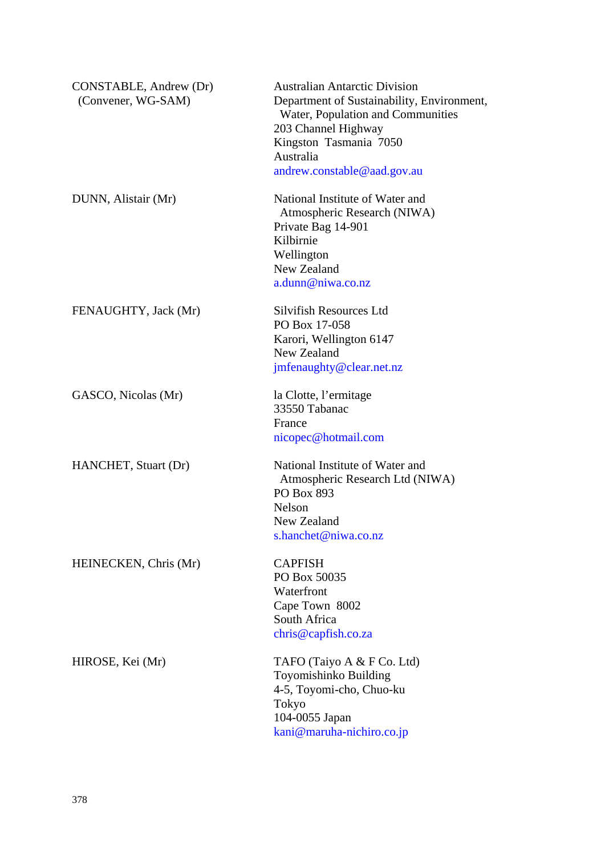| CONSTABLE, Andrew (Dr) | <b>Australian Antarctic Division</b>       |
|------------------------|--------------------------------------------|
| (Convener, WG-SAM)     | Department of Sustainability, Environment, |
|                        | Water, Population and Communities          |
|                        | 203 Channel Highway                        |
|                        | Kingston Tasmania 7050                     |
|                        | Australia                                  |
|                        | andrew.constable@aad.gov.au                |
|                        |                                            |
| DUNN, Alistair (Mr)    | National Institute of Water and            |
|                        | Atmospheric Research (NIWA)                |
|                        | Private Bag 14-901                         |
|                        | Kilbirnie                                  |
|                        | Wellington                                 |
|                        | New Zealand                                |
|                        |                                            |
|                        | a.dunn@niwa.co.nz                          |
|                        |                                            |
| FENAUGHTY, Jack (Mr)   | Silvifish Resources Ltd                    |
|                        | PO Box 17-058                              |
|                        | Karori, Wellington 6147                    |
|                        | New Zealand                                |
|                        | jmfenaughty@clear.net.nz                   |
|                        |                                            |
| GASCO, Nicolas (Mr)    | la Clotte, l'ermitage                      |
|                        | 33550 Tabanac                              |
|                        | France                                     |
|                        | nicopec@hotmail.com                        |
| HANCHET, Stuart (Dr)   | National Institute of Water and            |
|                        | Atmospheric Research Ltd (NIWA)            |
|                        | PO Box 893                                 |
|                        | Nelson                                     |
|                        | New Zealand                                |
|                        |                                            |
|                        | s.hanchet@niwa.co.nz                       |
| HEINECKEN, Chris (Mr)  | <b>CAPFISH</b>                             |
|                        | PO Box 50035                               |
|                        | Waterfront                                 |
|                        | Cape Town 8002                             |
|                        | South Africa                               |
|                        | chris@capfish.co.za                        |
|                        |                                            |
| HIROSE, Kei (Mr)       | TAFO (Taiyo A & F Co. Ltd)                 |
|                        | Toyomishinko Building                      |
|                        | 4-5, Toyomi-cho, Chuo-ku                   |
|                        | Tokyo                                      |
|                        | 104-0055 Japan                             |
|                        |                                            |
|                        | kani@maruha-nichiro.co.jp                  |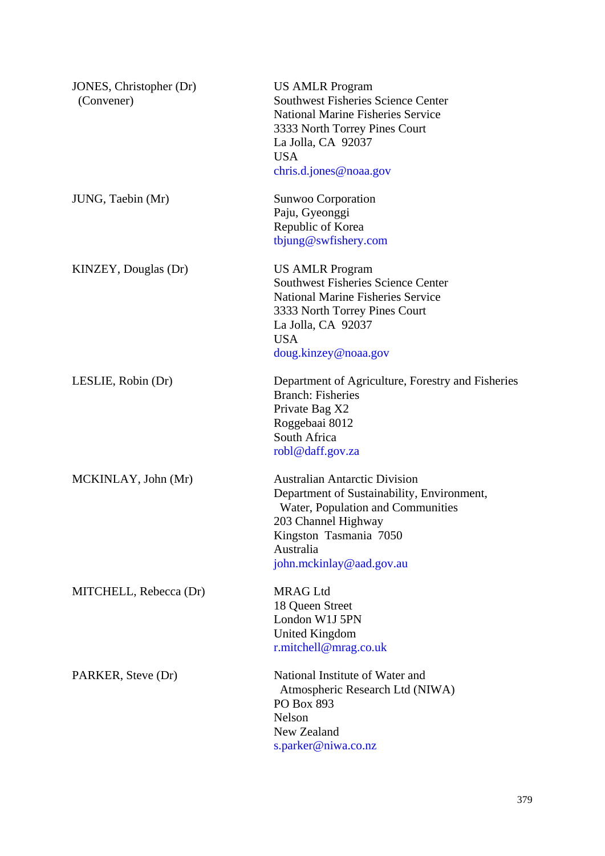| JONES, Christopher (Dr)<br>(Convener) | <b>US AMLR Program</b><br><b>Southwest Fisheries Science Center</b><br><b>National Marine Fisheries Service</b><br>3333 North Torrey Pines Court<br>La Jolla, CA 92037<br><b>USA</b><br>chris.d.jones@noaa.gov    |
|---------------------------------------|-------------------------------------------------------------------------------------------------------------------------------------------------------------------------------------------------------------------|
| JUNG, Taebin (Mr)                     | Sunwoo Corporation<br>Paju, Gyeonggi<br>Republic of Korea<br>tbjung@swfishery.com                                                                                                                                 |
| KINZEY, Douglas (Dr)                  | <b>US AMLR Program</b><br><b>Southwest Fisheries Science Center</b><br><b>National Marine Fisheries Service</b><br>3333 North Torrey Pines Court<br>La Jolla, CA 92037<br><b>USA</b><br>doug.kinzey@noaa.gov      |
| LESLIE, Robin (Dr)                    | Department of Agriculture, Forestry and Fisheries<br><b>Branch: Fisheries</b><br>Private Bag X2<br>Roggebaai 8012<br>South Africa<br>robl@daff.gov.za                                                             |
| MCKINLAY, John (Mr)                   | <b>Australian Antarctic Division</b><br>Department of Sustainability, Environment,<br>Water, Population and Communities<br>203 Channel Highway<br>Kingston Tasmania 7050<br>Australia<br>john.mckinlay@aad.gov.au |
| MITCHELL, Rebecca (Dr)                | <b>MRAG Ltd</b><br>18 Queen Street<br>London W1J 5PN<br><b>United Kingdom</b><br>r.mitchell@mrag.co.uk                                                                                                            |
| PARKER, Steve (Dr)                    | National Institute of Water and<br>Atmospheric Research Ltd (NIWA)<br>PO Box 893<br>Nelson<br>New Zealand<br>s.parker@niwa.co.nz                                                                                  |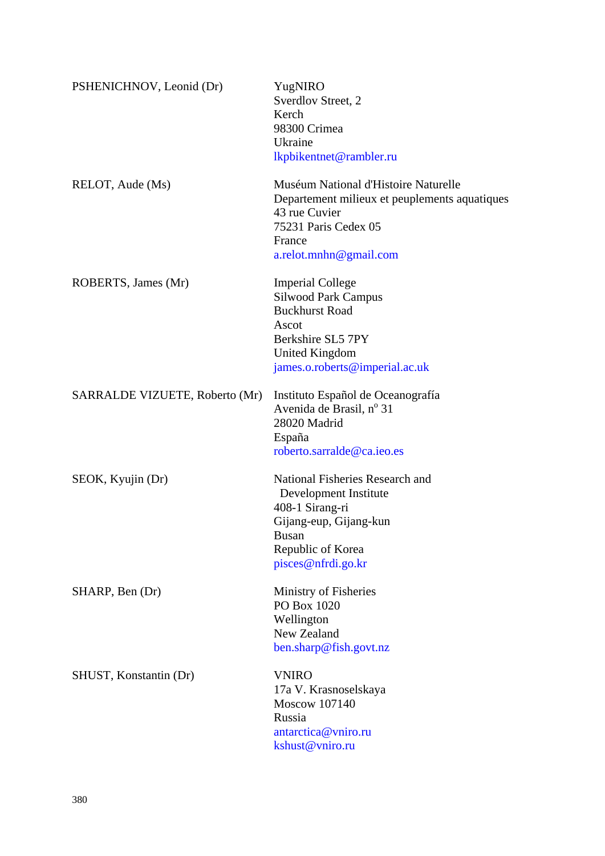| PSHENICHNOV, Leonid (Dr)       | YugNIRO<br>Sverdlov Street, 2<br>Kerch<br>98300 Crimea<br>Ukraine<br>lkpbikentnet@rambler.ru                                                                          |
|--------------------------------|-----------------------------------------------------------------------------------------------------------------------------------------------------------------------|
| RELOT, Aude (Ms)               | Muséum National d'Histoire Naturelle<br>Departement milieux et peuplements aquatiques<br>43 rue Cuvier<br>75231 Paris Cedex 05<br>France<br>$a$ .relot.mnhn@gmail.com |
| ROBERTS, James (Mr)            | <b>Imperial College</b><br><b>Silwood Park Campus</b><br><b>Buckhurst Road</b><br>Ascot<br>Berkshire SL5 7PY<br>United Kingdom<br>james.o.roberts@imperial.ac.uk      |
| SARRALDE VIZUETE, Roberto (Mr) | Instituto Español de Oceanografía<br>Avenida de Brasil, nº 31<br>28020 Madrid<br>España<br>roberto.sarralde@ca.ieo.es                                                 |
| SEOK, Kyujin (Dr)              | National Fisheries Research and<br>Development Institute<br>408-1 Sirang-ri<br>Gijang-eup, Gijang-kun<br><b>Busan</b><br>Republic of Korea<br>pisces@nfrdi.go.kr      |
| SHARP, Ben (Dr)                | Ministry of Fisheries<br>PO Box 1020<br>Wellington<br>New Zealand<br>ben.sharp@fish.govt.nz                                                                           |
| SHUST, Konstantin (Dr)         | <b>VNIRO</b><br>17a V. Krasnoselskaya<br><b>Moscow 107140</b><br>Russia<br>antarctica@vniro.ru<br>kshust@vniro.ru                                                     |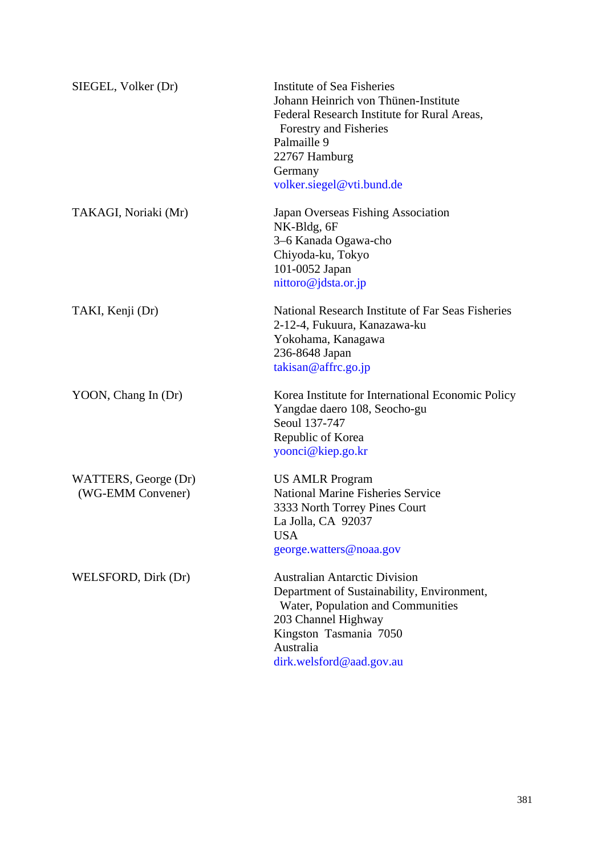| SIEGEL, Volker (Dr)                       | <b>Institute of Sea Fisheries</b><br>Johann Heinrich von Thünen-Institute<br>Federal Research Institute for Rural Areas,<br>Forestry and Fisheries<br>Palmaille 9<br>22767 Hamburg<br>Germany<br>volker.siegel@vti.bund.de |
|-------------------------------------------|----------------------------------------------------------------------------------------------------------------------------------------------------------------------------------------------------------------------------|
| TAKAGI, Noriaki (Mr)                      | Japan Overseas Fishing Association<br>NK-Bldg, 6F<br>3–6 Kanada Ogawa-cho<br>Chiyoda-ku, Tokyo<br>101-0052 Japan<br>nittoro@jdsta.or.jp                                                                                    |
| TAKI, Kenji (Dr)                          | National Research Institute of Far Seas Fisheries<br>2-12-4, Fukuura, Kanazawa-ku<br>Yokohama, Kanagawa<br>236-8648 Japan<br>takisan@affrc.go.jp                                                                           |
| YOON, Chang In (Dr)                       | Korea Institute for International Economic Policy<br>Yangdae daero 108, Seocho-gu<br>Seoul 137-747<br>Republic of Korea<br>yoonci@kiep.go.kr                                                                               |
| WATTERS, George (Dr)<br>(WG-EMM Convener) | <b>US AMLR Program</b><br><b>National Marine Fisheries Service</b><br>3333 North Torrey Pines Court<br>La Jolla, CA 92037<br><b>USA</b><br>george.watters@noaa.gov                                                         |
| WELSFORD, Dirk (Dr)                       | <b>Australian Antarctic Division</b><br>Department of Sustainability, Environment,<br>Water, Population and Communities<br>203 Channel Highway<br>Kingston Tasmania 7050<br>Australia<br>dirk.welsford@aad.gov.au          |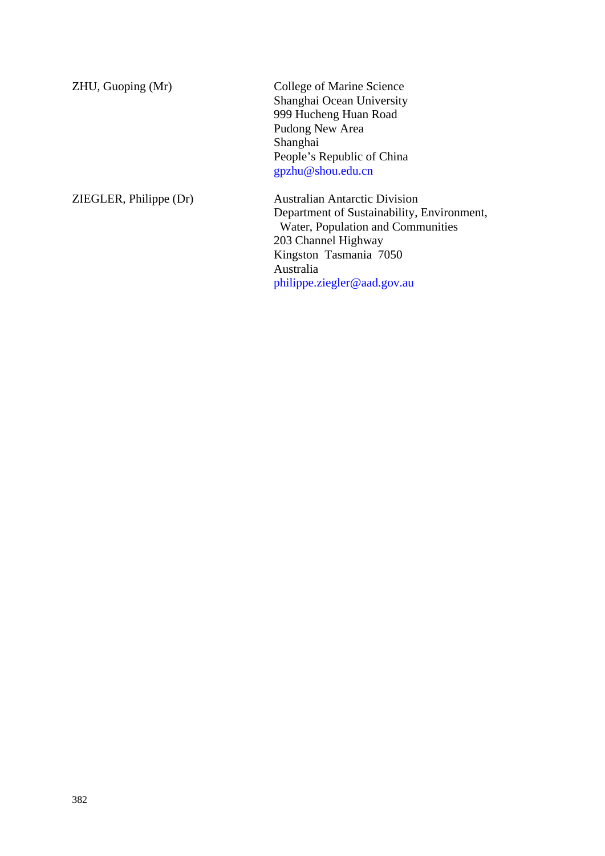| ZHU, Guoping (Mr)      | College of Marine Science                  |
|------------------------|--------------------------------------------|
|                        | Shanghai Ocean University                  |
|                        | 999 Hucheng Huan Road                      |
|                        | Pudong New Area                            |
|                        | Shanghai                                   |
|                        | People's Republic of China                 |
|                        | gpzhu@shou.edu.cn                          |
| ZIEGLER, Philippe (Dr) | <b>Australian Antarctic Division</b>       |
|                        | Department of Sustainability, Environment, |
|                        | Water, Population and Communities          |
|                        | 203 Channel Highway                        |
|                        | Kingston Tasmania 7050                     |
|                        | Australia                                  |
|                        | philippe.ziegler@aad.gov.au                |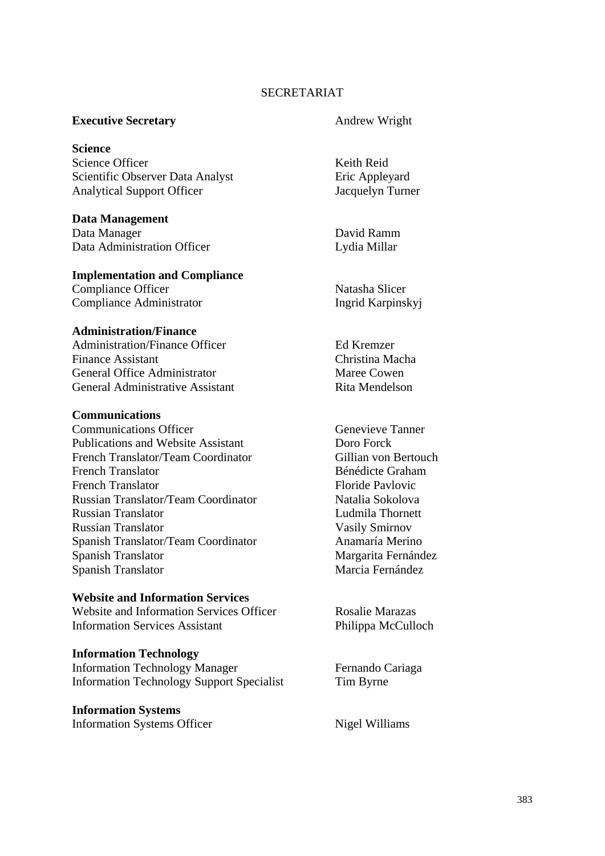### SECRETARIAT

#### **Executive Secretary**  Andrew Wright

**Science** Science Officer Neith Reid Scientific Observer Data Analyst Eric Appleyard Analytical Support Officer Jacquelyn Turner

**Data Management**  Data Manager David Ramm Data Administration Officer Lydia Millar

### **Implementation and Compliance**

Compliance Officer Natasha Slicer Compliance Administrator Ingrid Karpinskyj

#### **Administration/Finance**

Administration/Finance Officer Ed Kremzer Finance Assistant Christina Macha General Office Administrator Maree Cowen General Administrative Assistant Rita Mendelson

#### **Communications**

**Communications Officer** Genevieve Tanner Publications and Website Assistant Doro Forck French Translator/Team Coordinator Gillian von Bertouch French Translator Bénédicte Graham French Translator **Floride Pavlovic** Floride Pavlovic Russian Translator/Team Coordinator Natalia Sokolova Russian Translator Ludmila Thornett Russian Translator Vasily Smirnov Spanish Translator/Team Coordinator Anamaría Merino Spanish Translator Margarita Fernández Spanish Translator Marcia Fernández

#### **Website and Information Services**

Website and Information Services Officer Rosalie Marazas Information Services Assistant Philippa McCulloch

#### **Information Technology**

Information Technology Manager Fernando Cariaga Information Technology Support Specialist Tim Byrne

## **Information Systems**

Information Systems Officer Nigel Williams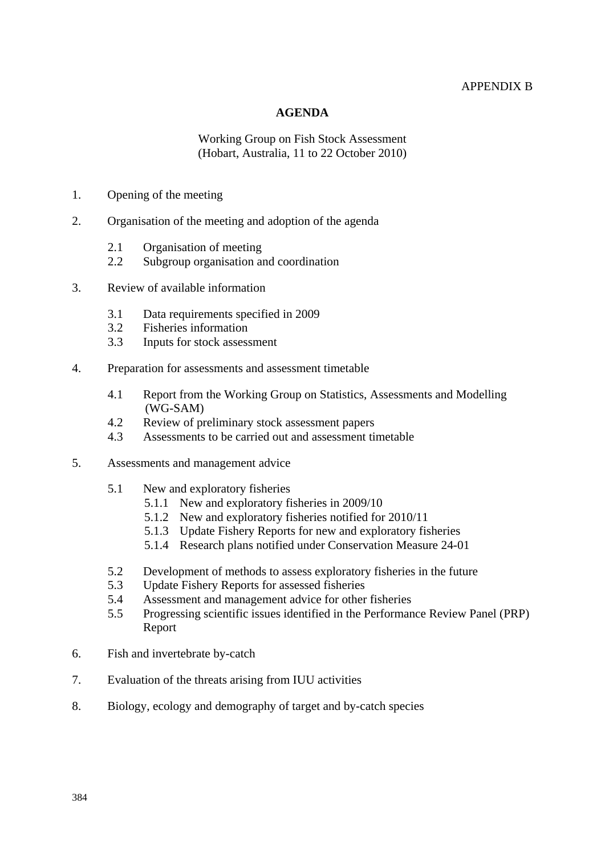#### APPENDIX B

#### **AGENDA**

Working Group on Fish Stock Assessment (Hobart, Australia, 11 to 22 October 2010)

- 1. Opening of the meeting
- 2. Organisation of the meeting and adoption of the agenda
	- 2.1 Organisation of meeting
	- 2.2 Subgroup organisation and coordination
- 3. Review of available information
	- 3.1 Data requirements specified in 2009
	- 3.2 Fisheries information
	- 3.3 Inputs for stock assessment
- 4. Preparation for assessments and assessment timetable
	- 4.1 Report from the Working Group on Statistics, Assessments and Modelling (WG-SAM)
	- 4.2 Review of preliminary stock assessment papers
	- 4.3 Assessments to be carried out and assessment timetable
- 5. Assessments and management advice
	- 5.1 New and exploratory fisheries
		- 5.1.1 New and exploratory fisheries in 2009/10
		- 5.1.2 New and exploratory fisheries notified for 2010/11
		- 5.1.3 Update Fishery Reports for new and exploratory fisheries
		- 5.1.4 Research plans notified under Conservation Measure 24-01
	- 5.2 Development of methods to assess exploratory fisheries in the future
	- 5.3 Update Fishery Reports for assessed fisheries
	- 5.4 Assessment and management advice for other fisheries
	- 5.5 Progressing scientific issues identified in the Performance Review Panel (PRP) Report
- 6. Fish and invertebrate by-catch
- 7. Evaluation of the threats arising from IUU activities
- 8. Biology, ecology and demography of target and by-catch species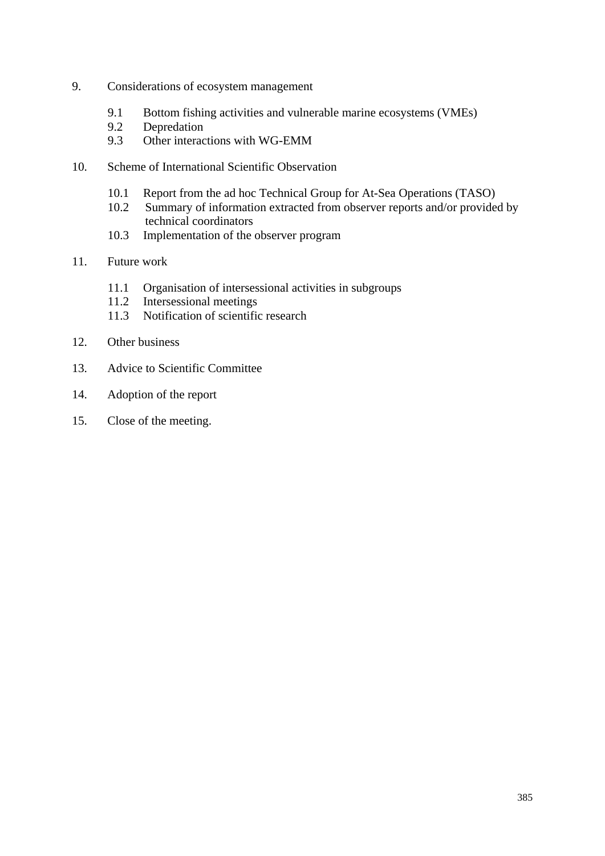- 9. Considerations of ecosystem management
	- 9.1 Bottom fishing activities and vulnerable marine ecosystems (VMEs)
	- 9.2 Depredation
	- 9.3 Other interactions with WG-EMM
- 10. Scheme of International Scientific Observation
	- 10.1 Report from the ad hoc Technical Group for At-Sea Operations (TASO)
	- 10.2 Summary of information extracted from observer reports and/or provided by technical coordinators
	- 10.3 Implementation of the observer program
- 11. Future work
	- 11.1 Organisation of intersessional activities in subgroups
	- 11.2 Intersessional meetings
	- 11.3 Notification of scientific research
- 12. Other business
- 13. Advice to Scientific Committee
- 14. Adoption of the report
- 15. Close of the meeting.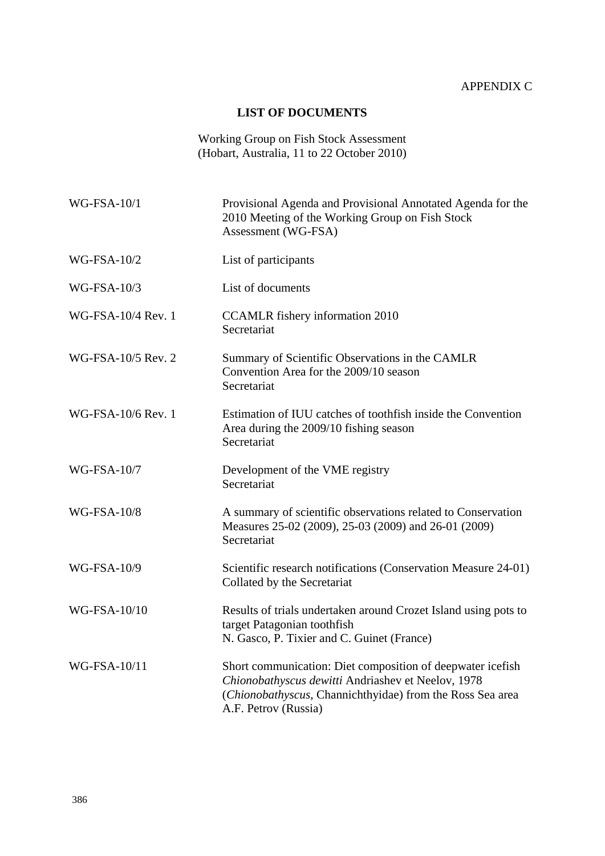# APPENDIX C

### **LIST OF DOCUMENTS**

Working Group on Fish Stock Assessment (Hobart, Australia, 11 to 22 October 2010)

| <b>WG-FSA-10/1</b> | Provisional Agenda and Provisional Annotated Agenda for the<br>2010 Meeting of the Working Group on Fish Stock<br>Assessment (WG-FSA)                                                                 |
|--------------------|-------------------------------------------------------------------------------------------------------------------------------------------------------------------------------------------------------|
| <b>WG-FSA-10/2</b> | List of participants                                                                                                                                                                                  |
| <b>WG-FSA-10/3</b> | List of documents                                                                                                                                                                                     |
| WG-FSA-10/4 Rev. 1 | <b>CCAMLR</b> fishery information 2010<br>Secretariat                                                                                                                                                 |
| WG-FSA-10/5 Rev. 2 | Summary of Scientific Observations in the CAMLR<br>Convention Area for the 2009/10 season<br>Secretariat                                                                                              |
| WG-FSA-10/6 Rev. 1 | Estimation of IUU catches of toothfish inside the Convention<br>Area during the 2009/10 fishing season<br>Secretariat                                                                                 |
| <b>WG-FSA-10/7</b> | Development of the VME registry<br>Secretariat                                                                                                                                                        |
| <b>WG-FSA-10/8</b> | A summary of scientific observations related to Conservation<br>Measures 25-02 (2009), 25-03 (2009) and 26-01 (2009)<br>Secretariat                                                                   |
| <b>WG-FSA-10/9</b> | Scientific research notifications (Conservation Measure 24-01)<br>Collated by the Secretariat                                                                                                         |
| WG-FSA-10/10       | Results of trials undertaken around Crozet Island using pots to<br>target Patagonian toothfish<br>N. Gasco, P. Tixier and C. Guinet (France)                                                          |
| WG-FSA-10/11       | Short communication: Diet composition of deepwater icefish<br>Chionobathyscus dewitti Andriashev et Neelov, 1978<br>(Chionobathyscus, Channichthyidae) from the Ross Sea area<br>A.F. Petrov (Russia) |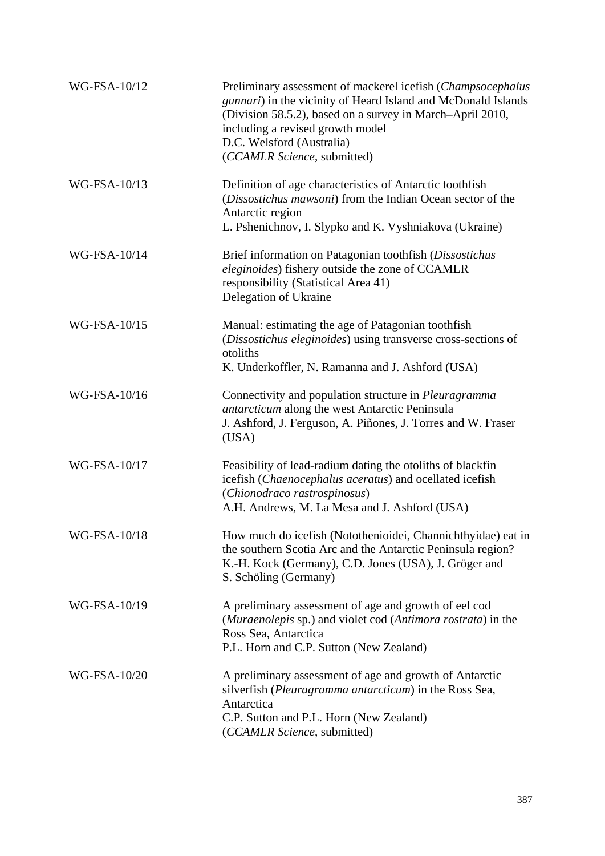| WG-FSA-10/12 | Preliminary assessment of mackerel icefish (Champsocephalus<br>gunnari) in the vicinity of Heard Island and McDonald Islands<br>(Division 58.5.2), based on a survey in March-April 2010,<br>including a revised growth model<br>D.C. Welsford (Australia)<br>(CCAMLR Science, submitted) |
|--------------|-------------------------------------------------------------------------------------------------------------------------------------------------------------------------------------------------------------------------------------------------------------------------------------------|
| WG-FSA-10/13 | Definition of age characteristics of Antarctic toothfish<br>(Dissostichus mawsoni) from the Indian Ocean sector of the<br>Antarctic region<br>L. Pshenichnov, I. Slypko and K. Vyshniakova (Ukraine)                                                                                      |
| WG-FSA-10/14 | Brief information on Patagonian toothfish (Dissostichus<br>eleginoides) fishery outside the zone of CCAMLR<br>responsibility (Statistical Area 41)<br>Delegation of Ukraine                                                                                                               |
| WG-FSA-10/15 | Manual: estimating the age of Patagonian toothfish<br>(Dissostichus eleginoides) using transverse cross-sections of<br>otoliths<br>K. Underkoffler, N. Ramanna and J. Ashford (USA)                                                                                                       |
| WG-FSA-10/16 | Connectivity and population structure in <i>Pleuragramma</i><br><i>antarcticum</i> along the west Antarctic Peninsula<br>J. Ashford, J. Ferguson, A. Piñones, J. Torres and W. Fraser<br>(USA)                                                                                            |
| WG-FSA-10/17 | Feasibility of lead-radium dating the otoliths of blackfin<br>icefish (Chaenocephalus aceratus) and ocellated icefish<br>(Chionodraco rastrospinosus)<br>A.H. Andrews, M. La Mesa and J. Ashford (USA)                                                                                    |
| WG-FSA-10/18 | How much do icefish (Notothenioidei, Channichthyidae) eat in<br>the southern Scotia Arc and the Antarctic Peninsula region?<br>K.-H. Kock (Germany), C.D. Jones (USA), J. Gröger and<br>S. Schöling (Germany)                                                                             |
| WG-FSA-10/19 | A preliminary assessment of age and growth of eel cod<br>(Muraenolepis sp.) and violet cod (Antimora rostrata) in the<br>Ross Sea, Antarctica<br>P.L. Horn and C.P. Sutton (New Zealand)                                                                                                  |
| WG-FSA-10/20 | A preliminary assessment of age and growth of Antarctic<br>silverfish (Pleuragramma antarcticum) in the Ross Sea,<br>Antarctica<br>C.P. Sutton and P.L. Horn (New Zealand)<br>(CCAMLR Science, submitted)                                                                                 |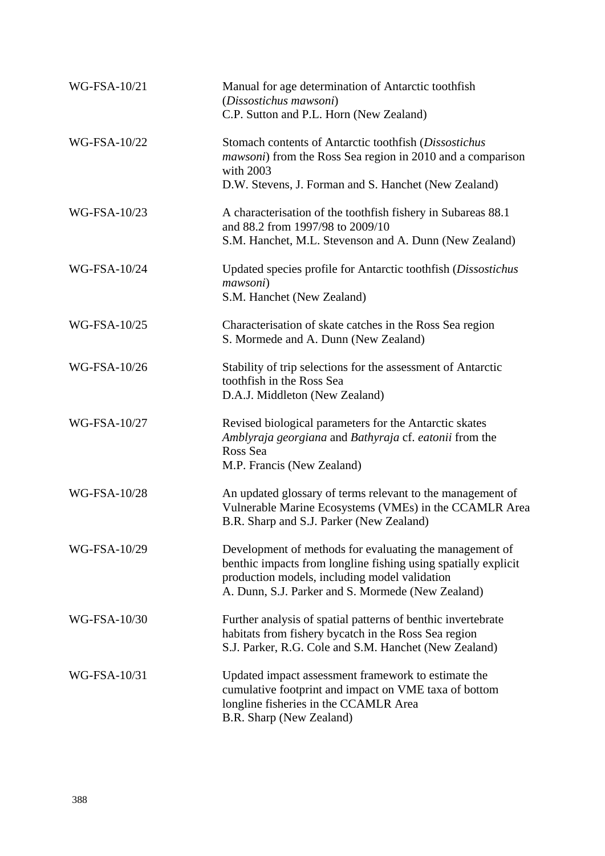| WG-FSA-10/21 | Manual for age determination of Antarctic toothfish<br>(Dissostichus mawsoni)<br>C.P. Sutton and P.L. Horn (New Zealand)                                                                                                        |
|--------------|---------------------------------------------------------------------------------------------------------------------------------------------------------------------------------------------------------------------------------|
| WG-FSA-10/22 | Stomach contents of Antarctic toothfish (Dissostichus<br><i>mawsoni</i> ) from the Ross Sea region in 2010 and a comparison<br>with 2003<br>D.W. Stevens, J. Forman and S. Hanchet (New Zealand)                                |
| WG-FSA-10/23 | A characterisation of the toothfish fishery in Subareas 88.1<br>and 88.2 from 1997/98 to 2009/10<br>S.M. Hanchet, M.L. Stevenson and A. Dunn (New Zealand)                                                                      |
| WG-FSA-10/24 | Updated species profile for Antarctic toothfish (Dissostichus<br>mawsoni)<br>S.M. Hanchet (New Zealand)                                                                                                                         |
| WG-FSA-10/25 | Characterisation of skate catches in the Ross Sea region<br>S. Mormede and A. Dunn (New Zealand)                                                                                                                                |
| WG-FSA-10/26 | Stability of trip selections for the assessment of Antarctic<br>toothfish in the Ross Sea<br>D.A.J. Middleton (New Zealand)                                                                                                     |
| WG-FSA-10/27 | Revised biological parameters for the Antarctic skates<br>Amblyraja georgiana and Bathyraja cf. eatonii from the<br>Ross Sea<br>M.P. Francis (New Zealand)                                                                      |
| WG-FSA-10/28 | An updated glossary of terms relevant to the management of<br>Vulnerable Marine Ecosystems (VMEs) in the CCAMLR Area<br>B.R. Sharp and S.J. Parker (New Zealand)                                                                |
| WG-FSA-10/29 | Development of methods for evaluating the management of<br>benthic impacts from longline fishing using spatially explicit<br>production models, including model validation<br>A. Dunn, S.J. Parker and S. Mormede (New Zealand) |
| WG-FSA-10/30 | Further analysis of spatial patterns of benthic invertebrate<br>habitats from fishery bycatch in the Ross Sea region<br>S.J. Parker, R.G. Cole and S.M. Hanchet (New Zealand)                                                   |
| WG-FSA-10/31 | Updated impact assessment framework to estimate the<br>cumulative footprint and impact on VME taxa of bottom<br>longline fisheries in the CCAMLR Area<br>B.R. Sharp (New Zealand)                                               |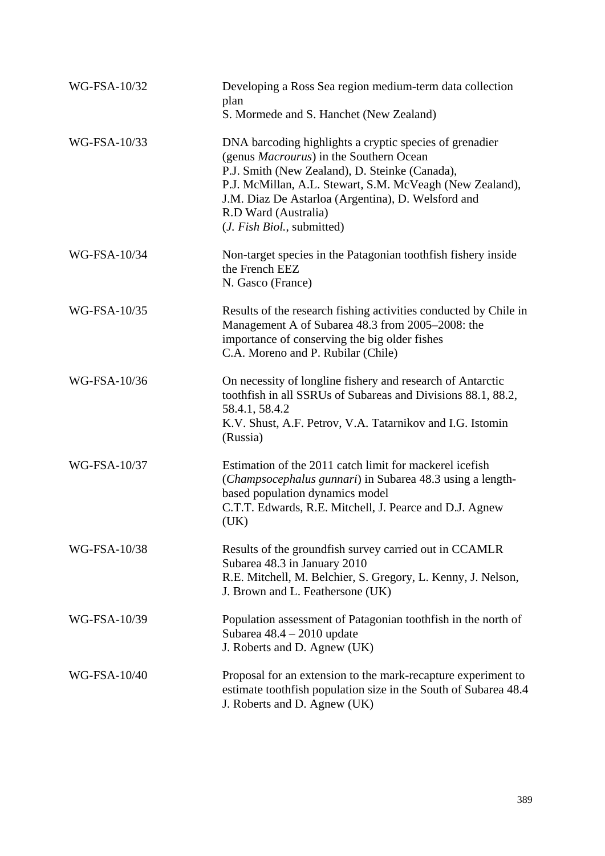| WG-FSA-10/32 | Developing a Ross Sea region medium-term data collection<br>plan<br>S. Mormede and S. Hanchet (New Zealand)                                                                                                                                                                                                                                   |
|--------------|-----------------------------------------------------------------------------------------------------------------------------------------------------------------------------------------------------------------------------------------------------------------------------------------------------------------------------------------------|
| WG-FSA-10/33 | DNA barcoding highlights a cryptic species of grenadier<br>(genus <i>Macrourus</i> ) in the Southern Ocean<br>P.J. Smith (New Zealand), D. Steinke (Canada),<br>P.J. McMillan, A.L. Stewart, S.M. McVeagh (New Zealand),<br>J.M. Diaz De Astarloa (Argentina), D. Welsford and<br>R.D Ward (Australia)<br>( <i>J. Fish Biol.</i> , submitted) |
| WG-FSA-10/34 | Non-target species in the Patagonian tooth fishery inside<br>the French EEZ<br>N. Gasco (France)                                                                                                                                                                                                                                              |
| WG-FSA-10/35 | Results of the research fishing activities conducted by Chile in<br>Management A of Subarea 48.3 from 2005-2008: the<br>importance of conserving the big older fishes<br>C.A. Moreno and P. Rubilar (Chile)                                                                                                                                   |
| WG-FSA-10/36 | On necessity of longline fishery and research of Antarctic<br>toothfish in all SSRUs of Subareas and Divisions 88.1, 88.2,<br>58.4.1, 58.4.2<br>K.V. Shust, A.F. Petrov, V.A. Tatarnikov and I.G. Istomin<br>(Russia)                                                                                                                         |
| WG-FSA-10/37 | Estimation of the 2011 catch limit for mackerel icefish<br>(Champsocephalus gunnari) in Subarea 48.3 using a length-<br>based population dynamics model<br>C.T.T. Edwards, R.E. Mitchell, J. Pearce and D.J. Agnew<br>(UK)                                                                                                                    |
| WG-FSA-10/38 | Results of the groundfish survey carried out in CCAMLR<br>Subarea 48.3 in January 2010<br>R.E. Mitchell, M. Belchier, S. Gregory, L. Kenny, J. Nelson,<br>J. Brown and L. Feathersone (UK)                                                                                                                                                    |
| WG-FSA-10/39 | Population assessment of Patagonian toothfish in the north of<br>Subarea $48.4 - 2010$ update<br>J. Roberts and D. Agnew (UK)                                                                                                                                                                                                                 |
| WG-FSA-10/40 | Proposal for an extension to the mark-recapture experiment to<br>estimate toothfish population size in the South of Subarea 48.4<br>J. Roberts and D. Agnew (UK)                                                                                                                                                                              |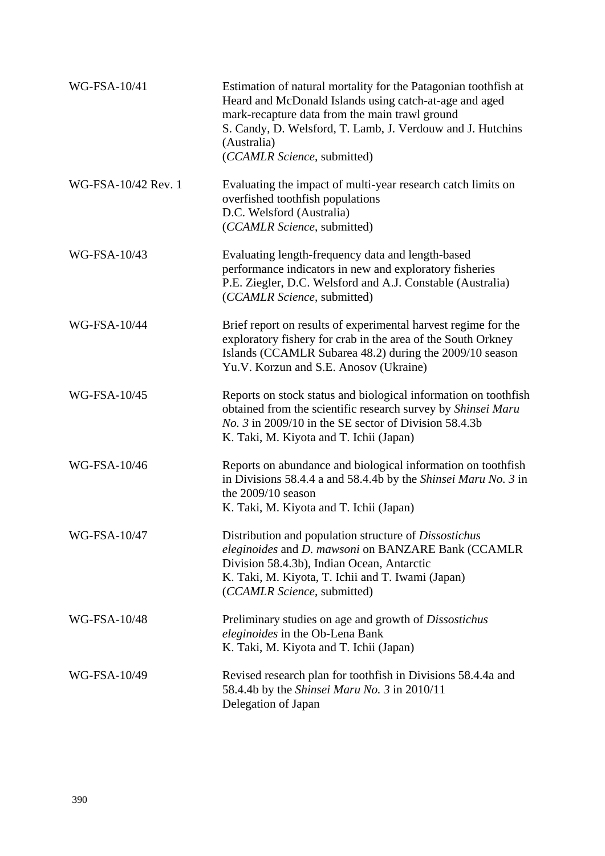| WG-FSA-10/41        | Estimation of natural mortality for the Patagonian toothfish at<br>Heard and McDonald Islands using catch-at-age and aged<br>mark-recapture data from the main trawl ground<br>S. Candy, D. Welsford, T. Lamb, J. Verdouw and J. Hutchins<br>(Australia)<br>(CCAMLR Science, submitted) |
|---------------------|-----------------------------------------------------------------------------------------------------------------------------------------------------------------------------------------------------------------------------------------------------------------------------------------|
| WG-FSA-10/42 Rev. 1 | Evaluating the impact of multi-year research catch limits on<br>overfished toothfish populations<br>D.C. Welsford (Australia)<br>(CCAMLR Science, submitted)                                                                                                                            |
| WG-FSA-10/43        | Evaluating length-frequency data and length-based<br>performance indicators in new and exploratory fisheries<br>P.E. Ziegler, D.C. Welsford and A.J. Constable (Australia)<br>(CCAMLR Science, submitted)                                                                               |
| <b>WG-FSA-10/44</b> | Brief report on results of experimental harvest regime for the<br>exploratory fishery for crab in the area of the South Orkney<br>Islands (CCAMLR Subarea 48.2) during the 2009/10 season<br>Yu.V. Korzun and S.E. Anosov (Ukraine)                                                     |
| WG-FSA-10/45        | Reports on stock status and biological information on toothfish<br>obtained from the scientific research survey by Shinsei Maru<br><i>No.</i> 3 in 2009/10 in the SE sector of Division 58.4.3b<br>K. Taki, M. Kiyota and T. Ichii (Japan)                                              |
| WG-FSA-10/46        | Reports on abundance and biological information on toothfish<br>in Divisions 58.4.4 a and 58.4.4b by the Shinsei Maru No. 3 in<br>the $2009/10$ season<br>K. Taki, M. Kiyota and T. Ichii (Japan)                                                                                       |
| WG-FSA-10/47        | Distribution and population structure of Dissostichus<br>eleginoides and D. mawsoni on BANZARE Bank (CCAMLR<br>Division 58.4.3b), Indian Ocean, Antarctic<br>K. Taki, M. Kiyota, T. Ichii and T. Iwami (Japan)<br>(CCAMLR Science, submitted)                                           |
| WG-FSA-10/48        | Preliminary studies on age and growth of <i>Dissostichus</i><br>eleginoides in the Ob-Lena Bank<br>K. Taki, M. Kiyota and T. Ichii (Japan)                                                                                                                                              |
| WG-FSA-10/49        | Revised research plan for toothfish in Divisions 58.4.4a and<br>58.4.4b by the Shinsei Maru No. 3 in 2010/11<br>Delegation of Japan                                                                                                                                                     |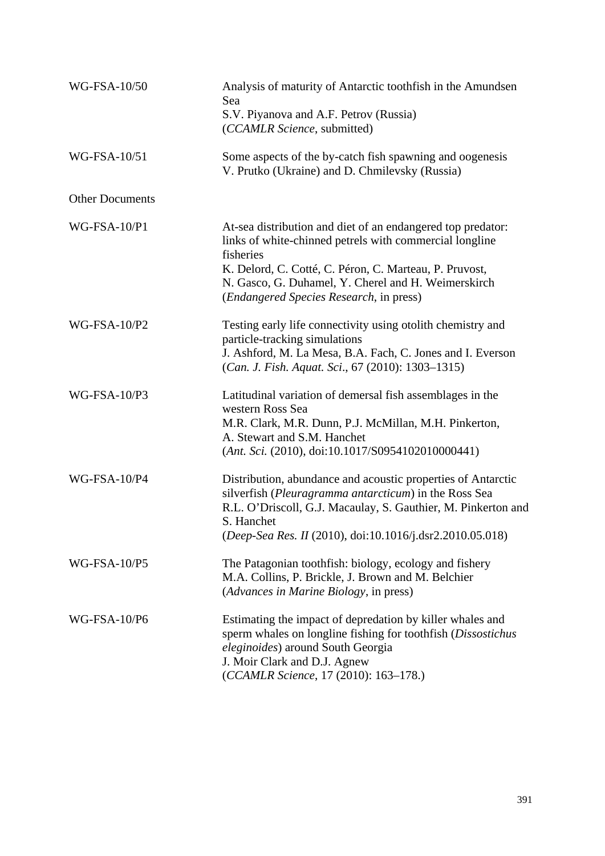| WG-FSA-10/50           | Analysis of maturity of Antarctic toothfish in the Amundsen<br>Sea<br>S.V. Piyanova and A.F. Petrov (Russia)<br>(CCAMLR Science, submitted)                                                                                                                                                              |
|------------------------|----------------------------------------------------------------------------------------------------------------------------------------------------------------------------------------------------------------------------------------------------------------------------------------------------------|
| WG-FSA-10/51           | Some aspects of the by-catch fish spawning and oogenesis<br>V. Prutko (Ukraine) and D. Chmilevsky (Russia)                                                                                                                                                                                               |
| <b>Other Documents</b> |                                                                                                                                                                                                                                                                                                          |
| WG-FSA-10/P1           | At-sea distribution and diet of an endangered top predator:<br>links of white-chinned petrels with commercial longline<br>fisheries<br>K. Delord, C. Cotté, C. Péron, C. Marteau, P. Pruvost,<br>N. Gasco, G. Duhamel, Y. Cherel and H. Weimerskirch<br>( <i>Endangered Species Research</i> , in press) |
| WG-FSA-10/P2           | Testing early life connectivity using otolith chemistry and<br>particle-tracking simulations<br>J. Ashford, M. La Mesa, B.A. Fach, C. Jones and I. Everson<br>(Can. J. Fish. Aquat. Sci., 67 (2010): 1303-1315)                                                                                          |
| WG-FSA-10/P3           | Latitudinal variation of demersal fish assemblages in the<br>western Ross Sea<br>M.R. Clark, M.R. Dunn, P.J. McMillan, M.H. Pinkerton,<br>A. Stewart and S.M. Hanchet<br>$(Ant. Sci. (2010), doi:10.1017/S0954102010000441)$                                                                             |
| WG-FSA-10/P4           | Distribution, abundance and acoustic properties of Antarctic<br>silverfish (Pleuragramma antarcticum) in the Ross Sea<br>R.L. O'Driscoll, G.J. Macaulay, S. Gauthier, M. Pinkerton and<br>S. Hanchet<br>(Deep-Sea Res. II (2010), doi:10.1016/j.dsr2.2010.05.018)                                        |
| <b>WG-FSA-10/P5</b>    | The Patagonian toothfish: biology, ecology and fishery<br>M.A. Collins, P. Brickle, J. Brown and M. Belchier<br>(Advances in Marine Biology, in press)                                                                                                                                                   |
| <b>WG-FSA-10/P6</b>    | Estimating the impact of depredation by killer whales and<br>sperm whales on longline fishing for toothfish (Dissostichus<br>eleginoides) around South Georgia<br>J. Moir Clark and D.J. Agnew<br>(CCAMLR Science, 17 (2010): 163-178.)                                                                  |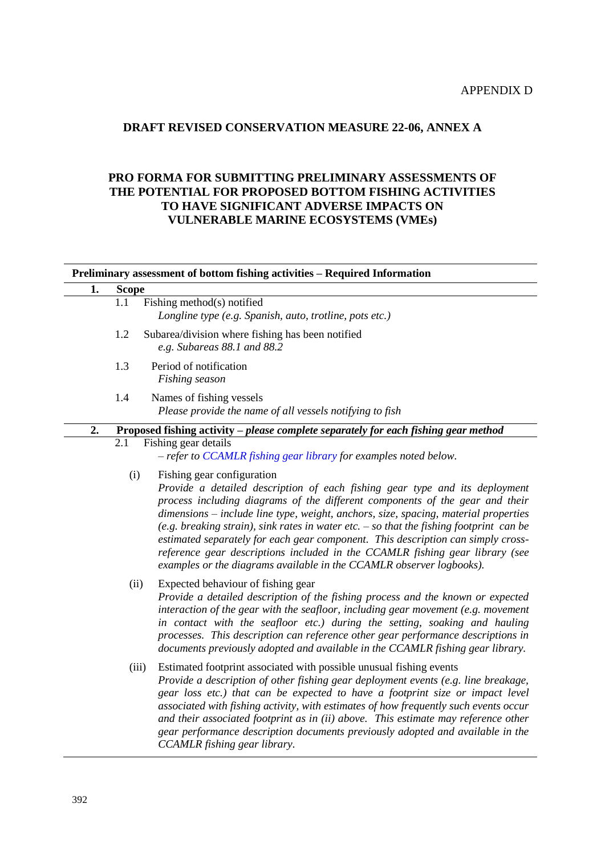## APPENDIX D

# **DRAFT REVISED CONSERVATION MEASURE 22-06, ANNEX A**

## **PRO FORMA FOR SUBMITTING PRELIMINARY ASSESSMENTS OF THE POTENTIAL FOR PROPOSED BOTTOM FISHING ACTIVITIES TO HAVE SIGNIFICANT ADVERSE IMPACTS ON VULNERABLE MARINE ECOSYSTEMS (VMEs)**

| 1. | <b>Scope</b>                                                                                |                                                                                                                                                                                                                                                                                                                                                                                                                                                                                                                                                                                                                           |
|----|---------------------------------------------------------------------------------------------|---------------------------------------------------------------------------------------------------------------------------------------------------------------------------------------------------------------------------------------------------------------------------------------------------------------------------------------------------------------------------------------------------------------------------------------------------------------------------------------------------------------------------------------------------------------------------------------------------------------------------|
|    | 1.1                                                                                         | Fishing method(s) notified<br>Longline type (e.g. Spanish, auto, trotline, pots etc.)                                                                                                                                                                                                                                                                                                                                                                                                                                                                                                                                     |
|    | 1.2                                                                                         | Subarea/division where fishing has been notified<br>e.g. Subareas 88.1 and 88.2                                                                                                                                                                                                                                                                                                                                                                                                                                                                                                                                           |
|    | 1.3                                                                                         | Period of notification<br>Fishing season                                                                                                                                                                                                                                                                                                                                                                                                                                                                                                                                                                                  |
|    | 1.4<br>Names of fishing vessels<br>Please provide the name of all vessels notifying to fish |                                                                                                                                                                                                                                                                                                                                                                                                                                                                                                                                                                                                                           |
| 2. |                                                                                             | Proposed fishing activity - please complete separately for each fishing gear method                                                                                                                                                                                                                                                                                                                                                                                                                                                                                                                                       |
|    | 2.1                                                                                         | Fishing gear details<br>- refer to CCAMLR fishing gear library for examples noted below.                                                                                                                                                                                                                                                                                                                                                                                                                                                                                                                                  |
|    | (i)                                                                                         | Fishing gear configuration<br>Provide a detailed description of each fishing gear type and its deployment<br>process including diagrams of the different components of the gear and their<br>dimensions – include line type, weight, anchors, size, spacing, material properties<br>(e.g. breaking strain), sink rates in water etc. $-$ so that the fishing footprint can be<br>estimated separately for each gear component. This description can simply cross-<br>reference gear descriptions included in the CCAMLR fishing gear library (see<br>examples or the diagrams available in the CCAMLR observer logbooks). |
|    | (ii)                                                                                        | Expected behaviour of fishing gear<br>Provide a detailed description of the fishing process and the known or expected<br>interaction of the gear with the seafloor, including gear movement (e.g. movement<br>in contact with the seafloor etc.) during the setting, soaking and hauling<br>processes. This description can reference other gear performance descriptions in<br>documents previously adopted and available in the CCAMLR fishing gear library.                                                                                                                                                            |
|    | (iii)                                                                                       | Estimated footprint associated with possible unusual fishing events<br>Provide a description of other fishing gear deployment events (e.g. line breakage,<br>gear loss etc.) that can be expected to have a footprint size or impact level<br>associated with fishing activity, with estimates of how frequently such events occur<br>and their associated footprint as in (ii) above. This estimate may reference other<br>gear performance description documents previously adopted and available in the<br>CCAMLR fishing gear library.                                                                                |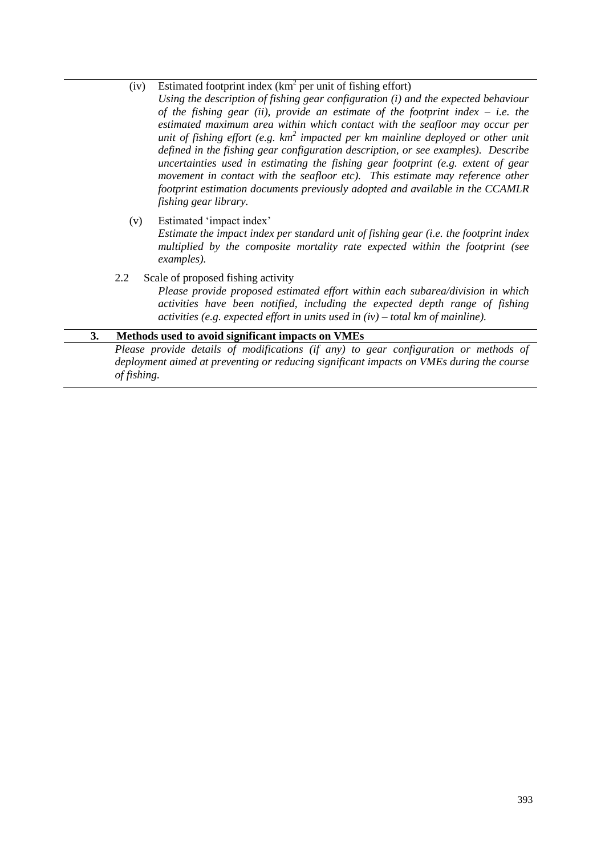(iv) Estimated footprint index  $(km^2$  per unit of fishing effort)

*Using the description of fishing gear configuration (i) and the expected behaviour of the fishing gear (ii), provide an estimate of the footprint index – i.e. the estimated maximum area within which contact with the seafloor may occur per unit of fishing effort (e.g. km 2 impacted per km mainline deployed or other unit defined in the fishing gear configuration description, or see examples). Describe uncertainties used in estimating the fishing gear footprint (e.g. extent of gear movement in contact with the seafloor etc). This estimate may reference other footprint estimation documents previously adopted and available in the CCAMLR fishing gear library.*

(v) Estimated 'impact index'

*Estimate the impact index per standard unit of fishing gear (i.e. the footprint index multiplied by the composite mortality rate expected within the footprint (see examples).*

2.2 Scale of proposed fishing activity

*Please provide proposed estimated effort within each subarea/division in which activities have been notified, including the expected depth range of fishing activities (e.g. expected effort in units used in (iv) – total km of mainline).*

#### **3. Methods used to avoid significant impacts on VMEs**

*Please provide details of modifications (if any) to gear configuration or methods of deployment aimed at preventing or reducing significant impacts on VMEs during the course of fishing.*